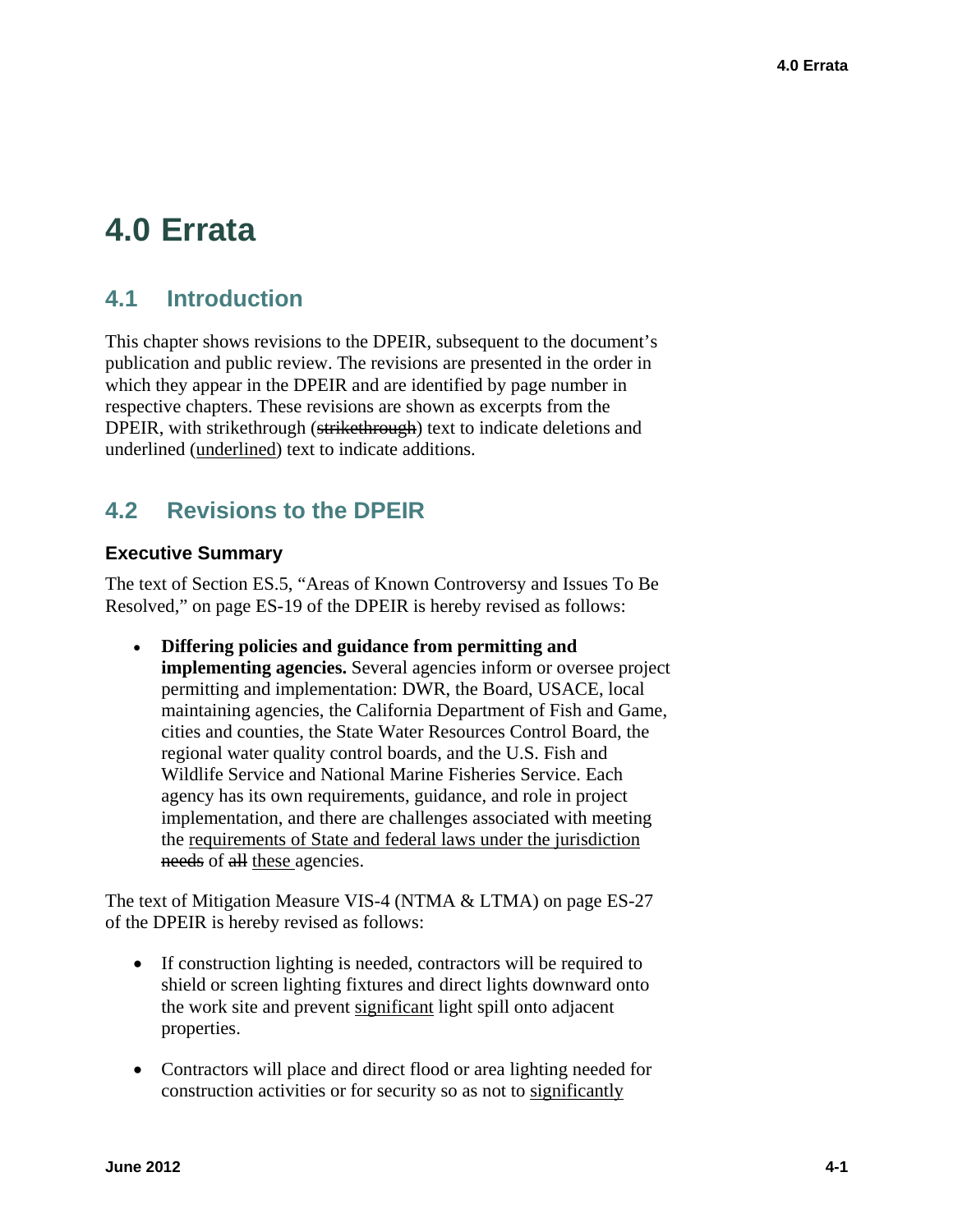# **4.0 Errata**

# **4.1 Introduction**

This chapter shows revisions to the DPEIR, subsequent to the document's publication and public review. The revisions are presented in the order in which they appear in the DPEIR and are identified by page number in respective chapters. These revisions are shown as excerpts from the DPEIR, with strikethrough (strikethrough) text to indicate deletions and underlined (underlined) text to indicate additions.

# **4.2 Revisions to the DPEIR**

## **Executive Summary**

The text of Section ES.5, "Areas of Known Controversy and Issues To Be Resolved," on page ES-19 of the DPEIR is hereby revised as follows:

 **Differing policies and guidance from permitting and implementing agencies.** Several agencies inform or oversee project permitting and implementation: DWR, the Board, USACE, local maintaining agencies, the California Department of Fish and Game, cities and counties, the State Water Resources Control Board, the regional water quality control boards, and the U.S. Fish and Wildlife Service and National Marine Fisheries Service. Each agency has its own requirements, guidance, and role in project implementation, and there are challenges associated with meeting the requirements of State and federal laws under the jurisdiction needs of all these agencies.

The text of Mitigation Measure VIS-4 (NTMA & LTMA) on page ES-27 of the DPEIR is hereby revised as follows:

- If construction lighting is needed, contractors will be required to shield or screen lighting fixtures and direct lights downward onto the work site and prevent significant light spill onto adjacent properties.
- Contractors will place and direct flood or area lighting needed for construction activities or for security so as not to significantly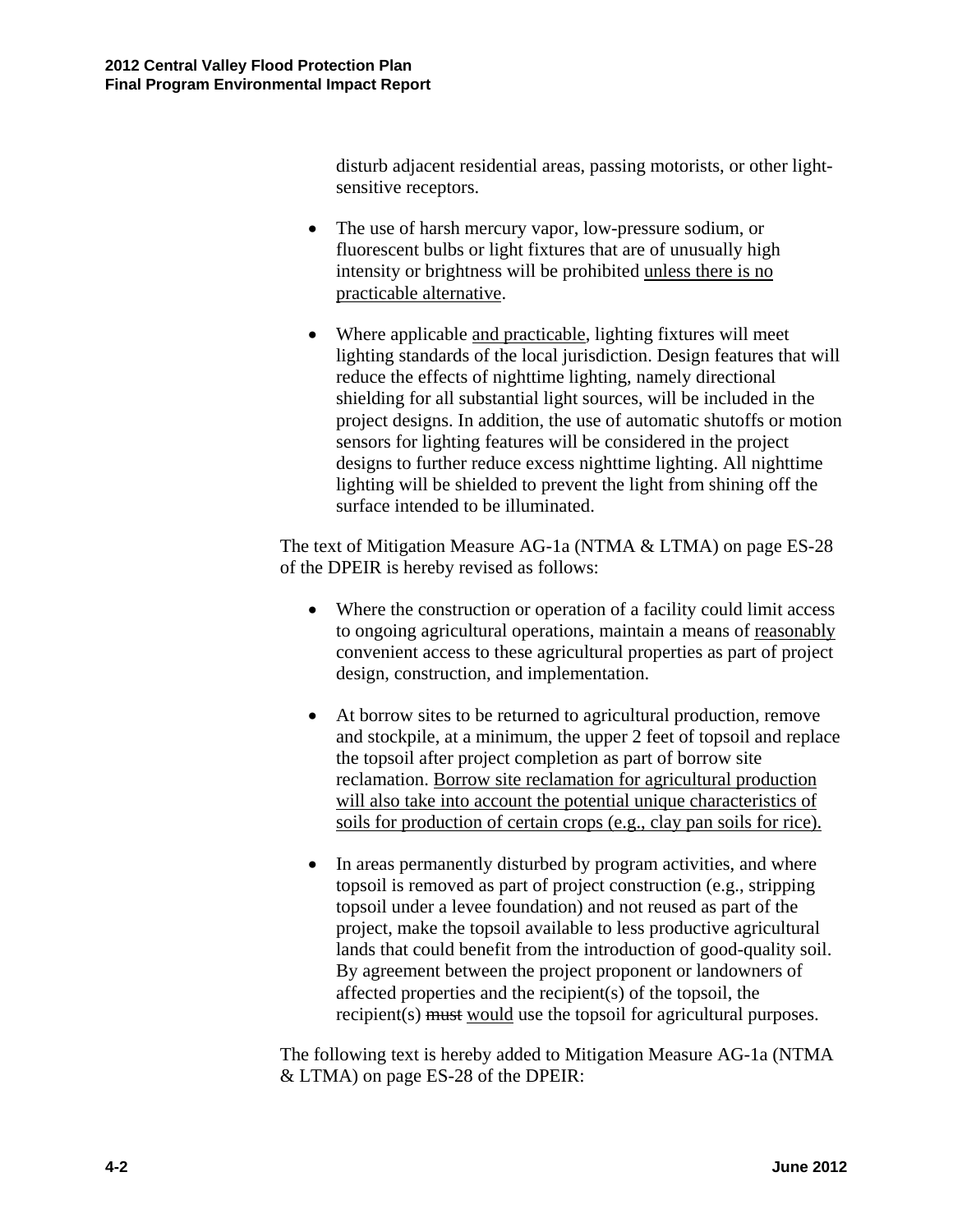disturb adjacent residential areas, passing motorists, or other lightsensitive receptors.

- The use of harsh mercury vapor, low-pressure sodium, or fluorescent bulbs or light fixtures that are of unusually high intensity or brightness will be prohibited unless there is no practicable alternative.
- Where applicable and practicable, lighting fixtures will meet lighting standards of the local jurisdiction. Design features that will reduce the effects of nighttime lighting, namely directional shielding for all substantial light sources, will be included in the project designs. In addition, the use of automatic shutoffs or motion sensors for lighting features will be considered in the project designs to further reduce excess nighttime lighting. All nighttime lighting will be shielded to prevent the light from shining off the surface intended to be illuminated.

The text of Mitigation Measure AG-1a (NTMA & LTMA) on page ES-28 of the DPEIR is hereby revised as follows:

- Where the construction or operation of a facility could limit access to ongoing agricultural operations, maintain a means of reasonably convenient access to these agricultural properties as part of project design, construction, and implementation.
- At borrow sites to be returned to agricultural production, remove and stockpile, at a minimum, the upper 2 feet of topsoil and replace the topsoil after project completion as part of borrow site reclamation. Borrow site reclamation for agricultural production will also take into account the potential unique characteristics of soils for production of certain crops (e.g., clay pan soils for rice).
- In areas permanently disturbed by program activities, and where topsoil is removed as part of project construction (e.g., stripping topsoil under a levee foundation) and not reused as part of the project, make the topsoil available to less productive agricultural lands that could benefit from the introduction of good-quality soil. By agreement between the project proponent or landowners of affected properties and the recipient(s) of the topsoil, the recipient(s) must would use the topsoil for agricultural purposes.

The following text is hereby added to Mitigation Measure AG-1a (NTMA & LTMA) on page ES-28 of the DPEIR: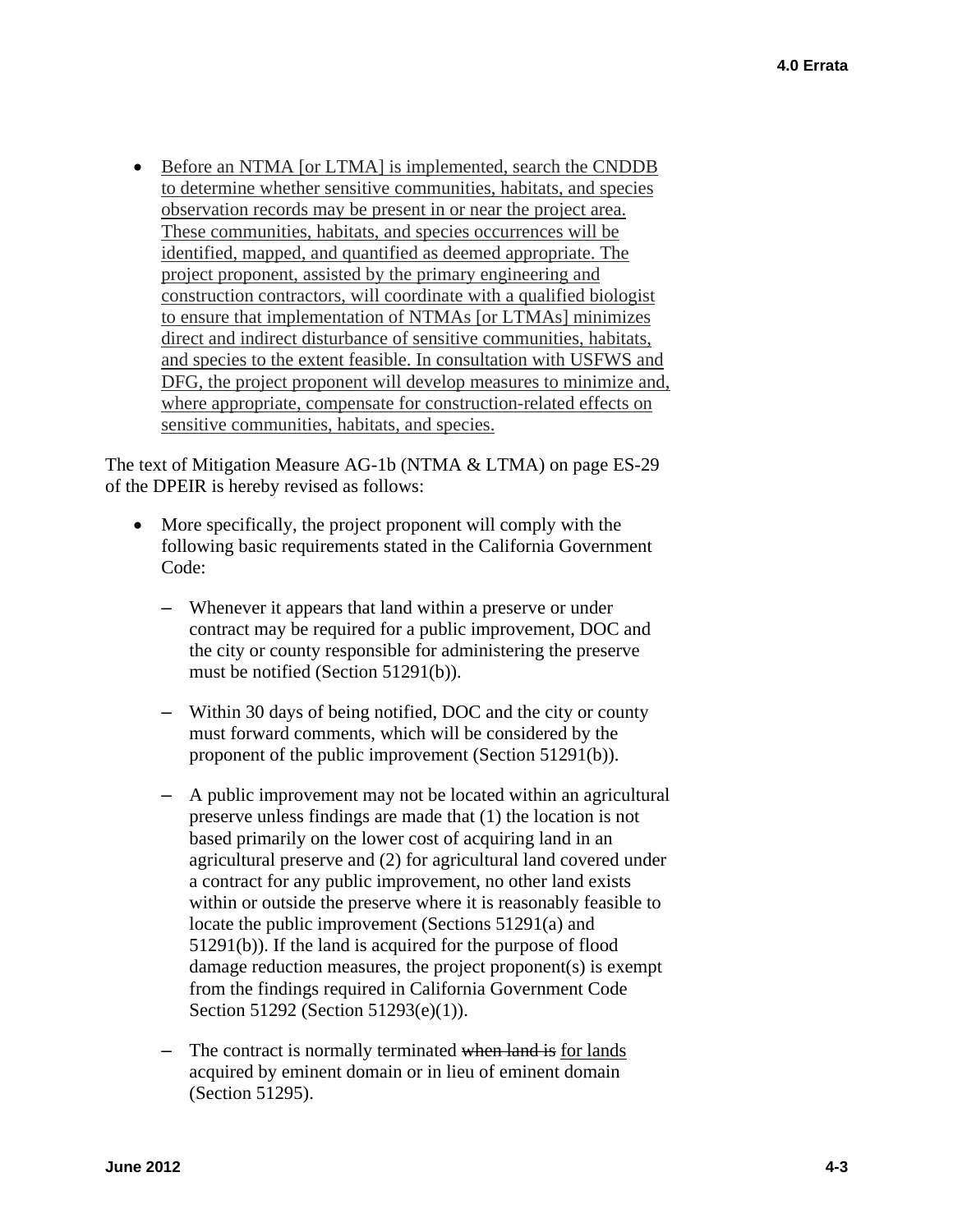• Before an NTMA [or LTMA] is implemented, search the CNDDB to determine whether sensitive communities, habitats, and species observation records may be present in or near the project area. These communities, habitats, and species occurrences will be identified, mapped, and quantified as deemed appropriate. The project proponent, assisted by the primary engineering and construction contractors, will coordinate with a qualified biologist to ensure that implementation of NTMAs [or LTMAs] minimizes direct and indirect disturbance of sensitive communities, habitats, and species to the extent feasible. In consultation with USFWS and DFG, the project proponent will develop measures to minimize and, where appropriate, compensate for construction-related effects on sensitive communities, habitats, and species.

The text of Mitigation Measure AG-1b (NTMA & LTMA) on page ES-29 of the DPEIR is hereby revised as follows:

- More specifically, the project proponent will comply with the following basic requirements stated in the California Government Code:
	- Whenever it appears that land within a preserve or under contract may be required for a public improvement, DOC and the city or county responsible for administering the preserve must be notified (Section 51291(b)).
	- Within 30 days of being notified, DOC and the city or county must forward comments, which will be considered by the proponent of the public improvement (Section 51291(b)).
	- A public improvement may not be located within an agricultural preserve unless findings are made that (1) the location is not based primarily on the lower cost of acquiring land in an agricultural preserve and (2) for agricultural land covered under a contract for any public improvement, no other land exists within or outside the preserve where it is reasonably feasible to locate the public improvement (Sections 51291(a) and 51291(b)). If the land is acquired for the purpose of flood damage reduction measures, the project proponent(s) is exempt from the findings required in California Government Code Section 51292 (Section 51293(e)(1)).
	- The contract is normally terminated when land is for lands acquired by eminent domain or in lieu of eminent domain (Section 51295).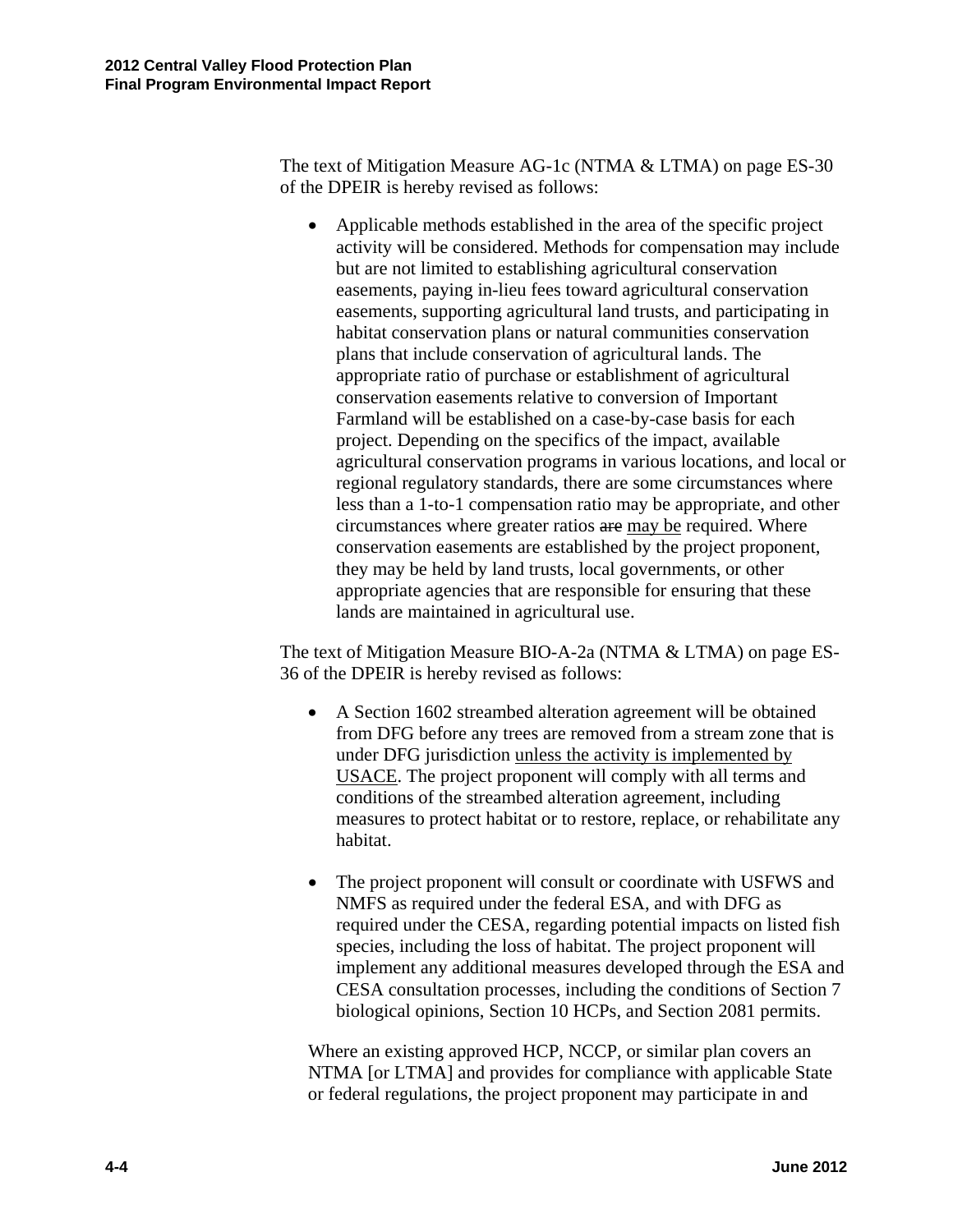The text of Mitigation Measure AG-1c (NTMA & LTMA) on page ES-30 of the DPEIR is hereby revised as follows:

 Applicable methods established in the area of the specific project activity will be considered. Methods for compensation may include but are not limited to establishing agricultural conservation easements, paying in-lieu fees toward agricultural conservation easements, supporting agricultural land trusts, and participating in habitat conservation plans or natural communities conservation plans that include conservation of agricultural lands. The appropriate ratio of purchase or establishment of agricultural conservation easements relative to conversion of Important Farmland will be established on a case-by-case basis for each project. Depending on the specifics of the impact, available agricultural conservation programs in various locations, and local or regional regulatory standards, there are some circumstances where less than a 1-to-1 compensation ratio may be appropriate, and other circumstances where greater ratios are may be required. Where conservation easements are established by the project proponent, they may be held by land trusts, local governments, or other appropriate agencies that are responsible for ensuring that these lands are maintained in agricultural use.

The text of Mitigation Measure BIO-A-2a (NTMA & LTMA) on page ES-36 of the DPEIR is hereby revised as follows:

- A Section 1602 streambed alteration agreement will be obtained from DFG before any trees are removed from a stream zone that is under DFG jurisdiction unless the activity is implemented by USACE. The project proponent will comply with all terms and conditions of the streambed alteration agreement, including measures to protect habitat or to restore, replace, or rehabilitate any habitat.
- The project proponent will consult or coordinate with USFWS and NMFS as required under the federal ESA, and with DFG as required under the CESA, regarding potential impacts on listed fish species, including the loss of habitat. The project proponent will implement any additional measures developed through the ESA and CESA consultation processes, including the conditions of Section 7 biological opinions, Section 10 HCPs, and Section 2081 permits.

Where an existing approved HCP, NCCP, or similar plan covers an NTMA [or LTMA] and provides for compliance with applicable State or federal regulations, the project proponent may participate in and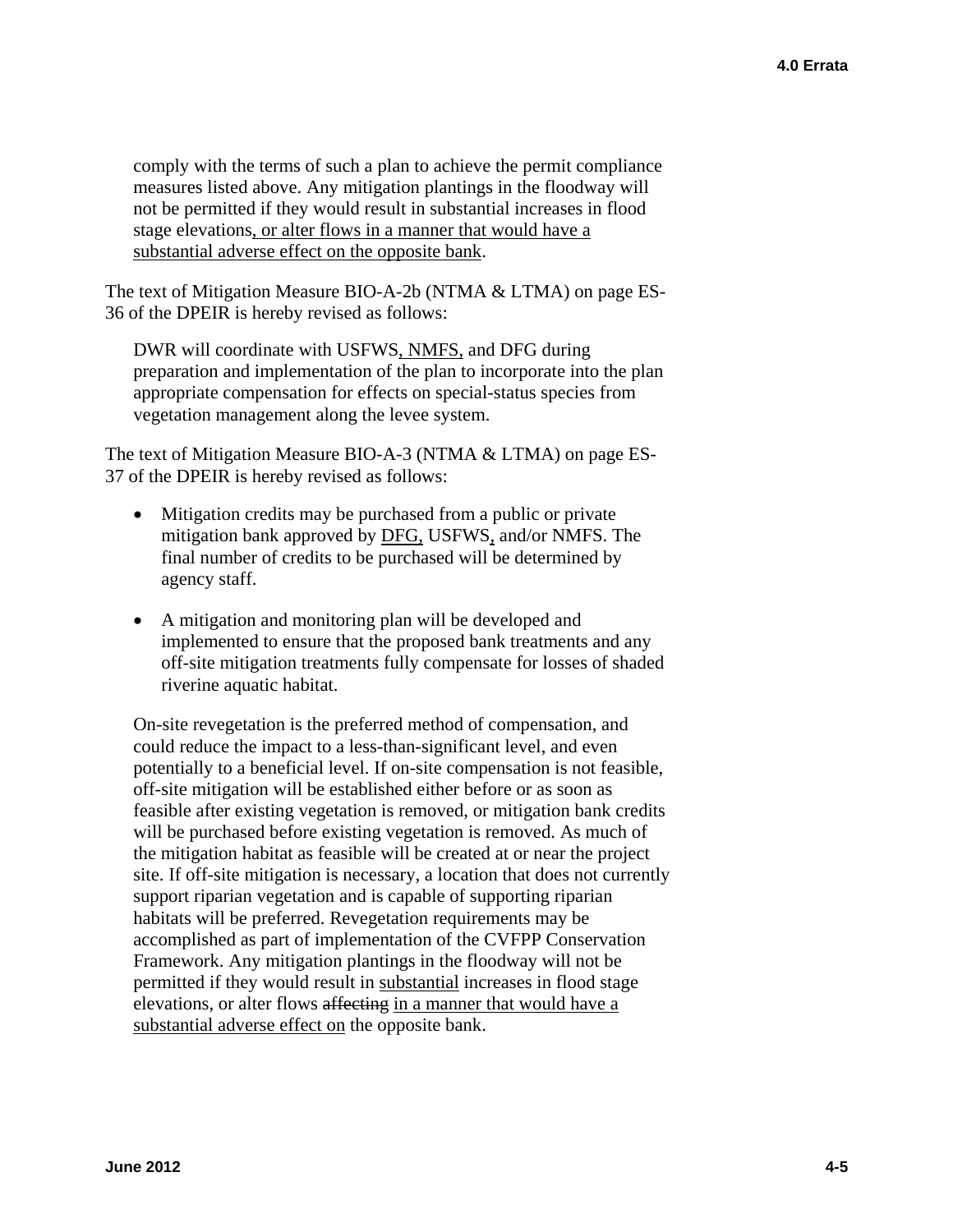comply with the terms of such a plan to achieve the permit compliance measures listed above. Any mitigation plantings in the floodway will not be permitted if they would result in substantial increases in flood stage elevations, or alter flows in a manner that would have a substantial adverse effect on the opposite bank.

The text of Mitigation Measure BIO-A-2b (NTMA & LTMA) on page ES-36 of the DPEIR is hereby revised as follows:

DWR will coordinate with USFWS, NMFS, and DFG during preparation and implementation of the plan to incorporate into the plan appropriate compensation for effects on special-status species from vegetation management along the levee system.

The text of Mitigation Measure BIO-A-3 (NTMA & LTMA) on page ES-37 of the DPEIR is hereby revised as follows:

- Mitigation credits may be purchased from a public or private mitigation bank approved by DFG, USFWS, and/or NMFS. The final number of credits to be purchased will be determined by agency staff.
- A mitigation and monitoring plan will be developed and implemented to ensure that the proposed bank treatments and any off-site mitigation treatments fully compensate for losses of shaded riverine aquatic habitat.

On-site revegetation is the preferred method of compensation, and could reduce the impact to a less-than-significant level, and even potentially to a beneficial level. If on-site compensation is not feasible, off-site mitigation will be established either before or as soon as feasible after existing vegetation is removed, or mitigation bank credits will be purchased before existing vegetation is removed. As much of the mitigation habitat as feasible will be created at or near the project site. If off-site mitigation is necessary, a location that does not currently support riparian vegetation and is capable of supporting riparian habitats will be preferred. Revegetation requirements may be accomplished as part of implementation of the CVFPP Conservation Framework. Any mitigation plantings in the floodway will not be permitted if they would result in substantial increases in flood stage elevations, or alter flows affecting in a manner that would have a substantial adverse effect on the opposite bank.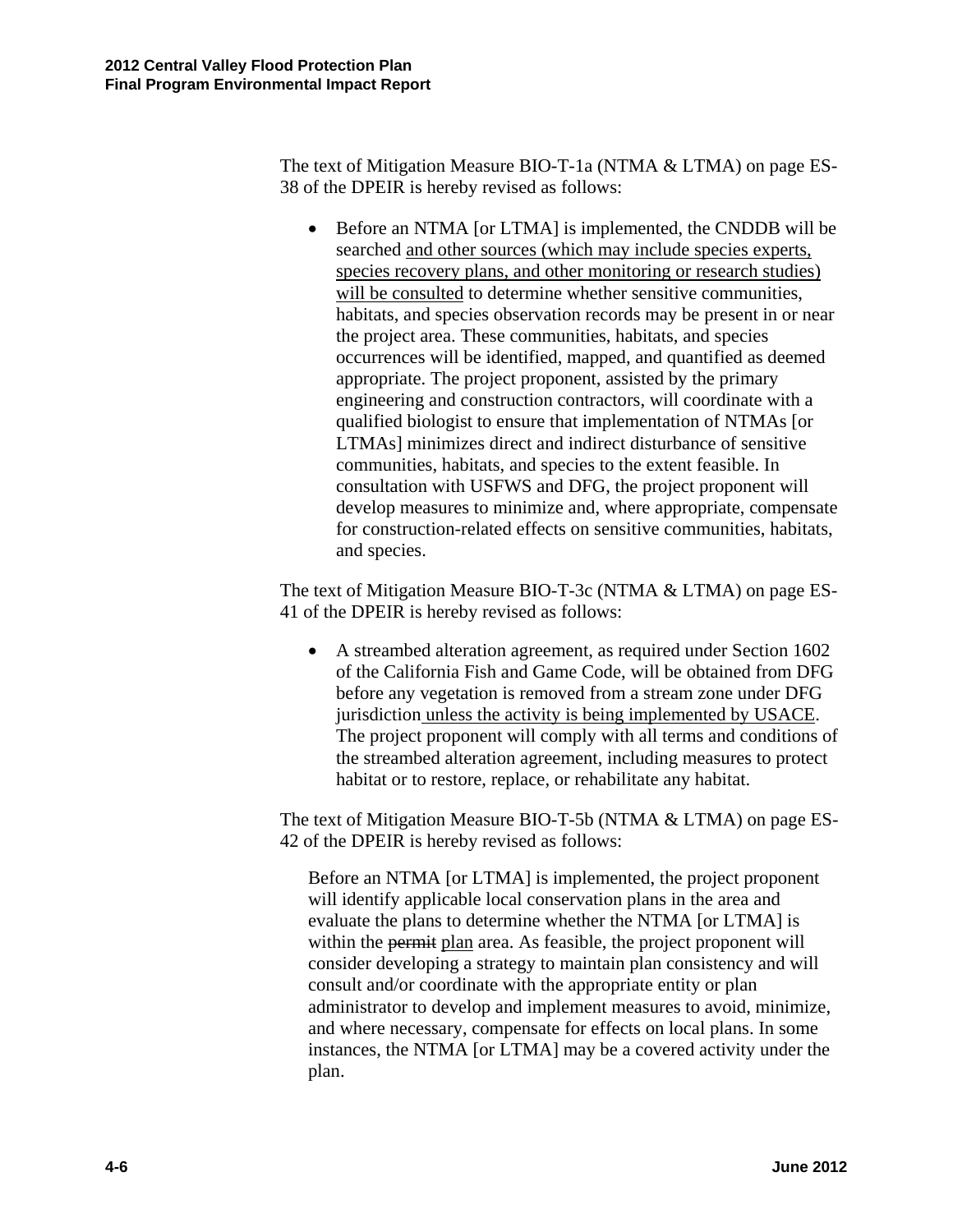The text of Mitigation Measure BIO-T-1a (NTMA & LTMA) on page ES-38 of the DPEIR is hereby revised as follows:

• Before an NTMA [or LTMA] is implemented, the CNDDB will be searched and other sources (which may include species experts, species recovery plans, and other monitoring or research studies) will be consulted to determine whether sensitive communities, habitats, and species observation records may be present in or near the project area. These communities, habitats, and species occurrences will be identified, mapped, and quantified as deemed appropriate. The project proponent, assisted by the primary engineering and construction contractors, will coordinate with a qualified biologist to ensure that implementation of NTMAs [or LTMAs] minimizes direct and indirect disturbance of sensitive communities, habitats, and species to the extent feasible. In consultation with USFWS and DFG, the project proponent will develop measures to minimize and, where appropriate, compensate for construction-related effects on sensitive communities, habitats, and species.

The text of Mitigation Measure BIO-T-3c (NTMA & LTMA) on page ES-41 of the DPEIR is hereby revised as follows:

 A streambed alteration agreement, as required under Section 1602 of the California Fish and Game Code, will be obtained from DFG before any vegetation is removed from a stream zone under DFG jurisdiction unless the activity is being implemented by USACE. The project proponent will comply with all terms and conditions of the streambed alteration agreement, including measures to protect habitat or to restore, replace, or rehabilitate any habitat.

The text of Mitigation Measure BIO-T-5b (NTMA & LTMA) on page ES-42 of the DPEIR is hereby revised as follows:

Before an NTMA [or LTMA] is implemented, the project proponent will identify applicable local conservation plans in the area and evaluate the plans to determine whether the NTMA [or LTMA] is within the permit plan area. As feasible, the project proponent will consider developing a strategy to maintain plan consistency and will consult and/or coordinate with the appropriate entity or plan administrator to develop and implement measures to avoid, minimize, and where necessary, compensate for effects on local plans. In some instances, the NTMA [or LTMA] may be a covered activity under the plan.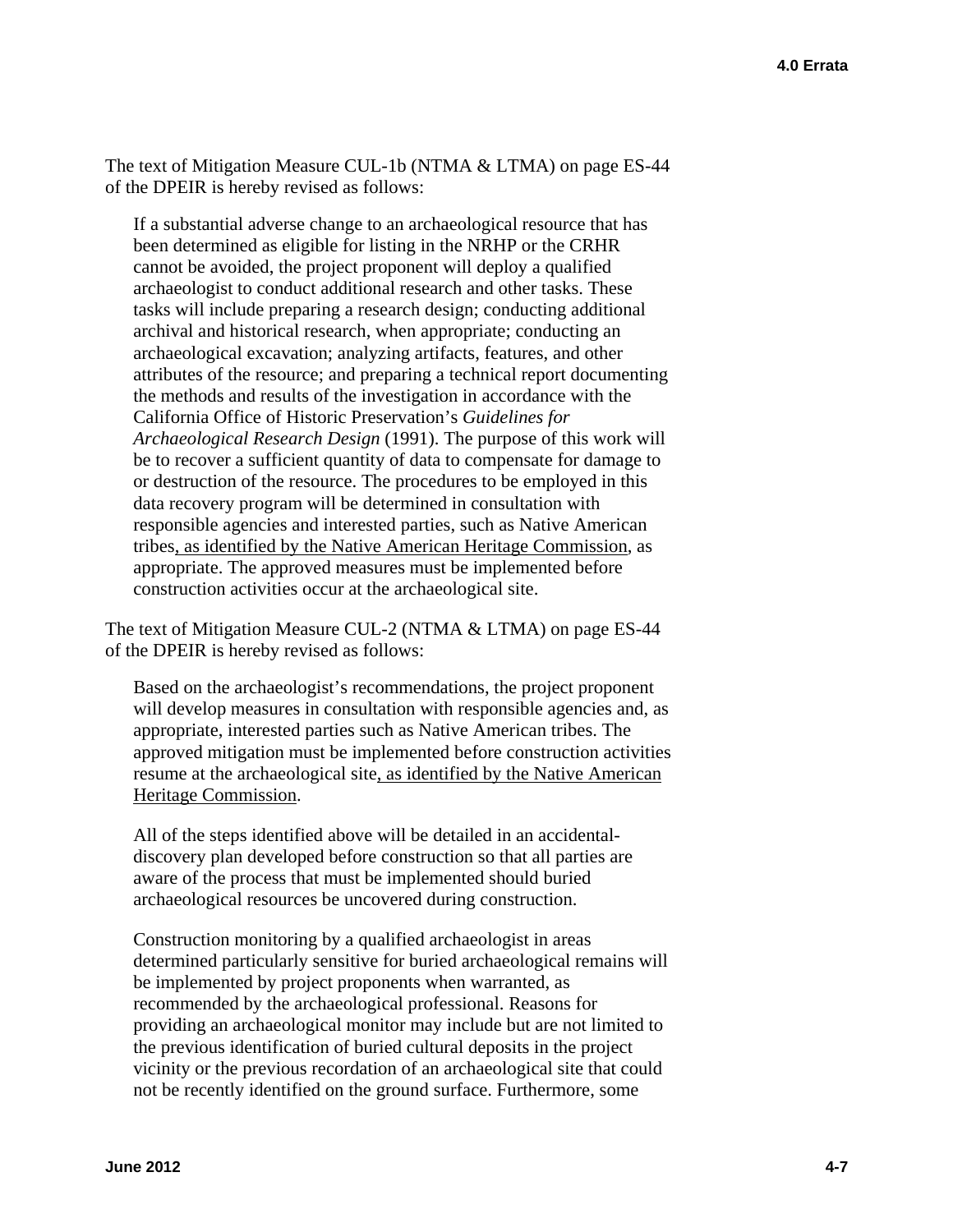The text of Mitigation Measure CUL-1b (NTMA & LTMA) on page ES-44 of the DPEIR is hereby revised as follows:

If a substantial adverse change to an archaeological resource that has been determined as eligible for listing in the NRHP or the CRHR cannot be avoided, the project proponent will deploy a qualified archaeologist to conduct additional research and other tasks. These tasks will include preparing a research design; conducting additional archival and historical research, when appropriate; conducting an archaeological excavation; analyzing artifacts, features, and other attributes of the resource; and preparing a technical report documenting the methods and results of the investigation in accordance with the California Office of Historic Preservation's *Guidelines for Archaeological Research Design* (1991). The purpose of this work will be to recover a sufficient quantity of data to compensate for damage to or destruction of the resource. The procedures to be employed in this data recovery program will be determined in consultation with responsible agencies and interested parties, such as Native American tribes, as identified by the Native American Heritage Commission, as appropriate. The approved measures must be implemented before construction activities occur at the archaeological site.

The text of Mitigation Measure CUL-2 (NTMA & LTMA) on page ES-44 of the DPEIR is hereby revised as follows:

Based on the archaeologist's recommendations, the project proponent will develop measures in consultation with responsible agencies and, as appropriate, interested parties such as Native American tribes. The approved mitigation must be implemented before construction activities resume at the archaeological site, as identified by the Native American Heritage Commission.

All of the steps identified above will be detailed in an accidentaldiscovery plan developed before construction so that all parties are aware of the process that must be implemented should buried archaeological resources be uncovered during construction.

Construction monitoring by a qualified archaeologist in areas determined particularly sensitive for buried archaeological remains will be implemented by project proponents when warranted, as recommended by the archaeological professional. Reasons for providing an archaeological monitor may include but are not limited to the previous identification of buried cultural deposits in the project vicinity or the previous recordation of an archaeological site that could not be recently identified on the ground surface. Furthermore, some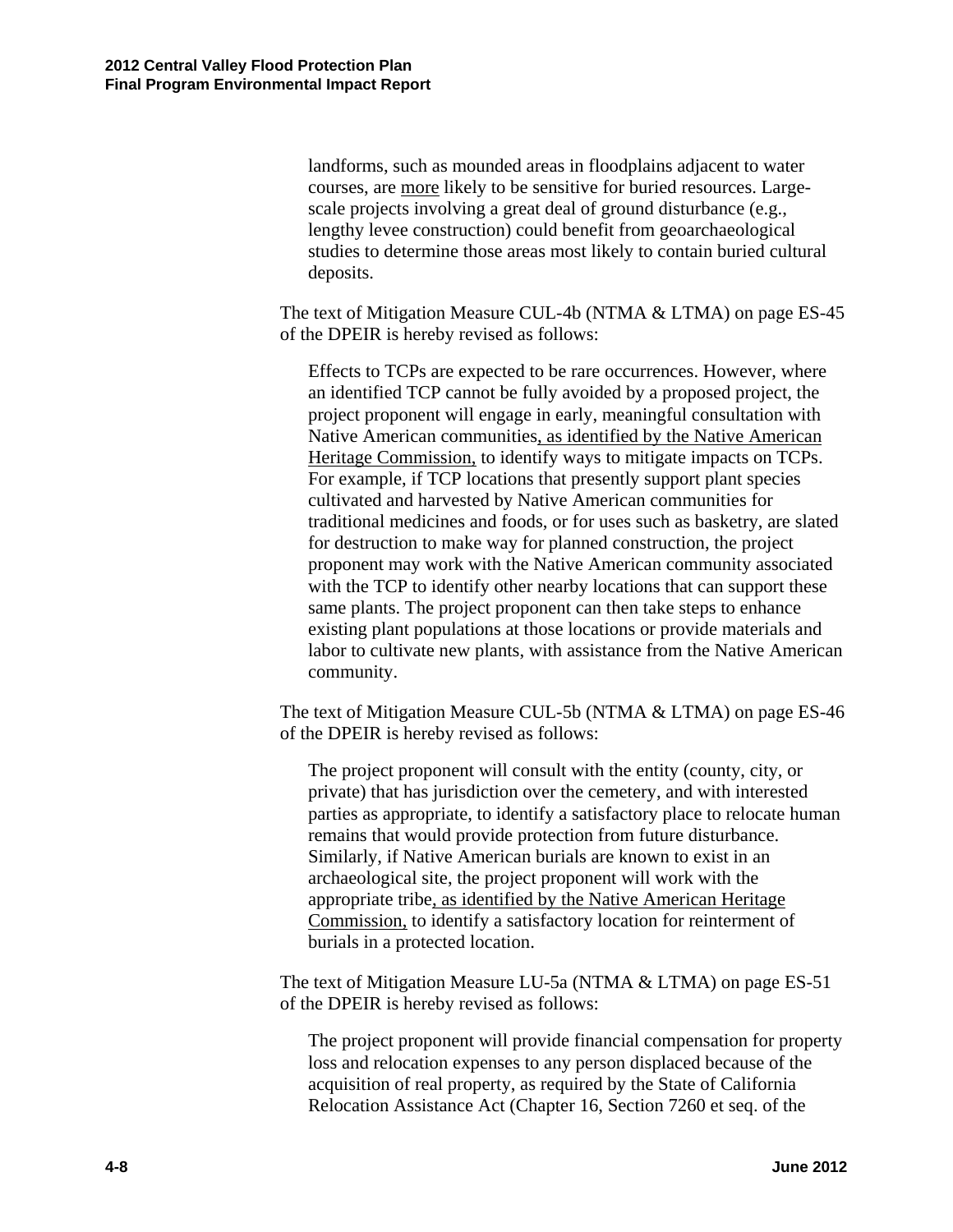landforms, such as mounded areas in floodplains adjacent to water courses, are more likely to be sensitive for buried resources. Largescale projects involving a great deal of ground disturbance (e.g., lengthy levee construction) could benefit from geoarchaeological studies to determine those areas most likely to contain buried cultural deposits.

The text of Mitigation Measure CUL-4b (NTMA & LTMA) on page ES-45 of the DPEIR is hereby revised as follows:

Effects to TCPs are expected to be rare occurrences. However, where an identified TCP cannot be fully avoided by a proposed project, the project proponent will engage in early, meaningful consultation with Native American communities, as identified by the Native American Heritage Commission, to identify ways to mitigate impacts on TCPs. For example, if TCP locations that presently support plant species cultivated and harvested by Native American communities for traditional medicines and foods, or for uses such as basketry, are slated for destruction to make way for planned construction, the project proponent may work with the Native American community associated with the TCP to identify other nearby locations that can support these same plants. The project proponent can then take steps to enhance existing plant populations at those locations or provide materials and labor to cultivate new plants, with assistance from the Native American community.

The text of Mitigation Measure CUL-5b (NTMA & LTMA) on page ES-46 of the DPEIR is hereby revised as follows:

The project proponent will consult with the entity (county, city, or private) that has jurisdiction over the cemetery, and with interested parties as appropriate, to identify a satisfactory place to relocate human remains that would provide protection from future disturbance. Similarly, if Native American burials are known to exist in an archaeological site, the project proponent will work with the appropriate tribe, as identified by the Native American Heritage Commission, to identify a satisfactory location for reinterment of burials in a protected location.

The text of Mitigation Measure LU-5a (NTMA & LTMA) on page ES-51 of the DPEIR is hereby revised as follows:

The project proponent will provide financial compensation for property loss and relocation expenses to any person displaced because of the acquisition of real property, as required by the State of California Relocation Assistance Act (Chapter 16, Section 7260 et seq. of the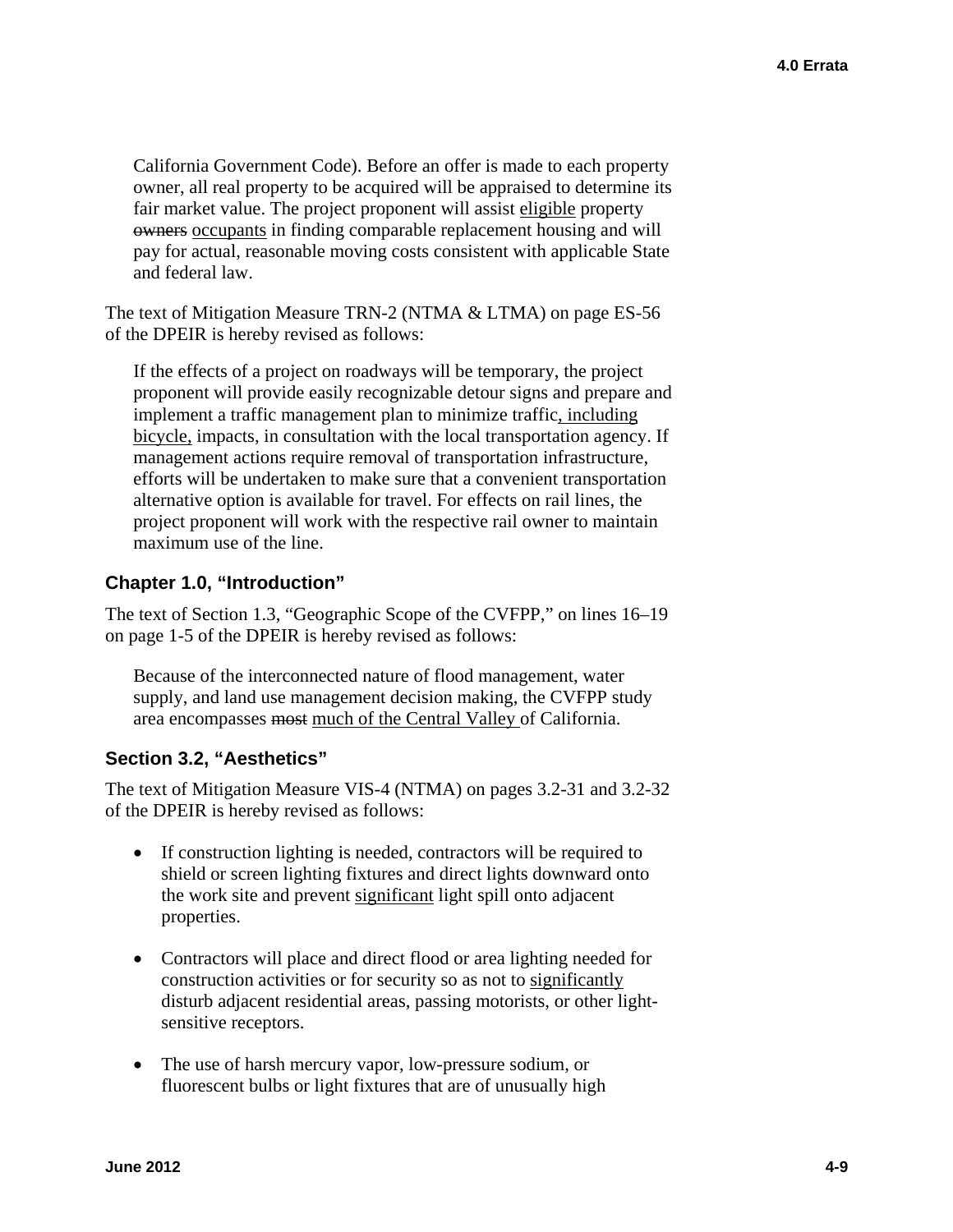California Government Code). Before an offer is made to each property owner, all real property to be acquired will be appraised to determine its fair market value. The project proponent will assist eligible property owners occupants in finding comparable replacement housing and will pay for actual, reasonable moving costs consistent with applicable State and federal law.

The text of Mitigation Measure TRN-2 (NTMA & LTMA) on page ES-56 of the DPEIR is hereby revised as follows:

If the effects of a project on roadways will be temporary, the project proponent will provide easily recognizable detour signs and prepare and implement a traffic management plan to minimize traffic, including bicycle, impacts, in consultation with the local transportation agency. If management actions require removal of transportation infrastructure, efforts will be undertaken to make sure that a convenient transportation alternative option is available for travel. For effects on rail lines, the project proponent will work with the respective rail owner to maintain maximum use of the line.

## **Chapter 1.0, "Introduction"**

The text of Section 1.3, "Geographic Scope of the CVFPP," on lines 16–19 on page 1-5 of the DPEIR is hereby revised as follows:

Because of the interconnected nature of flood management, water supply, and land use management decision making, the CVFPP study area encompasses most much of the Central Valley of California.

# **Section 3.2, "Aesthetics"**

The text of Mitigation Measure VIS-4 (NTMA) on pages 3.2-31 and 3.2-32 of the DPEIR is hereby revised as follows:

- If construction lighting is needed, contractors will be required to shield or screen lighting fixtures and direct lights downward onto the work site and prevent significant light spill onto adjacent properties.
- Contractors will place and direct flood or area lighting needed for construction activities or for security so as not to significantly disturb adjacent residential areas, passing motorists, or other lightsensitive receptors.
- The use of harsh mercury vapor, low-pressure sodium, or fluorescent bulbs or light fixtures that are of unusually high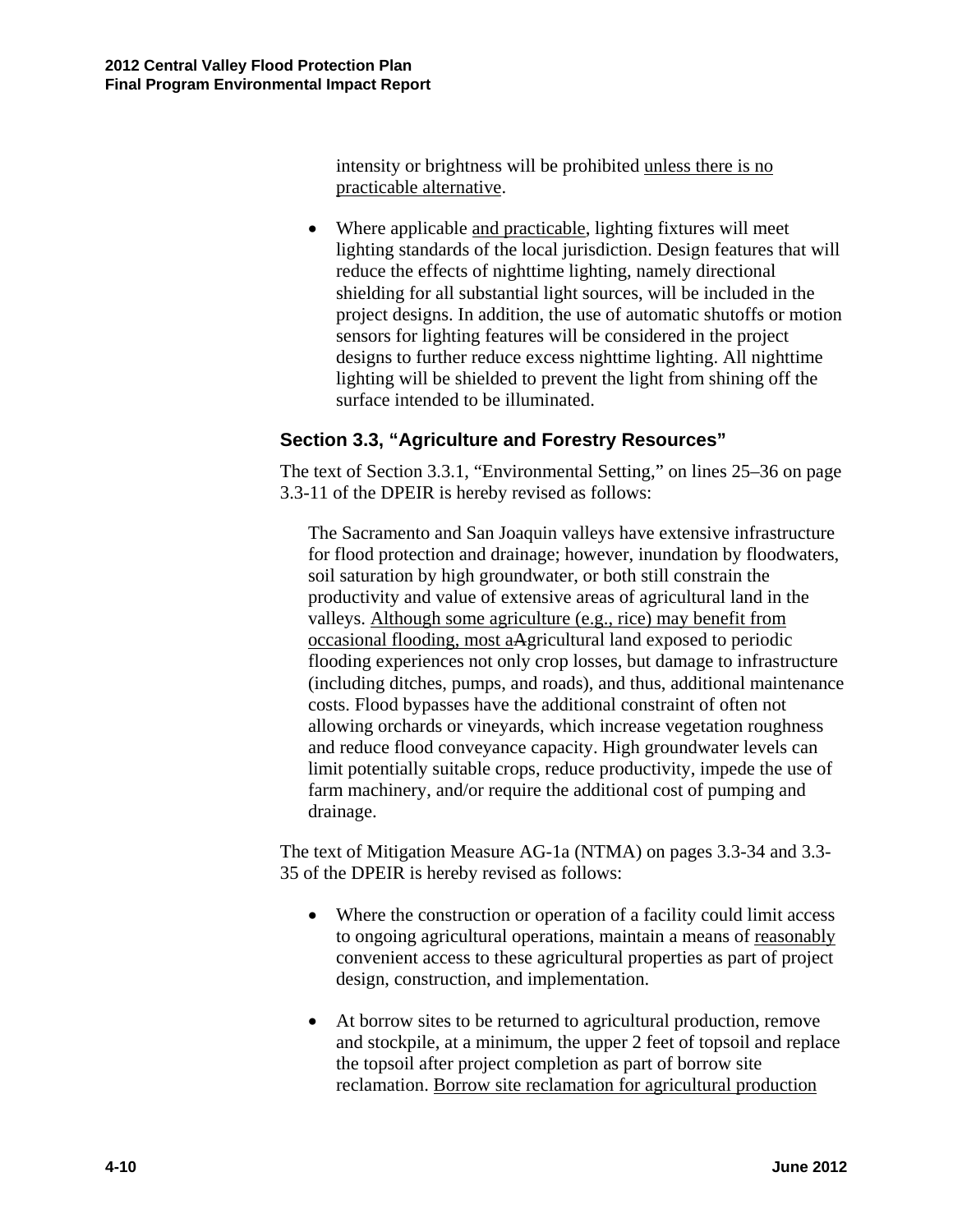intensity or brightness will be prohibited unless there is no practicable alternative.

 Where applicable and practicable, lighting fixtures will meet lighting standards of the local jurisdiction. Design features that will reduce the effects of nighttime lighting, namely directional shielding for all substantial light sources, will be included in the project designs. In addition, the use of automatic shutoffs or motion sensors for lighting features will be considered in the project designs to further reduce excess nighttime lighting. All nighttime lighting will be shielded to prevent the light from shining off the surface intended to be illuminated.

## **Section 3.3, "Agriculture and Forestry Resources"**

The text of Section 3.3.1, "Environmental Setting," on lines 25–36 on page 3.3-11 of the DPEIR is hereby revised as follows:

The Sacramento and San Joaquin valleys have extensive infrastructure for flood protection and drainage; however, inundation by floodwaters, soil saturation by high groundwater, or both still constrain the productivity and value of extensive areas of agricultural land in the valleys. Although some agriculture (e.g., rice) may benefit from occasional flooding, most aAgricultural land exposed to periodic flooding experiences not only crop losses, but damage to infrastructure (including ditches, pumps, and roads), and thus, additional maintenance costs. Flood bypasses have the additional constraint of often not allowing orchards or vineyards, which increase vegetation roughness and reduce flood conveyance capacity. High groundwater levels can limit potentially suitable crops, reduce productivity, impede the use of farm machinery, and/or require the additional cost of pumping and drainage.

The text of Mitigation Measure AG-1a (NTMA) on pages 3.3-34 and 3.3- 35 of the DPEIR is hereby revised as follows:

- Where the construction or operation of a facility could limit access to ongoing agricultural operations, maintain a means of reasonably convenient access to these agricultural properties as part of project design, construction, and implementation.
- At borrow sites to be returned to agricultural production, remove and stockpile, at a minimum, the upper 2 feet of topsoil and replace the topsoil after project completion as part of borrow site reclamation. Borrow site reclamation for agricultural production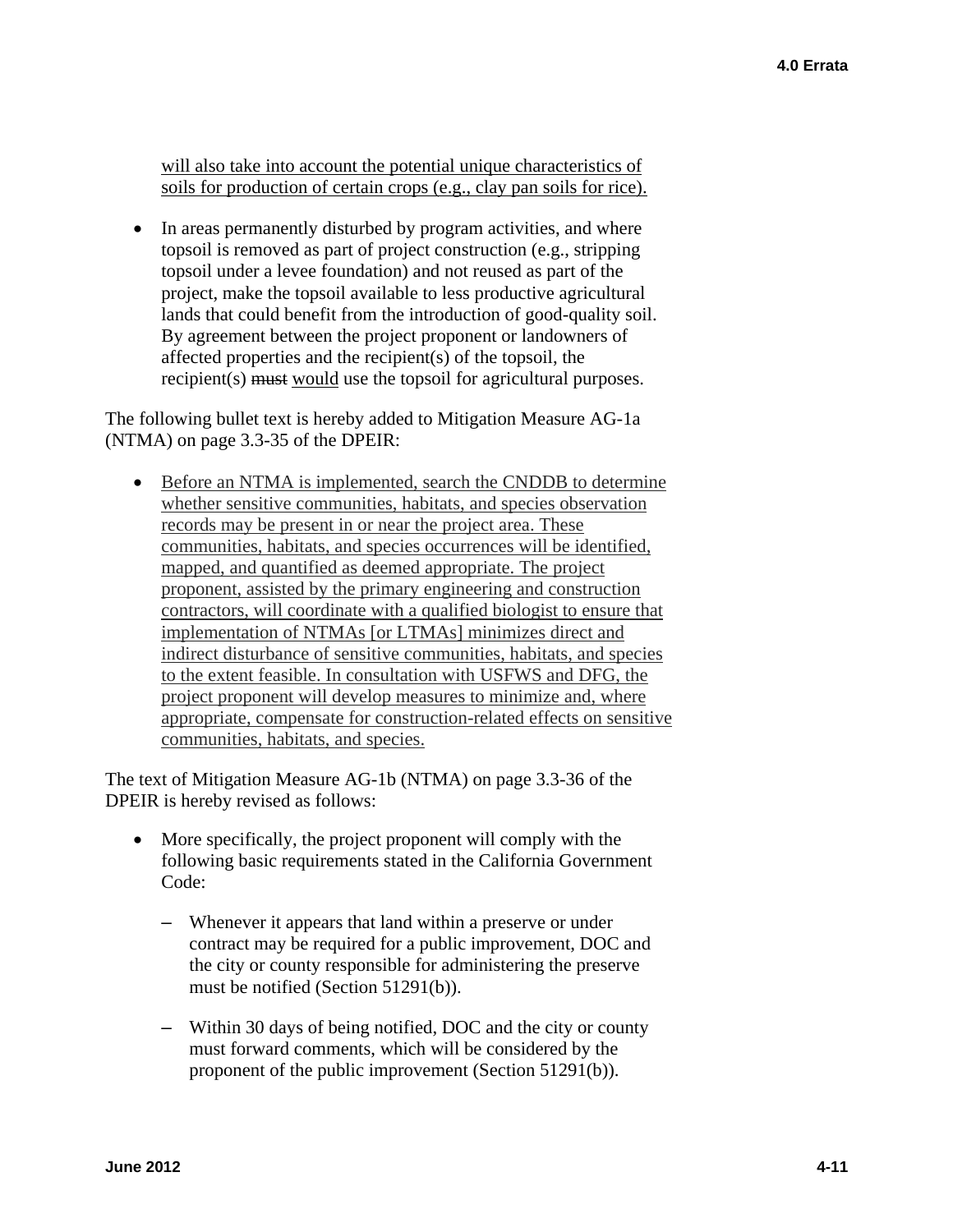will also take into account the potential unique characteristics of soils for production of certain crops (e.g., clay pan soils for rice).

• In areas permanently disturbed by program activities, and where topsoil is removed as part of project construction (e.g., stripping topsoil under a levee foundation) and not reused as part of the project, make the topsoil available to less productive agricultural lands that could benefit from the introduction of good-quality soil. By agreement between the project proponent or landowners of affected properties and the recipient(s) of the topsoil, the recipient(s) must would use the topsoil for agricultural purposes.

The following bullet text is hereby added to Mitigation Measure AG-1a (NTMA) on page 3.3-35 of the DPEIR:

• Before an NTMA is implemented, search the CNDDB to determine whether sensitive communities, habitats, and species observation records may be present in or near the project area. These communities, habitats, and species occurrences will be identified, mapped, and quantified as deemed appropriate. The project proponent, assisted by the primary engineering and construction contractors, will coordinate with a qualified biologist to ensure that implementation of NTMAs [or LTMAs] minimizes direct and indirect disturbance of sensitive communities, habitats, and species to the extent feasible. In consultation with USFWS and DFG, the project proponent will develop measures to minimize and, where appropriate, compensate for construction-related effects on sensitive communities, habitats, and species.

The text of Mitigation Measure AG-1b (NTMA) on page 3.3-36 of the DPEIR is hereby revised as follows:

- More specifically, the project proponent will comply with the following basic requirements stated in the California Government Code:
	- Whenever it appears that land within a preserve or under contract may be required for a public improvement, DOC and the city or county responsible for administering the preserve must be notified (Section 51291(b)).
	- Within 30 days of being notified, DOC and the city or county must forward comments, which will be considered by the proponent of the public improvement (Section 51291(b)).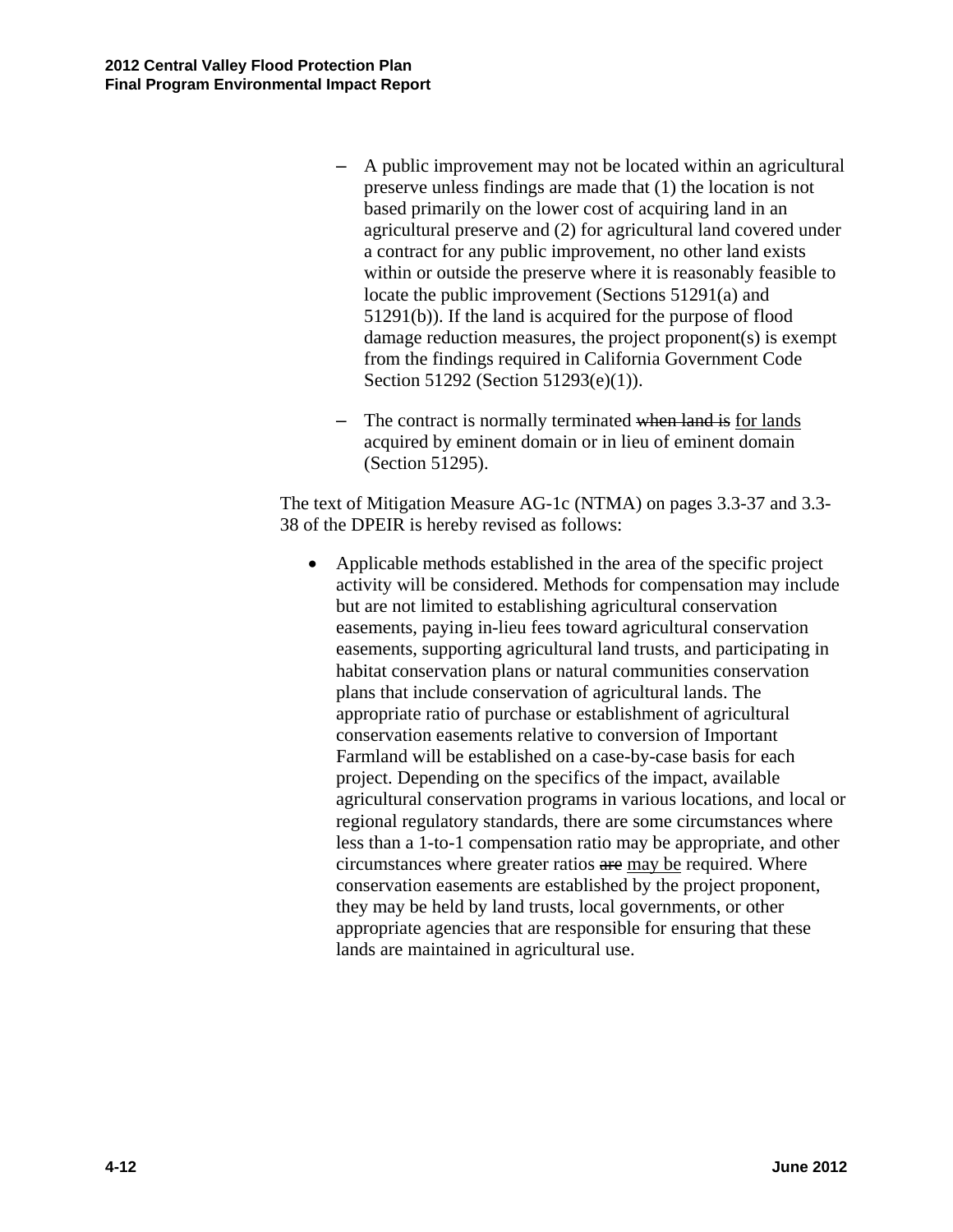- A public improvement may not be located within an agricultural preserve unless findings are made that (1) the location is not based primarily on the lower cost of acquiring land in an agricultural preserve and (2) for agricultural land covered under a contract for any public improvement, no other land exists within or outside the preserve where it is reasonably feasible to locate the public improvement (Sections 51291(a) and 51291(b)). If the land is acquired for the purpose of flood damage reduction measures, the project proponent(s) is exempt from the findings required in California Government Code Section 51292 (Section 51293(e)(1)).
- The contract is normally terminated when land is for lands acquired by eminent domain or in lieu of eminent domain (Section 51295).

The text of Mitigation Measure AG-1c (NTMA) on pages 3.3-37 and 3.3- 38 of the DPEIR is hereby revised as follows:

 Applicable methods established in the area of the specific project activity will be considered. Methods for compensation may include but are not limited to establishing agricultural conservation easements, paying in-lieu fees toward agricultural conservation easements, supporting agricultural land trusts, and participating in habitat conservation plans or natural communities conservation plans that include conservation of agricultural lands. The appropriate ratio of purchase or establishment of agricultural conservation easements relative to conversion of Important Farmland will be established on a case-by-case basis for each project. Depending on the specifics of the impact, available agricultural conservation programs in various locations, and local or regional regulatory standards, there are some circumstances where less than a 1-to-1 compensation ratio may be appropriate, and other circumstances where greater ratios are may be required. Where conservation easements are established by the project proponent, they may be held by land trusts, local governments, or other appropriate agencies that are responsible for ensuring that these lands are maintained in agricultural use.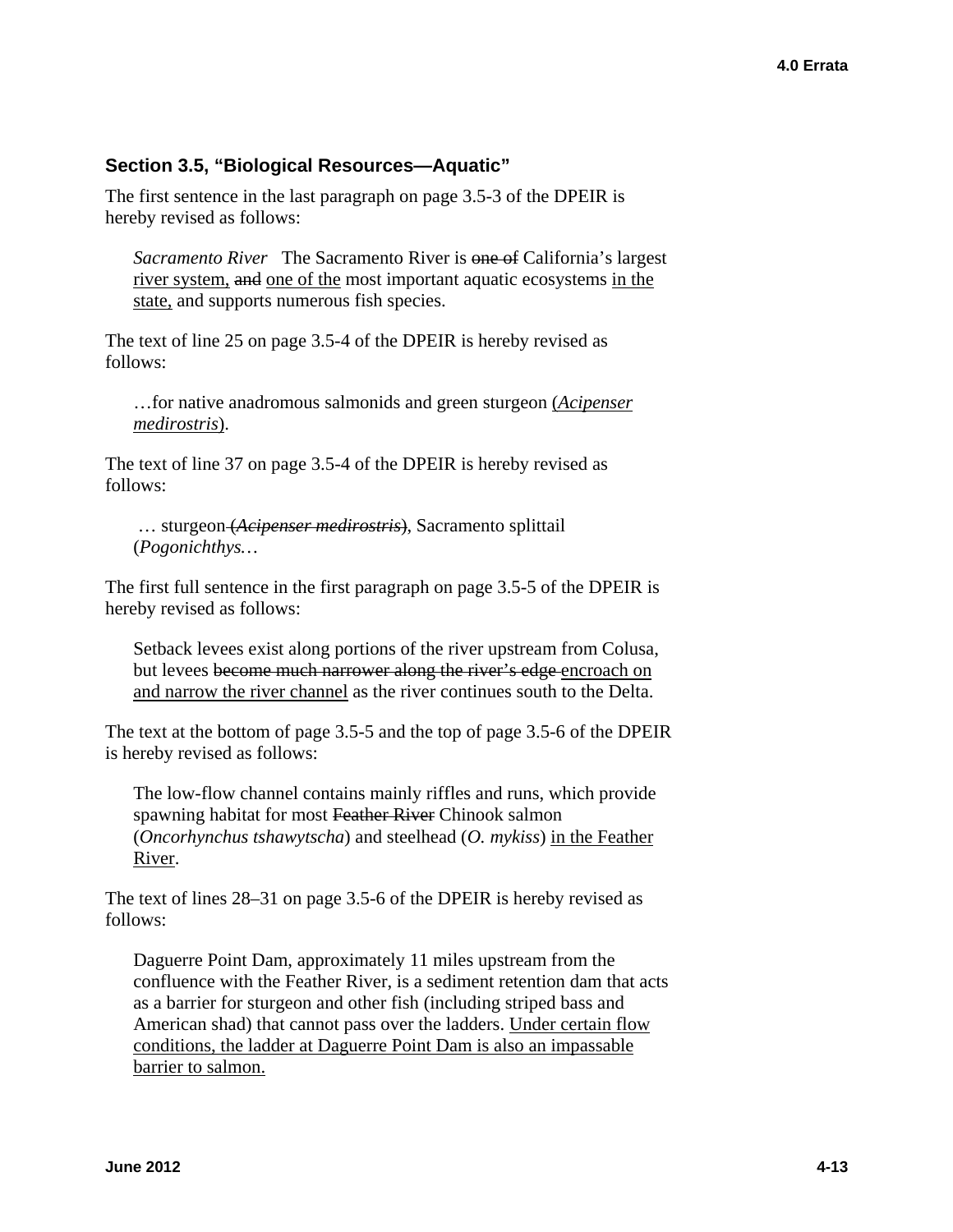#### **Section 3.5, "Biological Resources—Aquatic"**

The first sentence in the last paragraph on page 3.5-3 of the DPEIR is hereby revised as follows:

*Sacramento River* The Sacramento River is one of California's largest river system, and one of the most important aquatic ecosystems in the state, and supports numerous fish species.

The text of line 25 on page 3.5-4 of the DPEIR is hereby revised as follows:

…for native anadromous salmonids and green sturgeon (*Acipenser medirostris*).

The text of line 37 on page 3.5-4 of the DPEIR is hereby revised as follows:

… sturgeon (*Acipenser medirostris*), Sacramento splittail (*Pogonichthys…* 

The first full sentence in the first paragraph on page 3.5-5 of the DPEIR is hereby revised as follows:

Setback levees exist along portions of the river upstream from Colusa, but levees become much narrower along the river's edge encroach on and narrow the river channel as the river continues south to the Delta.

The text at the bottom of page 3.5-5 and the top of page 3.5-6 of the DPEIR is hereby revised as follows:

The low-flow channel contains mainly riffles and runs, which provide spawning habitat for most Feather River Chinook salmon (*Oncorhynchus tshawytscha*) and steelhead (*O. mykiss*) in the Feather River.

The text of lines 28–31 on page 3.5-6 of the DPEIR is hereby revised as follows:

Daguerre Point Dam, approximately 11 miles upstream from the confluence with the Feather River, is a sediment retention dam that acts as a barrier for sturgeon and other fish (including striped bass and American shad) that cannot pass over the ladders. Under certain flow conditions, the ladder at Daguerre Point Dam is also an impassable barrier to salmon.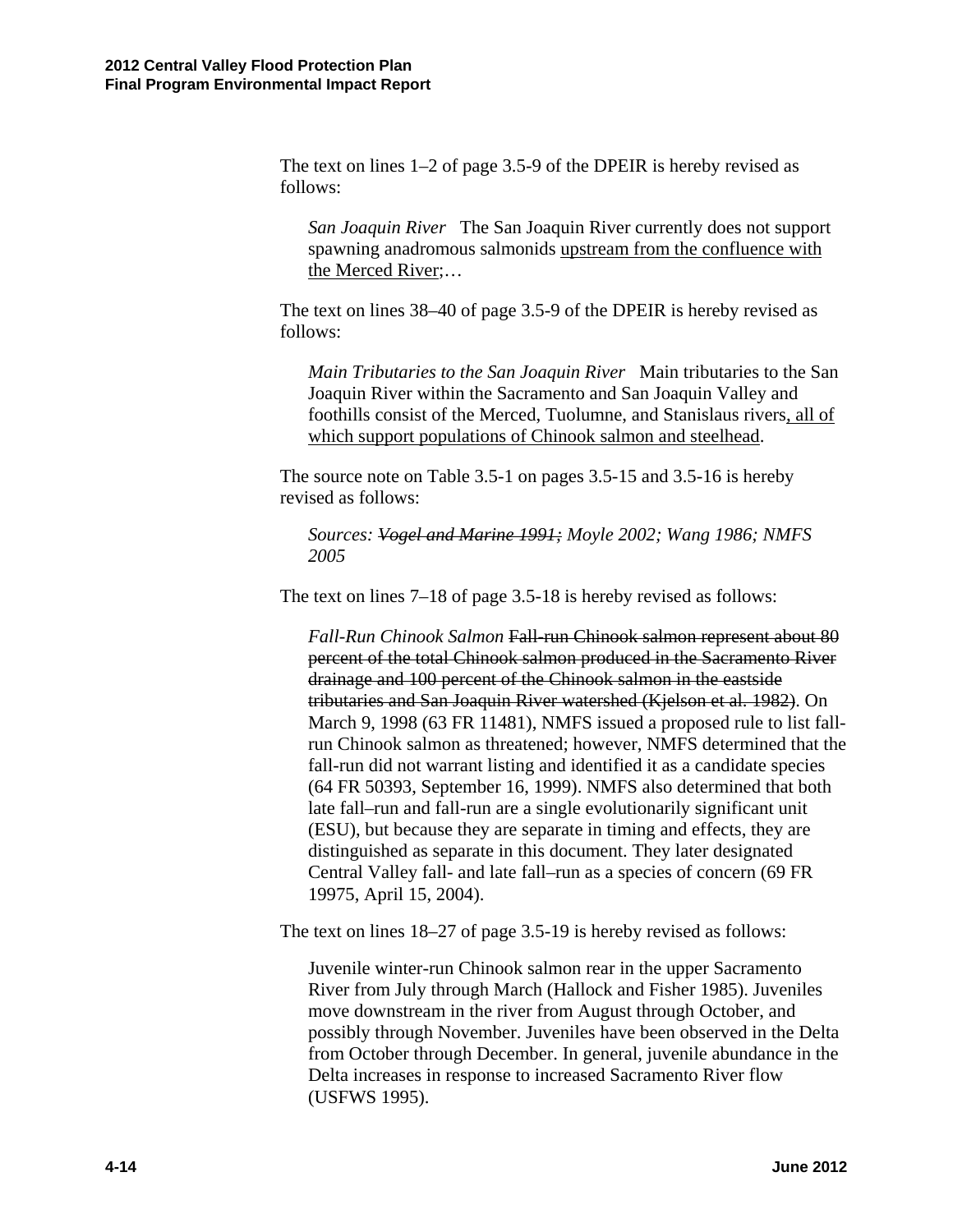The text on lines 1–2 of page 3.5-9 of the DPEIR is hereby revised as follows:

*San Joaquin River* The San Joaquin River currently does not support spawning anadromous salmonids upstream from the confluence with the Merced River;…

The text on lines 38–40 of page 3.5-9 of the DPEIR is hereby revised as follows:

*Main Tributaries to the San Joaquin River* Main tributaries to the San Joaquin River within the Sacramento and San Joaquin Valley and foothills consist of the Merced, Tuolumne, and Stanislaus rivers, all of which support populations of Chinook salmon and steelhead.

The source note on Table 3.5-1 on pages 3.5-15 and 3.5-16 is hereby revised as follows:

*Sources: Vogel and Marine 1991; Moyle 2002; Wang 1986; NMFS 2005* 

The text on lines 7–18 of page 3.5-18 is hereby revised as follows:

*Fall-Run Chinook Salmon* Fall-run Chinook salmon represent about 80 percent of the total Chinook salmon produced in the Sacramento River drainage and 100 percent of the Chinook salmon in the eastside tributaries and San Joaquin River watershed (Kjelson et al. 1982). On March 9, 1998 (63 FR 11481), NMFS issued a proposed rule to list fallrun Chinook salmon as threatened; however, NMFS determined that the fall-run did not warrant listing and identified it as a candidate species (64 FR 50393, September 16, 1999). NMFS also determined that both late fall–run and fall-run are a single evolutionarily significant unit (ESU), but because they are separate in timing and effects, they are distinguished as separate in this document. They later designated Central Valley fall- and late fall–run as a species of concern (69 FR 19975, April 15, 2004).

The text on lines 18–27 of page 3.5-19 is hereby revised as follows:

Juvenile winter-run Chinook salmon rear in the upper Sacramento River from July through March (Hallock and Fisher 1985). Juveniles move downstream in the river from August through October, and possibly through November. Juveniles have been observed in the Delta from October through December. In general, juvenile abundance in the Delta increases in response to increased Sacramento River flow (USFWS 1995).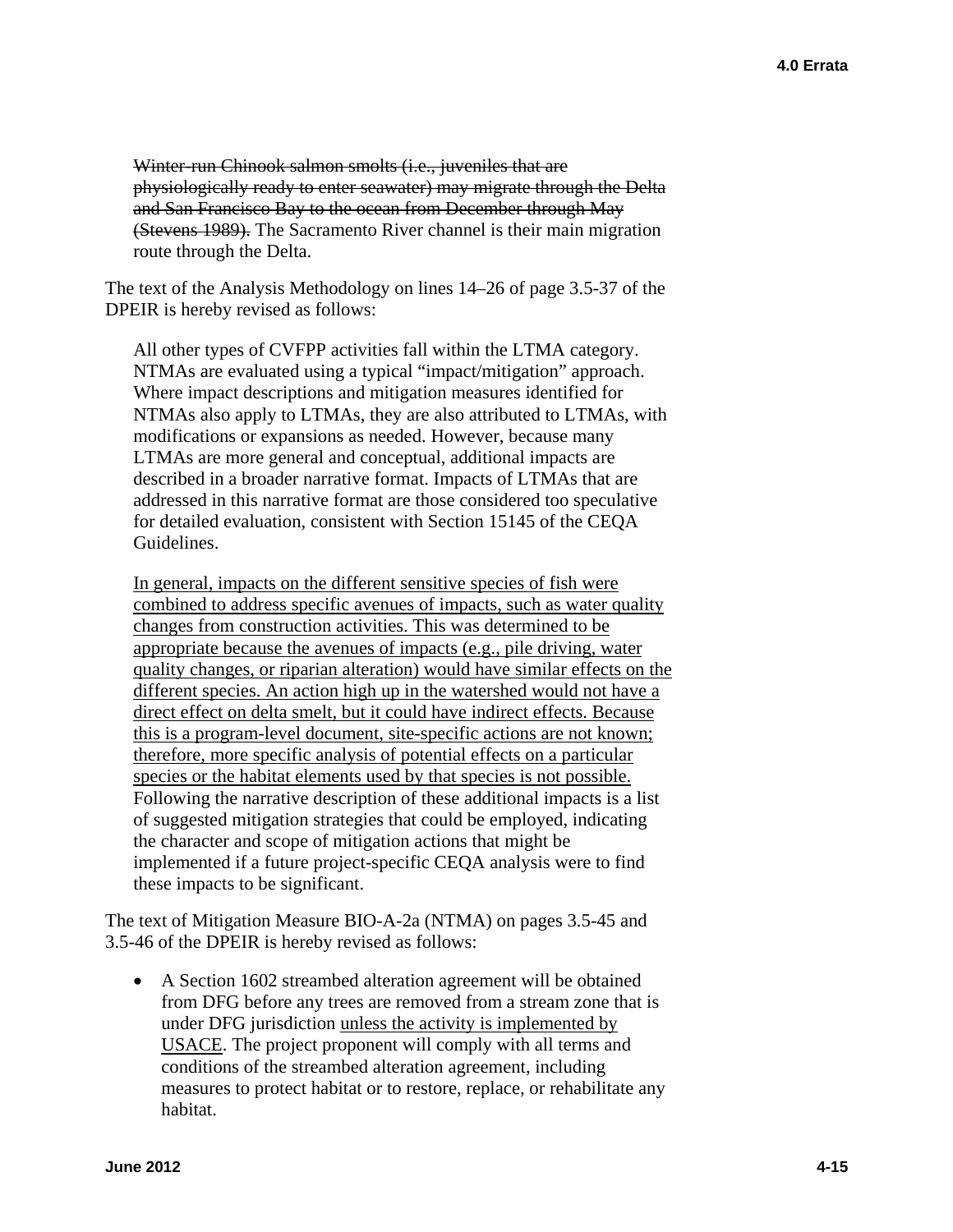Winter-run Chinook salmon smolts (i.e., juveniles that are physiologically ready to enter seawater) may migrate through the Delta and San Francisco Bay to the ocean from December through May (Stevens 1989). The Sacramento River channel is their main migration route through the Delta.

The text of the Analysis Methodology on lines 14–26 of page 3.5-37 of the DPEIR is hereby revised as follows:

All other types of CVFPP activities fall within the LTMA category. NTMAs are evaluated using a typical "impact/mitigation" approach. Where impact descriptions and mitigation measures identified for NTMAs also apply to LTMAs, they are also attributed to LTMAs, with modifications or expansions as needed. However, because many LTMAs are more general and conceptual, additional impacts are described in a broader narrative format. Impacts of LTMAs that are addressed in this narrative format are those considered too speculative for detailed evaluation, consistent with Section 15145 of the CEQA Guidelines.

In general, impacts on the different sensitive species of fish were combined to address specific avenues of impacts, such as water quality changes from construction activities. This was determined to be appropriate because the avenues of impacts (e.g., pile driving, water quality changes, or riparian alteration) would have similar effects on the different species. An action high up in the watershed would not have a direct effect on delta smelt, but it could have indirect effects. Because this is a program-level document, site-specific actions are not known; therefore, more specific analysis of potential effects on a particular species or the habitat elements used by that species is not possible. Following the narrative description of these additional impacts is a list of suggested mitigation strategies that could be employed, indicating the character and scope of mitigation actions that might be implemented if a future project-specific CEQA analysis were to find these impacts to be significant.

The text of Mitigation Measure BIO-A-2a (NTMA) on pages 3.5-45 and 3.5-46 of the DPEIR is hereby revised as follows:

• A Section 1602 streambed alteration agreement will be obtained from DFG before any trees are removed from a stream zone that is under DFG jurisdiction unless the activity is implemented by USACE. The project proponent will comply with all terms and conditions of the streambed alteration agreement, including measures to protect habitat or to restore, replace, or rehabilitate any habitat.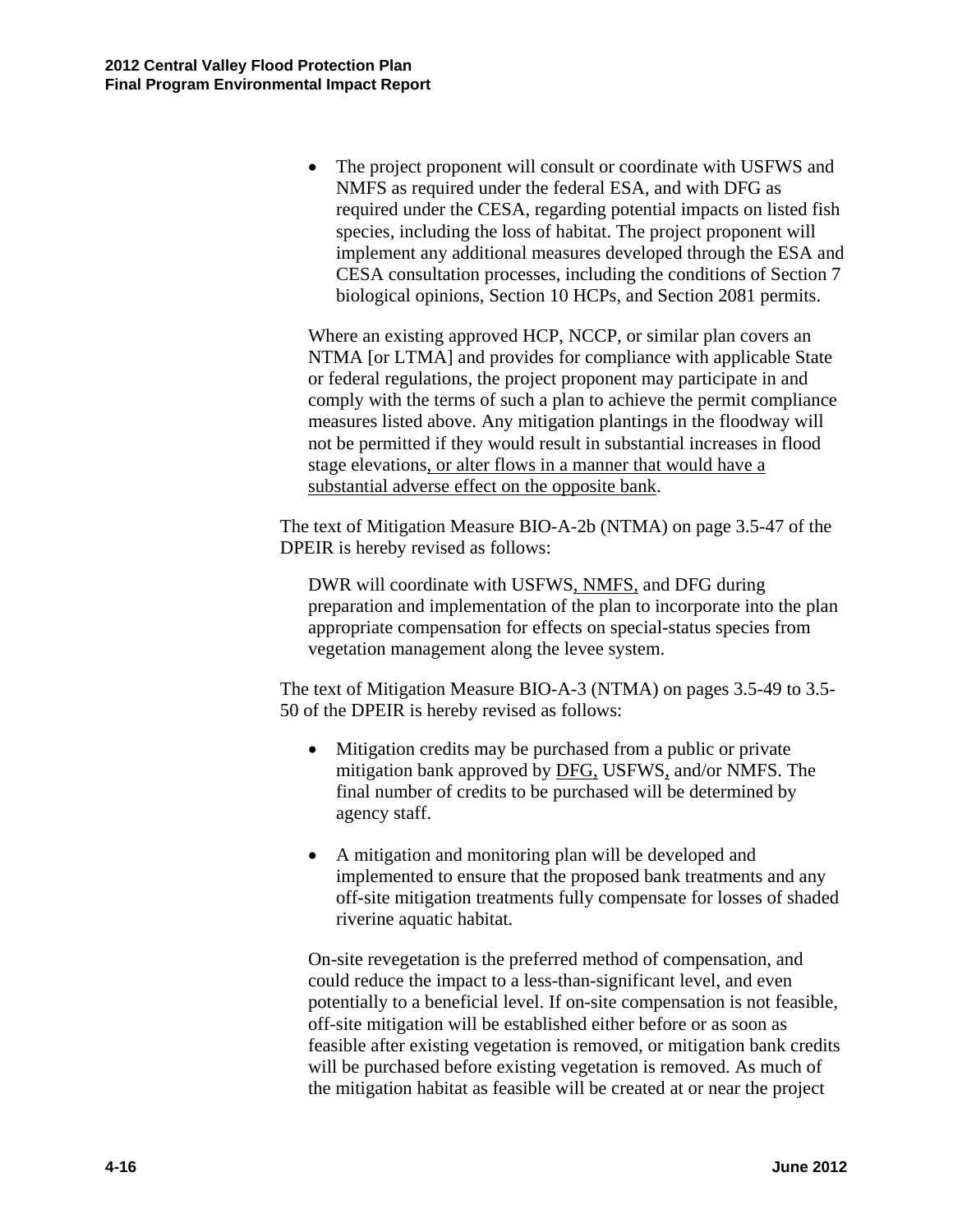• The project proponent will consult or coordinate with USFWS and NMFS as required under the federal ESA, and with DFG as required under the CESA, regarding potential impacts on listed fish species, including the loss of habitat. The project proponent will implement any additional measures developed through the ESA and CESA consultation processes, including the conditions of Section 7 biological opinions, Section 10 HCPs, and Section 2081 permits.

Where an existing approved HCP, NCCP, or similar plan covers an NTMA [or LTMA] and provides for compliance with applicable State or federal regulations, the project proponent may participate in and comply with the terms of such a plan to achieve the permit compliance measures listed above. Any mitigation plantings in the floodway will not be permitted if they would result in substantial increases in flood stage elevations, or alter flows in a manner that would have a substantial adverse effect on the opposite bank.

The text of Mitigation Measure BIO-A-2b (NTMA) on page 3.5-47 of the DPEIR is hereby revised as follows:

DWR will coordinate with USFWS, NMFS, and DFG during preparation and implementation of the plan to incorporate into the plan appropriate compensation for effects on special-status species from vegetation management along the levee system.

The text of Mitigation Measure BIO-A-3 (NTMA) on pages 3.5-49 to 3.5- 50 of the DPEIR is hereby revised as follows:

- Mitigation credits may be purchased from a public or private mitigation bank approved by DFG, USFWS, and/or NMFS. The final number of credits to be purchased will be determined by agency staff.
- A mitigation and monitoring plan will be developed and implemented to ensure that the proposed bank treatments and any off-site mitigation treatments fully compensate for losses of shaded riverine aquatic habitat.

On-site revegetation is the preferred method of compensation, and could reduce the impact to a less-than-significant level, and even potentially to a beneficial level. If on-site compensation is not feasible, off-site mitigation will be established either before or as soon as feasible after existing vegetation is removed, or mitigation bank credits will be purchased before existing vegetation is removed. As much of the mitigation habitat as feasible will be created at or near the project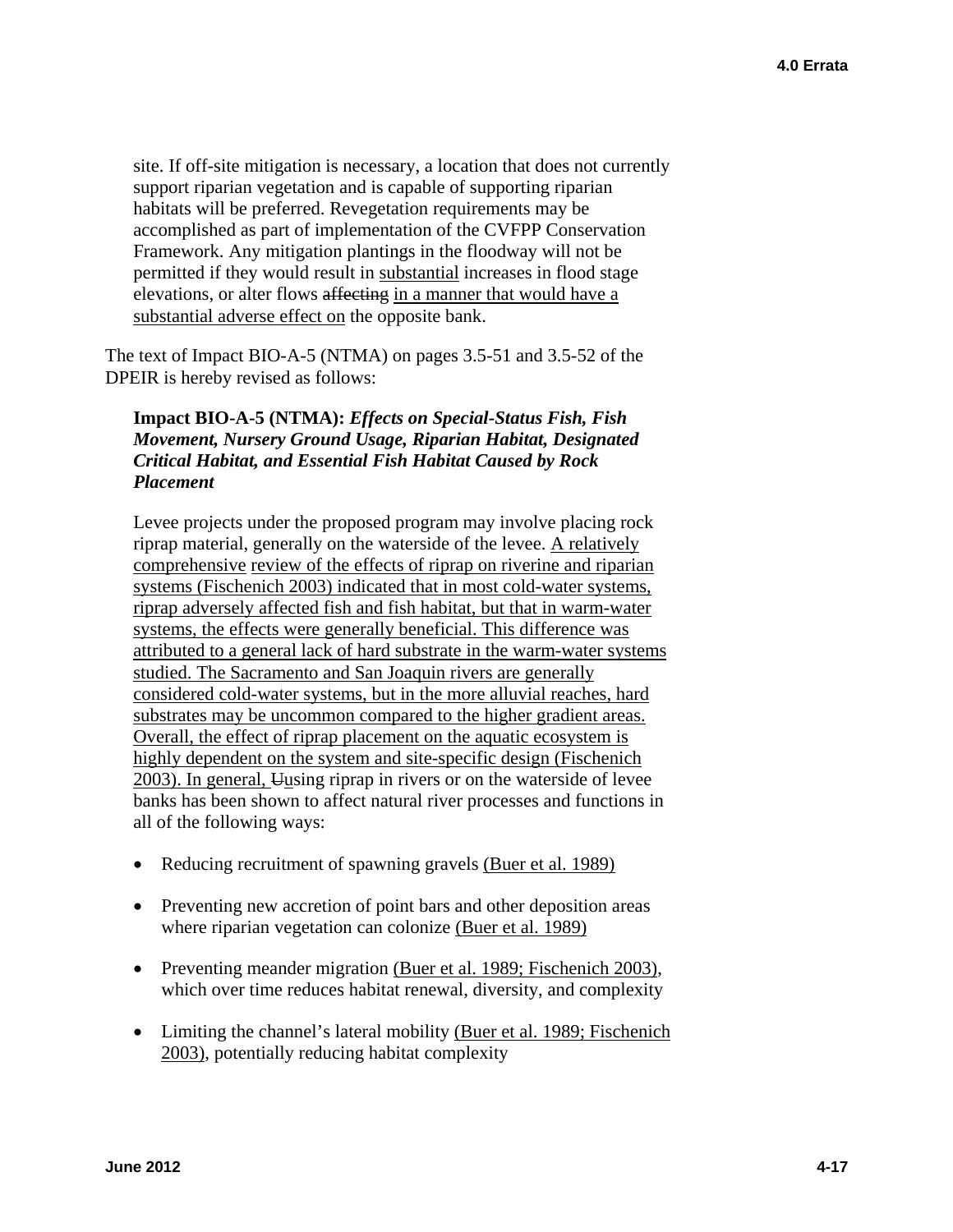site. If off-site mitigation is necessary, a location that does not currently support riparian vegetation and is capable of supporting riparian habitats will be preferred. Revegetation requirements may be accomplished as part of implementation of the CVFPP Conservation Framework. Any mitigation plantings in the floodway will not be permitted if they would result in substantial increases in flood stage elevations, or alter flows affecting in a manner that would have a substantial adverse effect on the opposite bank.

The text of Impact BIO-A-5 (NTMA) on pages 3.5-51 and 3.5-52 of the DPEIR is hereby revised as follows:

#### **Impact BIO-A-5 (NTMA):** *Effects on Special-Status Fish, Fish Movement, Nursery Ground Usage, Riparian Habitat, Designated Critical Habitat, and Essential Fish Habitat Caused by Rock Placement*

Levee projects under the proposed program may involve placing rock riprap material, generally on the waterside of the levee. A relatively comprehensive review of the effects of riprap on riverine and riparian systems (Fischenich 2003) indicated that in most cold-water systems, riprap adversely affected fish and fish habitat, but that in warm-water systems, the effects were generally beneficial. This difference was attributed to a general lack of hard substrate in the warm-water systems studied. The Sacramento and San Joaquin rivers are generally considered cold-water systems, but in the more alluvial reaches, hard substrates may be uncommon compared to the higher gradient areas. Overall, the effect of riprap placement on the aquatic ecosystem is highly dependent on the system and site-specific design (Fischenich 2003). In general, Uusing riprap in rivers or on the waterside of levee banks has been shown to affect natural river processes and functions in all of the following ways:

- Reducing recruitment of spawning gravels (Buer et al. 1989)
- Preventing new accretion of point bars and other deposition areas where riparian vegetation can colonize (Buer et al. 1989)
- Preventing meander migration (Buer et al. 1989; Fischenich 2003), which over time reduces habitat renewal, diversity, and complexity
- Limiting the channel's lateral mobility (Buer et al. 1989; Fischenich 2003), potentially reducing habitat complexity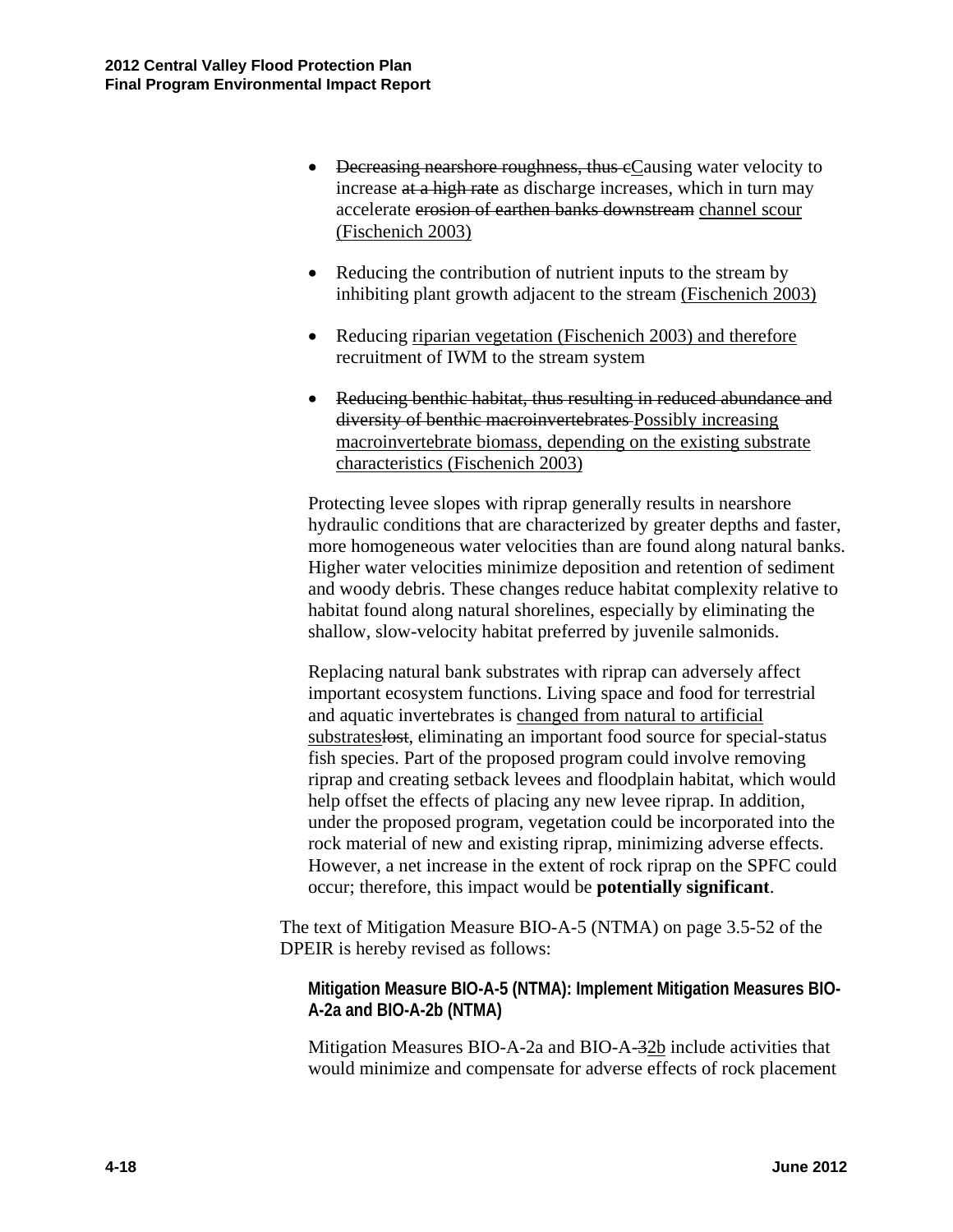- <del>Decreasing nearshore roughness, thus e</del>Causing water velocity to increase at a high rate as discharge increases, which in turn may accelerate erosion of earthen banks downstream channel scour (Fischenich 2003)
- Reducing the contribution of nutrient inputs to the stream by inhibiting plant growth adjacent to the stream (Fischenich 2003)
- Reducing riparian vegetation (Fischenich 2003) and therefore recruitment of IWM to the stream system
- Reducing benthic habitat, thus resulting in reduced abundance and diversity of benthic macroinvertebrates Possibly increasing macroinvertebrate biomass, depending on the existing substrate characteristics (Fischenich 2003)

Protecting levee slopes with riprap generally results in nearshore hydraulic conditions that are characterized by greater depths and faster, more homogeneous water velocities than are found along natural banks. Higher water velocities minimize deposition and retention of sediment and woody debris. These changes reduce habitat complexity relative to habitat found along natural shorelines, especially by eliminating the shallow, slow-velocity habitat preferred by juvenile salmonids.

Replacing natural bank substrates with riprap can adversely affect important ecosystem functions. Living space and food for terrestrial and aquatic invertebrates is changed from natural to artificial substrates lost, eliminating an important food source for special-status fish species. Part of the proposed program could involve removing riprap and creating setback levees and floodplain habitat, which would help offset the effects of placing any new levee riprap. In addition, under the proposed program, vegetation could be incorporated into the rock material of new and existing riprap, minimizing adverse effects. However, a net increase in the extent of rock riprap on the SPFC could occur; therefore, this impact would be **potentially significant**.

The text of Mitigation Measure BIO-A-5 (NTMA) on page 3.5-52 of the DPEIR is hereby revised as follows:

**Mitigation Measure BIO-A-5 (NTMA): Implement Mitigation Measures BIO-A-2a and BIO-A-2b (NTMA)** 

Mitigation Measures BIO-A-2a and BIO-A-32b include activities that would minimize and compensate for adverse effects of rock placement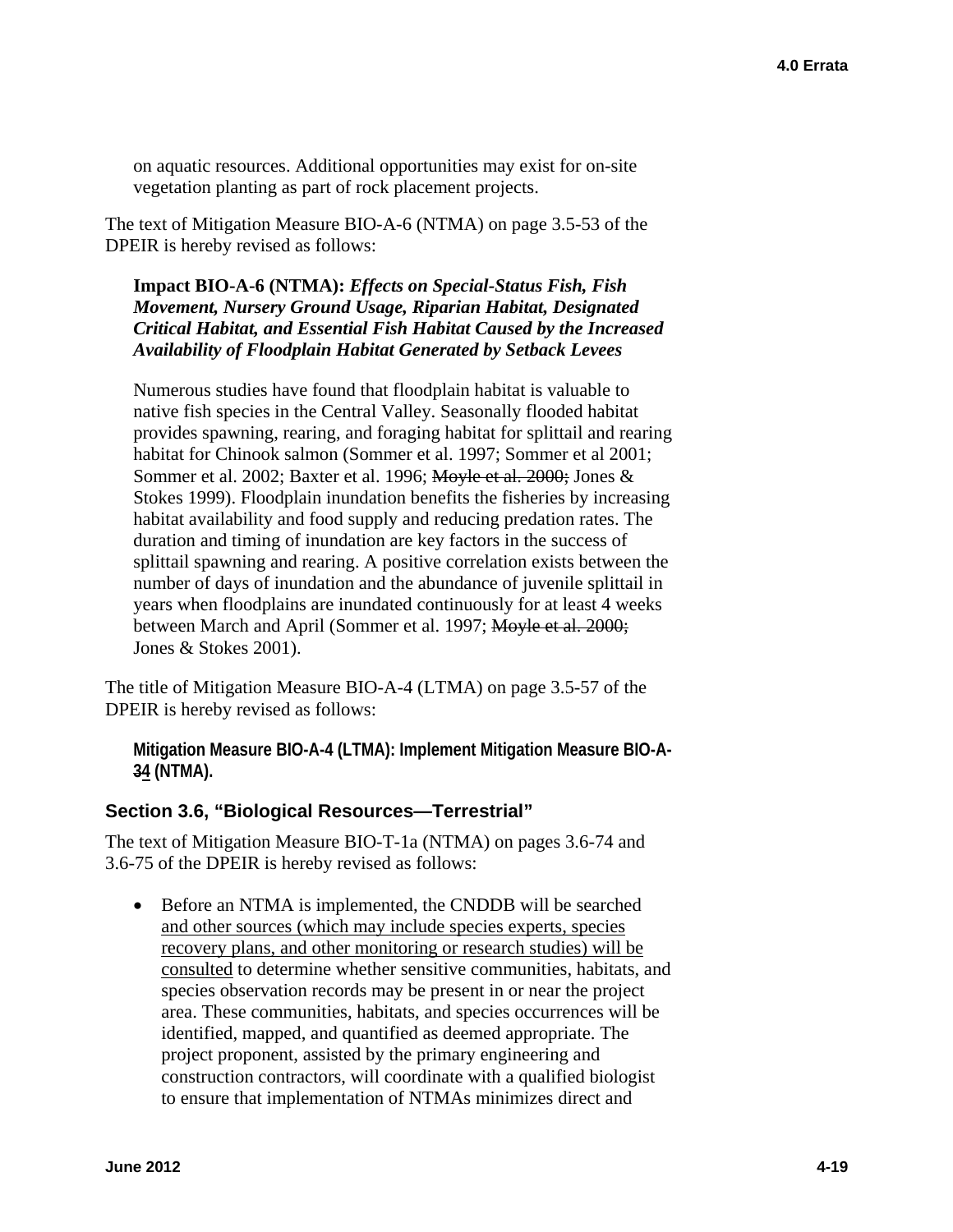on aquatic resources. Additional opportunities may exist for on-site vegetation planting as part of rock placement projects.

The text of Mitigation Measure BIO-A-6 (NTMA) on page 3.5-53 of the DPEIR is hereby revised as follows:

**Impact BIO-A-6 (NTMA):** *Effects on Special-Status Fish, Fish Movement, Nursery Ground Usage, Riparian Habitat, Designated Critical Habitat, and Essential Fish Habitat Caused by the Increased Availability of Floodplain Habitat Generated by Setback Levees* 

Numerous studies have found that floodplain habitat is valuable to native fish species in the Central Valley. Seasonally flooded habitat provides spawning, rearing, and foraging habitat for splittail and rearing habitat for Chinook salmon (Sommer et al. 1997; Sommer et al 2001; Sommer et al. 2002; Baxter et al. 1996; Moyle et al. 2000; Jones & Stokes 1999). Floodplain inundation benefits the fisheries by increasing habitat availability and food supply and reducing predation rates. The duration and timing of inundation are key factors in the success of splittail spawning and rearing. A positive correlation exists between the number of days of inundation and the abundance of juvenile splittail in years when floodplains are inundated continuously for at least 4 weeks between March and April (Sommer et al. 1997; Moyle et al. 2000; Jones & Stokes 2001).

The title of Mitigation Measure BIO-A-4 (LTMA) on page 3.5-57 of the DPEIR is hereby revised as follows:

**Mitigation Measure BIO-A-4 (LTMA): Implement Mitigation Measure BIO-A-34 (NTMA).** 

#### **Section 3.6, "Biological Resources—Terrestrial"**

The text of Mitigation Measure BIO-T-1a (NTMA) on pages 3.6-74 and 3.6-75 of the DPEIR is hereby revised as follows:

• Before an NTMA is implemented, the CNDDB will be searched and other sources (which may include species experts, species recovery plans, and other monitoring or research studies) will be consulted to determine whether sensitive communities, habitats, and species observation records may be present in or near the project area. These communities, habitats, and species occurrences will be identified, mapped, and quantified as deemed appropriate. The project proponent, assisted by the primary engineering and construction contractors, will coordinate with a qualified biologist to ensure that implementation of NTMAs minimizes direct and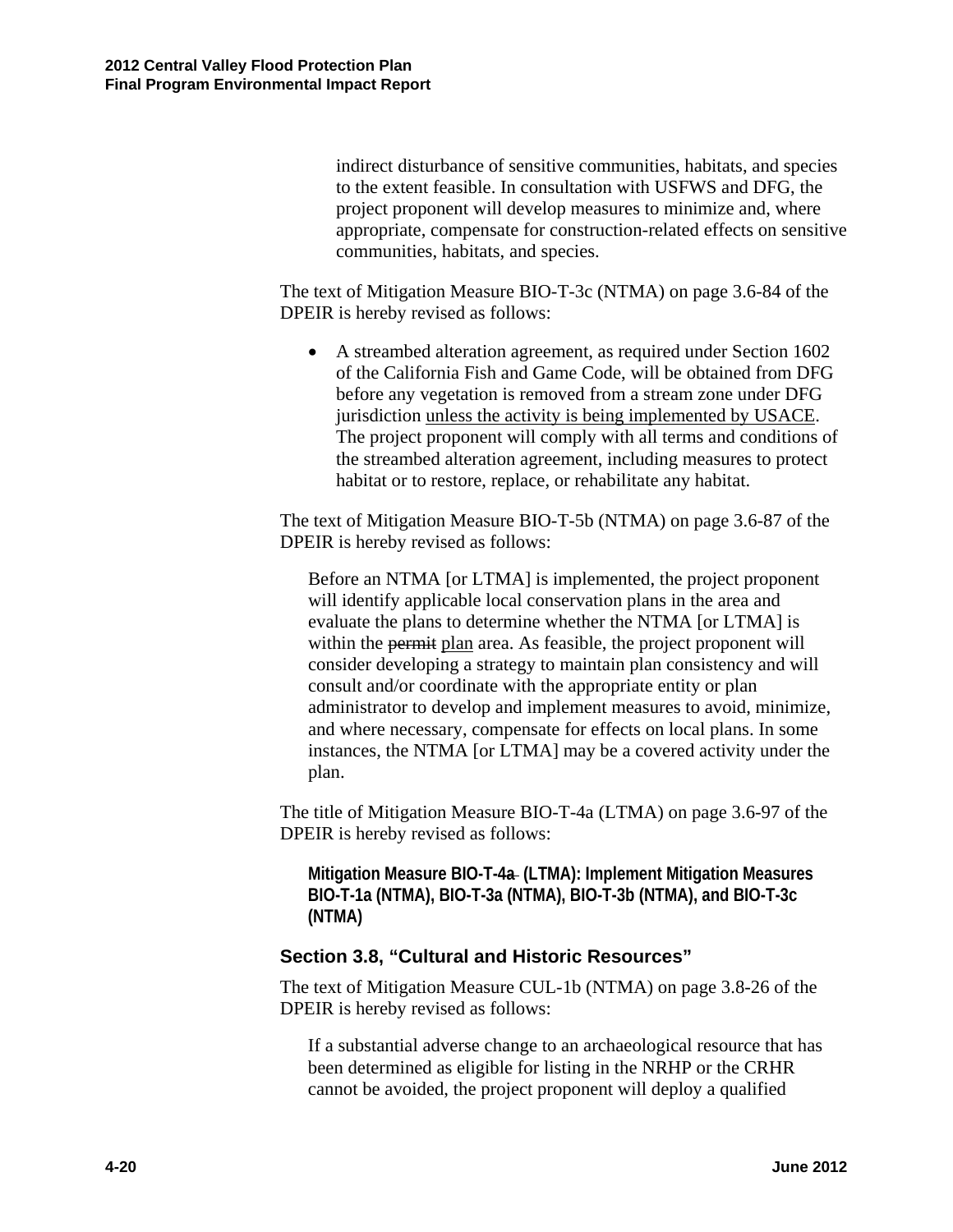indirect disturbance of sensitive communities, habitats, and species to the extent feasible. In consultation with USFWS and DFG, the project proponent will develop measures to minimize and, where appropriate, compensate for construction-related effects on sensitive communities, habitats, and species.

The text of Mitigation Measure BIO-T-3c (NTMA) on page 3.6-84 of the DPEIR is hereby revised as follows:

 A streambed alteration agreement, as required under Section 1602 of the California Fish and Game Code, will be obtained from DFG before any vegetation is removed from a stream zone under DFG jurisdiction unless the activity is being implemented by USACE. The project proponent will comply with all terms and conditions of the streambed alteration agreement, including measures to protect habitat or to restore, replace, or rehabilitate any habitat.

The text of Mitigation Measure BIO-T-5b (NTMA) on page 3.6-87 of the DPEIR is hereby revised as follows:

Before an NTMA [or LTMA] is implemented, the project proponent will identify applicable local conservation plans in the area and evaluate the plans to determine whether the NTMA [or LTMA] is within the permit plan area. As feasible, the project proponent will consider developing a strategy to maintain plan consistency and will consult and/or coordinate with the appropriate entity or plan administrator to develop and implement measures to avoid, minimize, and where necessary, compensate for effects on local plans. In some instances, the NTMA [or LTMA] may be a covered activity under the plan.

The title of Mitigation Measure BIO-T-4a (LTMA) on page 3.6-97 of the DPEIR is hereby revised as follows:

**Mitigation Measure BIO-T-4a (LTMA): Implement Mitigation Measures BIO-T-1a (NTMA), BIO-T-3a (NTMA), BIO-T-3b (NTMA), and BIO-T-3c (NTMA)** 

#### **Section 3.8, "Cultural and Historic Resources"**

The text of Mitigation Measure CUL-1b (NTMA) on page 3.8-26 of the DPEIR is hereby revised as follows:

If a substantial adverse change to an archaeological resource that has been determined as eligible for listing in the NRHP or the CRHR cannot be avoided, the project proponent will deploy a qualified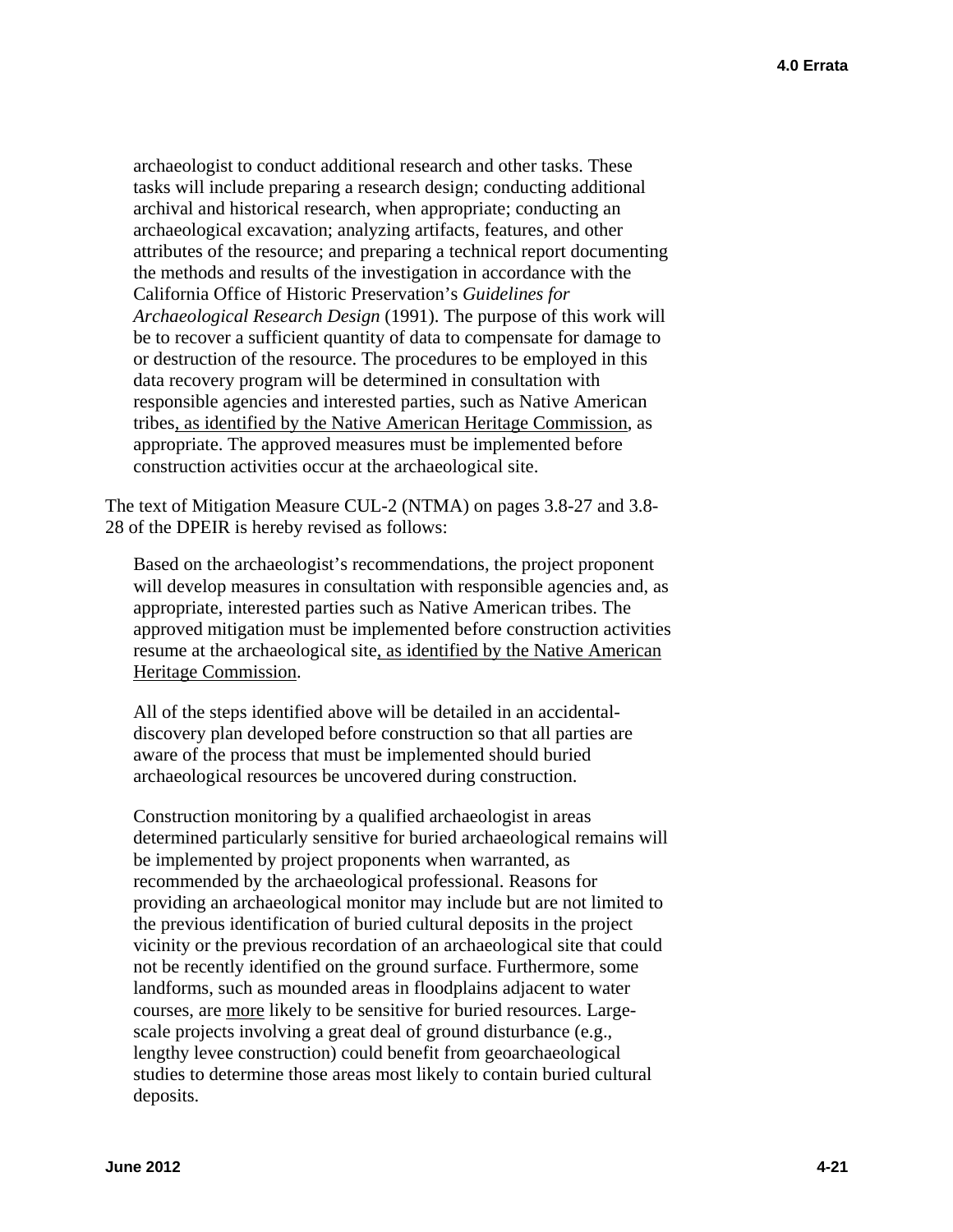archaeologist to conduct additional research and other tasks. These tasks will include preparing a research design; conducting additional archival and historical research, when appropriate; conducting an archaeological excavation; analyzing artifacts, features, and other attributes of the resource; and preparing a technical report documenting the methods and results of the investigation in accordance with the California Office of Historic Preservation's *Guidelines for Archaeological Research Design* (1991). The purpose of this work will be to recover a sufficient quantity of data to compensate for damage to or destruction of the resource. The procedures to be employed in this data recovery program will be determined in consultation with responsible agencies and interested parties, such as Native American tribes, as identified by the Native American Heritage Commission, as appropriate. The approved measures must be implemented before construction activities occur at the archaeological site.

The text of Mitigation Measure CUL-2 (NTMA) on pages 3.8-27 and 3.8- 28 of the DPEIR is hereby revised as follows:

Based on the archaeologist's recommendations, the project proponent will develop measures in consultation with responsible agencies and, as appropriate, interested parties such as Native American tribes. The approved mitigation must be implemented before construction activities resume at the archaeological site, as identified by the Native American Heritage Commission.

All of the steps identified above will be detailed in an accidentaldiscovery plan developed before construction so that all parties are aware of the process that must be implemented should buried archaeological resources be uncovered during construction.

Construction monitoring by a qualified archaeologist in areas determined particularly sensitive for buried archaeological remains will be implemented by project proponents when warranted, as recommended by the archaeological professional. Reasons for providing an archaeological monitor may include but are not limited to the previous identification of buried cultural deposits in the project vicinity or the previous recordation of an archaeological site that could not be recently identified on the ground surface. Furthermore, some landforms, such as mounded areas in floodplains adjacent to water courses, are more likely to be sensitive for buried resources. Largescale projects involving a great deal of ground disturbance (e.g., lengthy levee construction) could benefit from geoarchaeological studies to determine those areas most likely to contain buried cultural deposits.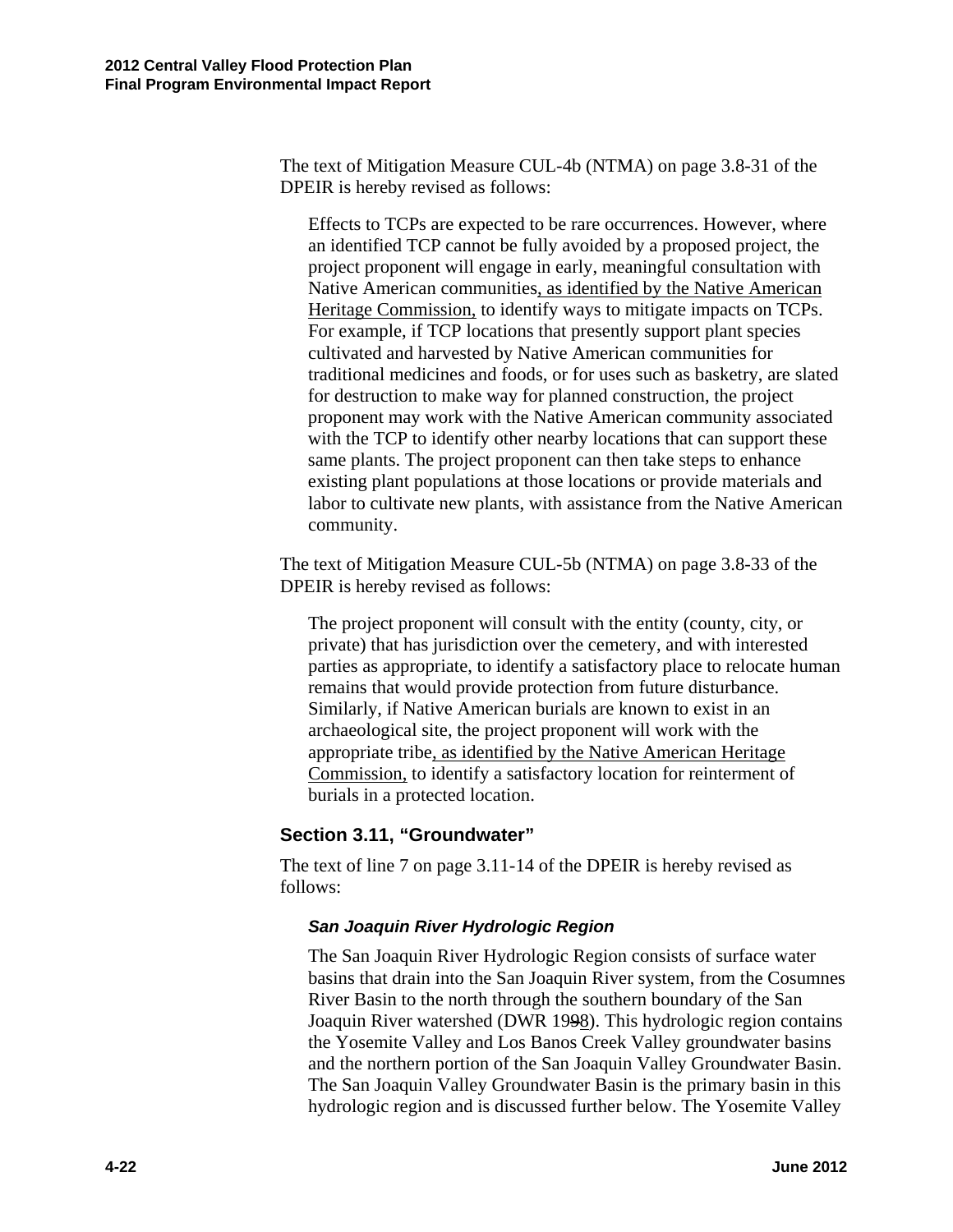The text of Mitigation Measure CUL-4b (NTMA) on page 3.8-31 of the DPEIR is hereby revised as follows:

Effects to TCPs are expected to be rare occurrences. However, where an identified TCP cannot be fully avoided by a proposed project, the project proponent will engage in early, meaningful consultation with Native American communities, as identified by the Native American Heritage Commission, to identify ways to mitigate impacts on TCPs. For example, if TCP locations that presently support plant species cultivated and harvested by Native American communities for traditional medicines and foods, or for uses such as basketry, are slated for destruction to make way for planned construction, the project proponent may work with the Native American community associated with the TCP to identify other nearby locations that can support these same plants. The project proponent can then take steps to enhance existing plant populations at those locations or provide materials and labor to cultivate new plants, with assistance from the Native American community.

The text of Mitigation Measure CUL-5b (NTMA) on page 3.8-33 of the DPEIR is hereby revised as follows:

The project proponent will consult with the entity (county, city, or private) that has jurisdiction over the cemetery, and with interested parties as appropriate, to identify a satisfactory place to relocate human remains that would provide protection from future disturbance. Similarly, if Native American burials are known to exist in an archaeological site, the project proponent will work with the appropriate tribe, as identified by the Native American Heritage Commission, to identify a satisfactory location for reinterment of burials in a protected location.

#### **Section 3.11, "Groundwater"**

The text of line 7 on page 3.11-14 of the DPEIR is hereby revised as follows:

#### *San Joaquin River Hydrologic Region*

The San Joaquin River Hydrologic Region consists of surface water basins that drain into the San Joaquin River system, from the Cosumnes River Basin to the north through the southern boundary of the San Joaquin River watershed (DWR 1998). This hydrologic region contains the Yosemite Valley and Los Banos Creek Valley groundwater basins and the northern portion of the San Joaquin Valley Groundwater Basin. The San Joaquin Valley Groundwater Basin is the primary basin in this hydrologic region and is discussed further below. The Yosemite Valley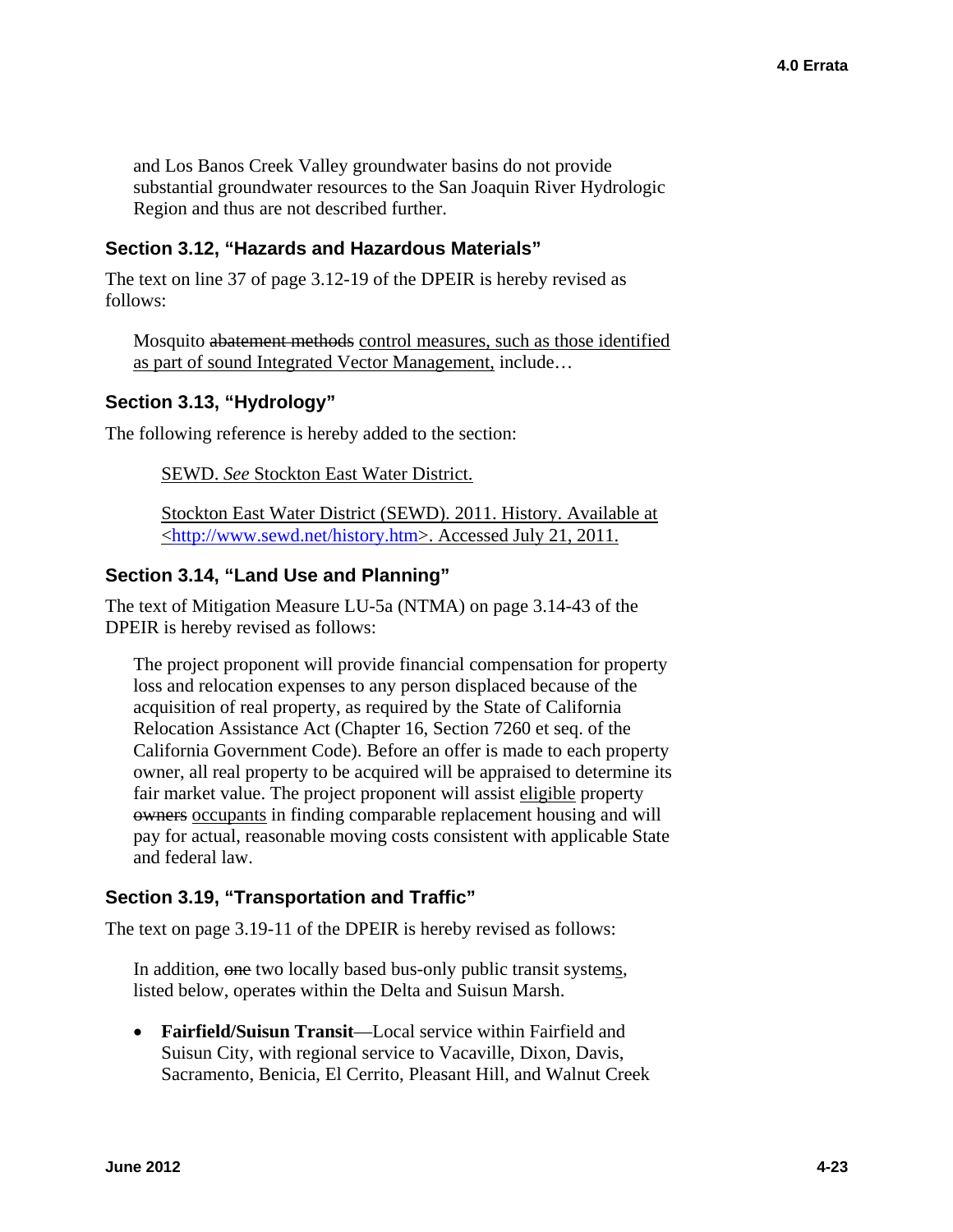and Los Banos Creek Valley groundwater basins do not provide substantial groundwater resources to the San Joaquin River Hydrologic Region and thus are not described further.

#### **Section 3.12, "Hazards and Hazardous Materials"**

The text on line 37 of page 3.12-19 of the DPEIR is hereby revised as follows:

Mosquito abatement methods control measures, such as those identified as part of sound Integrated Vector Management, include…

#### **Section 3.13, "Hydrology"**

The following reference is hereby added to the section:

SEWD. *See* Stockton East Water District.

Stockton East Water District (SEWD). 2011. History. Available at [<http://www.sewd.net/history.htm>](http://www.sewd.net/history.htm). Accessed July 21, 2011.

#### **Section 3.14, "Land Use and Planning"**

The text of Mitigation Measure LU-5a (NTMA) on page 3.14-43 of the DPEIR is hereby revised as follows:

The project proponent will provide financial compensation for property loss and relocation expenses to any person displaced because of the acquisition of real property, as required by the State of California Relocation Assistance Act (Chapter 16, Section 7260 et seq. of the California Government Code). Before an offer is made to each property owner, all real property to be acquired will be appraised to determine its fair market value. The project proponent will assist eligible property owners occupants in finding comparable replacement housing and will pay for actual, reasonable moving costs consistent with applicable State and federal law.

#### **Section 3.19, "Transportation and Traffic"**

The text on page 3.19-11 of the DPEIR is hereby revised as follows:

In addition, one two locally based bus-only public transit systems, listed below, operates within the Delta and Suisun Marsh.

 **Fairfield/Suisun Transit**—Local service within Fairfield and Suisun City, with regional service to Vacaville, Dixon, Davis, Sacramento, Benicia, El Cerrito, Pleasant Hill, and Walnut Creek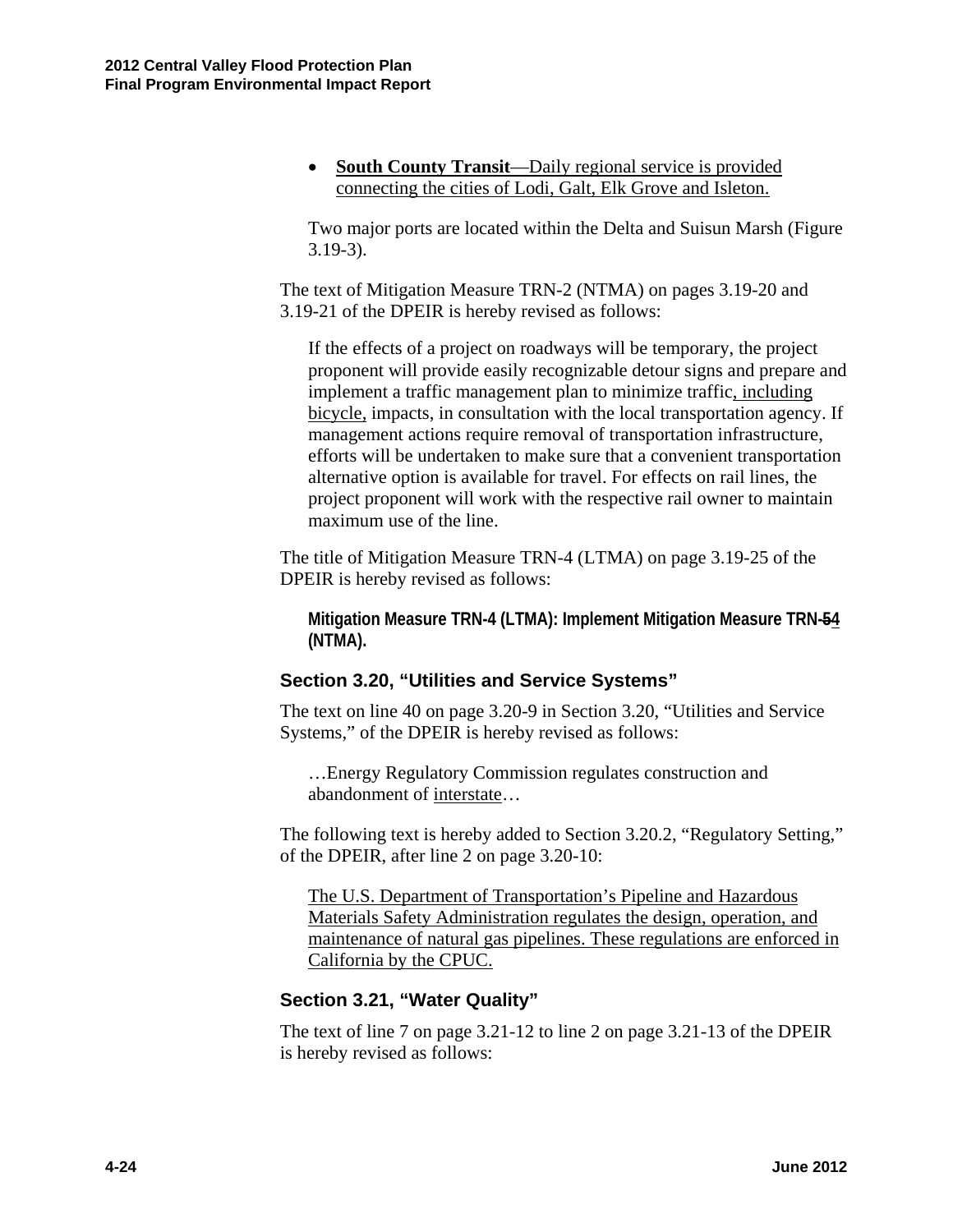• **South County Transit**—Daily regional service is provided connecting the cities of Lodi, Galt, Elk Grove and Isleton.

Two major ports are located within the Delta and Suisun Marsh (Figure 3.19-3).

The text of Mitigation Measure TRN-2 (NTMA) on pages 3.19-20 and 3.19-21 of the DPEIR is hereby revised as follows:

If the effects of a project on roadways will be temporary, the project proponent will provide easily recognizable detour signs and prepare and implement a traffic management plan to minimize traffic, including bicycle, impacts, in consultation with the local transportation agency. If management actions require removal of transportation infrastructure, efforts will be undertaken to make sure that a convenient transportation alternative option is available for travel. For effects on rail lines, the project proponent will work with the respective rail owner to maintain maximum use of the line.

The title of Mitigation Measure TRN-4 (LTMA) on page 3.19-25 of the DPEIR is hereby revised as follows:

**Mitigation Measure TRN-4 (LTMA): Implement Mitigation Measure TRN-54 (NTMA).** 

#### **Section 3.20, "Utilities and Service Systems"**

The text on line 40 on page 3.20-9 in Section 3.20, "Utilities and Service Systems," of the DPEIR is hereby revised as follows:

…Energy Regulatory Commission regulates construction and abandonment of interstate…

The following text is hereby added to Section 3.20.2, "Regulatory Setting," of the DPEIR, after line 2 on page 3.20-10:

The U.S. Department of Transportation's Pipeline and Hazardous Materials Safety Administration regulates the design, operation, and maintenance of natural gas pipelines. These regulations are enforced in California by the CPUC.

#### **Section 3.21, "Water Quality"**

The text of line 7 on page 3.21-12 to line 2 on page 3.21-13 of the DPEIR is hereby revised as follows: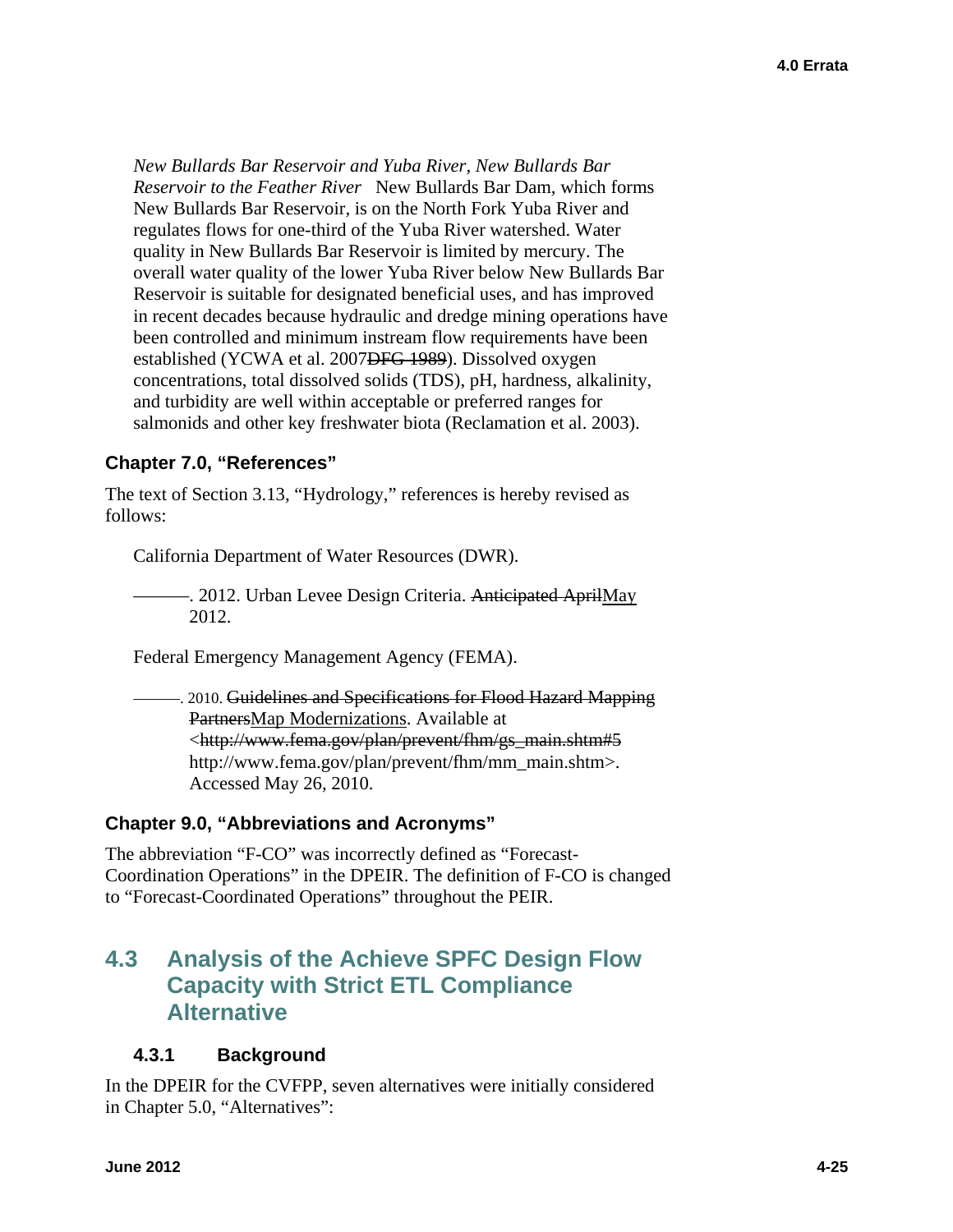*New Bullards Bar Reservoir and Yuba River, New Bullards Bar Reservoir to the Feather River* New Bullards Bar Dam, which forms New Bullards Bar Reservoir, is on the North Fork Yuba River and regulates flows for one-third of the Yuba River watershed. Water quality in New Bullards Bar Reservoir is limited by mercury. The overall water quality of the lower Yuba River below New Bullards Bar Reservoir is suitable for designated beneficial uses, and has improved in recent decades because hydraulic and dredge mining operations have been controlled and minimum instream flow requirements have been established (YCWA et al. 2007DFG 1989). Dissolved oxygen concentrations, total dissolved solids (TDS), pH, hardness, alkalinity, and turbidity are well within acceptable or preferred ranges for salmonids and other key freshwater biota (Reclamation et al. 2003).

## **Chapter 7.0, "References"**

The text of Section 3.13, "Hydrology," references is hereby revised as follows:

California Department of Water Resources (DWR).

-. 2012. Urban Levee Design Criteria. Anticipated AprilMay 2012.

Federal Emergency Management Agency (FEMA).

———. 2010. Guidelines and Specifications for Flood Hazard Mapping PartnersMap Modernizations. Available at [<http://www.fema.gov/plan/prevent/fhm/gs\\_main.shtm#5](http://www.fema.gov/plan/prevent/fhm/gs_main.shtm#5) [http://www.fema.gov/plan/prevent/fhm/mm\\_main.shtm>](http://www.fema.gov/plan/prevent/fhm/mm_main.shtm). Accessed May 26, 2010.

#### **Chapter 9.0, "Abbreviations and Acronyms"**

The abbreviation "F-CO" was incorrectly defined as "Forecast-Coordination Operations" in the DPEIR. The definition of F-CO is changed to "Forecast-Coordinated Operations" throughout the PEIR.

# **4.3 Analysis of the Achieve SPFC Design Flow Capacity with Strict ETL Compliance Alternative**

# **4.3.1 Background**

In the DPEIR for the CVFPP, seven alternatives were initially considered in Chapter 5.0, "Alternatives":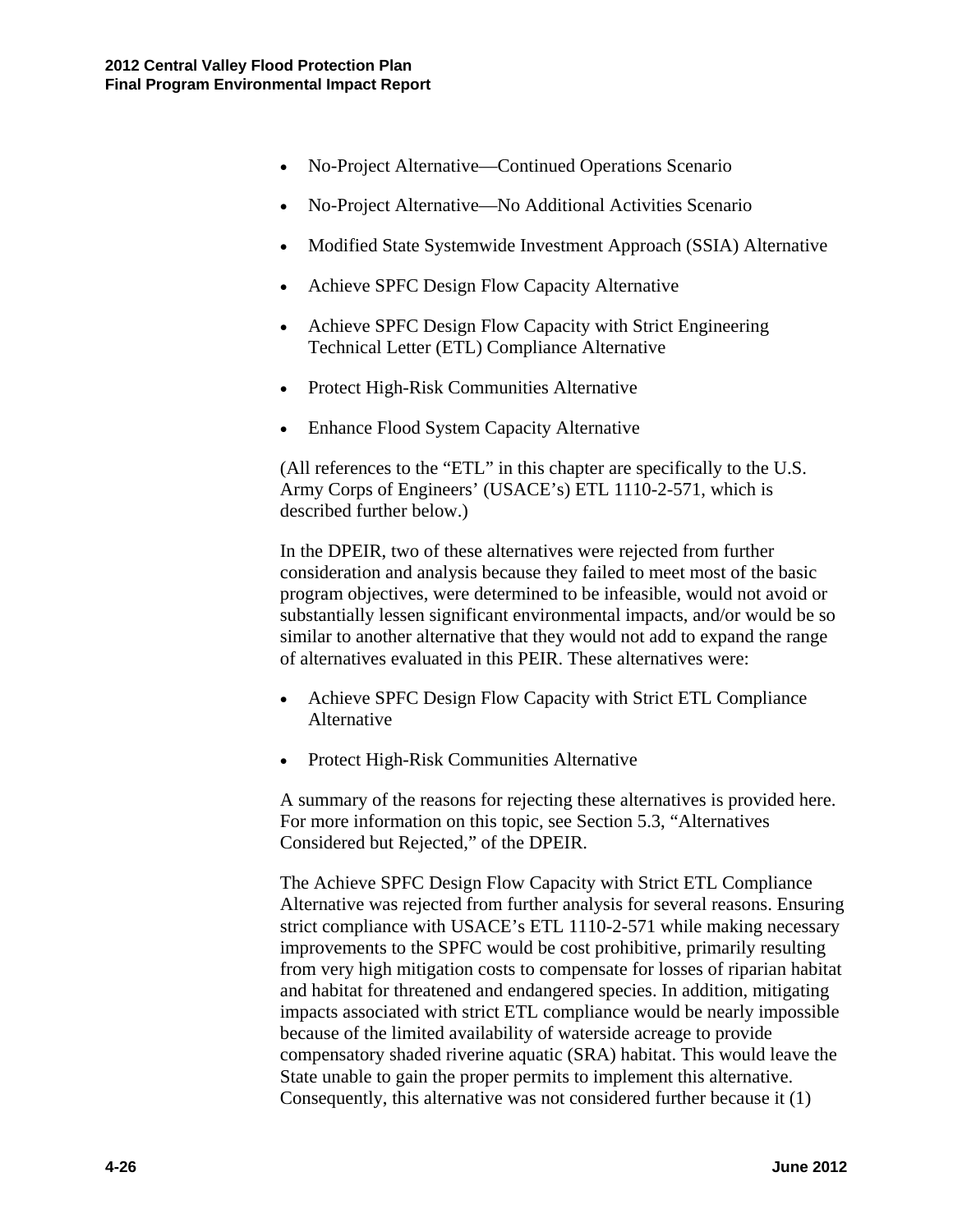- No-Project Alternative—Continued Operations Scenario
- No-Project Alternative—No Additional Activities Scenario
- Modified State Systemwide Investment Approach (SSIA) Alternative
- Achieve SPFC Design Flow Capacity Alternative
- Achieve SPFC Design Flow Capacity with Strict Engineering Technical Letter (ETL) Compliance Alternative
- Protect High-Risk Communities Alternative
- Enhance Flood System Capacity Alternative

(All references to the "ETL" in this chapter are specifically to the U.S. Army Corps of Engineers' (USACE's) ETL 1110-2-571, which is described further below.)

In the DPEIR, two of these alternatives were rejected from further consideration and analysis because they failed to meet most of the basic program objectives, were determined to be infeasible, would not avoid or substantially lessen significant environmental impacts, and/or would be so similar to another alternative that they would not add to expand the range of alternatives evaluated in this PEIR. These alternatives were:

- Achieve SPFC Design Flow Capacity with Strict ETL Compliance Alternative
- Protect High-Risk Communities Alternative

A summary of the reasons for rejecting these alternatives is provided here. For more information on this topic, see Section 5.3, "Alternatives Considered but Rejected," of the DPEIR.

The Achieve SPFC Design Flow Capacity with Strict ETL Compliance Alternative was rejected from further analysis for several reasons. Ensuring strict compliance with USACE's ETL 1110-2-571 while making necessary improvements to the SPFC would be cost prohibitive, primarily resulting from very high mitigation costs to compensate for losses of riparian habitat and habitat for threatened and endangered species. In addition, mitigating impacts associated with strict ETL compliance would be nearly impossible because of the limited availability of waterside acreage to provide compensatory shaded riverine aquatic (SRA) habitat. This would leave the State unable to gain the proper permits to implement this alternative. Consequently, this alternative was not considered further because it (1)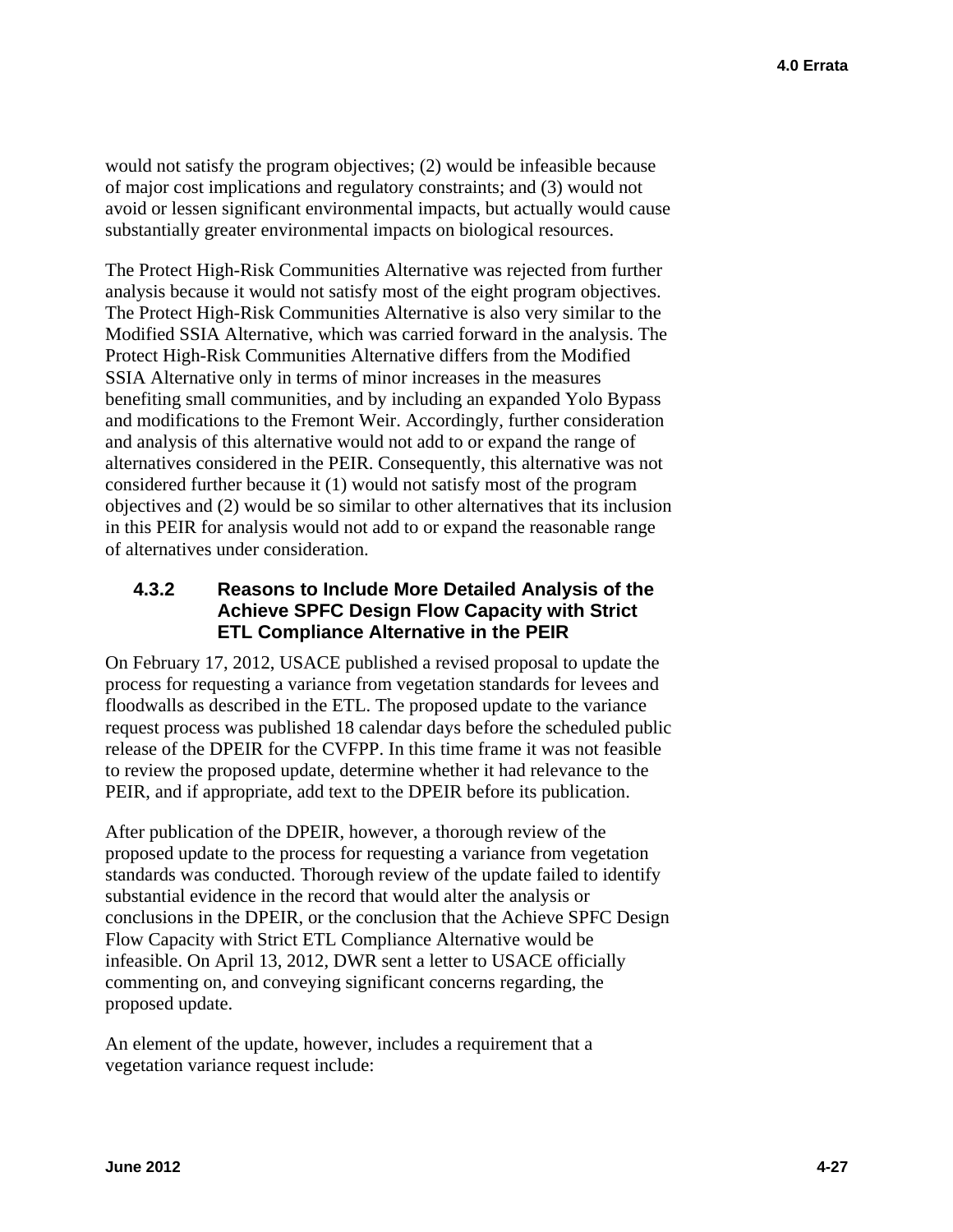would not satisfy the program objectives; (2) would be infeasible because of major cost implications and regulatory constraints; and (3) would not avoid or lessen significant environmental impacts, but actually would cause substantially greater environmental impacts on biological resources.

The Protect High-Risk Communities Alternative was rejected from further analysis because it would not satisfy most of the eight program objectives. The Protect High-Risk Communities Alternative is also very similar to the Modified SSIA Alternative, which was carried forward in the analysis. The Protect High-Risk Communities Alternative differs from the Modified SSIA Alternative only in terms of minor increases in the measures benefiting small communities, and by including an expanded Yolo Bypass and modifications to the Fremont Weir. Accordingly, further consideration and analysis of this alternative would not add to or expand the range of alternatives considered in the PEIR. Consequently, this alternative was not considered further because it (1) would not satisfy most of the program objectives and (2) would be so similar to other alternatives that its inclusion in this PEIR for analysis would not add to or expand the reasonable range of alternatives under consideration.

#### **4.3.2 Reasons to Include More Detailed Analysis of the Achieve SPFC Design Flow Capacity with Strict ETL Compliance Alternative in the PEIR**

On February 17, 2012, USACE published a revised proposal to update the process for requesting a variance from vegetation standards for levees and floodwalls as described in the ETL. The proposed update to the variance request process was published 18 calendar days before the scheduled public release of the DPEIR for the CVFPP. In this time frame it was not feasible to review the proposed update, determine whether it had relevance to the PEIR, and if appropriate, add text to the DPEIR before its publication.

After publication of the DPEIR, however, a thorough review of the proposed update to the process for requesting a variance from vegetation standards was conducted. Thorough review of the update failed to identify substantial evidence in the record that would alter the analysis or conclusions in the DPEIR, or the conclusion that the Achieve SPFC Design Flow Capacity with Strict ETL Compliance Alternative would be infeasible. On April 13, 2012, DWR sent a letter to USACE officially commenting on, and conveying significant concerns regarding, the proposed update.

An element of the update, however, includes a requirement that a vegetation variance request include: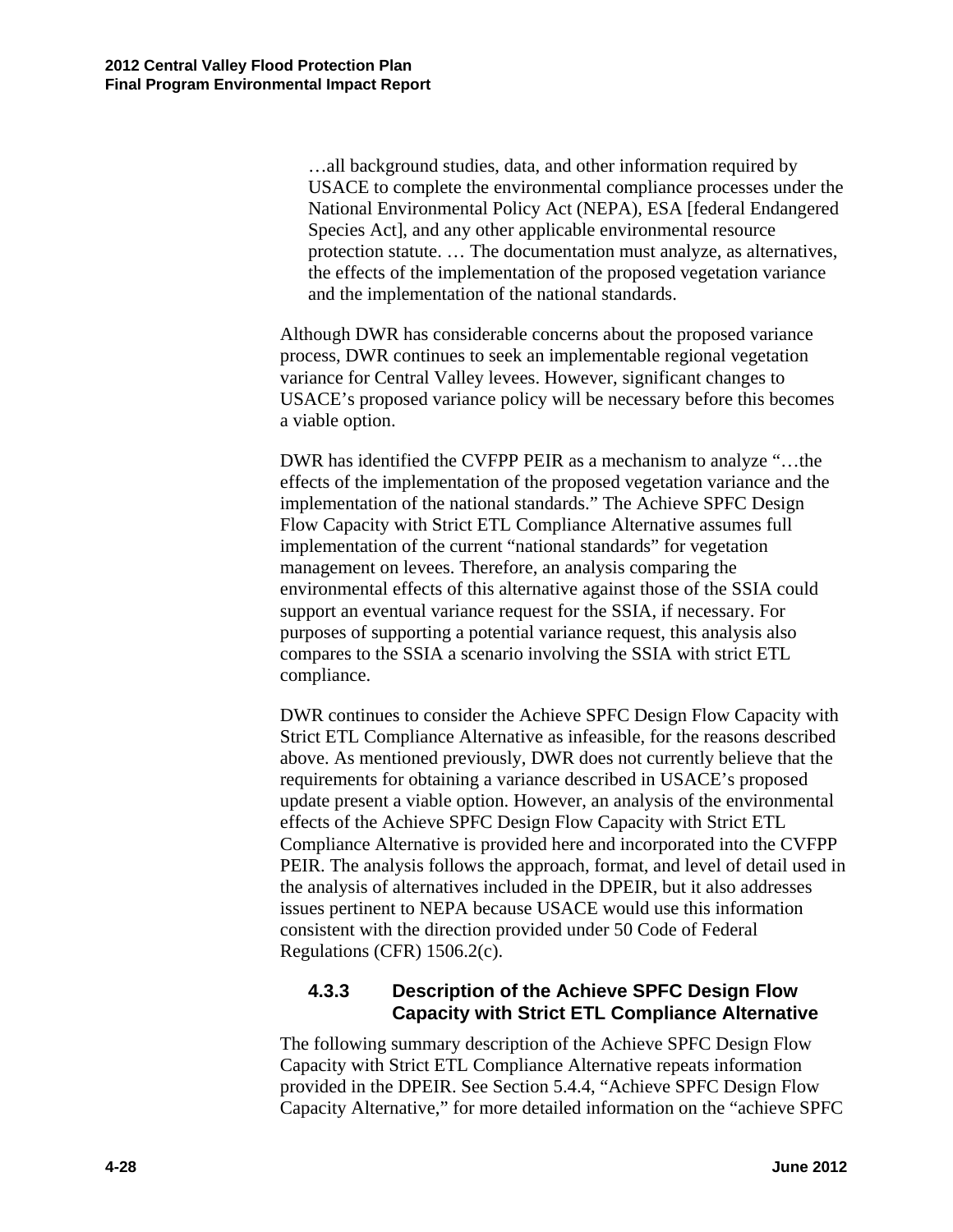…all background studies, data, and other information required by USACE to complete the environmental compliance processes under the National Environmental Policy Act (NEPA), ESA [federal Endangered Species Act], and any other applicable environmental resource protection statute. … The documentation must analyze, as alternatives, the effects of the implementation of the proposed vegetation variance and the implementation of the national standards.

Although DWR has considerable concerns about the proposed variance process, DWR continues to seek an implementable regional vegetation variance for Central Valley levees. However, significant changes to USACE's proposed variance policy will be necessary before this becomes a viable option.

DWR has identified the CVFPP PEIR as a mechanism to analyze "…the effects of the implementation of the proposed vegetation variance and the implementation of the national standards." The Achieve SPFC Design Flow Capacity with Strict ETL Compliance Alternative assumes full implementation of the current "national standards" for vegetation management on levees. Therefore, an analysis comparing the environmental effects of this alternative against those of the SSIA could support an eventual variance request for the SSIA, if necessary. For purposes of supporting a potential variance request, this analysis also compares to the SSIA a scenario involving the SSIA with strict ETL compliance.

DWR continues to consider the Achieve SPFC Design Flow Capacity with Strict ETL Compliance Alternative as infeasible, for the reasons described above. As mentioned previously, DWR does not currently believe that the requirements for obtaining a variance described in USACE's proposed update present a viable option. However, an analysis of the environmental effects of the Achieve SPFC Design Flow Capacity with Strict ETL Compliance Alternative is provided here and incorporated into the CVFPP PEIR. The analysis follows the approach, format, and level of detail used in the analysis of alternatives included in the DPEIR, but it also addresses issues pertinent to NEPA because USACE would use this information consistent with the direction provided under 50 Code of Federal Regulations (CFR) 1506.2(c).

# **4.3.3 Description of the Achieve SPFC Design Flow Capacity with Strict ETL Compliance Alternative**

The following summary description of the Achieve SPFC Design Flow Capacity with Strict ETL Compliance Alternative repeats information provided in the DPEIR. See Section 5.4.4, "Achieve SPFC Design Flow Capacity Alternative," for more detailed information on the "achieve SPFC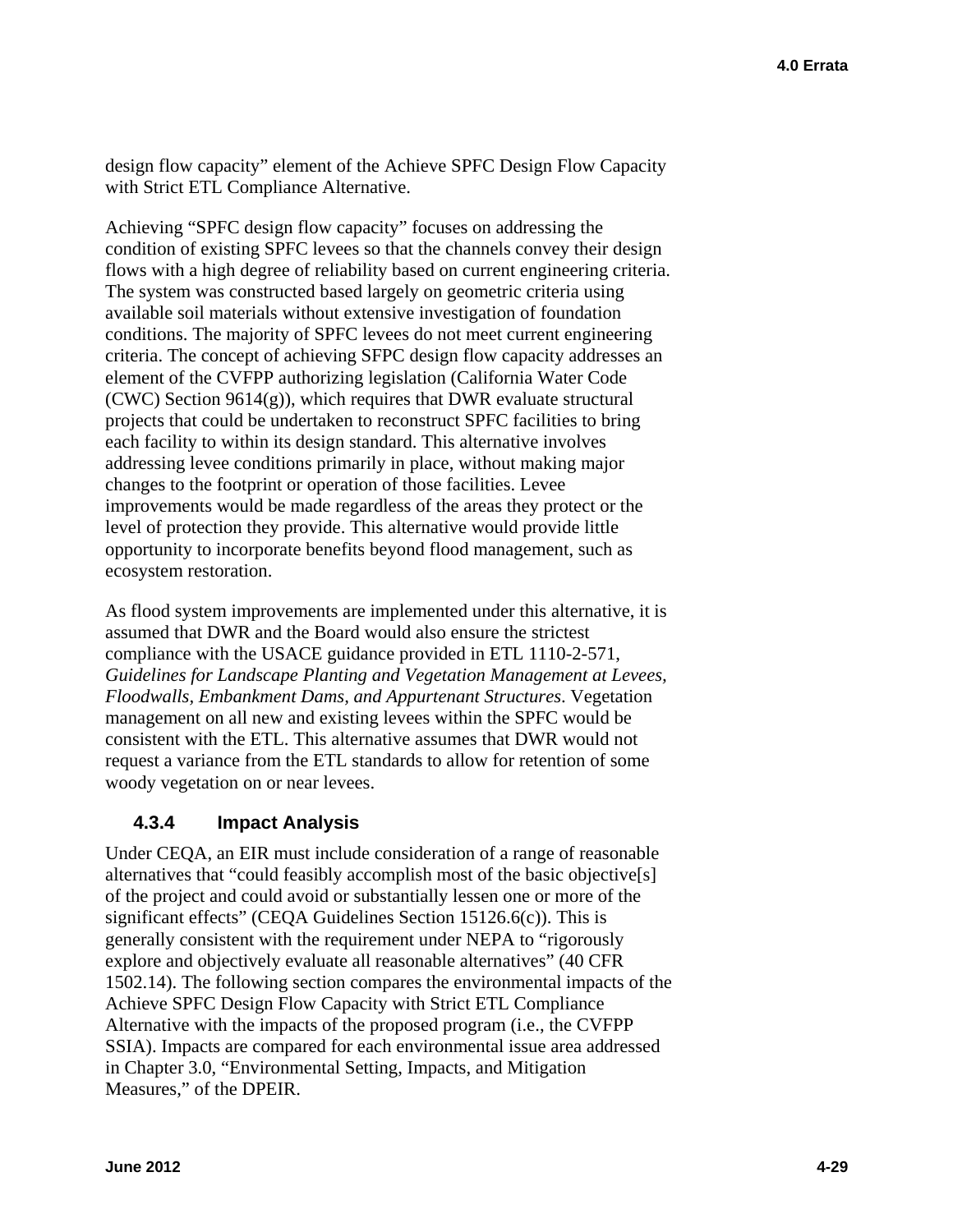design flow capacity" element of the Achieve SPFC Design Flow Capacity with Strict ETL Compliance Alternative.

Achieving "SPFC design flow capacity" focuses on addressing the condition of existing SPFC levees so that the channels convey their design flows with a high degree of reliability based on current engineering criteria. The system was constructed based largely on geometric criteria using available soil materials without extensive investigation of foundation conditions. The majority of SPFC levees do not meet current engineering criteria. The concept of achieving SFPC design flow capacity addresses an element of the CVFPP authorizing legislation (California Water Code (CWC) Section 9614(g)), which requires that DWR evaluate structural projects that could be undertaken to reconstruct SPFC facilities to bring each facility to within its design standard. This alternative involves addressing levee conditions primarily in place, without making major changes to the footprint or operation of those facilities. Levee improvements would be made regardless of the areas they protect or the level of protection they provide. This alternative would provide little opportunity to incorporate benefits beyond flood management, such as ecosystem restoration.

As flood system improvements are implemented under this alternative, it is assumed that DWR and the Board would also ensure the strictest compliance with the USACE guidance provided in ETL 1110-2-571, *Guidelines for Landscape Planting and Vegetation Management at Levees, Floodwalls, Embankment Dams, and Appurtenant Structures*. Vegetation management on all new and existing levees within the SPFC would be consistent with the ETL. This alternative assumes that DWR would not request a variance from the ETL standards to allow for retention of some woody vegetation on or near levees.

# **4.3.4 Impact Analysis**

Under CEQA, an EIR must include consideration of a range of reasonable alternatives that "could feasibly accomplish most of the basic objective[s] of the project and could avoid or substantially lessen one or more of the significant effects" (CEQA Guidelines Section 15126.6(c)). This is generally consistent with the requirement under NEPA to "rigorously explore and objectively evaluate all reasonable alternatives" (40 CFR 1502.14). The following section compares the environmental impacts of the Achieve SPFC Design Flow Capacity with Strict ETL Compliance Alternative with the impacts of the proposed program (i.e., the CVFPP SSIA). Impacts are compared for each environmental issue area addressed in Chapter 3.0, "Environmental Setting, Impacts, and Mitigation Measures," of the DPEIR.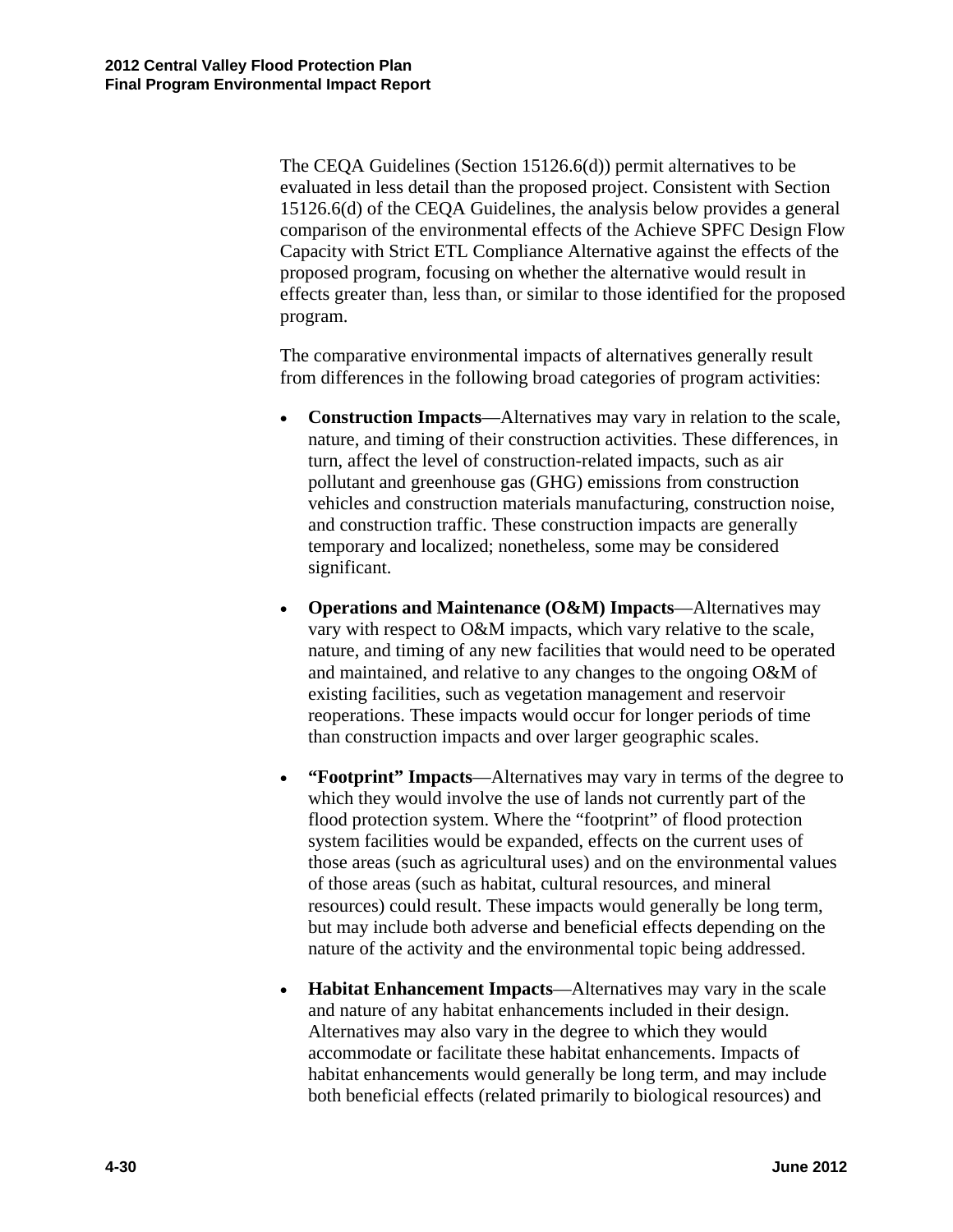The CEQA Guidelines (Section 15126.6(d)) permit alternatives to be evaluated in less detail than the proposed project. Consistent with Section 15126.6(d) of the CEQA Guidelines, the analysis below provides a general comparison of the environmental effects of the Achieve SPFC Design Flow Capacity with Strict ETL Compliance Alternative against the effects of the proposed program, focusing on whether the alternative would result in effects greater than, less than, or similar to those identified for the proposed program.

The comparative environmental impacts of alternatives generally result from differences in the following broad categories of program activities:

- **Construction Impacts**—Alternatives may vary in relation to the scale, nature, and timing of their construction activities. These differences, in turn, affect the level of construction-related impacts, such as air pollutant and greenhouse gas (GHG) emissions from construction vehicles and construction materials manufacturing, construction noise, and construction traffic. These construction impacts are generally temporary and localized; nonetheless, some may be considered significant.
- **Operations and Maintenance (O&M) Impacts**—Alternatives may vary with respect to O&M impacts, which vary relative to the scale, nature, and timing of any new facilities that would need to be operated and maintained, and relative to any changes to the ongoing O&M of existing facilities, such as vegetation management and reservoir reoperations. These impacts would occur for longer periods of time than construction impacts and over larger geographic scales.
- **"Footprint" Impacts**—Alternatives may vary in terms of the degree to which they would involve the use of lands not currently part of the flood protection system. Where the "footprint" of flood protection system facilities would be expanded, effects on the current uses of those areas (such as agricultural uses) and on the environmental values of those areas (such as habitat, cultural resources, and mineral resources) could result. These impacts would generally be long term, but may include both adverse and beneficial effects depending on the nature of the activity and the environmental topic being addressed.
- **Habitat Enhancement Impacts**—Alternatives may vary in the scale and nature of any habitat enhancements included in their design. Alternatives may also vary in the degree to which they would accommodate or facilitate these habitat enhancements. Impacts of habitat enhancements would generally be long term, and may include both beneficial effects (related primarily to biological resources) and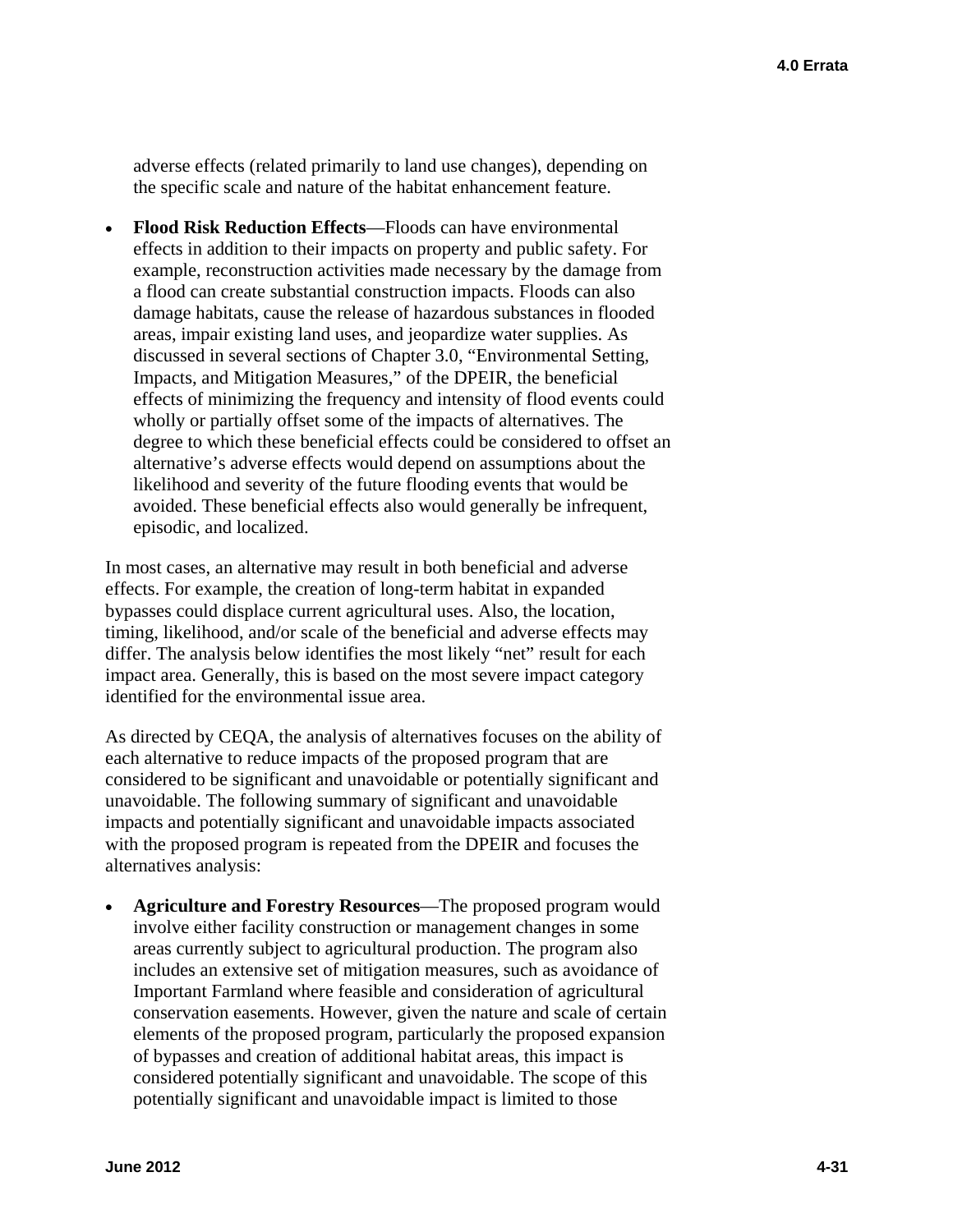adverse effects (related primarily to land use changes), depending on the specific scale and nature of the habitat enhancement feature.

 **Flood Risk Reduction Effects**—Floods can have environmental effects in addition to their impacts on property and public safety. For example, reconstruction activities made necessary by the damage from a flood can create substantial construction impacts. Floods can also damage habitats, cause the release of hazardous substances in flooded areas, impair existing land uses, and jeopardize water supplies. As discussed in several sections of Chapter 3.0, "Environmental Setting, Impacts, and Mitigation Measures," of the DPEIR, the beneficial effects of minimizing the frequency and intensity of flood events could wholly or partially offset some of the impacts of alternatives. The degree to which these beneficial effects could be considered to offset an alternative's adverse effects would depend on assumptions about the likelihood and severity of the future flooding events that would be avoided. These beneficial effects also would generally be infrequent, episodic, and localized.

In most cases, an alternative may result in both beneficial and adverse effects. For example, the creation of long-term habitat in expanded bypasses could displace current agricultural uses. Also, the location, timing, likelihood, and/or scale of the beneficial and adverse effects may differ. The analysis below identifies the most likely "net" result for each impact area. Generally, this is based on the most severe impact category identified for the environmental issue area.

As directed by CEQA, the analysis of alternatives focuses on the ability of each alternative to reduce impacts of the proposed program that are considered to be significant and unavoidable or potentially significant and unavoidable. The following summary of significant and unavoidable impacts and potentially significant and unavoidable impacts associated with the proposed program is repeated from the DPEIR and focuses the alternatives analysis:

 **Agriculture and Forestry Resources**—The proposed program would involve either facility construction or management changes in some areas currently subject to agricultural production. The program also includes an extensive set of mitigation measures, such as avoidance of Important Farmland where feasible and consideration of agricultural conservation easements. However, given the nature and scale of certain elements of the proposed program, particularly the proposed expansion of bypasses and creation of additional habitat areas, this impact is considered potentially significant and unavoidable. The scope of this potentially significant and unavoidable impact is limited to those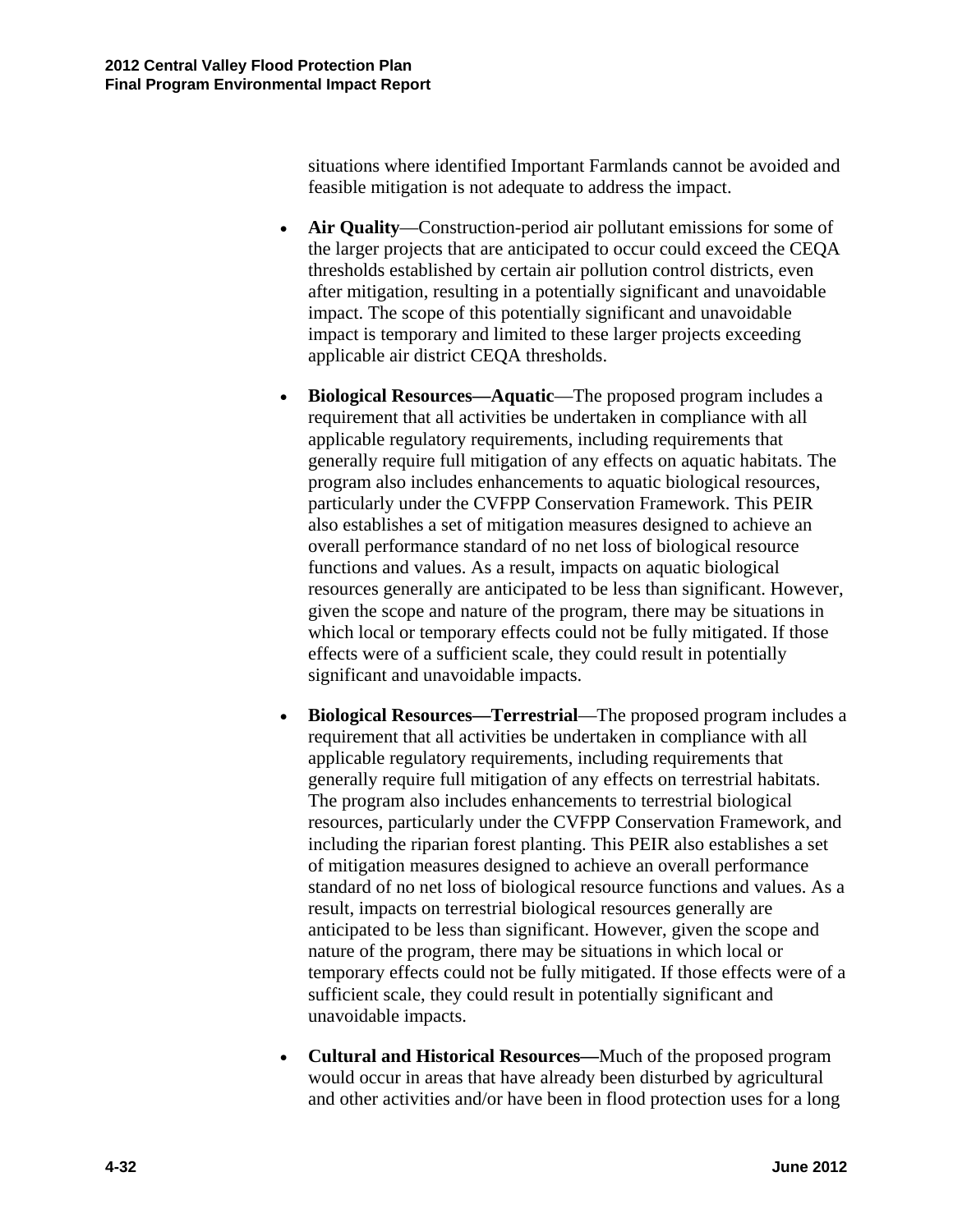situations where identified Important Farmlands cannot be avoided and feasible mitigation is not adequate to address the impact.

- **Air Quality**—Construction-period air pollutant emissions for some of the larger projects that are anticipated to occur could exceed the CEQA thresholds established by certain air pollution control districts, even after mitigation, resulting in a potentially significant and unavoidable impact. The scope of this potentially significant and unavoidable impact is temporary and limited to these larger projects exceeding applicable air district CEQA thresholds.
- **Biological Resources—Aquatic**—The proposed program includes a requirement that all activities be undertaken in compliance with all applicable regulatory requirements, including requirements that generally require full mitigation of any effects on aquatic habitats. The program also includes enhancements to aquatic biological resources, particularly under the CVFPP Conservation Framework. This PEIR also establishes a set of mitigation measures designed to achieve an overall performance standard of no net loss of biological resource functions and values. As a result, impacts on aquatic biological resources generally are anticipated to be less than significant. However, given the scope and nature of the program, there may be situations in which local or temporary effects could not be fully mitigated. If those effects were of a sufficient scale, they could result in potentially significant and unavoidable impacts.
- **Biological Resources—Terrestrial**—The proposed program includes a requirement that all activities be undertaken in compliance with all applicable regulatory requirements, including requirements that generally require full mitigation of any effects on terrestrial habitats. The program also includes enhancements to terrestrial biological resources, particularly under the CVFPP Conservation Framework, and including the riparian forest planting. This PEIR also establishes a set of mitigation measures designed to achieve an overall performance standard of no net loss of biological resource functions and values. As a result, impacts on terrestrial biological resources generally are anticipated to be less than significant. However, given the scope and nature of the program, there may be situations in which local or temporary effects could not be fully mitigated. If those effects were of a sufficient scale, they could result in potentially significant and unavoidable impacts.
- **Cultural and Historical Resources—**Much of the proposed program would occur in areas that have already been disturbed by agricultural and other activities and/or have been in flood protection uses for a long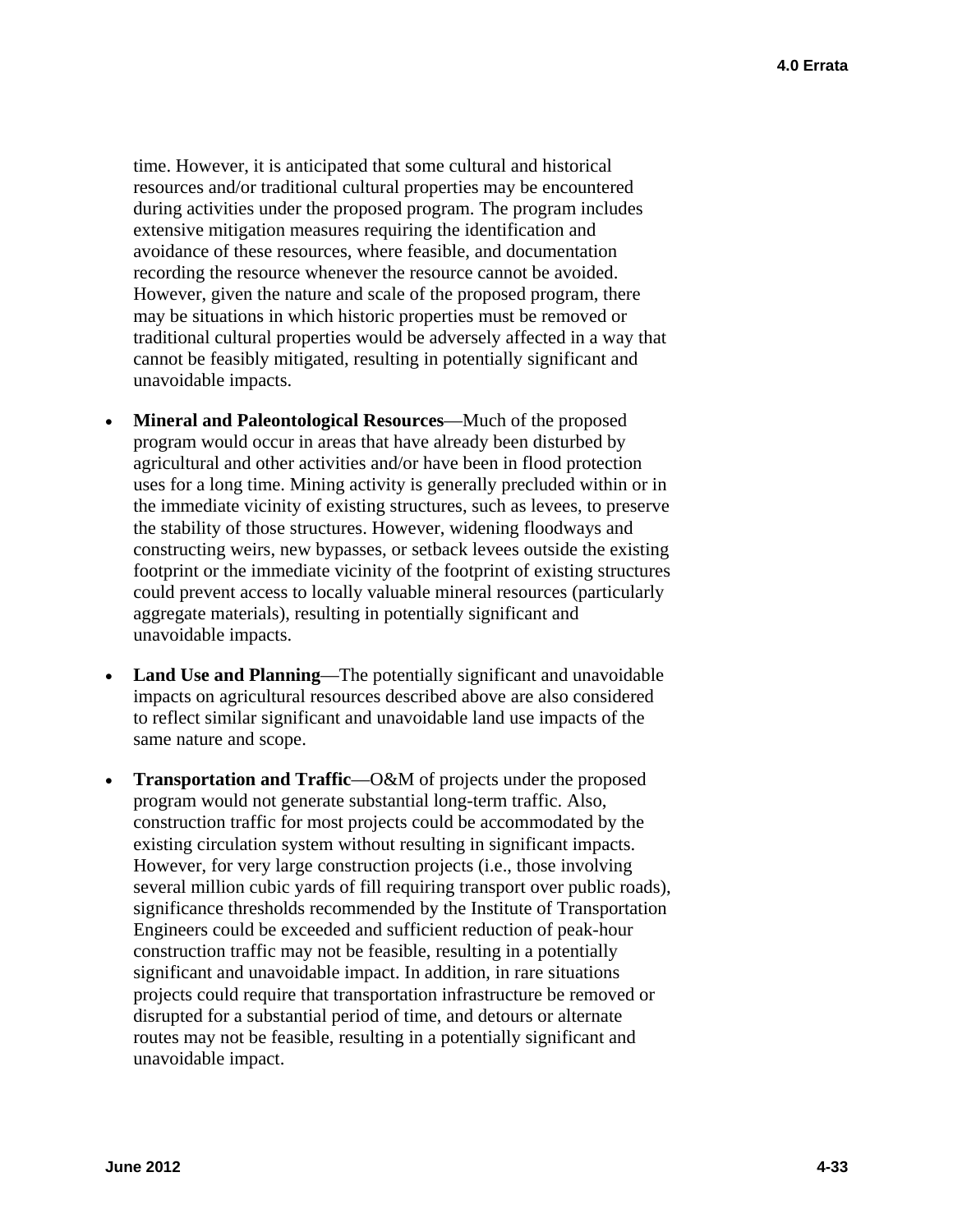time. However, it is anticipated that some cultural and historical resources and/or traditional cultural properties may be encountered during activities under the proposed program. The program includes extensive mitigation measures requiring the identification and avoidance of these resources, where feasible, and documentation recording the resource whenever the resource cannot be avoided. However, given the nature and scale of the proposed program, there may be situations in which historic properties must be removed or traditional cultural properties would be adversely affected in a way that cannot be feasibly mitigated, resulting in potentially significant and unavoidable impacts.

- **Mineral and Paleontological Resources**—Much of the proposed program would occur in areas that have already been disturbed by agricultural and other activities and/or have been in flood protection uses for a long time. Mining activity is generally precluded within or in the immediate vicinity of existing structures, such as levees, to preserve the stability of those structures. However, widening floodways and constructing weirs, new bypasses, or setback levees outside the existing footprint or the immediate vicinity of the footprint of existing structures could prevent access to locally valuable mineral resources (particularly aggregate materials), resulting in potentially significant and unavoidable impacts.
- **Land Use and Planning**—The potentially significant and unavoidable impacts on agricultural resources described above are also considered to reflect similar significant and unavoidable land use impacts of the same nature and scope.
- **Transportation and Traffic**—O&M of projects under the proposed program would not generate substantial long-term traffic. Also, construction traffic for most projects could be accommodated by the existing circulation system without resulting in significant impacts. However, for very large construction projects (i.e., those involving several million cubic yards of fill requiring transport over public roads), significance thresholds recommended by the Institute of Transportation Engineers could be exceeded and sufficient reduction of peak-hour construction traffic may not be feasible, resulting in a potentially significant and unavoidable impact. In addition, in rare situations projects could require that transportation infrastructure be removed or disrupted for a substantial period of time, and detours or alternate routes may not be feasible, resulting in a potentially significant and unavoidable impact.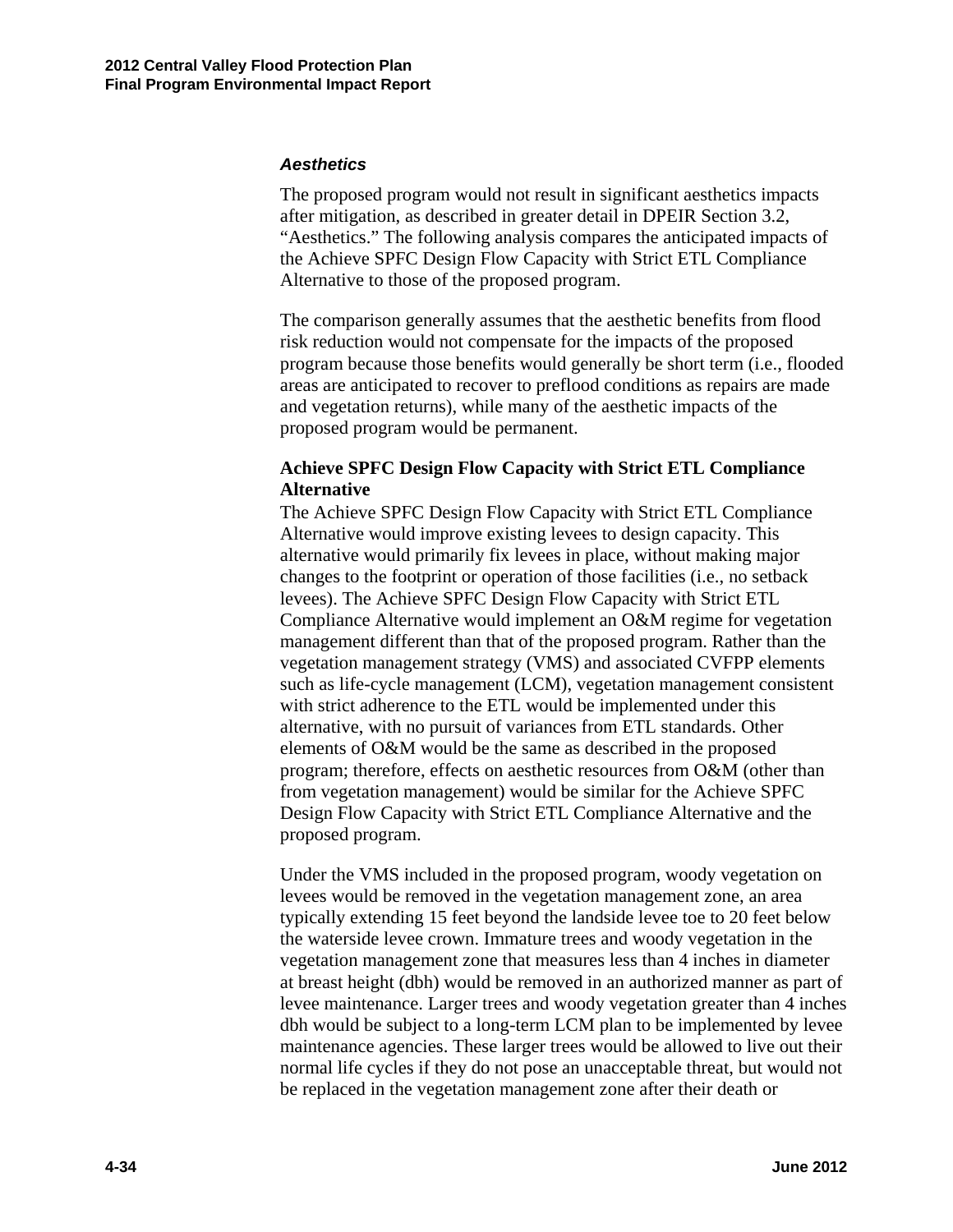#### *Aesthetics*

The proposed program would not result in significant aesthetics impacts after mitigation, as described in greater detail in DPEIR Section 3.2, "Aesthetics." The following analysis compares the anticipated impacts of the Achieve SPFC Design Flow Capacity with Strict ETL Compliance Alternative to those of the proposed program.

The comparison generally assumes that the aesthetic benefits from flood risk reduction would not compensate for the impacts of the proposed program because those benefits would generally be short term (i.e., flooded areas are anticipated to recover to preflood conditions as repairs are made and vegetation returns), while many of the aesthetic impacts of the proposed program would be permanent.

#### **Achieve SPFC Design Flow Capacity with Strict ETL Compliance Alternative**

The Achieve SPFC Design Flow Capacity with Strict ETL Compliance Alternative would improve existing levees to design capacity. This alternative would primarily fix levees in place, without making major changes to the footprint or operation of those facilities (i.e., no setback levees). The Achieve SPFC Design Flow Capacity with Strict ETL Compliance Alternative would implement an O&M regime for vegetation management different than that of the proposed program. Rather than the vegetation management strategy (VMS) and associated CVFPP elements such as life-cycle management (LCM), vegetation management consistent with strict adherence to the ETL would be implemented under this alternative, with no pursuit of variances from ETL standards. Other elements of O&M would be the same as described in the proposed program; therefore, effects on aesthetic resources from O&M (other than from vegetation management) would be similar for the Achieve SPFC Design Flow Capacity with Strict ETL Compliance Alternative and the proposed program.

Under the VMS included in the proposed program, woody vegetation on levees would be removed in the vegetation management zone, an area typically extending 15 feet beyond the landside levee toe to 20 feet below the waterside levee crown. Immature trees and woody vegetation in the vegetation management zone that measures less than 4 inches in diameter at breast height (dbh) would be removed in an authorized manner as part of levee maintenance. Larger trees and woody vegetation greater than 4 inches dbh would be subject to a long-term LCM plan to be implemented by levee maintenance agencies. These larger trees would be allowed to live out their normal life cycles if they do not pose an unacceptable threat, but would not be replaced in the vegetation management zone after their death or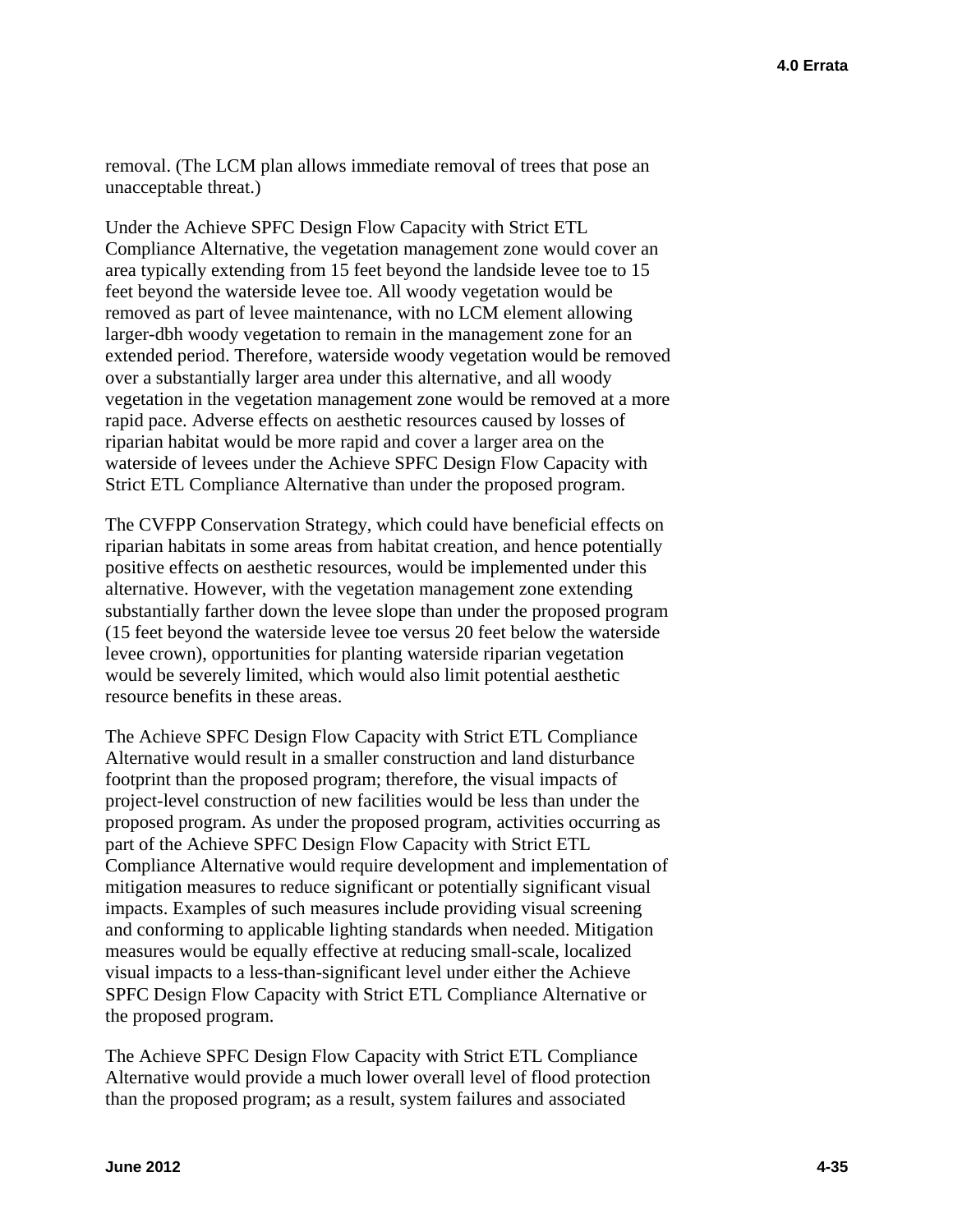removal. (The LCM plan allows immediate removal of trees that pose an unacceptable threat.)

Under the Achieve SPFC Design Flow Capacity with Strict ETL Compliance Alternative, the vegetation management zone would cover an area typically extending from 15 feet beyond the landside levee toe to 15 feet beyond the waterside levee toe. All woody vegetation would be removed as part of levee maintenance, with no LCM element allowing larger-dbh woody vegetation to remain in the management zone for an extended period. Therefore, waterside woody vegetation would be removed over a substantially larger area under this alternative, and all woody vegetation in the vegetation management zone would be removed at a more rapid pace. Adverse effects on aesthetic resources caused by losses of riparian habitat would be more rapid and cover a larger area on the waterside of levees under the Achieve SPFC Design Flow Capacity with Strict ETL Compliance Alternative than under the proposed program.

The CVFPP Conservation Strategy, which could have beneficial effects on riparian habitats in some areas from habitat creation, and hence potentially positive effects on aesthetic resources, would be implemented under this alternative. However, with the vegetation management zone extending substantially farther down the levee slope than under the proposed program (15 feet beyond the waterside levee toe versus 20 feet below the waterside levee crown), opportunities for planting waterside riparian vegetation would be severely limited, which would also limit potential aesthetic resource benefits in these areas.

The Achieve SPFC Design Flow Capacity with Strict ETL Compliance Alternative would result in a smaller construction and land disturbance footprint than the proposed program; therefore, the visual impacts of project-level construction of new facilities would be less than under the proposed program. As under the proposed program, activities occurring as part of the Achieve SPFC Design Flow Capacity with Strict ETL Compliance Alternative would require development and implementation of mitigation measures to reduce significant or potentially significant visual impacts. Examples of such measures include providing visual screening and conforming to applicable lighting standards when needed. Mitigation measures would be equally effective at reducing small-scale, localized visual impacts to a less-than-significant level under either the Achieve SPFC Design Flow Capacity with Strict ETL Compliance Alternative or the proposed program.

The Achieve SPFC Design Flow Capacity with Strict ETL Compliance Alternative would provide a much lower overall level of flood protection than the proposed program; as a result, system failures and associated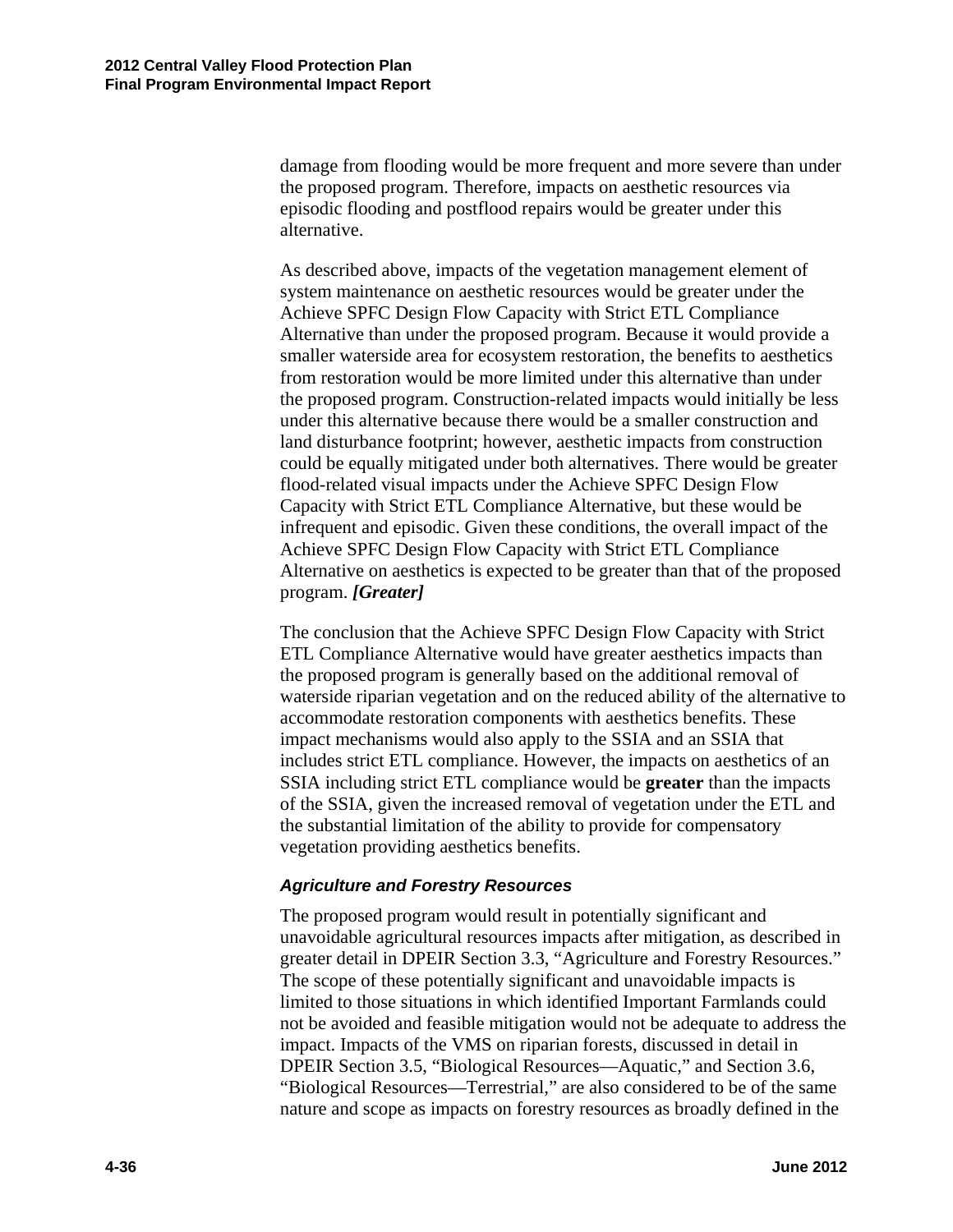damage from flooding would be more frequent and more severe than under the proposed program. Therefore, impacts on aesthetic resources via episodic flooding and postflood repairs would be greater under this alternative.

As described above, impacts of the vegetation management element of system maintenance on aesthetic resources would be greater under the Achieve SPFC Design Flow Capacity with Strict ETL Compliance Alternative than under the proposed program. Because it would provide a smaller waterside area for ecosystem restoration, the benefits to aesthetics from restoration would be more limited under this alternative than under the proposed program. Construction-related impacts would initially be less under this alternative because there would be a smaller construction and land disturbance footprint; however, aesthetic impacts from construction could be equally mitigated under both alternatives. There would be greater flood-related visual impacts under the Achieve SPFC Design Flow Capacity with Strict ETL Compliance Alternative, but these would be infrequent and episodic. Given these conditions, the overall impact of the Achieve SPFC Design Flow Capacity with Strict ETL Compliance Alternative on aesthetics is expected to be greater than that of the proposed program. *[Greater]* 

The conclusion that the Achieve SPFC Design Flow Capacity with Strict ETL Compliance Alternative would have greater aesthetics impacts than the proposed program is generally based on the additional removal of waterside riparian vegetation and on the reduced ability of the alternative to accommodate restoration components with aesthetics benefits. These impact mechanisms would also apply to the SSIA and an SSIA that includes strict ETL compliance. However, the impacts on aesthetics of an SSIA including strict ETL compliance would be **greater** than the impacts of the SSIA, given the increased removal of vegetation under the ETL and the substantial limitation of the ability to provide for compensatory vegetation providing aesthetics benefits.

#### *Agriculture and Forestry Resources*

The proposed program would result in potentially significant and unavoidable agricultural resources impacts after mitigation, as described in greater detail in DPEIR Section 3.3, "Agriculture and Forestry Resources." The scope of these potentially significant and unavoidable impacts is limited to those situations in which identified Important Farmlands could not be avoided and feasible mitigation would not be adequate to address the impact. Impacts of the VMS on riparian forests, discussed in detail in DPEIR Section 3.5, "Biological Resources—Aquatic," and Section 3.6, "Biological Resources—Terrestrial," are also considered to be of the same nature and scope as impacts on forestry resources as broadly defined in the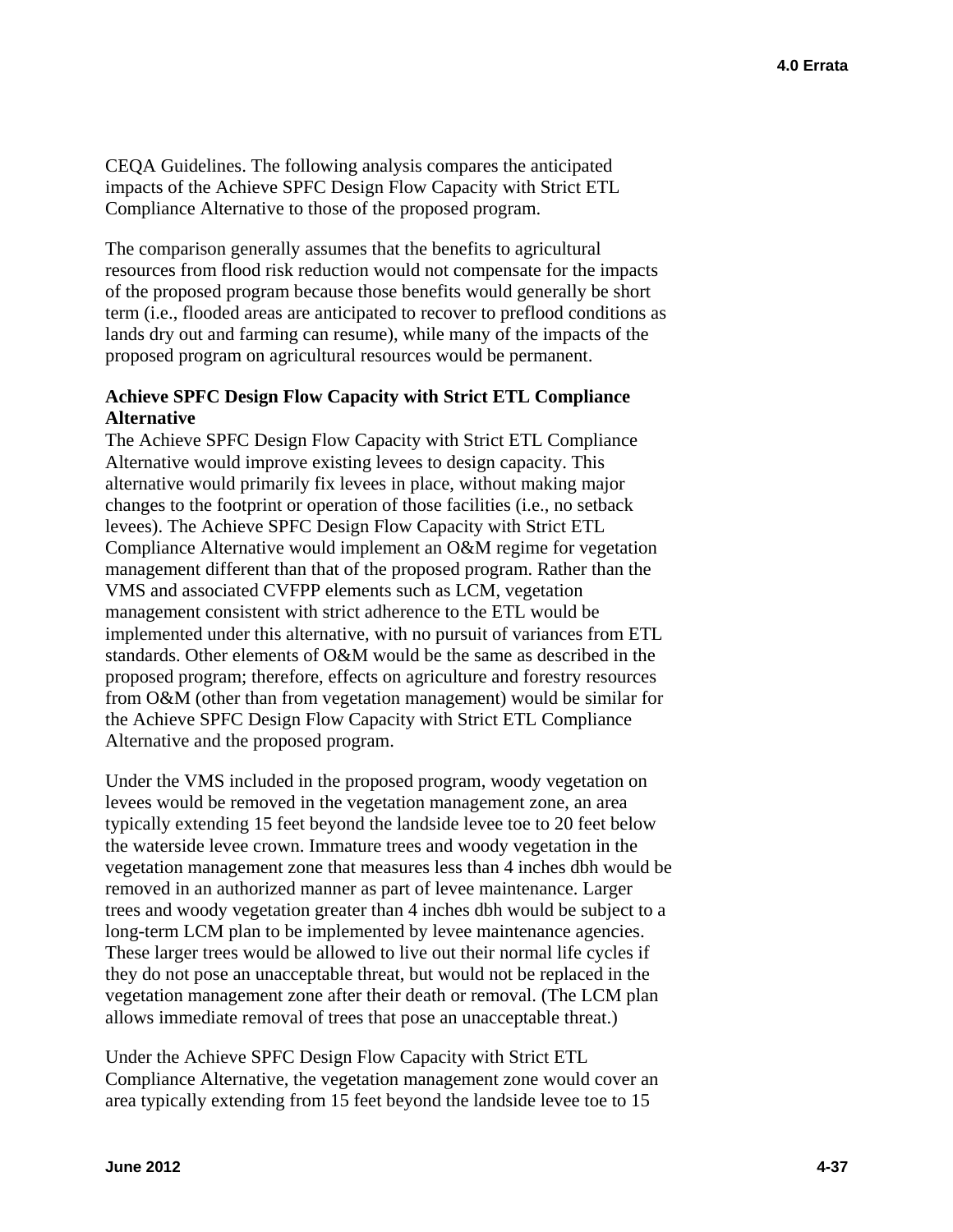CEQA Guidelines. The following analysis compares the anticipated impacts of the Achieve SPFC Design Flow Capacity with Strict ETL Compliance Alternative to those of the proposed program.

The comparison generally assumes that the benefits to agricultural resources from flood risk reduction would not compensate for the impacts of the proposed program because those benefits would generally be short term (i.e., flooded areas are anticipated to recover to preflood conditions as lands dry out and farming can resume), while many of the impacts of the proposed program on agricultural resources would be permanent.

### **Achieve SPFC Design Flow Capacity with Strict ETL Compliance Alternative**

The Achieve SPFC Design Flow Capacity with Strict ETL Compliance Alternative would improve existing levees to design capacity. This alternative would primarily fix levees in place, without making major changes to the footprint or operation of those facilities (i.e., no setback levees). The Achieve SPFC Design Flow Capacity with Strict ETL Compliance Alternative would implement an O&M regime for vegetation management different than that of the proposed program. Rather than the VMS and associated CVFPP elements such as LCM, vegetation management consistent with strict adherence to the ETL would be implemented under this alternative, with no pursuit of variances from ETL standards. Other elements of O&M would be the same as described in the proposed program; therefore, effects on agriculture and forestry resources from O&M (other than from vegetation management) would be similar for the Achieve SPFC Design Flow Capacity with Strict ETL Compliance Alternative and the proposed program.

Under the VMS included in the proposed program, woody vegetation on levees would be removed in the vegetation management zone, an area typically extending 15 feet beyond the landside levee toe to 20 feet below the waterside levee crown. Immature trees and woody vegetation in the vegetation management zone that measures less than 4 inches dbh would be removed in an authorized manner as part of levee maintenance. Larger trees and woody vegetation greater than 4 inches dbh would be subject to a long-term LCM plan to be implemented by levee maintenance agencies. These larger trees would be allowed to live out their normal life cycles if they do not pose an unacceptable threat, but would not be replaced in the vegetation management zone after their death or removal. (The LCM plan allows immediate removal of trees that pose an unacceptable threat.)

Under the Achieve SPFC Design Flow Capacity with Strict ETL Compliance Alternative, the vegetation management zone would cover an area typically extending from 15 feet beyond the landside levee toe to 15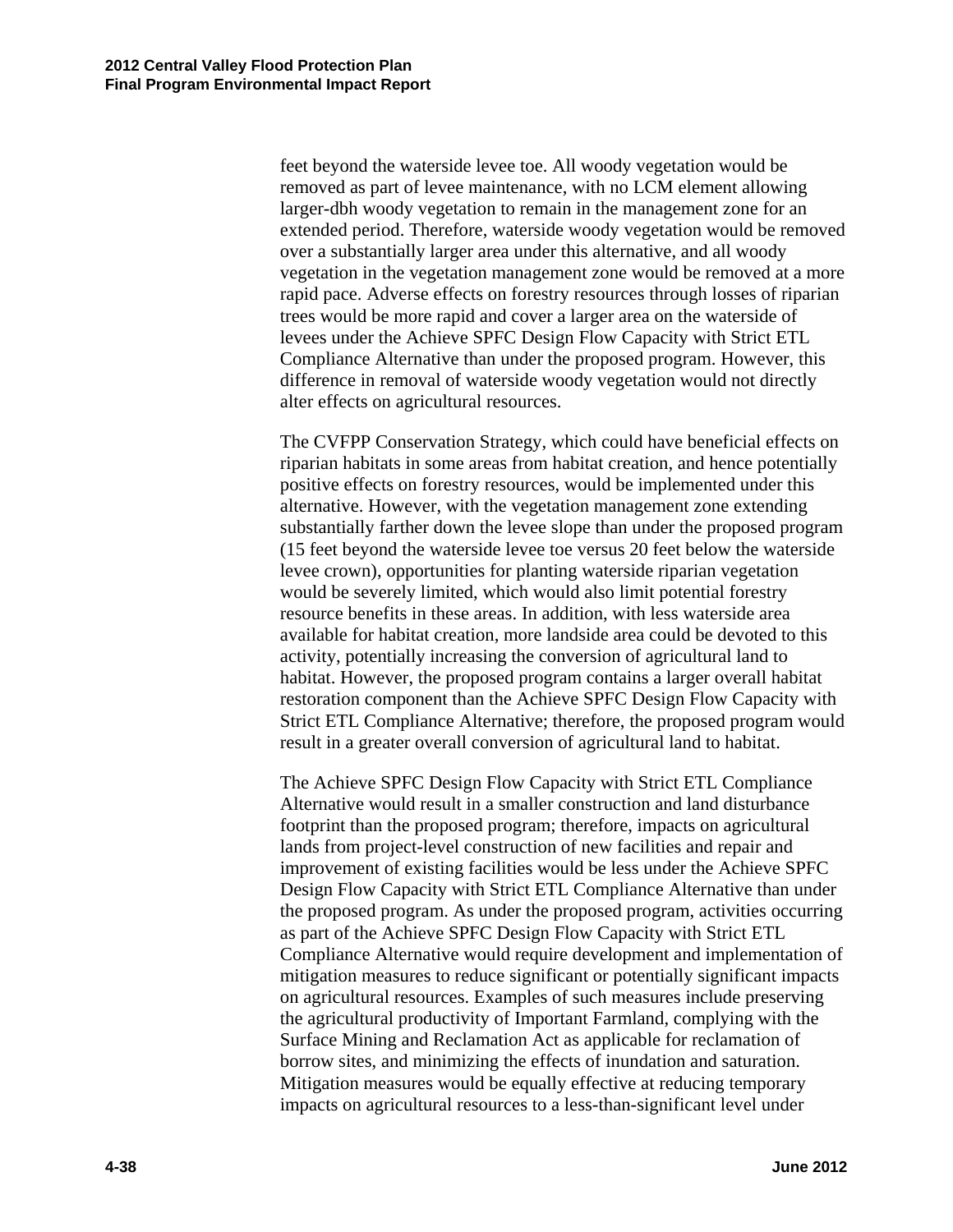feet beyond the waterside levee toe. All woody vegetation would be removed as part of levee maintenance, with no LCM element allowing larger-dbh woody vegetation to remain in the management zone for an extended period. Therefore, waterside woody vegetation would be removed over a substantially larger area under this alternative, and all woody vegetation in the vegetation management zone would be removed at a more rapid pace. Adverse effects on forestry resources through losses of riparian trees would be more rapid and cover a larger area on the waterside of levees under the Achieve SPFC Design Flow Capacity with Strict ETL Compliance Alternative than under the proposed program. However, this difference in removal of waterside woody vegetation would not directly alter effects on agricultural resources.

The CVFPP Conservation Strategy, which could have beneficial effects on riparian habitats in some areas from habitat creation, and hence potentially positive effects on forestry resources, would be implemented under this alternative. However, with the vegetation management zone extending substantially farther down the levee slope than under the proposed program (15 feet beyond the waterside levee toe versus 20 feet below the waterside levee crown), opportunities for planting waterside riparian vegetation would be severely limited, which would also limit potential forestry resource benefits in these areas. In addition, with less waterside area available for habitat creation, more landside area could be devoted to this activity, potentially increasing the conversion of agricultural land to habitat. However, the proposed program contains a larger overall habitat restoration component than the Achieve SPFC Design Flow Capacity with Strict ETL Compliance Alternative; therefore, the proposed program would result in a greater overall conversion of agricultural land to habitat.

The Achieve SPFC Design Flow Capacity with Strict ETL Compliance Alternative would result in a smaller construction and land disturbance footprint than the proposed program; therefore, impacts on agricultural lands from project-level construction of new facilities and repair and improvement of existing facilities would be less under the Achieve SPFC Design Flow Capacity with Strict ETL Compliance Alternative than under the proposed program. As under the proposed program, activities occurring as part of the Achieve SPFC Design Flow Capacity with Strict ETL Compliance Alternative would require development and implementation of mitigation measures to reduce significant or potentially significant impacts on agricultural resources. Examples of such measures include preserving the agricultural productivity of Important Farmland, complying with the Surface Mining and Reclamation Act as applicable for reclamation of borrow sites, and minimizing the effects of inundation and saturation. Mitigation measures would be equally effective at reducing temporary impacts on agricultural resources to a less-than-significant level under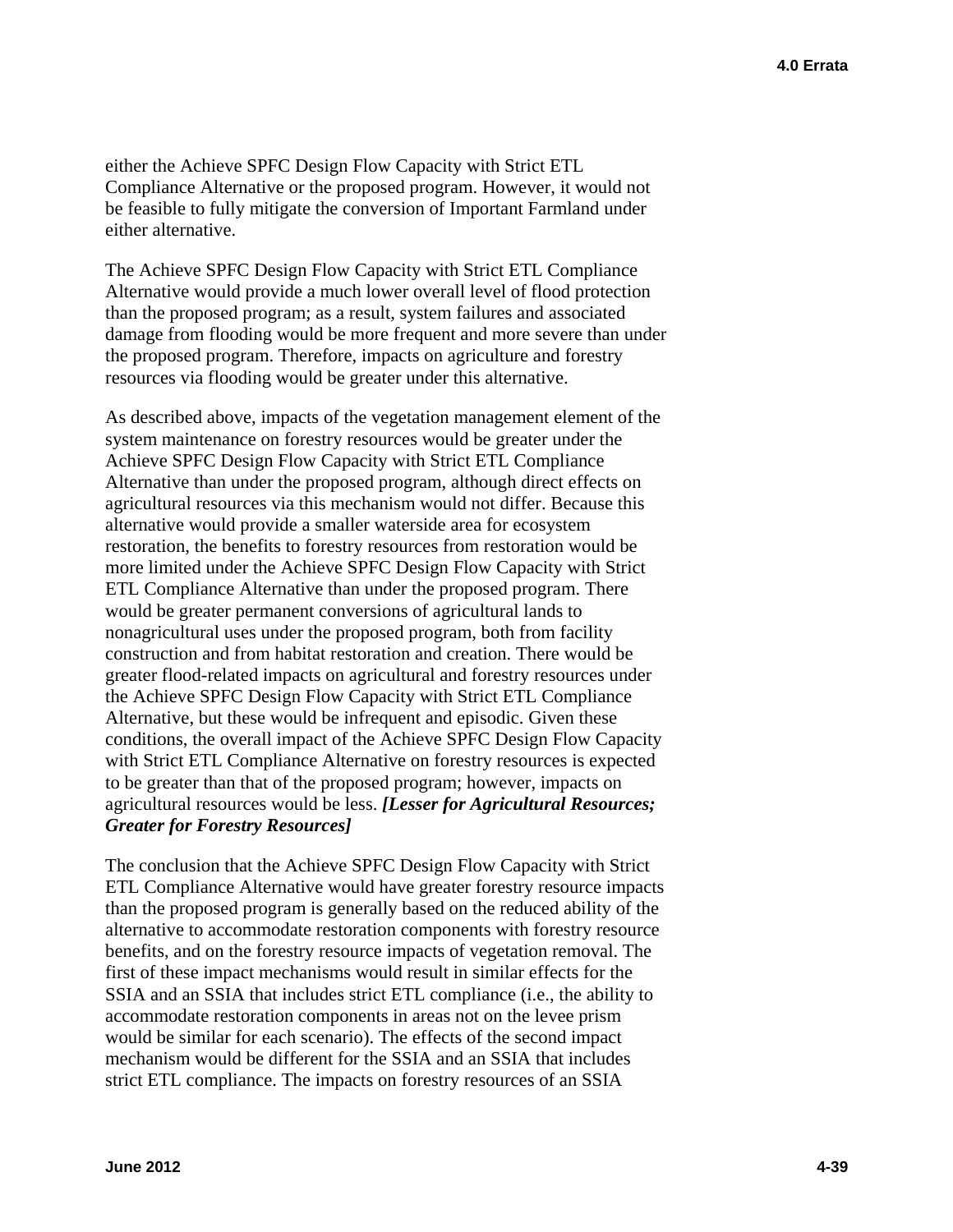either the Achieve SPFC Design Flow Capacity with Strict ETL Compliance Alternative or the proposed program. However, it would not be feasible to fully mitigate the conversion of Important Farmland under either alternative.

The Achieve SPFC Design Flow Capacity with Strict ETL Compliance Alternative would provide a much lower overall level of flood protection than the proposed program; as a result, system failures and associated damage from flooding would be more frequent and more severe than under the proposed program. Therefore, impacts on agriculture and forestry resources via flooding would be greater under this alternative.

As described above, impacts of the vegetation management element of the system maintenance on forestry resources would be greater under the Achieve SPFC Design Flow Capacity with Strict ETL Compliance Alternative than under the proposed program, although direct effects on agricultural resources via this mechanism would not differ. Because this alternative would provide a smaller waterside area for ecosystem restoration, the benefits to forestry resources from restoration would be more limited under the Achieve SPFC Design Flow Capacity with Strict ETL Compliance Alternative than under the proposed program. There would be greater permanent conversions of agricultural lands to nonagricultural uses under the proposed program, both from facility construction and from habitat restoration and creation. There would be greater flood-related impacts on agricultural and forestry resources under the Achieve SPFC Design Flow Capacity with Strict ETL Compliance Alternative, but these would be infrequent and episodic. Given these conditions, the overall impact of the Achieve SPFC Design Flow Capacity with Strict ETL Compliance Alternative on forestry resources is expected to be greater than that of the proposed program; however, impacts on agricultural resources would be less. *[Lesser for Agricultural Resources; Greater for Forestry Resources]* 

The conclusion that the Achieve SPFC Design Flow Capacity with Strict ETL Compliance Alternative would have greater forestry resource impacts than the proposed program is generally based on the reduced ability of the alternative to accommodate restoration components with forestry resource benefits, and on the forestry resource impacts of vegetation removal. The first of these impact mechanisms would result in similar effects for the SSIA and an SSIA that includes strict ETL compliance (i.e., the ability to accommodate restoration components in areas not on the levee prism would be similar for each scenario). The effects of the second impact mechanism would be different for the SSIA and an SSIA that includes strict ETL compliance. The impacts on forestry resources of an SSIA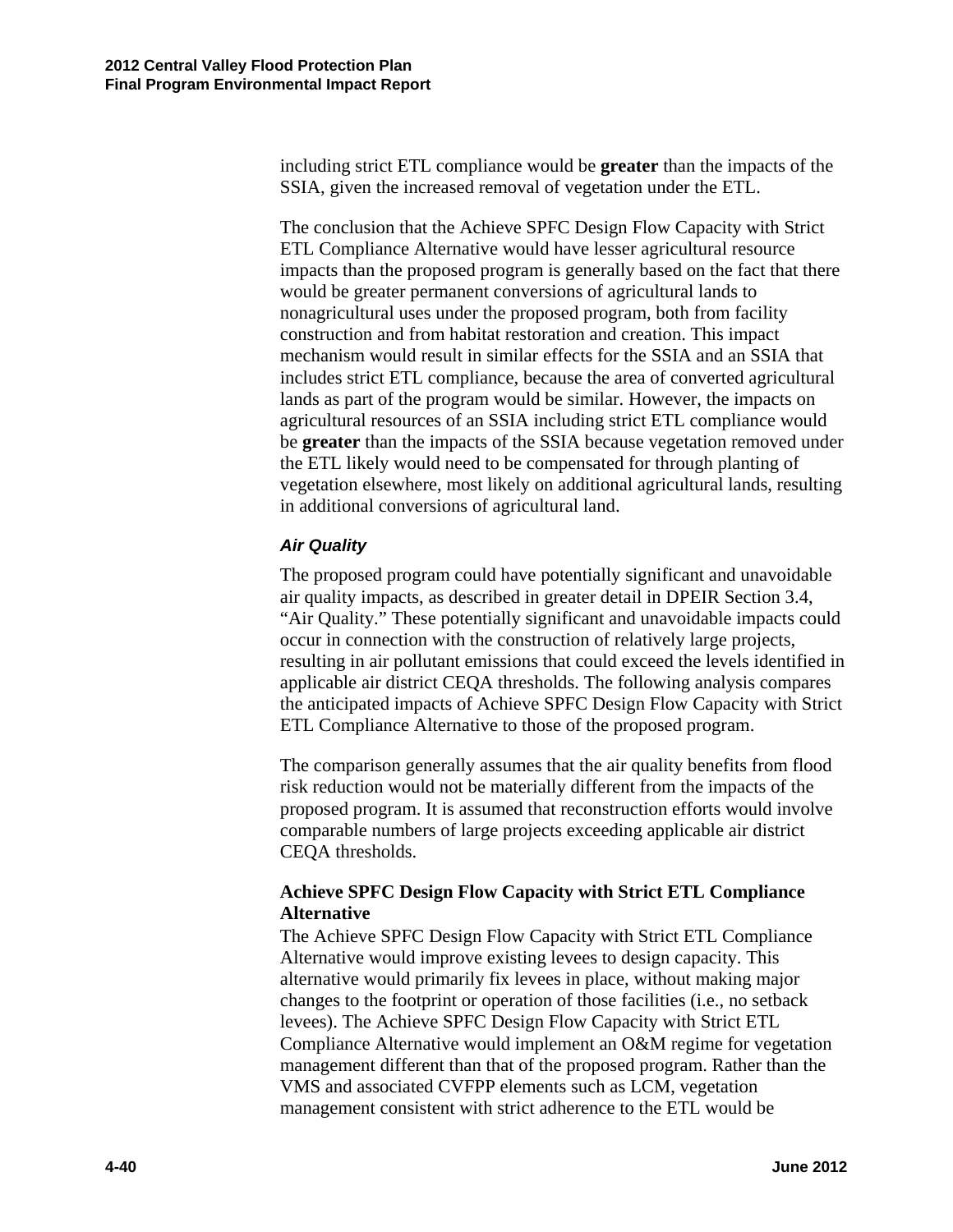including strict ETL compliance would be **greater** than the impacts of the SSIA, given the increased removal of vegetation under the ETL.

The conclusion that the Achieve SPFC Design Flow Capacity with Strict ETL Compliance Alternative would have lesser agricultural resource impacts than the proposed program is generally based on the fact that there would be greater permanent conversions of agricultural lands to nonagricultural uses under the proposed program, both from facility construction and from habitat restoration and creation. This impact mechanism would result in similar effects for the SSIA and an SSIA that includes strict ETL compliance, because the area of converted agricultural lands as part of the program would be similar. However, the impacts on agricultural resources of an SSIA including strict ETL compliance would be **greater** than the impacts of the SSIA because vegetation removed under the ETL likely would need to be compensated for through planting of vegetation elsewhere, most likely on additional agricultural lands, resulting in additional conversions of agricultural land.

### *Air Quality*

The proposed program could have potentially significant and unavoidable air quality impacts, as described in greater detail in DPEIR Section 3.4, "Air Quality." These potentially significant and unavoidable impacts could occur in connection with the construction of relatively large projects, resulting in air pollutant emissions that could exceed the levels identified in applicable air district CEQA thresholds. The following analysis compares the anticipated impacts of Achieve SPFC Design Flow Capacity with Strict ETL Compliance Alternative to those of the proposed program.

The comparison generally assumes that the air quality benefits from flood risk reduction would not be materially different from the impacts of the proposed program. It is assumed that reconstruction efforts would involve comparable numbers of large projects exceeding applicable air district CEQA thresholds.

### **Achieve SPFC Design Flow Capacity with Strict ETL Compliance Alternative**

The Achieve SPFC Design Flow Capacity with Strict ETL Compliance Alternative would improve existing levees to design capacity. This alternative would primarily fix levees in place, without making major changes to the footprint or operation of those facilities (i.e., no setback levees). The Achieve SPFC Design Flow Capacity with Strict ETL Compliance Alternative would implement an O&M regime for vegetation management different than that of the proposed program. Rather than the VMS and associated CVFPP elements such as LCM, vegetation management consistent with strict adherence to the ETL would be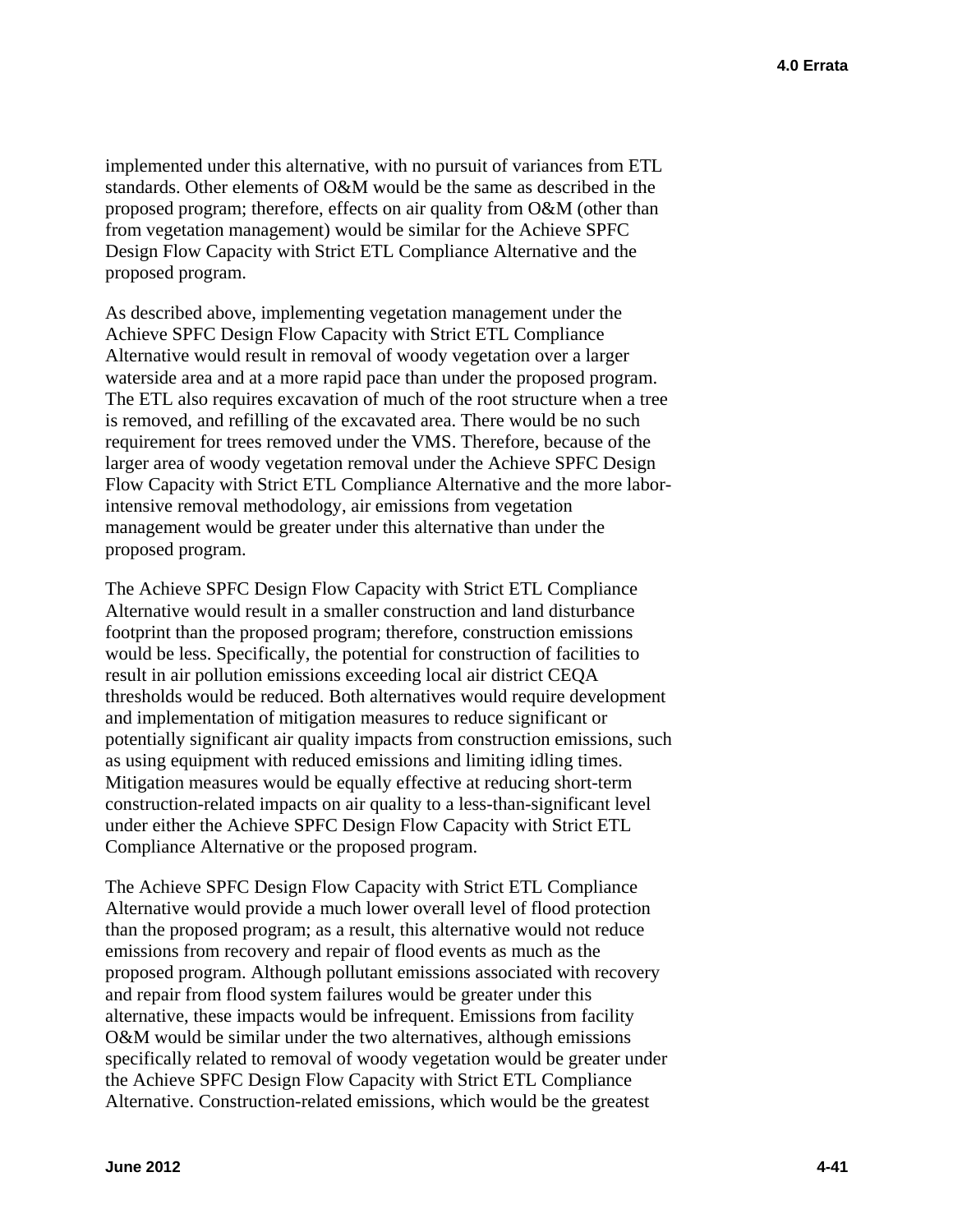implemented under this alternative, with no pursuit of variances from ETL standards. Other elements of O&M would be the same as described in the proposed program; therefore, effects on air quality from O&M (other than from vegetation management) would be similar for the Achieve SPFC Design Flow Capacity with Strict ETL Compliance Alternative and the proposed program.

As described above, implementing vegetation management under the Achieve SPFC Design Flow Capacity with Strict ETL Compliance Alternative would result in removal of woody vegetation over a larger waterside area and at a more rapid pace than under the proposed program. The ETL also requires excavation of much of the root structure when a tree is removed, and refilling of the excavated area. There would be no such requirement for trees removed under the VMS. Therefore, because of the larger area of woody vegetation removal under the Achieve SPFC Design Flow Capacity with Strict ETL Compliance Alternative and the more laborintensive removal methodology, air emissions from vegetation management would be greater under this alternative than under the proposed program.

The Achieve SPFC Design Flow Capacity with Strict ETL Compliance Alternative would result in a smaller construction and land disturbance footprint than the proposed program; therefore, construction emissions would be less. Specifically, the potential for construction of facilities to result in air pollution emissions exceeding local air district CEQA thresholds would be reduced. Both alternatives would require development and implementation of mitigation measures to reduce significant or potentially significant air quality impacts from construction emissions, such as using equipment with reduced emissions and limiting idling times. Mitigation measures would be equally effective at reducing short-term construction-related impacts on air quality to a less-than-significant level under either the Achieve SPFC Design Flow Capacity with Strict ETL Compliance Alternative or the proposed program.

The Achieve SPFC Design Flow Capacity with Strict ETL Compliance Alternative would provide a much lower overall level of flood protection than the proposed program; as a result, this alternative would not reduce emissions from recovery and repair of flood events as much as the proposed program. Although pollutant emissions associated with recovery and repair from flood system failures would be greater under this alternative, these impacts would be infrequent. Emissions from facility O&M would be similar under the two alternatives, although emissions specifically related to removal of woody vegetation would be greater under the Achieve SPFC Design Flow Capacity with Strict ETL Compliance Alternative. Construction-related emissions, which would be the greatest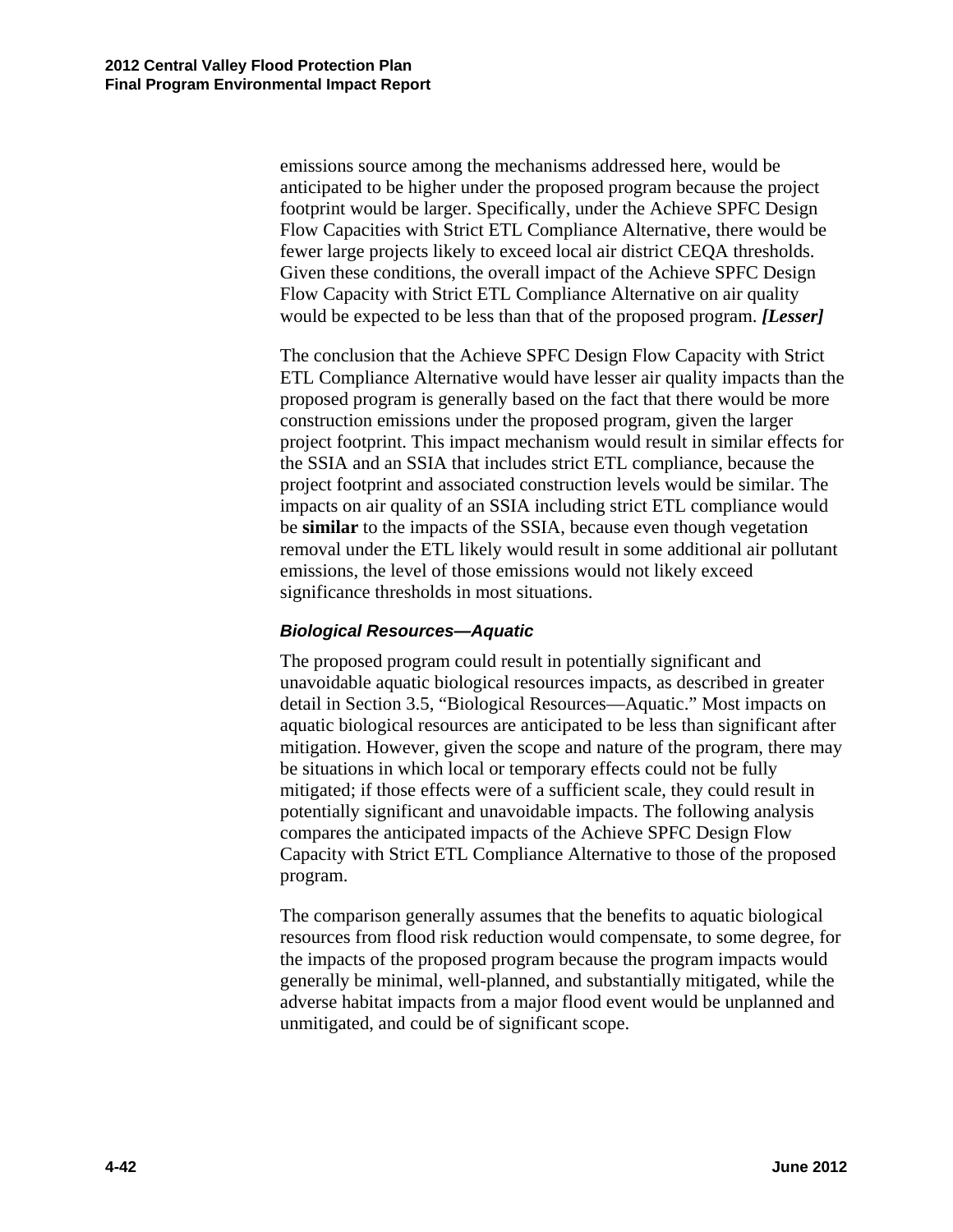emissions source among the mechanisms addressed here, would be anticipated to be higher under the proposed program because the project footprint would be larger. Specifically, under the Achieve SPFC Design Flow Capacities with Strict ETL Compliance Alternative, there would be fewer large projects likely to exceed local air district CEQA thresholds. Given these conditions, the overall impact of the Achieve SPFC Design Flow Capacity with Strict ETL Compliance Alternative on air quality would be expected to be less than that of the proposed program. *[Lesser]* 

The conclusion that the Achieve SPFC Design Flow Capacity with Strict ETL Compliance Alternative would have lesser air quality impacts than the proposed program is generally based on the fact that there would be more construction emissions under the proposed program, given the larger project footprint. This impact mechanism would result in similar effects for the SSIA and an SSIA that includes strict ETL compliance, because the project footprint and associated construction levels would be similar. The impacts on air quality of an SSIA including strict ETL compliance would be **similar** to the impacts of the SSIA, because even though vegetation removal under the ETL likely would result in some additional air pollutant emissions, the level of those emissions would not likely exceed significance thresholds in most situations.

#### *Biological Resources—Aquatic*

The proposed program could result in potentially significant and unavoidable aquatic biological resources impacts, as described in greater detail in Section 3.5, "Biological Resources—Aquatic." Most impacts on aquatic biological resources are anticipated to be less than significant after mitigation. However, given the scope and nature of the program, there may be situations in which local or temporary effects could not be fully mitigated; if those effects were of a sufficient scale, they could result in potentially significant and unavoidable impacts. The following analysis compares the anticipated impacts of the Achieve SPFC Design Flow Capacity with Strict ETL Compliance Alternative to those of the proposed program.

The comparison generally assumes that the benefits to aquatic biological resources from flood risk reduction would compensate, to some degree, for the impacts of the proposed program because the program impacts would generally be minimal, well-planned, and substantially mitigated, while the adverse habitat impacts from a major flood event would be unplanned and unmitigated, and could be of significant scope.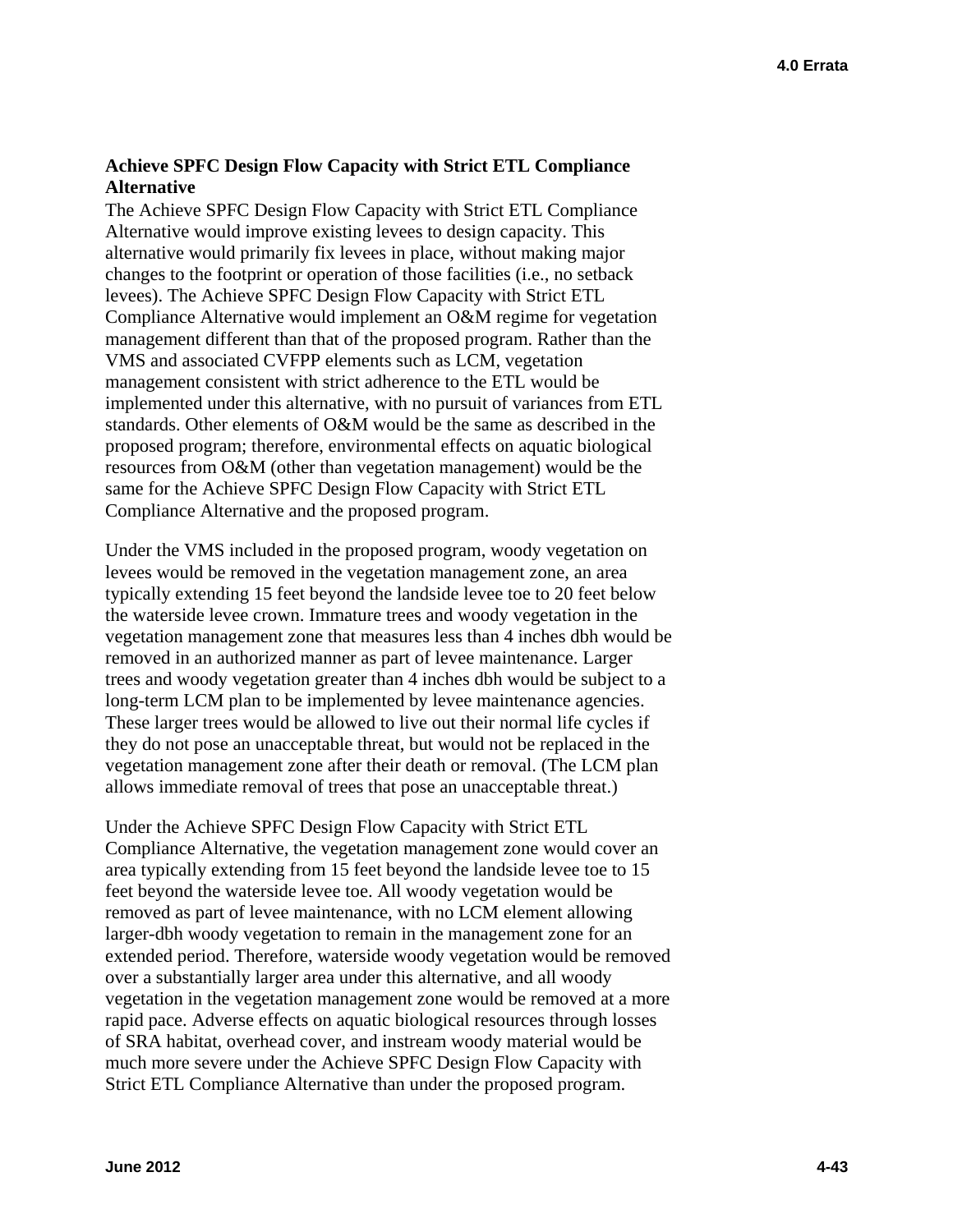### **Achieve SPFC Design Flow Capacity with Strict ETL Compliance Alternative**

The Achieve SPFC Design Flow Capacity with Strict ETL Compliance Alternative would improve existing levees to design capacity. This alternative would primarily fix levees in place, without making major changes to the footprint or operation of those facilities (i.e., no setback levees). The Achieve SPFC Design Flow Capacity with Strict ETL Compliance Alternative would implement an O&M regime for vegetation management different than that of the proposed program. Rather than the VMS and associated CVFPP elements such as LCM, vegetation management consistent with strict adherence to the ETL would be implemented under this alternative, with no pursuit of variances from ETL standards. Other elements of O&M would be the same as described in the proposed program; therefore, environmental effects on aquatic biological resources from O&M (other than vegetation management) would be the same for the Achieve SPFC Design Flow Capacity with Strict ETL Compliance Alternative and the proposed program.

Under the VMS included in the proposed program, woody vegetation on levees would be removed in the vegetation management zone, an area typically extending 15 feet beyond the landside levee toe to 20 feet below the waterside levee crown. Immature trees and woody vegetation in the vegetation management zone that measures less than 4 inches dbh would be removed in an authorized manner as part of levee maintenance. Larger trees and woody vegetation greater than 4 inches dbh would be subject to a long-term LCM plan to be implemented by levee maintenance agencies. These larger trees would be allowed to live out their normal life cycles if they do not pose an unacceptable threat, but would not be replaced in the vegetation management zone after their death or removal. (The LCM plan allows immediate removal of trees that pose an unacceptable threat.)

Under the Achieve SPFC Design Flow Capacity with Strict ETL Compliance Alternative, the vegetation management zone would cover an area typically extending from 15 feet beyond the landside levee toe to 15 feet beyond the waterside levee toe. All woody vegetation would be removed as part of levee maintenance, with no LCM element allowing larger-dbh woody vegetation to remain in the management zone for an extended period. Therefore, waterside woody vegetation would be removed over a substantially larger area under this alternative, and all woody vegetation in the vegetation management zone would be removed at a more rapid pace. Adverse effects on aquatic biological resources through losses of SRA habitat, overhead cover, and instream woody material would be much more severe under the Achieve SPFC Design Flow Capacity with Strict ETL Compliance Alternative than under the proposed program.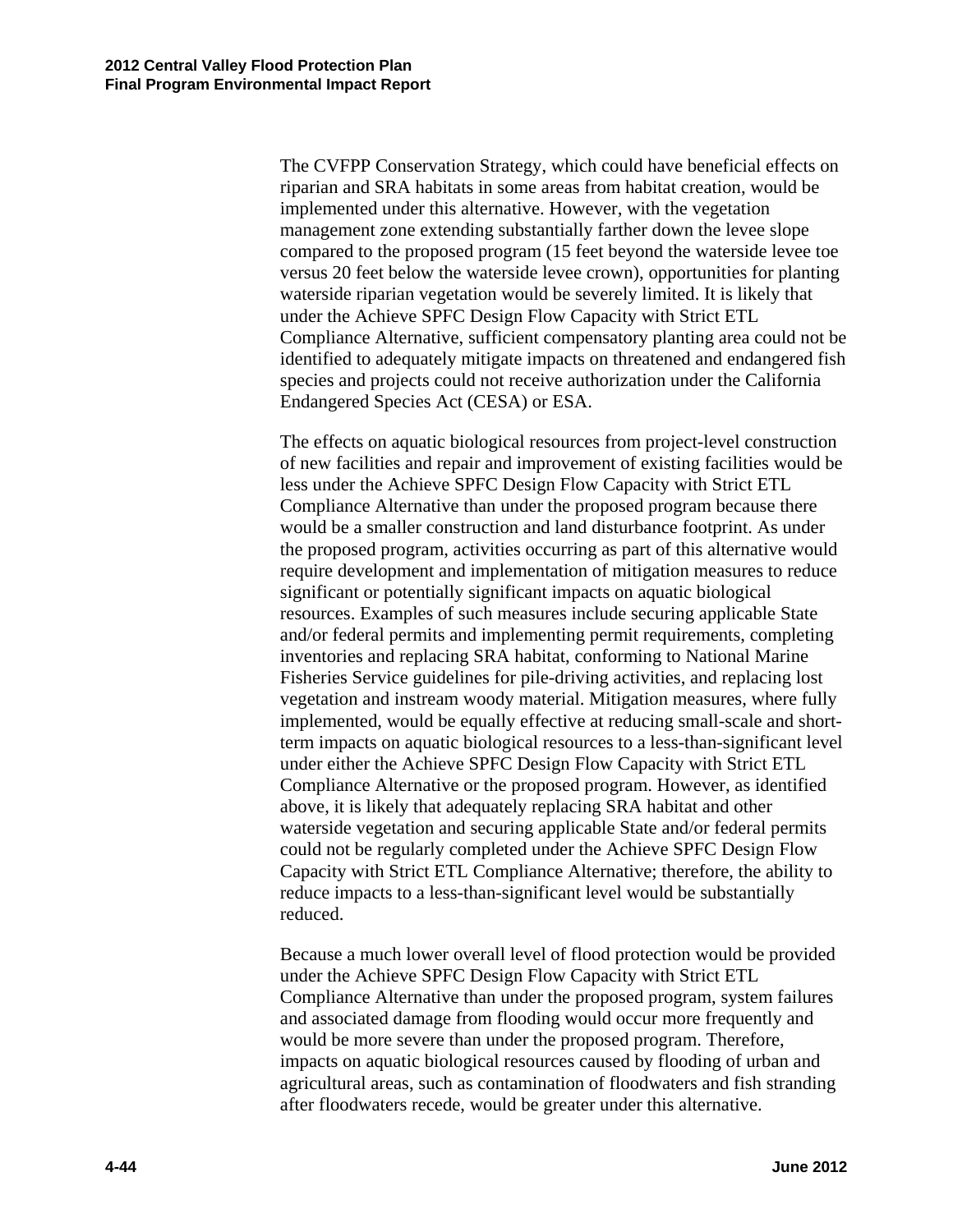The CVFPP Conservation Strategy, which could have beneficial effects on riparian and SRA habitats in some areas from habitat creation, would be implemented under this alternative. However, with the vegetation management zone extending substantially farther down the levee slope compared to the proposed program (15 feet beyond the waterside levee toe versus 20 feet below the waterside levee crown), opportunities for planting waterside riparian vegetation would be severely limited. It is likely that under the Achieve SPFC Design Flow Capacity with Strict ETL Compliance Alternative, sufficient compensatory planting area could not be identified to adequately mitigate impacts on threatened and endangered fish species and projects could not receive authorization under the California Endangered Species Act (CESA) or ESA.

The effects on aquatic biological resources from project-level construction of new facilities and repair and improvement of existing facilities would be less under the Achieve SPFC Design Flow Capacity with Strict ETL Compliance Alternative than under the proposed program because there would be a smaller construction and land disturbance footprint. As under the proposed program, activities occurring as part of this alternative would require development and implementation of mitigation measures to reduce significant or potentially significant impacts on aquatic biological resources. Examples of such measures include securing applicable State and/or federal permits and implementing permit requirements, completing inventories and replacing SRA habitat, conforming to National Marine Fisheries Service guidelines for pile-driving activities, and replacing lost vegetation and instream woody material. Mitigation measures, where fully implemented, would be equally effective at reducing small-scale and shortterm impacts on aquatic biological resources to a less-than-significant level under either the Achieve SPFC Design Flow Capacity with Strict ETL Compliance Alternative or the proposed program. However, as identified above, it is likely that adequately replacing SRA habitat and other waterside vegetation and securing applicable State and/or federal permits could not be regularly completed under the Achieve SPFC Design Flow Capacity with Strict ETL Compliance Alternative; therefore, the ability to reduce impacts to a less-than-significant level would be substantially reduced.

Because a much lower overall level of flood protection would be provided under the Achieve SPFC Design Flow Capacity with Strict ETL Compliance Alternative than under the proposed program, system failures and associated damage from flooding would occur more frequently and would be more severe than under the proposed program. Therefore, impacts on aquatic biological resources caused by flooding of urban and agricultural areas, such as contamination of floodwaters and fish stranding after floodwaters recede, would be greater under this alternative.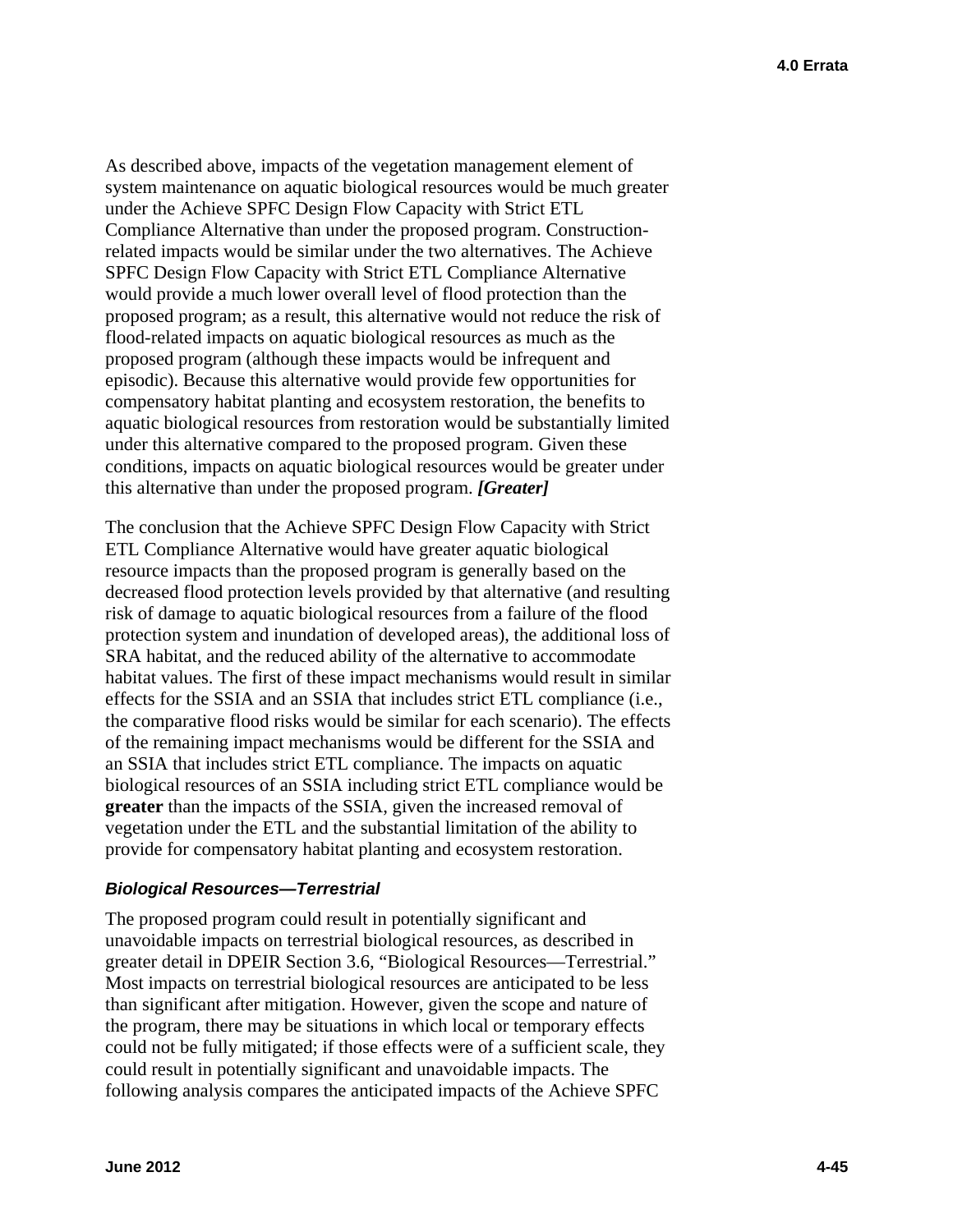As described above, impacts of the vegetation management element of system maintenance on aquatic biological resources would be much greater under the Achieve SPFC Design Flow Capacity with Strict ETL Compliance Alternative than under the proposed program. Constructionrelated impacts would be similar under the two alternatives. The Achieve SPFC Design Flow Capacity with Strict ETL Compliance Alternative would provide a much lower overall level of flood protection than the proposed program; as a result, this alternative would not reduce the risk of flood-related impacts on aquatic biological resources as much as the proposed program (although these impacts would be infrequent and episodic). Because this alternative would provide few opportunities for compensatory habitat planting and ecosystem restoration, the benefits to aquatic biological resources from restoration would be substantially limited under this alternative compared to the proposed program. Given these conditions, impacts on aquatic biological resources would be greater under this alternative than under the proposed program. *[Greater]* 

The conclusion that the Achieve SPFC Design Flow Capacity with Strict ETL Compliance Alternative would have greater aquatic biological resource impacts than the proposed program is generally based on the decreased flood protection levels provided by that alternative (and resulting risk of damage to aquatic biological resources from a failure of the flood protection system and inundation of developed areas), the additional loss of SRA habitat, and the reduced ability of the alternative to accommodate habitat values. The first of these impact mechanisms would result in similar effects for the SSIA and an SSIA that includes strict ETL compliance (i.e., the comparative flood risks would be similar for each scenario). The effects of the remaining impact mechanisms would be different for the SSIA and an SSIA that includes strict ETL compliance. The impacts on aquatic biological resources of an SSIA including strict ETL compliance would be **greater** than the impacts of the SSIA, given the increased removal of vegetation under the ETL and the substantial limitation of the ability to provide for compensatory habitat planting and ecosystem restoration.

#### *Biological Resources—Terrestrial*

The proposed program could result in potentially significant and unavoidable impacts on terrestrial biological resources, as described in greater detail in DPEIR Section 3.6, "Biological Resources—Terrestrial." Most impacts on terrestrial biological resources are anticipated to be less than significant after mitigation. However, given the scope and nature of the program, there may be situations in which local or temporary effects could not be fully mitigated; if those effects were of a sufficient scale, they could result in potentially significant and unavoidable impacts. The following analysis compares the anticipated impacts of the Achieve SPFC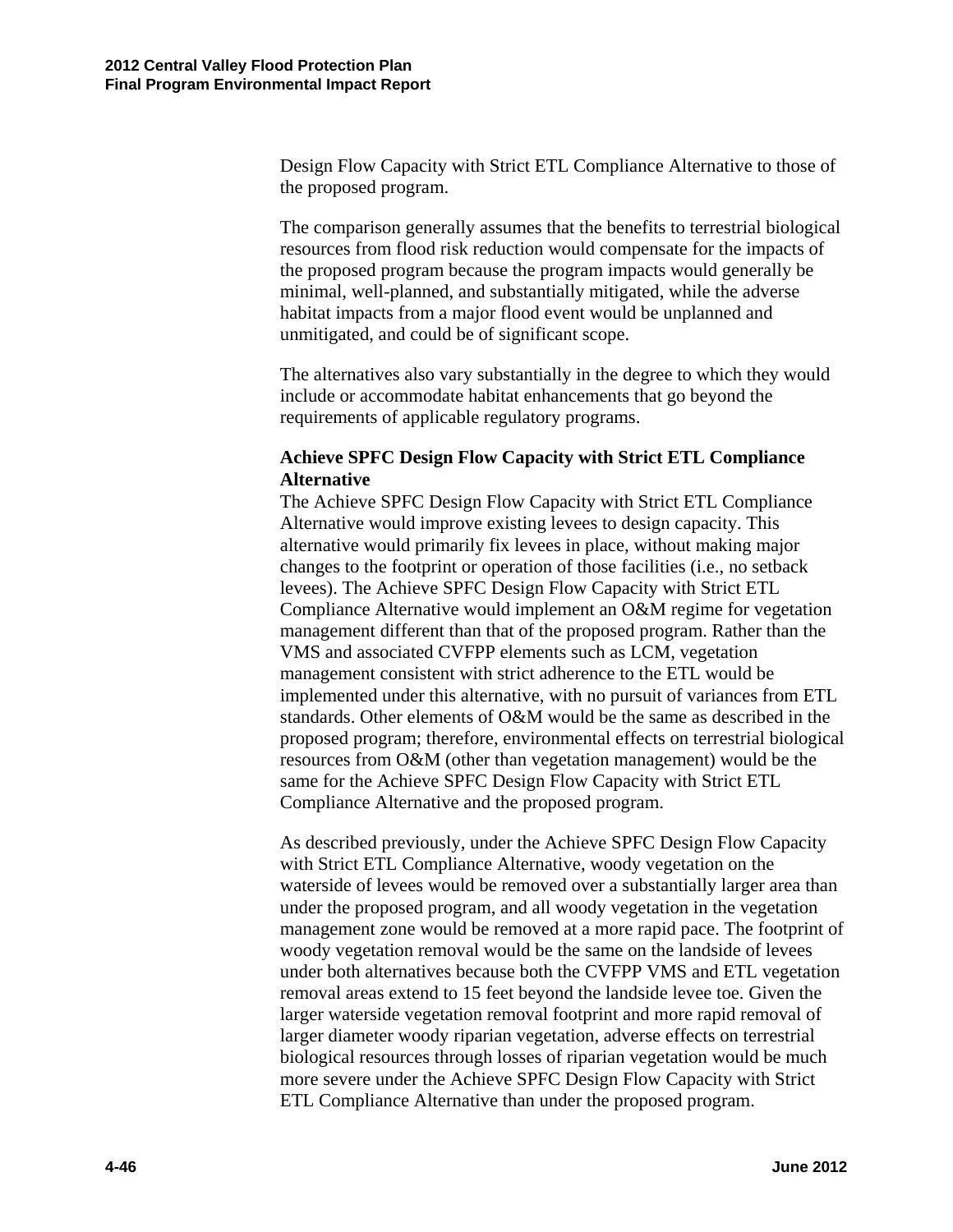Design Flow Capacity with Strict ETL Compliance Alternative to those of the proposed program.

The comparison generally assumes that the benefits to terrestrial biological resources from flood risk reduction would compensate for the impacts of the proposed program because the program impacts would generally be minimal, well-planned, and substantially mitigated, while the adverse habitat impacts from a major flood event would be unplanned and unmitigated, and could be of significant scope.

The alternatives also vary substantially in the degree to which they would include or accommodate habitat enhancements that go beyond the requirements of applicable regulatory programs.

### **Achieve SPFC Design Flow Capacity with Strict ETL Compliance Alternative**

The Achieve SPFC Design Flow Capacity with Strict ETL Compliance Alternative would improve existing levees to design capacity. This alternative would primarily fix levees in place, without making major changes to the footprint or operation of those facilities (i.e., no setback levees). The Achieve SPFC Design Flow Capacity with Strict ETL Compliance Alternative would implement an O&M regime for vegetation management different than that of the proposed program. Rather than the VMS and associated CVFPP elements such as LCM, vegetation management consistent with strict adherence to the ETL would be implemented under this alternative, with no pursuit of variances from ETL standards. Other elements of O&M would be the same as described in the proposed program; therefore, environmental effects on terrestrial biological resources from O&M (other than vegetation management) would be the same for the Achieve SPFC Design Flow Capacity with Strict ETL Compliance Alternative and the proposed program.

As described previously, under the Achieve SPFC Design Flow Capacity with Strict ETL Compliance Alternative, woody vegetation on the waterside of levees would be removed over a substantially larger area than under the proposed program, and all woody vegetation in the vegetation management zone would be removed at a more rapid pace. The footprint of woody vegetation removal would be the same on the landside of levees under both alternatives because both the CVFPP VMS and ETL vegetation removal areas extend to 15 feet beyond the landside levee toe. Given the larger waterside vegetation removal footprint and more rapid removal of larger diameter woody riparian vegetation, adverse effects on terrestrial biological resources through losses of riparian vegetation would be much more severe under the Achieve SPFC Design Flow Capacity with Strict ETL Compliance Alternative than under the proposed program.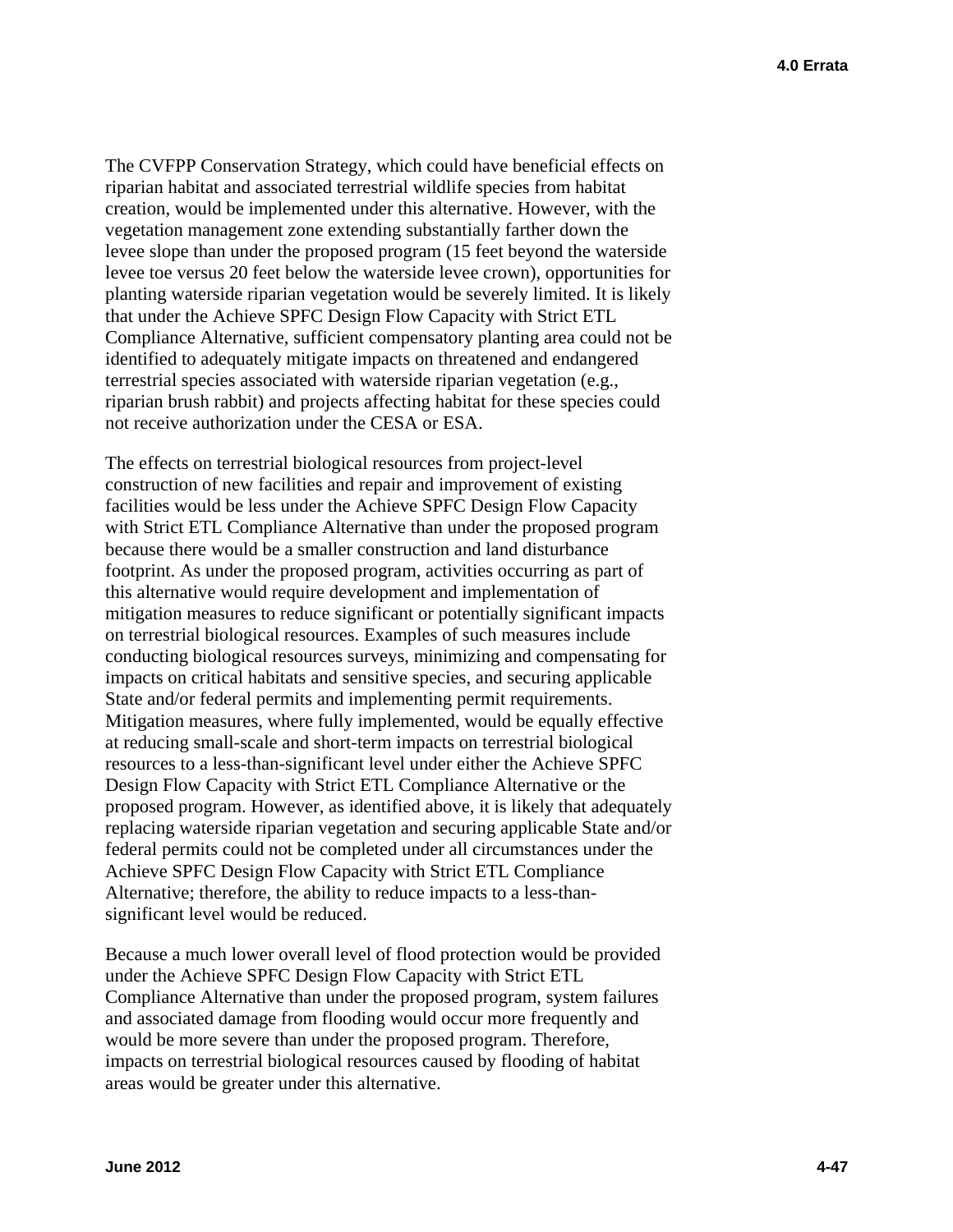The CVFPP Conservation Strategy, which could have beneficial effects on riparian habitat and associated terrestrial wildlife species from habitat creation, would be implemented under this alternative. However, with the vegetation management zone extending substantially farther down the levee slope than under the proposed program (15 feet beyond the waterside levee toe versus 20 feet below the waterside levee crown), opportunities for planting waterside riparian vegetation would be severely limited. It is likely that under the Achieve SPFC Design Flow Capacity with Strict ETL Compliance Alternative, sufficient compensatory planting area could not be identified to adequately mitigate impacts on threatened and endangered terrestrial species associated with waterside riparian vegetation (e.g., riparian brush rabbit) and projects affecting habitat for these species could not receive authorization under the CESA or ESA.

The effects on terrestrial biological resources from project-level construction of new facilities and repair and improvement of existing facilities would be less under the Achieve SPFC Design Flow Capacity with Strict ETL Compliance Alternative than under the proposed program because there would be a smaller construction and land disturbance footprint. As under the proposed program, activities occurring as part of this alternative would require development and implementation of mitigation measures to reduce significant or potentially significant impacts on terrestrial biological resources. Examples of such measures include conducting biological resources surveys, minimizing and compensating for impacts on critical habitats and sensitive species, and securing applicable State and/or federal permits and implementing permit requirements. Mitigation measures, where fully implemented, would be equally effective at reducing small-scale and short-term impacts on terrestrial biological resources to a less-than-significant level under either the Achieve SPFC Design Flow Capacity with Strict ETL Compliance Alternative or the proposed program. However, as identified above, it is likely that adequately replacing waterside riparian vegetation and securing applicable State and/or federal permits could not be completed under all circumstances under the Achieve SPFC Design Flow Capacity with Strict ETL Compliance Alternative; therefore, the ability to reduce impacts to a less-thansignificant level would be reduced.

Because a much lower overall level of flood protection would be provided under the Achieve SPFC Design Flow Capacity with Strict ETL Compliance Alternative than under the proposed program, system failures and associated damage from flooding would occur more frequently and would be more severe than under the proposed program. Therefore, impacts on terrestrial biological resources caused by flooding of habitat areas would be greater under this alternative.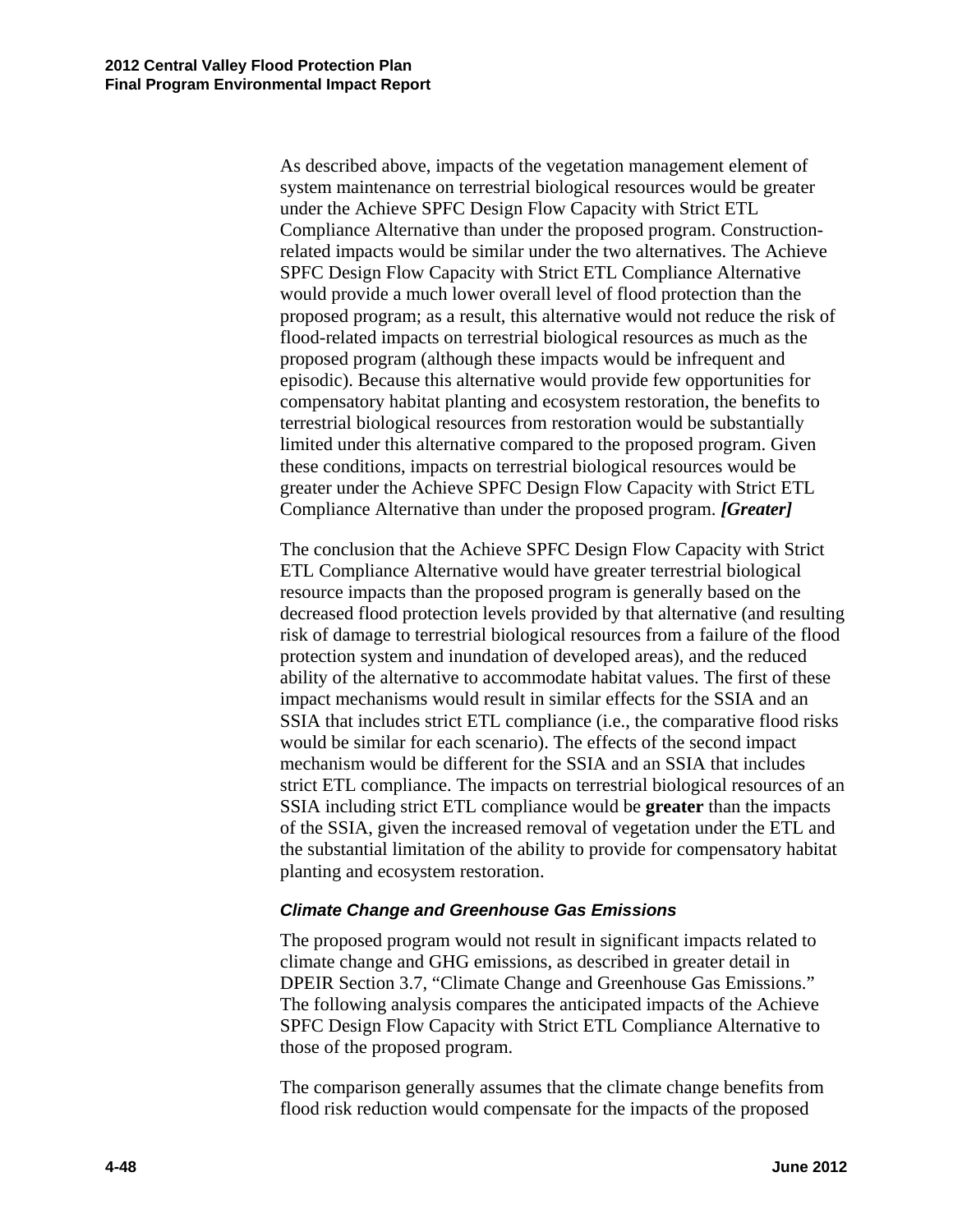As described above, impacts of the vegetation management element of system maintenance on terrestrial biological resources would be greater under the Achieve SPFC Design Flow Capacity with Strict ETL Compliance Alternative than under the proposed program. Constructionrelated impacts would be similar under the two alternatives. The Achieve SPFC Design Flow Capacity with Strict ETL Compliance Alternative would provide a much lower overall level of flood protection than the proposed program; as a result, this alternative would not reduce the risk of flood-related impacts on terrestrial biological resources as much as the proposed program (although these impacts would be infrequent and episodic). Because this alternative would provide few opportunities for compensatory habitat planting and ecosystem restoration, the benefits to terrestrial biological resources from restoration would be substantially limited under this alternative compared to the proposed program. Given these conditions, impacts on terrestrial biological resources would be greater under the Achieve SPFC Design Flow Capacity with Strict ETL Compliance Alternative than under the proposed program. *[Greater]* 

The conclusion that the Achieve SPFC Design Flow Capacity with Strict ETL Compliance Alternative would have greater terrestrial biological resource impacts than the proposed program is generally based on the decreased flood protection levels provided by that alternative (and resulting risk of damage to terrestrial biological resources from a failure of the flood protection system and inundation of developed areas), and the reduced ability of the alternative to accommodate habitat values. The first of these impact mechanisms would result in similar effects for the SSIA and an SSIA that includes strict ETL compliance (i.e., the comparative flood risks would be similar for each scenario). The effects of the second impact mechanism would be different for the SSIA and an SSIA that includes strict ETL compliance. The impacts on terrestrial biological resources of an SSIA including strict ETL compliance would be **greater** than the impacts of the SSIA, given the increased removal of vegetation under the ETL and the substantial limitation of the ability to provide for compensatory habitat planting and ecosystem restoration.

#### *Climate Change and Greenhouse Gas Emissions*

The proposed program would not result in significant impacts related to climate change and GHG emissions, as described in greater detail in DPEIR Section 3.7, "Climate Change and Greenhouse Gas Emissions." The following analysis compares the anticipated impacts of the Achieve SPFC Design Flow Capacity with Strict ETL Compliance Alternative to those of the proposed program.

The comparison generally assumes that the climate change benefits from flood risk reduction would compensate for the impacts of the proposed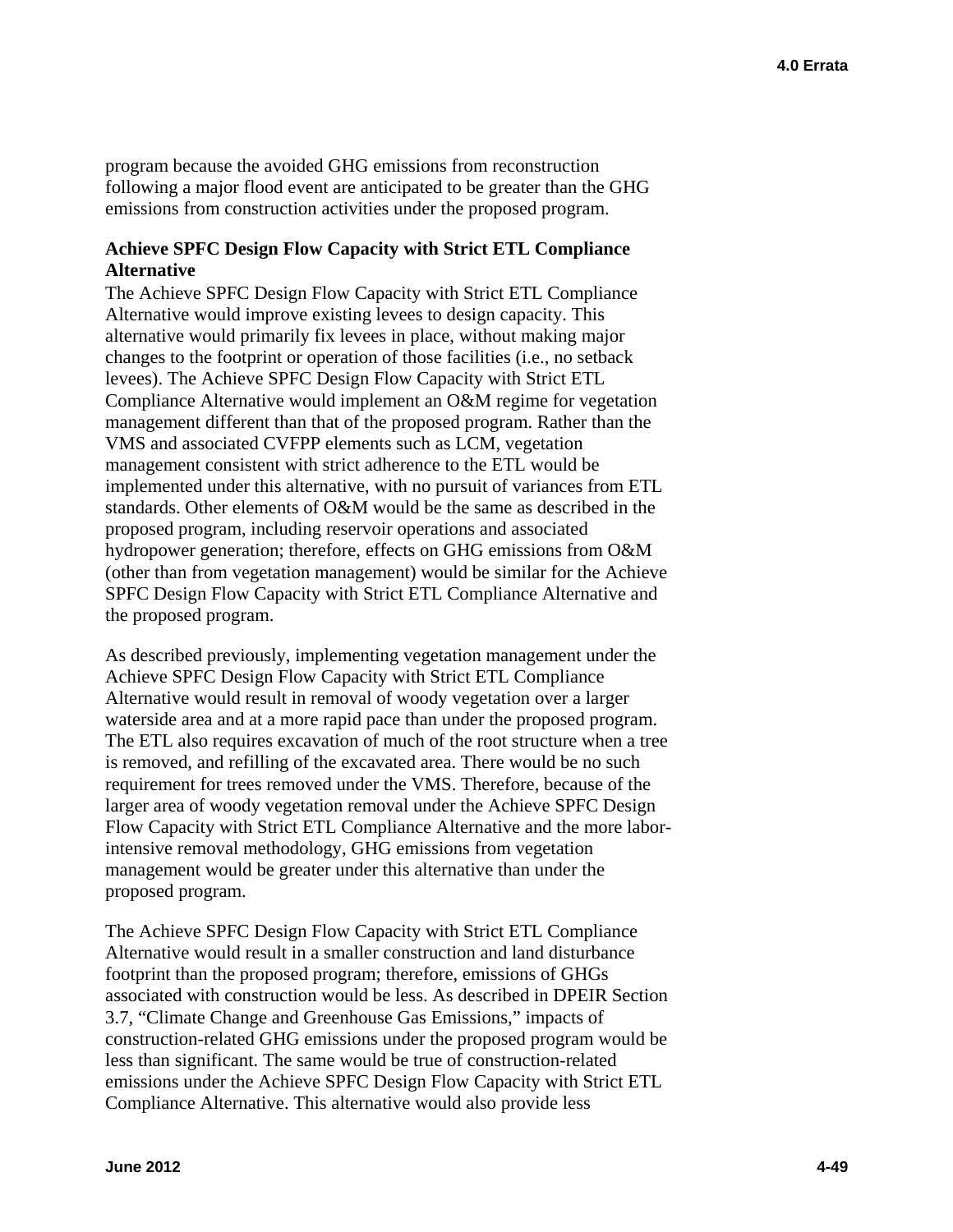program because the avoided GHG emissions from reconstruction following a major flood event are anticipated to be greater than the GHG emissions from construction activities under the proposed program.

#### **Achieve SPFC Design Flow Capacity with Strict ETL Compliance Alternative**

The Achieve SPFC Design Flow Capacity with Strict ETL Compliance Alternative would improve existing levees to design capacity. This alternative would primarily fix levees in place, without making major changes to the footprint or operation of those facilities (i.e., no setback levees). The Achieve SPFC Design Flow Capacity with Strict ETL Compliance Alternative would implement an O&M regime for vegetation management different than that of the proposed program. Rather than the VMS and associated CVFPP elements such as LCM, vegetation management consistent with strict adherence to the ETL would be implemented under this alternative, with no pursuit of variances from ETL standards. Other elements of O&M would be the same as described in the proposed program, including reservoir operations and associated hydropower generation; therefore, effects on GHG emissions from O&M (other than from vegetation management) would be similar for the Achieve SPFC Design Flow Capacity with Strict ETL Compliance Alternative and the proposed program.

As described previously, implementing vegetation management under the Achieve SPFC Design Flow Capacity with Strict ETL Compliance Alternative would result in removal of woody vegetation over a larger waterside area and at a more rapid pace than under the proposed program. The ETL also requires excavation of much of the root structure when a tree is removed, and refilling of the excavated area. There would be no such requirement for trees removed under the VMS. Therefore, because of the larger area of woody vegetation removal under the Achieve SPFC Design Flow Capacity with Strict ETL Compliance Alternative and the more laborintensive removal methodology, GHG emissions from vegetation management would be greater under this alternative than under the proposed program.

The Achieve SPFC Design Flow Capacity with Strict ETL Compliance Alternative would result in a smaller construction and land disturbance footprint than the proposed program; therefore, emissions of GHGs associated with construction would be less. As described in DPEIR Section 3.7, "Climate Change and Greenhouse Gas Emissions," impacts of construction-related GHG emissions under the proposed program would be less than significant. The same would be true of construction-related emissions under the Achieve SPFC Design Flow Capacity with Strict ETL Compliance Alternative. This alternative would also provide less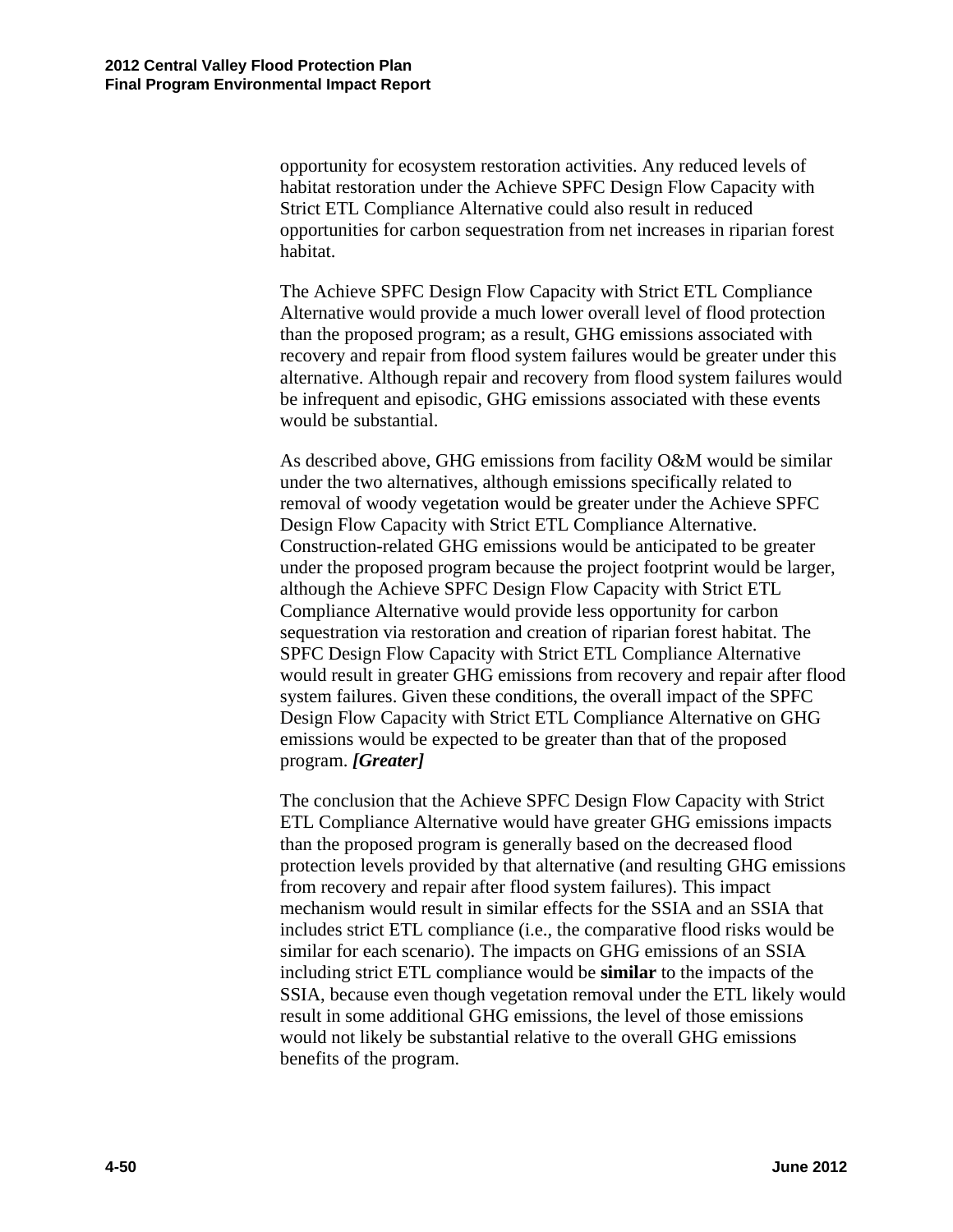opportunity for ecosystem restoration activities. Any reduced levels of habitat restoration under the Achieve SPFC Design Flow Capacity with Strict ETL Compliance Alternative could also result in reduced opportunities for carbon sequestration from net increases in riparian forest habitat.

The Achieve SPFC Design Flow Capacity with Strict ETL Compliance Alternative would provide a much lower overall level of flood protection than the proposed program; as a result, GHG emissions associated with recovery and repair from flood system failures would be greater under this alternative. Although repair and recovery from flood system failures would be infrequent and episodic, GHG emissions associated with these events would be substantial.

As described above, GHG emissions from facility O&M would be similar under the two alternatives, although emissions specifically related to removal of woody vegetation would be greater under the Achieve SPFC Design Flow Capacity with Strict ETL Compliance Alternative. Construction-related GHG emissions would be anticipated to be greater under the proposed program because the project footprint would be larger, although the Achieve SPFC Design Flow Capacity with Strict ETL Compliance Alternative would provide less opportunity for carbon sequestration via restoration and creation of riparian forest habitat. The SPFC Design Flow Capacity with Strict ETL Compliance Alternative would result in greater GHG emissions from recovery and repair after flood system failures. Given these conditions, the overall impact of the SPFC Design Flow Capacity with Strict ETL Compliance Alternative on GHG emissions would be expected to be greater than that of the proposed program. *[Greater]* 

The conclusion that the Achieve SPFC Design Flow Capacity with Strict ETL Compliance Alternative would have greater GHG emissions impacts than the proposed program is generally based on the decreased flood protection levels provided by that alternative (and resulting GHG emissions from recovery and repair after flood system failures). This impact mechanism would result in similar effects for the SSIA and an SSIA that includes strict ETL compliance (i.e., the comparative flood risks would be similar for each scenario). The impacts on GHG emissions of an SSIA including strict ETL compliance would be **similar** to the impacts of the SSIA, because even though vegetation removal under the ETL likely would result in some additional GHG emissions, the level of those emissions would not likely be substantial relative to the overall GHG emissions benefits of the program.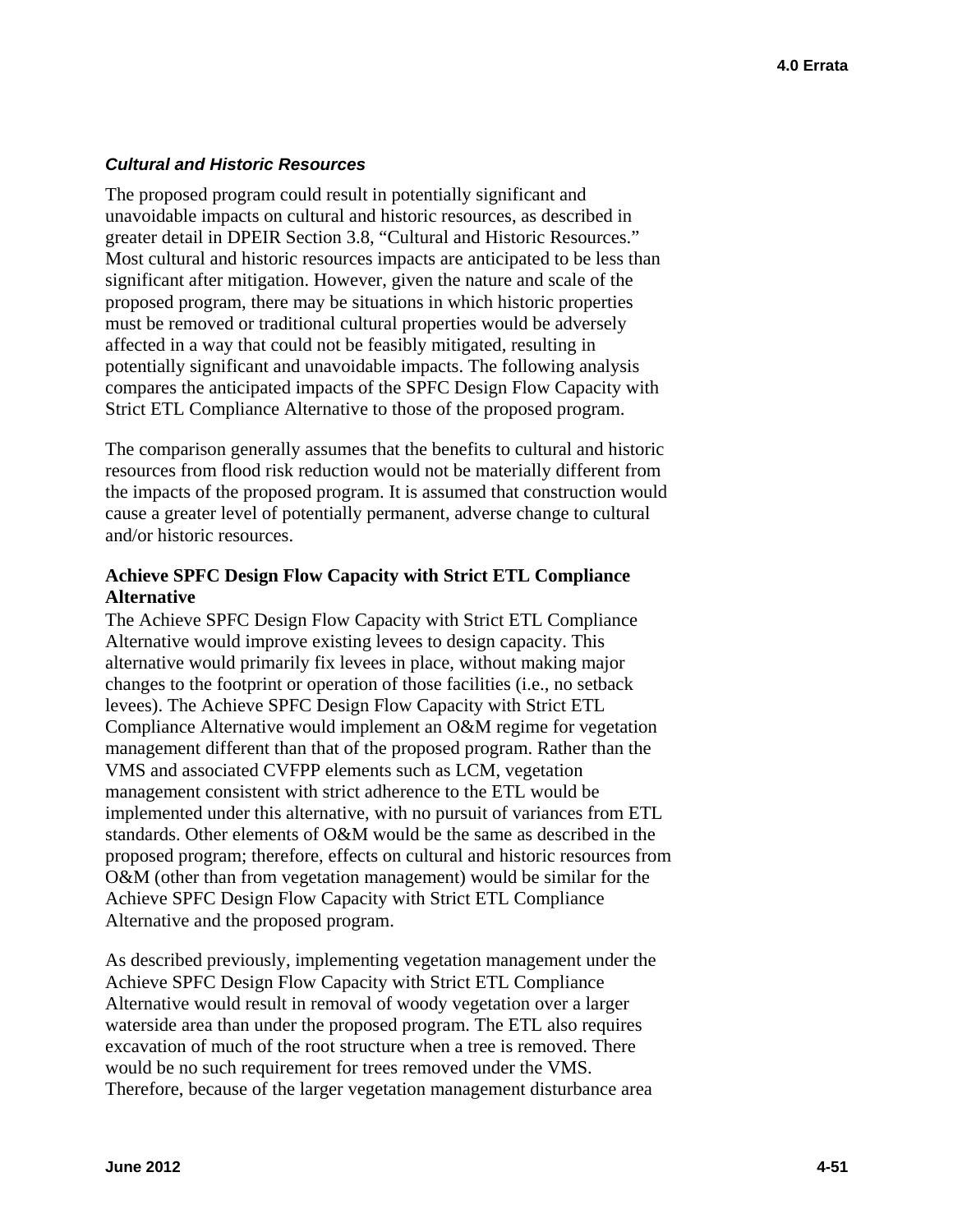#### *Cultural and Historic Resources*

The proposed program could result in potentially significant and unavoidable impacts on cultural and historic resources, as described in greater detail in DPEIR Section 3.8, "Cultural and Historic Resources." Most cultural and historic resources impacts are anticipated to be less than significant after mitigation. However, given the nature and scale of the proposed program, there may be situations in which historic properties must be removed or traditional cultural properties would be adversely affected in a way that could not be feasibly mitigated, resulting in potentially significant and unavoidable impacts. The following analysis compares the anticipated impacts of the SPFC Design Flow Capacity with Strict ETL Compliance Alternative to those of the proposed program.

The comparison generally assumes that the benefits to cultural and historic resources from flood risk reduction would not be materially different from the impacts of the proposed program. It is assumed that construction would cause a greater level of potentially permanent, adverse change to cultural and/or historic resources.

### **Achieve SPFC Design Flow Capacity with Strict ETL Compliance Alternative**

The Achieve SPFC Design Flow Capacity with Strict ETL Compliance Alternative would improve existing levees to design capacity. This alternative would primarily fix levees in place, without making major changes to the footprint or operation of those facilities (i.e., no setback levees). The Achieve SPFC Design Flow Capacity with Strict ETL Compliance Alternative would implement an O&M regime for vegetation management different than that of the proposed program. Rather than the VMS and associated CVFPP elements such as LCM, vegetation management consistent with strict adherence to the ETL would be implemented under this alternative, with no pursuit of variances from ETL standards. Other elements of O&M would be the same as described in the proposed program; therefore, effects on cultural and historic resources from O&M (other than from vegetation management) would be similar for the Achieve SPFC Design Flow Capacity with Strict ETL Compliance Alternative and the proposed program.

As described previously, implementing vegetation management under the Achieve SPFC Design Flow Capacity with Strict ETL Compliance Alternative would result in removal of woody vegetation over a larger waterside area than under the proposed program. The ETL also requires excavation of much of the root structure when a tree is removed. There would be no such requirement for trees removed under the VMS. Therefore, because of the larger vegetation management disturbance area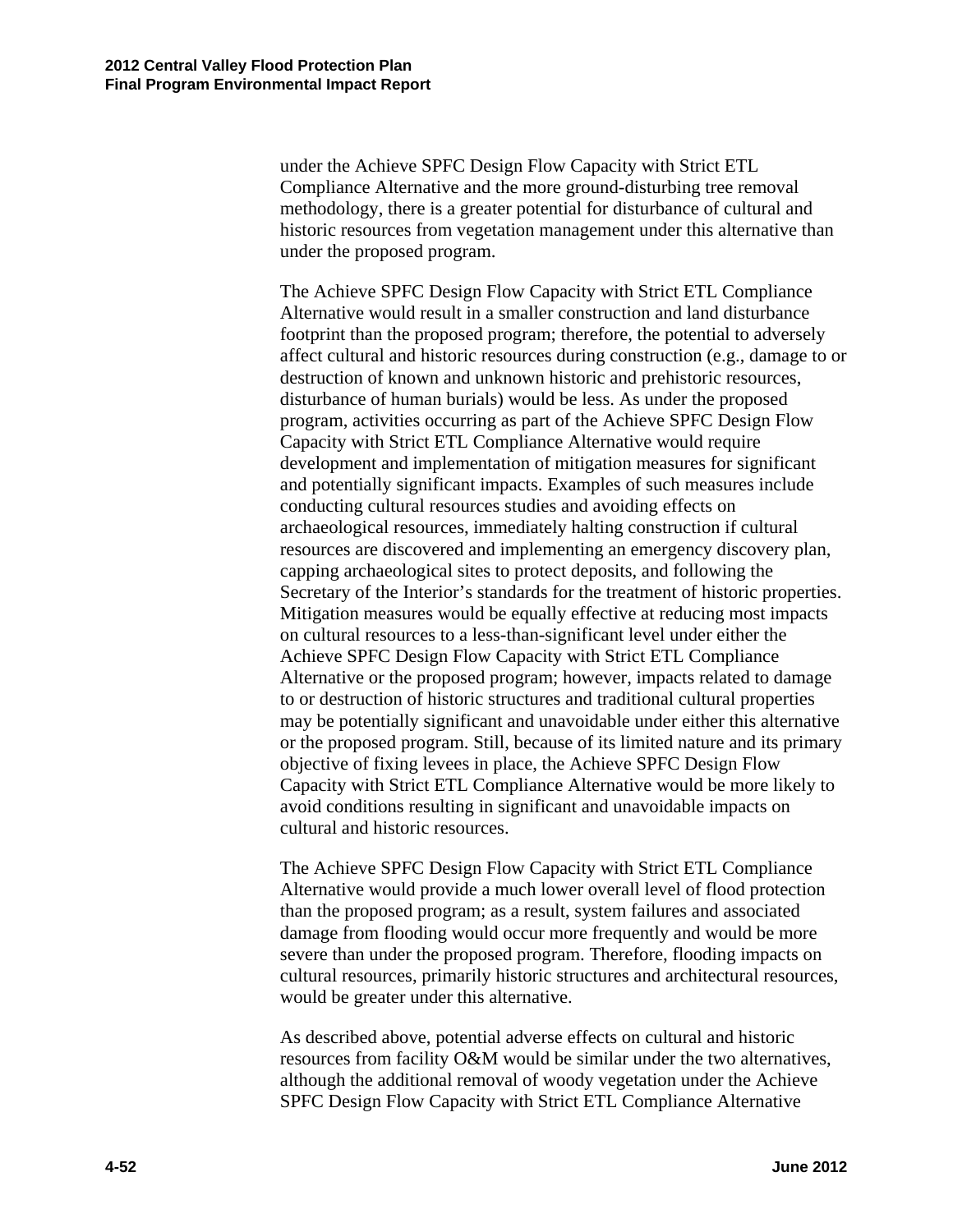under the proposed program. under the Achieve SPFC Design Flow Capacity with Strict ETL Compliance Alternative and the more ground-disturbing tree removal methodology, there is a greater potential for disturbance of cultural and historic resources from vegetation management under this alternative than

The Achieve SPFC Design Flow Capacity with Strict ETL Compliance Alternative would result in a smaller construction and land disturbance footprint than the proposed program; therefore, the potential to adversely affect cultural and historic resources during construction (e.g., damage to or destruction of known and unknown historic and prehistoric resources, disturbance of human burials) would be less. As under the proposed program, activities occurring as part of the Achieve SPFC Design Flow Capacity with Strict ETL Compliance Alternative would require development and implementation of mitigation measures for significant and potentially significant impacts. Examples of such measures include conducting cultural resources studies and avoiding effects on archaeological resources, immediately halting construction if cultural resources are discovered and implementing an emergency discovery plan, capping archaeological sites to protect deposits, and following the Secretary of the Interior's standards for the treatment of historic properties. Mitigation measures would be equally effective at reducing most impacts on cultural resources to a less-than-significant level under either the Achieve SPFC Design Flow Capacity with Strict ETL Compliance Alternative or the proposed program; however, impacts related to damage to or destruction of historic structures and traditional cultural properties may be potentially significant and unavoidable under either this alternative or the proposed program. Still, because of its limited nature and its primary objective of fixing levees in place, the Achieve SPFC Design Flow Capacity with Strict ETL Compliance Alternative would be more likely to avoid conditions resulting in significant and unavoidable impacts on cultural and historic resources.

The Achieve SPFC Design Flow Capacity with Strict ETL Compliance Alternative would provide a much lower overall level of flood protection than the proposed program; as a result, system failures and associated damage from flooding would occur more frequently and would be more severe than under the proposed program. Therefore, flooding impacts on cultural resources, primarily historic structures and architectural resources, would be greater under this alternative.

As described above, potential adverse effects on cultural and historic resources from facility O&M would be similar under the two alternatives, although the additional removal of woody vegetation under the Achieve SPFC Design Flow Capacity with Strict ETL Compliance Alternative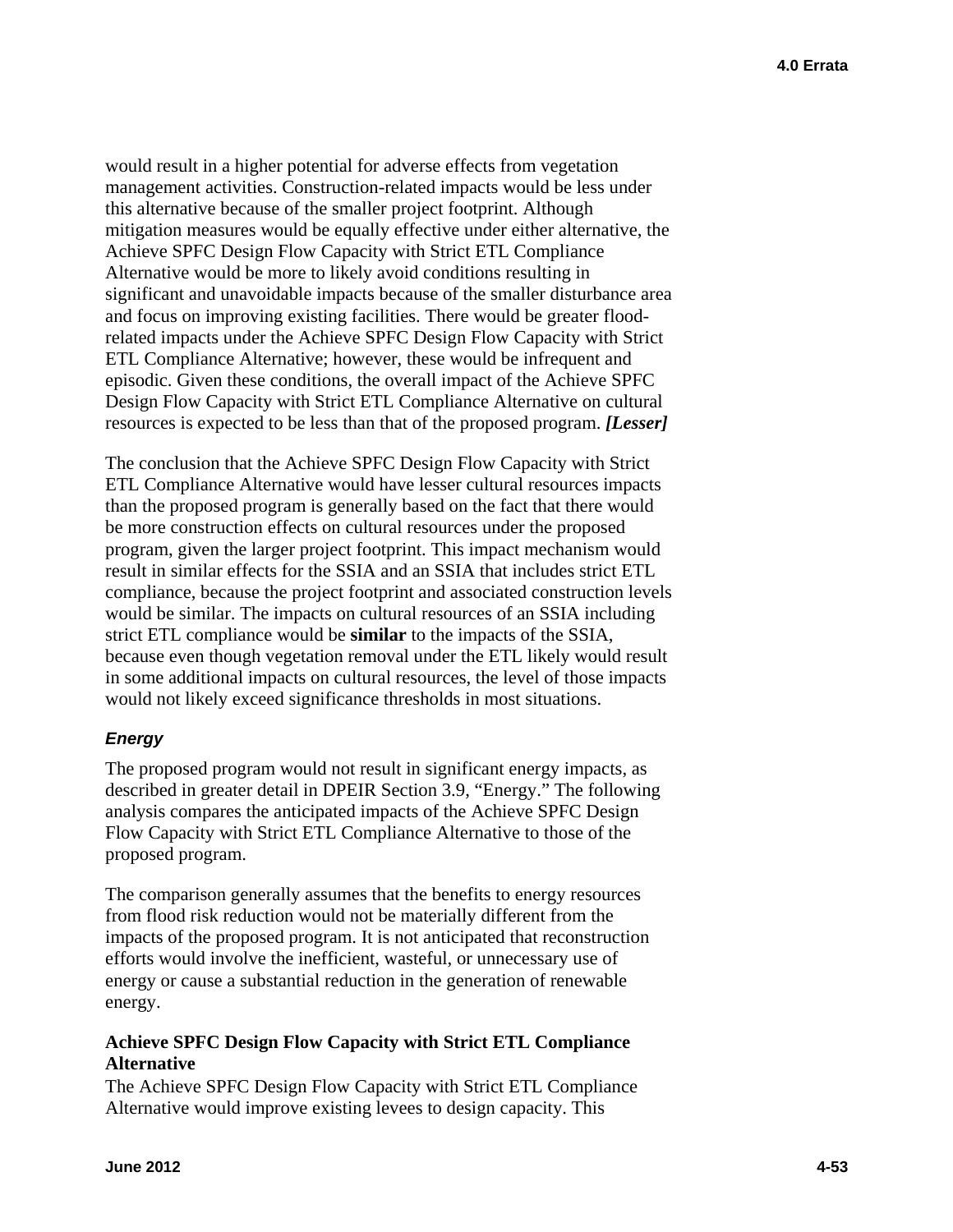would result in a higher potential for adverse effects from vegetation management activities. Construction-related impacts would be less under this alternative because of the smaller project footprint. Although mitigation measures would be equally effective under either alternative, the Achieve SPFC Design Flow Capacity with Strict ETL Compliance Alternative would be more to likely avoid conditions resulting in significant and unavoidable impacts because of the smaller disturbance area and focus on improving existing facilities. There would be greater floodrelated impacts under the Achieve SPFC Design Flow Capacity with Strict ETL Compliance Alternative; however, these would be infrequent and episodic. Given these conditions, the overall impact of the Achieve SPFC Design Flow Capacity with Strict ETL Compliance Alternative on cultural resources is expected to be less than that of the proposed program. *[Lesser]* 

The conclusion that the Achieve SPFC Design Flow Capacity with Strict ETL Compliance Alternative would have lesser cultural resources impacts than the proposed program is generally based on the fact that there would be more construction effects on cultural resources under the proposed program, given the larger project footprint. This impact mechanism would result in similar effects for the SSIA and an SSIA that includes strict ETL compliance, because the project footprint and associated construction levels would be similar. The impacts on cultural resources of an SSIA including strict ETL compliance would be **similar** to the impacts of the SSIA, because even though vegetation removal under the ETL likely would result in some additional impacts on cultural resources, the level of those impacts would not likely exceed significance thresholds in most situations.

# *Energy*

The proposed program would not result in significant energy impacts, as described in greater detail in DPEIR Section 3.9, "Energy." The following analysis compares the anticipated impacts of the Achieve SPFC Design Flow Capacity with Strict ETL Compliance Alternative to those of the proposed program.

The comparison generally assumes that the benefits to energy resources from flood risk reduction would not be materially different from the impacts of the proposed program. It is not anticipated that reconstruction efforts would involve the inefficient, wasteful, or unnecessary use of energy or cause a substantial reduction in the generation of renewable energy.

# **Achieve SPFC Design Flow Capacity with Strict ETL Compliance Alternative**

The Achieve SPFC Design Flow Capacity with Strict ETL Compliance Alternative would improve existing levees to design capacity. This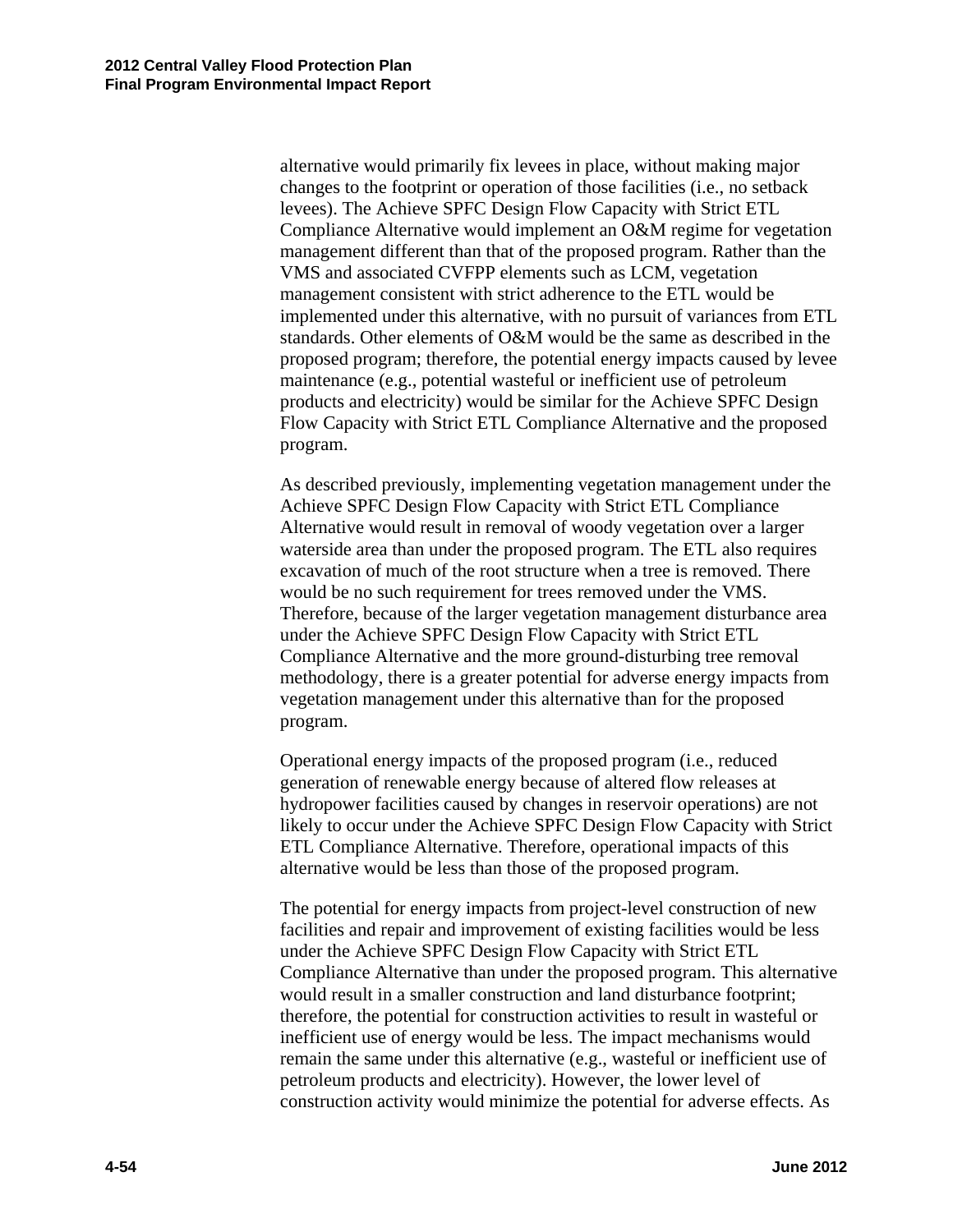alternative would primarily fix levees in place, without making major changes to the footprint or operation of those facilities (i.e., no setback levees). The Achieve SPFC Design Flow Capacity with Strict ETL Compliance Alternative would implement an O&M regime for vegetation management different than that of the proposed program. Rather than the VMS and associated CVFPP elements such as LCM, vegetation management consistent with strict adherence to the ETL would be implemented under this alternative, with no pursuit of variances from ETL standards. Other elements of O&M would be the same as described in the proposed program; therefore, the potential energy impacts caused by levee maintenance (e.g., potential wasteful or inefficient use of petroleum products and electricity) would be similar for the Achieve SPFC Design Flow Capacity with Strict ETL Compliance Alternative and the proposed program.

As described previously, implementing vegetation management under the Achieve SPFC Design Flow Capacity with Strict ETL Compliance Alternative would result in removal of woody vegetation over a larger waterside area than under the proposed program. The ETL also requires excavation of much of the root structure when a tree is removed. There would be no such requirement for trees removed under the VMS. Therefore, because of the larger vegetation management disturbance area under the Achieve SPFC Design Flow Capacity with Strict ETL Compliance Alternative and the more ground-disturbing tree removal methodology, there is a greater potential for adverse energy impacts from vegetation management under this alternative than for the proposed program.

Operational energy impacts of the proposed program (i.e., reduced generation of renewable energy because of altered flow releases at hydropower facilities caused by changes in reservoir operations) are not likely to occur under the Achieve SPFC Design Flow Capacity with Strict ETL Compliance Alternative. Therefore, operational impacts of this alternative would be less than those of the proposed program.

The potential for energy impacts from project-level construction of new facilities and repair and improvement of existing facilities would be less under the Achieve SPFC Design Flow Capacity with Strict ETL Compliance Alternative than under the proposed program. This alternative would result in a smaller construction and land disturbance footprint; therefore, the potential for construction activities to result in wasteful or inefficient use of energy would be less. The impact mechanisms would remain the same under this alternative (e.g., wasteful or inefficient use of petroleum products and electricity). However, the lower level of construction activity would minimize the potential for adverse effects. As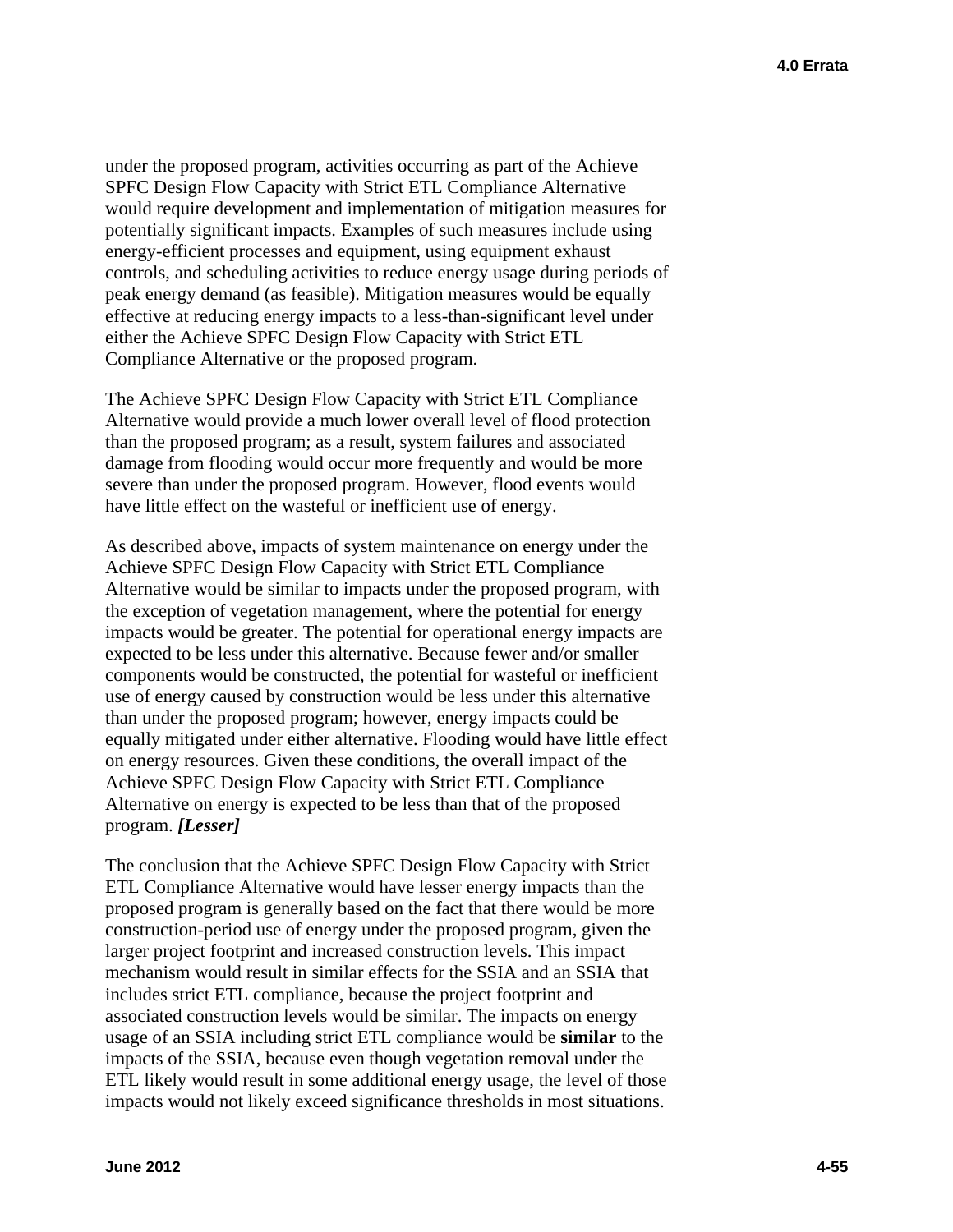under the proposed program, activities occurring as part of the Achieve SPFC Design Flow Capacity with Strict ETL Compliance Alternative would require development and implementation of mitigation measures for potentially significant impacts. Examples of such measures include using energy-efficient processes and equipment, using equipment exhaust controls, and scheduling activities to reduce energy usage during periods of peak energy demand (as feasible). Mitigation measures would be equally effective at reducing energy impacts to a less-than-significant level under either the Achieve SPFC Design Flow Capacity with Strict ETL Compliance Alternative or the proposed program.

The Achieve SPFC Design Flow Capacity with Strict ETL Compliance Alternative would provide a much lower overall level of flood protection than the proposed program; as a result, system failures and associated damage from flooding would occur more frequently and would be more severe than under the proposed program. However, flood events would have little effect on the wasteful or inefficient use of energy.

As described above, impacts of system maintenance on energy under the Achieve SPFC Design Flow Capacity with Strict ETL Compliance Alternative would be similar to impacts under the proposed program, with the exception of vegetation management, where the potential for energy impacts would be greater. The potential for operational energy impacts are expected to be less under this alternative. Because fewer and/or smaller components would be constructed, the potential for wasteful or inefficient use of energy caused by construction would be less under this alternative than under the proposed program; however, energy impacts could be equally mitigated under either alternative. Flooding would have little effect on energy resources. Given these conditions, the overall impact of the Achieve SPFC Design Flow Capacity with Strict ETL Compliance Alternative on energy is expected to be less than that of the proposed program. *[Lesser]* 

The conclusion that the Achieve SPFC Design Flow Capacity with Strict ETL Compliance Alternative would have lesser energy impacts than the proposed program is generally based on the fact that there would be more construction-period use of energy under the proposed program, given the larger project footprint and increased construction levels. This impact mechanism would result in similar effects for the SSIA and an SSIA that includes strict ETL compliance, because the project footprint and associated construction levels would be similar. The impacts on energy usage of an SSIA including strict ETL compliance would be **similar** to the impacts of the SSIA, because even though vegetation removal under the ETL likely would result in some additional energy usage, the level of those impacts would not likely exceed significance thresholds in most situations.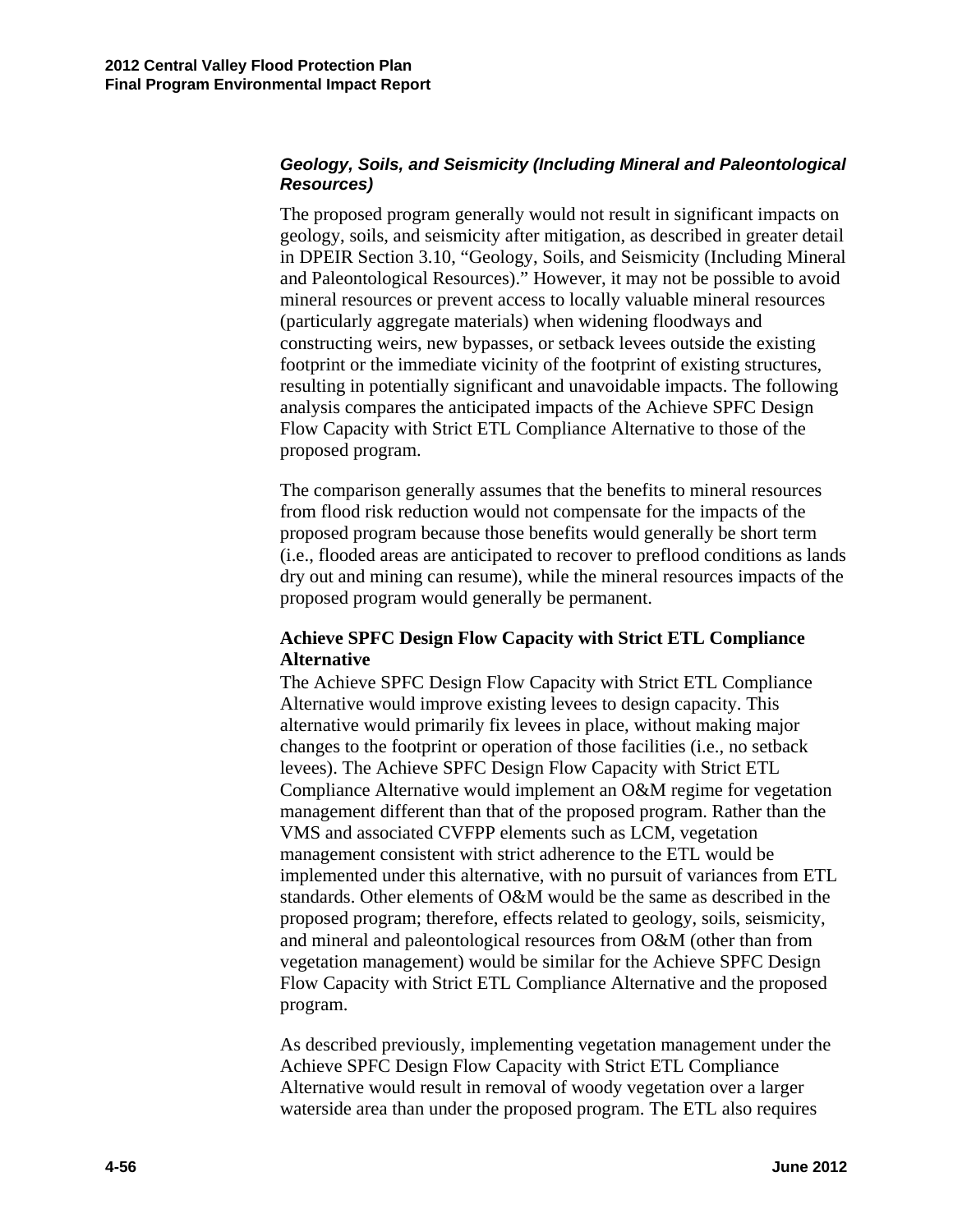#### *Geology, Soils, and Seismicity (Including Mineral and Paleontological Resources)*

The proposed program generally would not result in significant impacts on geology, soils, and seismicity after mitigation, as described in greater detail in DPEIR Section 3.10, "Geology, Soils, and Seismicity (Including Mineral and Paleontological Resources)." However, it may not be possible to avoid mineral resources or prevent access to locally valuable mineral resources (particularly aggregate materials) when widening floodways and constructing weirs, new bypasses, or setback levees outside the existing footprint or the immediate vicinity of the footprint of existing structures, resulting in potentially significant and unavoidable impacts. The following analysis compares the anticipated impacts of the Achieve SPFC Design Flow Capacity with Strict ETL Compliance Alternative to those of the proposed program.

The comparison generally assumes that the benefits to mineral resources from flood risk reduction would not compensate for the impacts of the proposed program because those benefits would generally be short term (i.e., flooded areas are anticipated to recover to preflood conditions as lands dry out and mining can resume), while the mineral resources impacts of the proposed program would generally be permanent.

### **Achieve SPFC Design Flow Capacity with Strict ETL Compliance Alternative**

The Achieve SPFC Design Flow Capacity with Strict ETL Compliance Alternative would improve existing levees to design capacity. This alternative would primarily fix levees in place, without making major changes to the footprint or operation of those facilities (i.e., no setback levees). The Achieve SPFC Design Flow Capacity with Strict ETL Compliance Alternative would implement an O&M regime for vegetation management different than that of the proposed program. Rather than the VMS and associated CVFPP elements such as LCM, vegetation management consistent with strict adherence to the ETL would be implemented under this alternative, with no pursuit of variances from ETL standards. Other elements of O&M would be the same as described in the proposed program; therefore, effects related to geology, soils, seismicity, and mineral and paleontological resources from O&M (other than from vegetation management) would be similar for the Achieve SPFC Design Flow Capacity with Strict ETL Compliance Alternative and the proposed program.

As described previously, implementing vegetation management under the Achieve SPFC Design Flow Capacity with Strict ETL Compliance Alternative would result in removal of woody vegetation over a larger waterside area than under the proposed program. The ETL also requires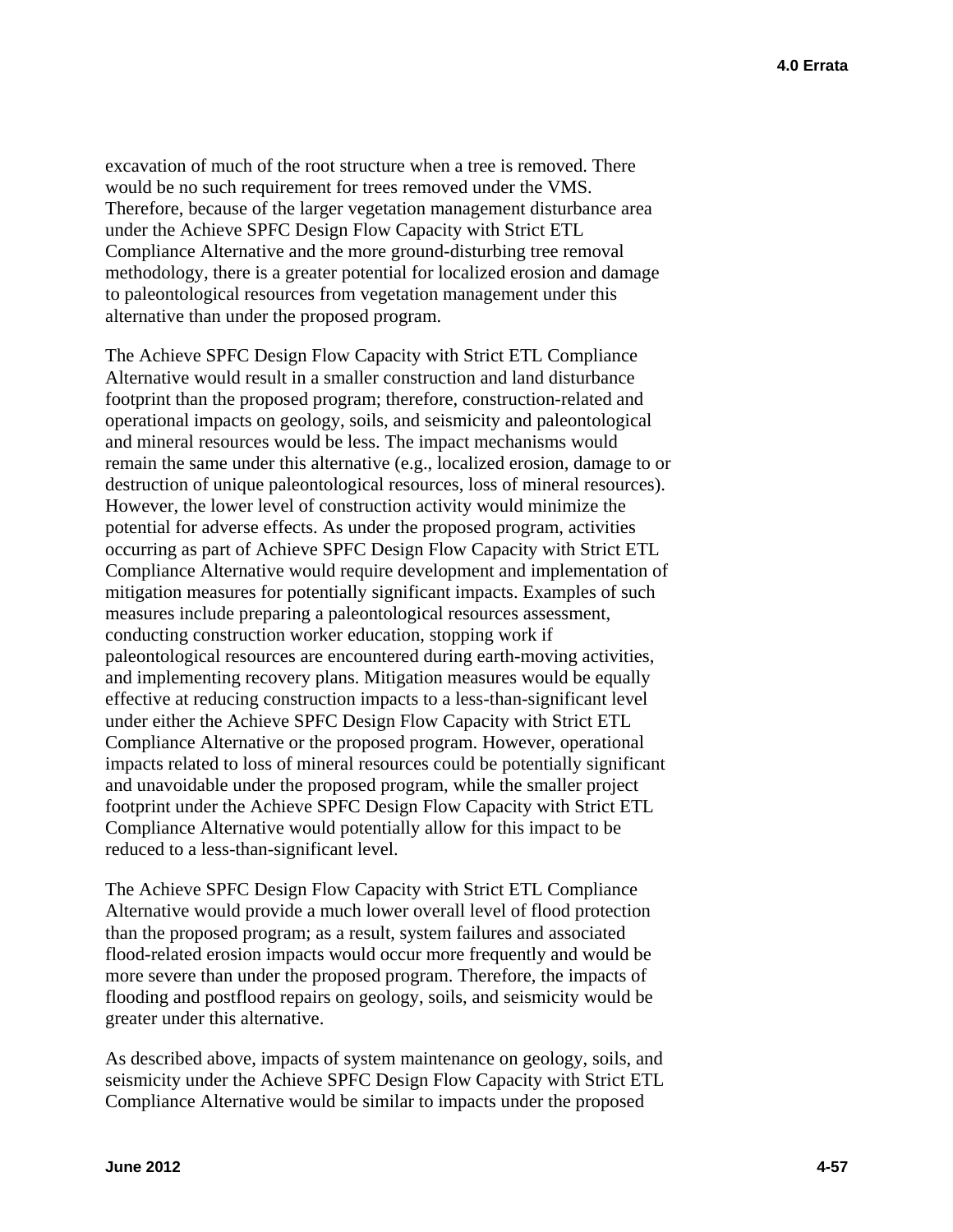excavation of much of the root structure when a tree is removed. There would be no such requirement for trees removed under the VMS. Therefore, because of the larger vegetation management disturbance area under the Achieve SPFC Design Flow Capacity with Strict ETL Compliance Alternative and the more ground-disturbing tree removal methodology, there is a greater potential for localized erosion and damage to paleontological resources from vegetation management under this alternative than under the proposed program.

The Achieve SPFC Design Flow Capacity with Strict ETL Compliance Alternative would result in a smaller construction and land disturbance footprint than the proposed program; therefore, construction-related and operational impacts on geology, soils, and seismicity and paleontological and mineral resources would be less. The impact mechanisms would remain the same under this alternative (e.g., localized erosion, damage to or destruction of unique paleontological resources, loss of mineral resources). However, the lower level of construction activity would minimize the potential for adverse effects. As under the proposed program, activities occurring as part of Achieve SPFC Design Flow Capacity with Strict ETL Compliance Alternative would require development and implementation of mitigation measures for potentially significant impacts. Examples of such measures include preparing a paleontological resources assessment, conducting construction worker education, stopping work if paleontological resources are encountered during earth-moving activities, and implementing recovery plans. Mitigation measures would be equally effective at reducing construction impacts to a less-than-significant level under either the Achieve SPFC Design Flow Capacity with Strict ETL Compliance Alternative or the proposed program. However, operational impacts related to loss of mineral resources could be potentially significant and unavoidable under the proposed program, while the smaller project footprint under the Achieve SPFC Design Flow Capacity with Strict ETL Compliance Alternative would potentially allow for this impact to be reduced to a less-than-significant level.

The Achieve SPFC Design Flow Capacity with Strict ETL Compliance Alternative would provide a much lower overall level of flood protection than the proposed program; as a result, system failures and associated flood-related erosion impacts would occur more frequently and would be more severe than under the proposed program. Therefore, the impacts of flooding and postflood repairs on geology, soils, and seismicity would be greater under this alternative.

As described above, impacts of system maintenance on geology, soils, and seismicity under the Achieve SPFC Design Flow Capacity with Strict ETL Compliance Alternative would be similar to impacts under the proposed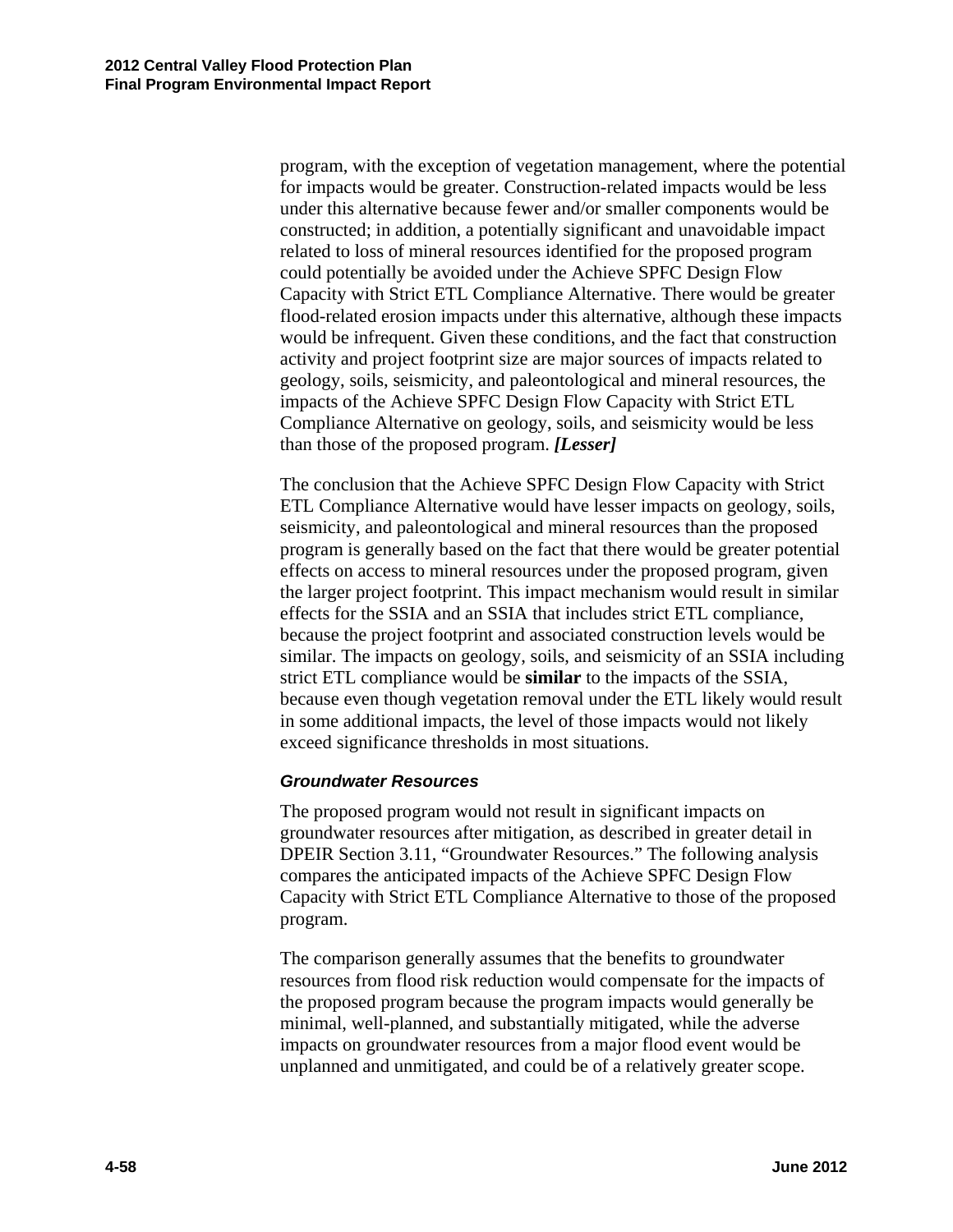program, with the exception of vegetation management, where the potential for impacts would be greater. Construction-related impacts would be less under this alternative because fewer and/or smaller components would be constructed; in addition, a potentially significant and unavoidable impact related to loss of mineral resources identified for the proposed program could potentially be avoided under the Achieve SPFC Design Flow Capacity with Strict ETL Compliance Alternative. There would be greater flood-related erosion impacts under this alternative, although these impacts would be infrequent. Given these conditions, and the fact that construction activity and project footprint size are major sources of impacts related to geology, soils, seismicity, and paleontological and mineral resources, the impacts of the Achieve SPFC Design Flow Capacity with Strict ETL Compliance Alternative on geology, soils, and seismicity would be less than those of the proposed program. *[Lesser]* 

The conclusion that the Achieve SPFC Design Flow Capacity with Strict ETL Compliance Alternative would have lesser impacts on geology, soils, seismicity, and paleontological and mineral resources than the proposed program is generally based on the fact that there would be greater potential effects on access to mineral resources under the proposed program, given the larger project footprint. This impact mechanism would result in similar effects for the SSIA and an SSIA that includes strict ETL compliance, because the project footprint and associated construction levels would be similar. The impacts on geology, soils, and seismicity of an SSIA including strict ETL compliance would be **similar** to the impacts of the SSIA, because even though vegetation removal under the ETL likely would result in some additional impacts, the level of those impacts would not likely exceed significance thresholds in most situations.

#### *Groundwater Resources*

The proposed program would not result in significant impacts on groundwater resources after mitigation, as described in greater detail in DPEIR Section 3.11, "Groundwater Resources." The following analysis compares the anticipated impacts of the Achieve SPFC Design Flow Capacity with Strict ETL Compliance Alternative to those of the proposed program.

The comparison generally assumes that the benefits to groundwater resources from flood risk reduction would compensate for the impacts of the proposed program because the program impacts would generally be minimal, well-planned, and substantially mitigated, while the adverse impacts on groundwater resources from a major flood event would be unplanned and unmitigated, and could be of a relatively greater scope.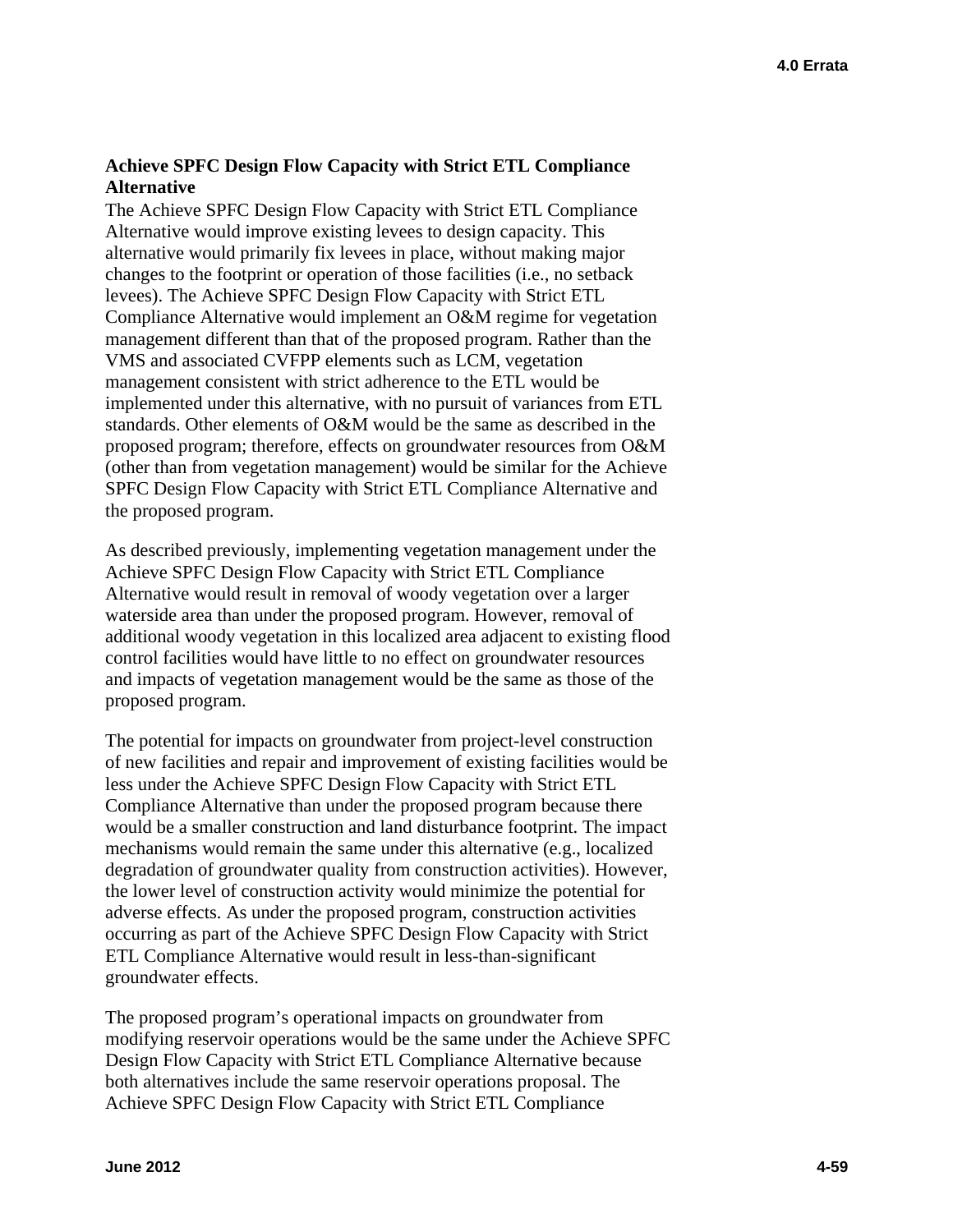### **Achieve SPFC Design Flow Capacity with Strict ETL Compliance Alternative**

The Achieve SPFC Design Flow Capacity with Strict ETL Compliance Alternative would improve existing levees to design capacity. This alternative would primarily fix levees in place, without making major changes to the footprint or operation of those facilities (i.e., no setback levees). The Achieve SPFC Design Flow Capacity with Strict ETL Compliance Alternative would implement an O&M regime for vegetation management different than that of the proposed program. Rather than the VMS and associated CVFPP elements such as LCM, vegetation management consistent with strict adherence to the ETL would be implemented under this alternative, with no pursuit of variances from ETL standards. Other elements of O&M would be the same as described in the proposed program; therefore, effects on groundwater resources from O&M (other than from vegetation management) would be similar for the Achieve SPFC Design Flow Capacity with Strict ETL Compliance Alternative and the proposed program.

As described previously, implementing vegetation management under the Achieve SPFC Design Flow Capacity with Strict ETL Compliance Alternative would result in removal of woody vegetation over a larger waterside area than under the proposed program. However, removal of additional woody vegetation in this localized area adjacent to existing flood control facilities would have little to no effect on groundwater resources and impacts of vegetation management would be the same as those of the proposed program.

The potential for impacts on groundwater from project-level construction of new facilities and repair and improvement of existing facilities would be less under the Achieve SPFC Design Flow Capacity with Strict ETL Compliance Alternative than under the proposed program because there would be a smaller construction and land disturbance footprint. The impact mechanisms would remain the same under this alternative (e.g., localized degradation of groundwater quality from construction activities). However, the lower level of construction activity would minimize the potential for adverse effects. As under the proposed program, construction activities occurring as part of the Achieve SPFC Design Flow Capacity with Strict ETL Compliance Alternative would result in less-than-significant groundwater effects.

The proposed program's operational impacts on groundwater from modifying reservoir operations would be the same under the Achieve SPFC Design Flow Capacity with Strict ETL Compliance Alternative because both alternatives include the same reservoir operations proposal. The Achieve SPFC Design Flow Capacity with Strict ETL Compliance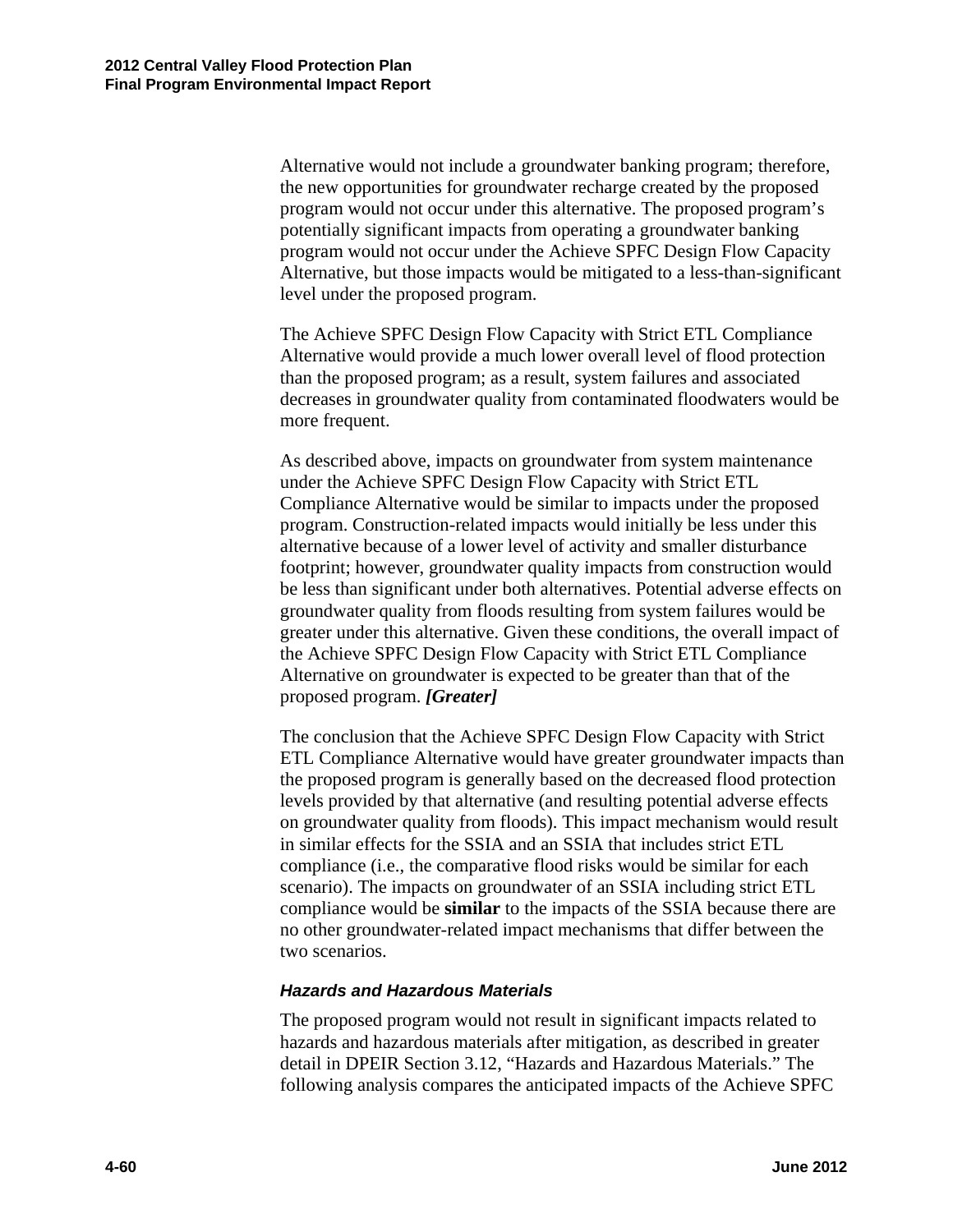Alternative would not include a groundwater banking program; therefore, the new opportunities for groundwater recharge created by the proposed program would not occur under this alternative. The proposed program's potentially significant impacts from operating a groundwater banking program would not occur under the Achieve SPFC Design Flow Capacity Alternative, but those impacts would be mitigated to a less-than-significant level under the proposed program.

The Achieve SPFC Design Flow Capacity with Strict ETL Compliance Alternative would provide a much lower overall level of flood protection than the proposed program; as a result, system failures and associated decreases in groundwater quality from contaminated floodwaters would be more frequent.

As described above, impacts on groundwater from system maintenance under the Achieve SPFC Design Flow Capacity with Strict ETL Compliance Alternative would be similar to impacts under the proposed program. Construction-related impacts would initially be less under this alternative because of a lower level of activity and smaller disturbance footprint; however, groundwater quality impacts from construction would be less than significant under both alternatives. Potential adverse effects on groundwater quality from floods resulting from system failures would be greater under this alternative. Given these conditions, the overall impact of the Achieve SPFC Design Flow Capacity with Strict ETL Compliance Alternative on groundwater is expected to be greater than that of the proposed program. *[Greater]* 

The conclusion that the Achieve SPFC Design Flow Capacity with Strict ETL Compliance Alternative would have greater groundwater impacts than the proposed program is generally based on the decreased flood protection levels provided by that alternative (and resulting potential adverse effects on groundwater quality from floods). This impact mechanism would result in similar effects for the SSIA and an SSIA that includes strict ETL compliance (i.e., the comparative flood risks would be similar for each scenario). The impacts on groundwater of an SSIA including strict ETL compliance would be **similar** to the impacts of the SSIA because there are no other groundwater-related impact mechanisms that differ between the two scenarios.

#### *Hazards and Hazardous Materials*

The proposed program would not result in significant impacts related to hazards and hazardous materials after mitigation, as described in greater detail in DPEIR Section 3.12, "Hazards and Hazardous Materials." The following analysis compares the anticipated impacts of the Achieve SPFC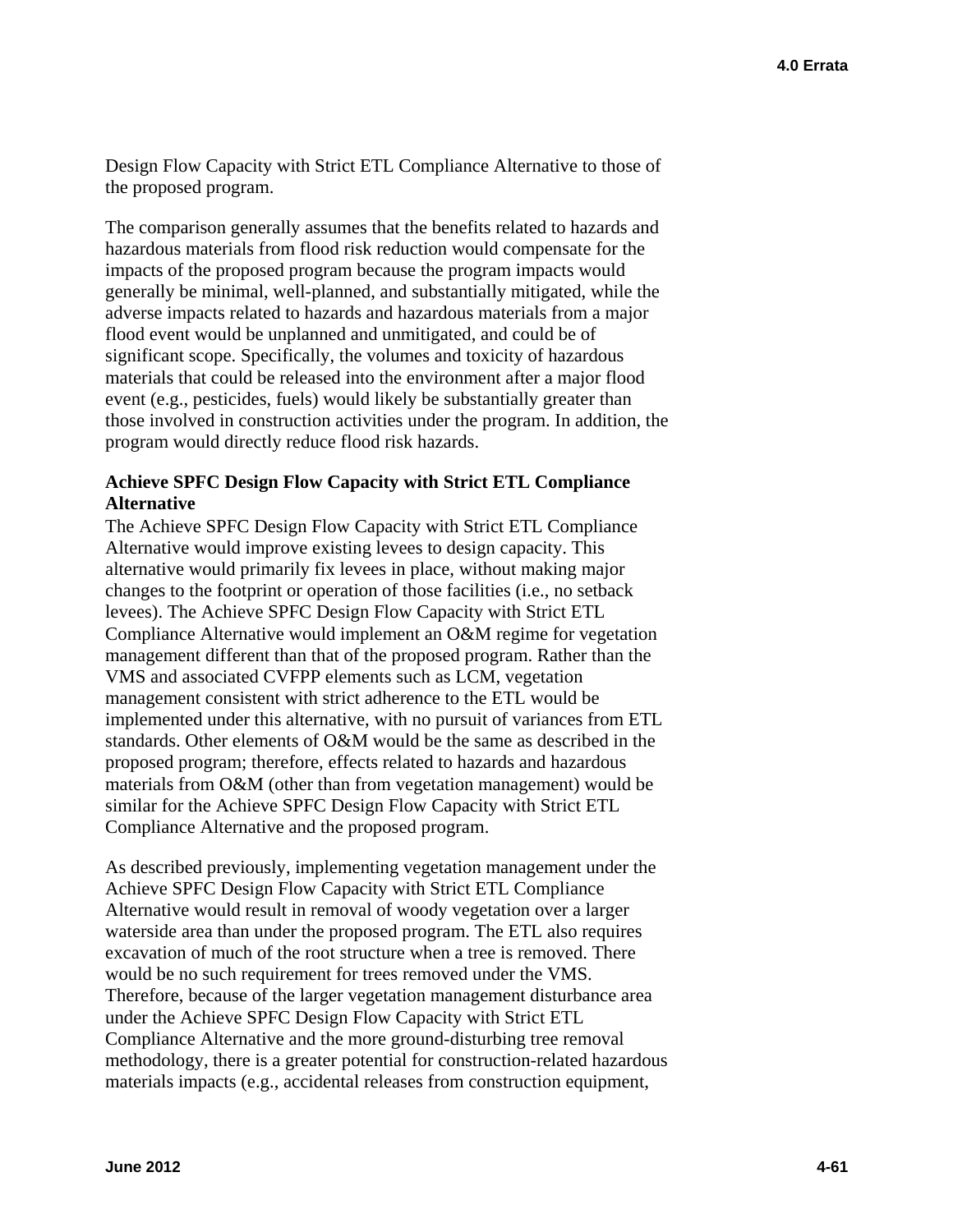Design Flow Capacity with Strict ETL Compliance Alternative to those of the proposed program.

The comparison generally assumes that the benefits related to hazards and hazardous materials from flood risk reduction would compensate for the impacts of the proposed program because the program impacts would generally be minimal, well-planned, and substantially mitigated, while the adverse impacts related to hazards and hazardous materials from a major flood event would be unplanned and unmitigated, and could be of significant scope. Specifically, the volumes and toxicity of hazardous materials that could be released into the environment after a major flood event (e.g., pesticides, fuels) would likely be substantially greater than those involved in construction activities under the program. In addition, the program would directly reduce flood risk hazards.

### **Achieve SPFC Design Flow Capacity with Strict ETL Compliance Alternative**

The Achieve SPFC Design Flow Capacity with Strict ETL Compliance Alternative would improve existing levees to design capacity. This alternative would primarily fix levees in place, without making major changes to the footprint or operation of those facilities (i.e., no setback levees). The Achieve SPFC Design Flow Capacity with Strict ETL Compliance Alternative would implement an O&M regime for vegetation management different than that of the proposed program. Rather than the VMS and associated CVFPP elements such as LCM, vegetation management consistent with strict adherence to the ETL would be implemented under this alternative, with no pursuit of variances from ETL standards. Other elements of O&M would be the same as described in the proposed program; therefore, effects related to hazards and hazardous materials from O&M (other than from vegetation management) would be similar for the Achieve SPFC Design Flow Capacity with Strict ETL Compliance Alternative and the proposed program.

As described previously, implementing vegetation management under the Achieve SPFC Design Flow Capacity with Strict ETL Compliance Alternative would result in removal of woody vegetation over a larger waterside area than under the proposed program. The ETL also requires excavation of much of the root structure when a tree is removed. There would be no such requirement for trees removed under the VMS. Therefore, because of the larger vegetation management disturbance area under the Achieve SPFC Design Flow Capacity with Strict ETL Compliance Alternative and the more ground-disturbing tree removal methodology, there is a greater potential for construction-related hazardous materials impacts (e.g., accidental releases from construction equipment,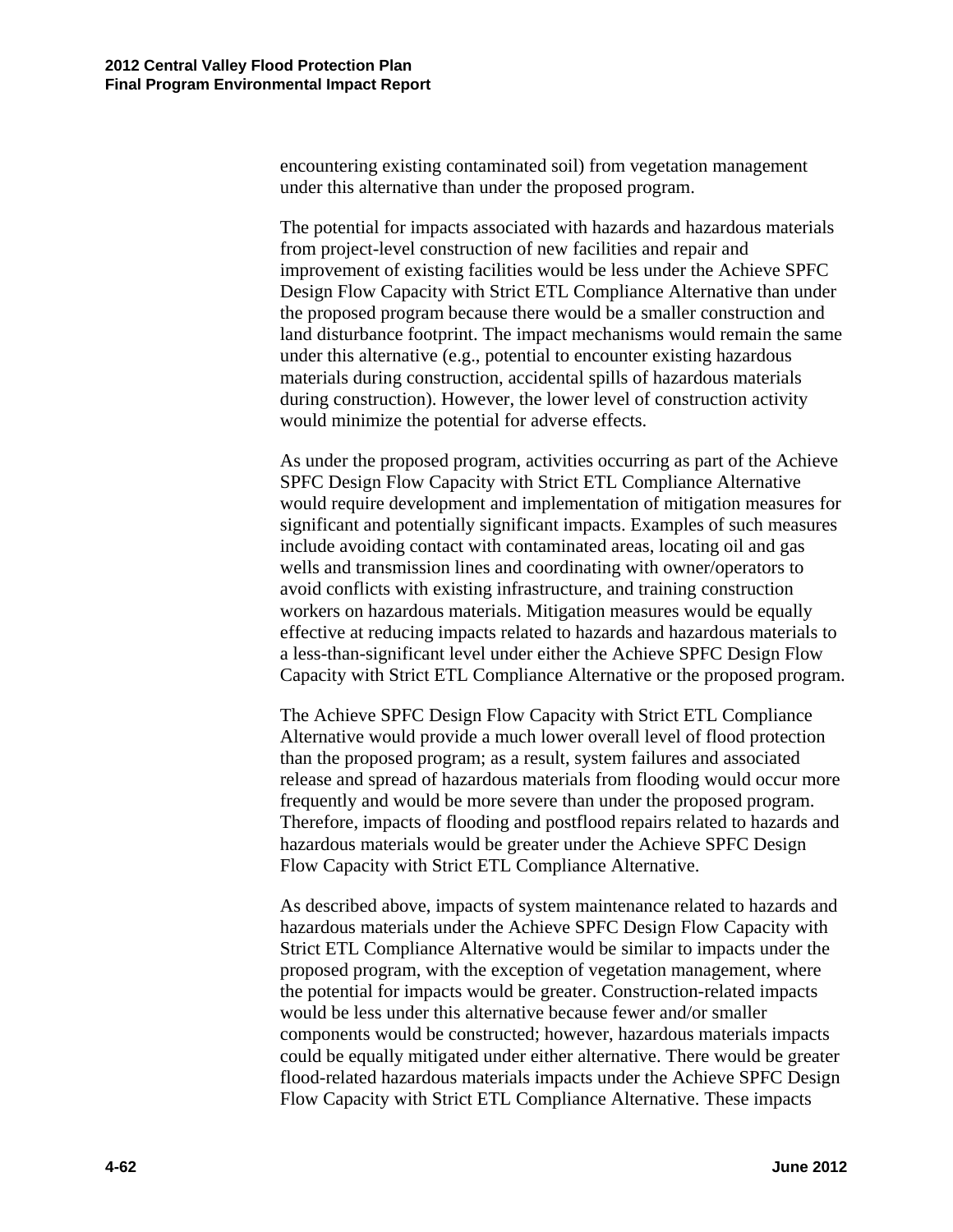encountering existing contaminated soil) from vegetation management under this alternative than under the proposed program.

The potential for impacts associated with hazards and hazardous materials from project-level construction of new facilities and repair and improvement of existing facilities would be less under the Achieve SPFC Design Flow Capacity with Strict ETL Compliance Alternative than under the proposed program because there would be a smaller construction and land disturbance footprint. The impact mechanisms would remain the same under this alternative (e.g., potential to encounter existing hazardous materials during construction, accidental spills of hazardous materials during construction). However, the lower level of construction activity would minimize the potential for adverse effects.

As under the proposed program, activities occurring as part of the Achieve SPFC Design Flow Capacity with Strict ETL Compliance Alternative would require development and implementation of mitigation measures for significant and potentially significant impacts. Examples of such measures include avoiding contact with contaminated areas, locating oil and gas wells and transmission lines and coordinating with owner/operators to avoid conflicts with existing infrastructure, and training construction workers on hazardous materials. Mitigation measures would be equally effective at reducing impacts related to hazards and hazardous materials to a less-than-significant level under either the Achieve SPFC Design Flow Capacity with Strict ETL Compliance Alternative or the proposed program.

The Achieve SPFC Design Flow Capacity with Strict ETL Compliance Alternative would provide a much lower overall level of flood protection than the proposed program; as a result, system failures and associated release and spread of hazardous materials from flooding would occur more frequently and would be more severe than under the proposed program. Therefore, impacts of flooding and postflood repairs related to hazards and hazardous materials would be greater under the Achieve SPFC Design Flow Capacity with Strict ETL Compliance Alternative.

As described above, impacts of system maintenance related to hazards and hazardous materials under the Achieve SPFC Design Flow Capacity with Strict ETL Compliance Alternative would be similar to impacts under the proposed program, with the exception of vegetation management, where the potential for impacts would be greater. Construction-related impacts would be less under this alternative because fewer and/or smaller components would be constructed; however, hazardous materials impacts could be equally mitigated under either alternative. There would be greater flood-related hazardous materials impacts under the Achieve SPFC Design Flow Capacity with Strict ETL Compliance Alternative. These impacts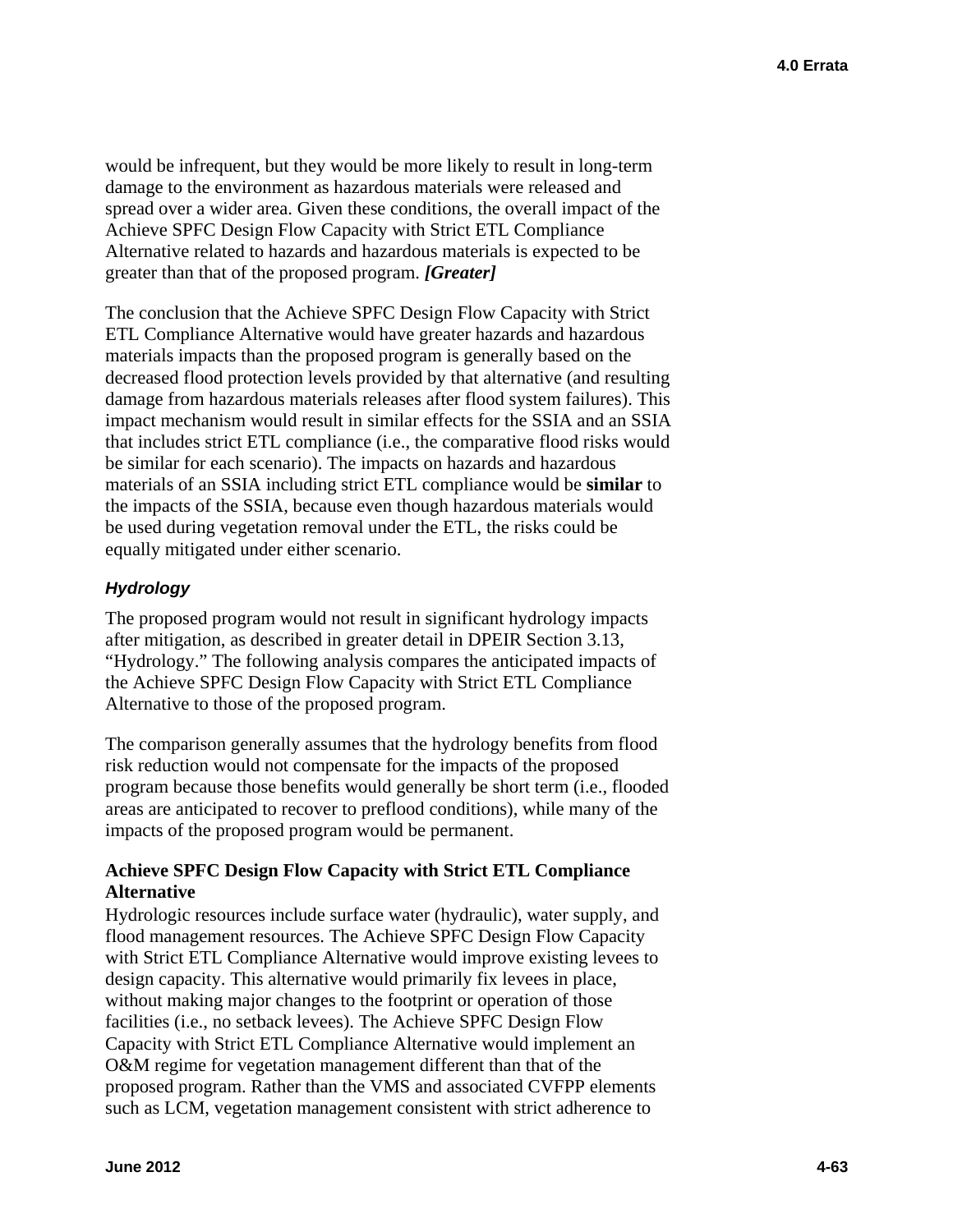would be infrequent, but they would be more likely to result in long-term damage to the environment as hazardous materials were released and spread over a wider area. Given these conditions, the overall impact of the Achieve SPFC Design Flow Capacity with Strict ETL Compliance Alternative related to hazards and hazardous materials is expected to be greater than that of the proposed program. *[Greater]* 

The conclusion that the Achieve SPFC Design Flow Capacity with Strict ETL Compliance Alternative would have greater hazards and hazardous materials impacts than the proposed program is generally based on the decreased flood protection levels provided by that alternative (and resulting damage from hazardous materials releases after flood system failures). This impact mechanism would result in similar effects for the SSIA and an SSIA that includes strict ETL compliance (i.e., the comparative flood risks would be similar for each scenario). The impacts on hazards and hazardous materials of an SSIA including strict ETL compliance would be **similar** to the impacts of the SSIA, because even though hazardous materials would be used during vegetation removal under the ETL, the risks could be equally mitigated under either scenario.

# *Hydrology*

The proposed program would not result in significant hydrology impacts after mitigation, as described in greater detail in DPEIR Section 3.13, "Hydrology." The following analysis compares the anticipated impacts of the Achieve SPFC Design Flow Capacity with Strict ETL Compliance Alternative to those of the proposed program.

The comparison generally assumes that the hydrology benefits from flood risk reduction would not compensate for the impacts of the proposed program because those benefits would generally be short term (i.e., flooded areas are anticipated to recover to preflood conditions), while many of the impacts of the proposed program would be permanent.

### **Achieve SPFC Design Flow Capacity with Strict ETL Compliance Alternative**

Hydrologic resources include surface water (hydraulic), water supply, and flood management resources. The Achieve SPFC Design Flow Capacity with Strict ETL Compliance Alternative would improve existing levees to design capacity. This alternative would primarily fix levees in place, without making major changes to the footprint or operation of those facilities (i.e., no setback levees). The Achieve SPFC Design Flow Capacity with Strict ETL Compliance Alternative would implement an O&M regime for vegetation management different than that of the proposed program. Rather than the VMS and associated CVFPP elements such as LCM, vegetation management consistent with strict adherence to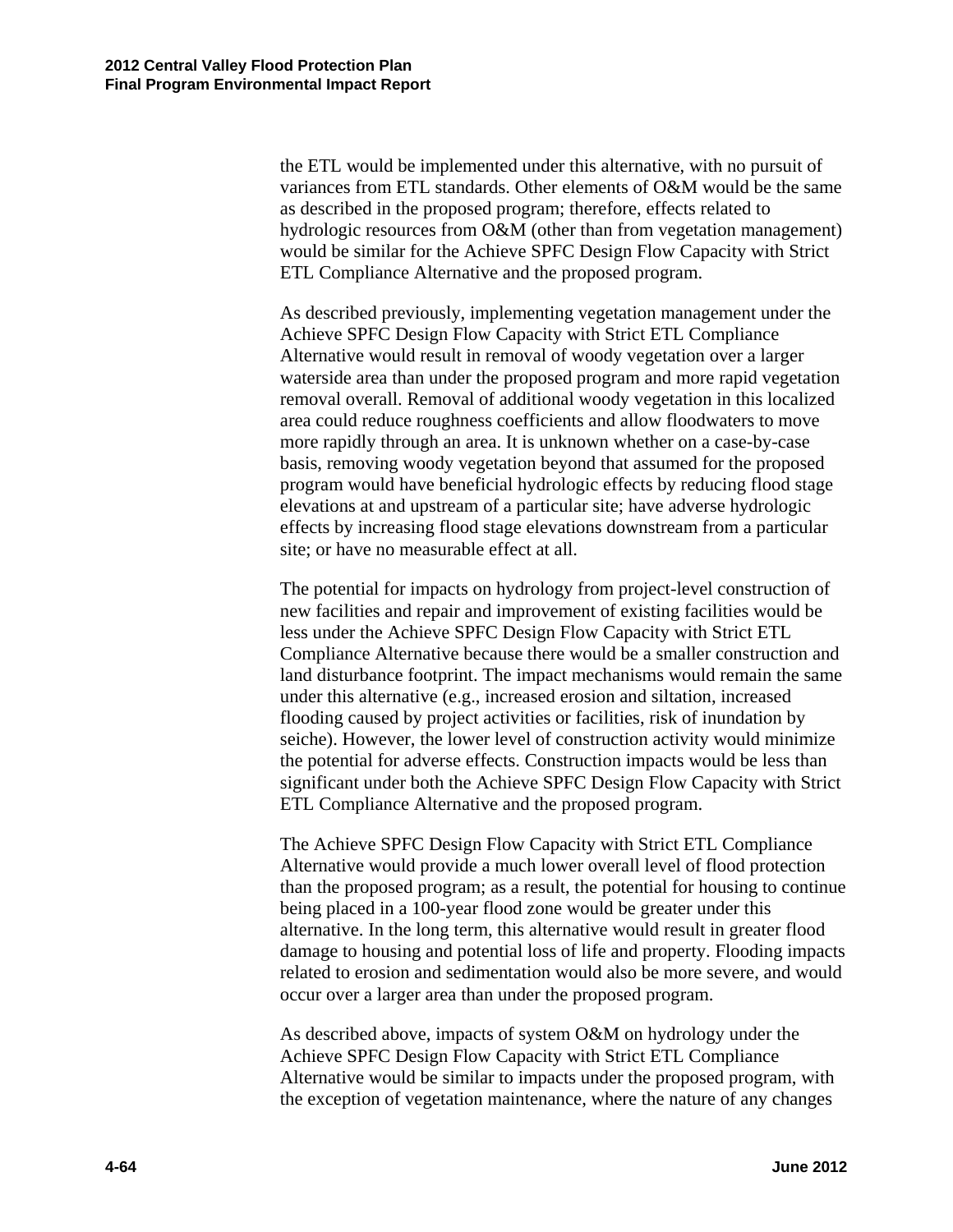the ETL would be implemented under this alternative, with no pursuit of variances from ETL standards. Other elements of O&M would be the same as described in the proposed program; therefore, effects related to hydrologic resources from O&M (other than from vegetation management) would be similar for the Achieve SPFC Design Flow Capacity with Strict ETL Compliance Alternative and the proposed program.

As described previously, implementing vegetation management under the Achieve SPFC Design Flow Capacity with Strict ETL Compliance Alternative would result in removal of woody vegetation over a larger waterside area than under the proposed program and more rapid vegetation removal overall. Removal of additional woody vegetation in this localized area could reduce roughness coefficients and allow floodwaters to move more rapidly through an area. It is unknown whether on a case-by-case basis, removing woody vegetation beyond that assumed for the proposed program would have beneficial hydrologic effects by reducing flood stage elevations at and upstream of a particular site; have adverse hydrologic effects by increasing flood stage elevations downstream from a particular site; or have no measurable effect at all.

The potential for impacts on hydrology from project-level construction of new facilities and repair and improvement of existing facilities would be less under the Achieve SPFC Design Flow Capacity with Strict ETL Compliance Alternative because there would be a smaller construction and land disturbance footprint. The impact mechanisms would remain the same under this alternative (e.g., increased erosion and siltation, increased flooding caused by project activities or facilities, risk of inundation by seiche). However, the lower level of construction activity would minimize the potential for adverse effects. Construction impacts would be less than significant under both the Achieve SPFC Design Flow Capacity with Strict ETL Compliance Alternative and the proposed program.

The Achieve SPFC Design Flow Capacity with Strict ETL Compliance Alternative would provide a much lower overall level of flood protection than the proposed program; as a result, the potential for housing to continue being placed in a 100-year flood zone would be greater under this alternative. In the long term, this alternative would result in greater flood damage to housing and potential loss of life and property. Flooding impacts related to erosion and sedimentation would also be more severe, and would occur over a larger area than under the proposed program.

As described above, impacts of system O&M on hydrology under the Achieve SPFC Design Flow Capacity with Strict ETL Compliance Alternative would be similar to impacts under the proposed program, with the exception of vegetation maintenance, where the nature of any changes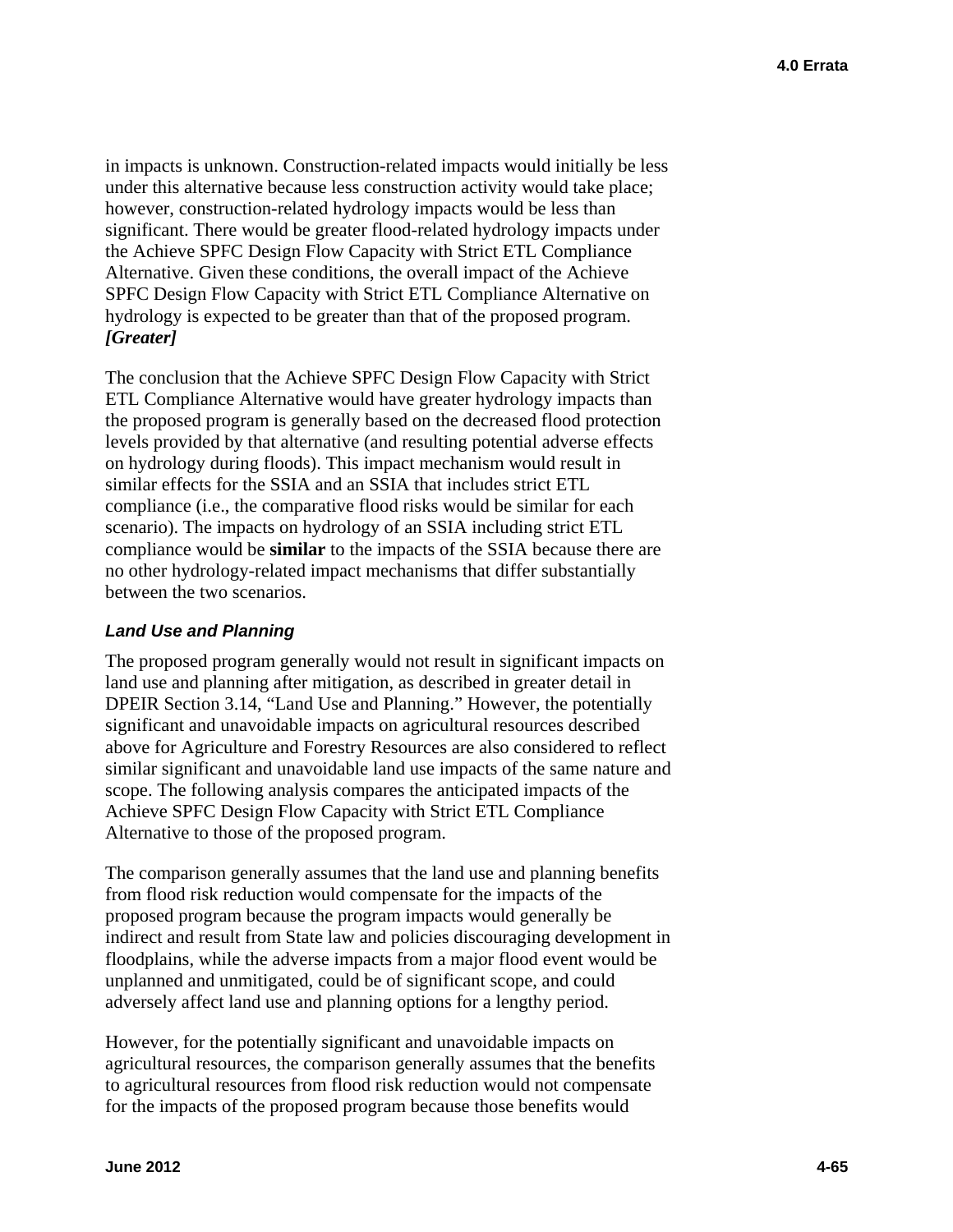*[Greater]* in impacts is unknown. Construction-related impacts would initially be less under this alternative because less construction activity would take place; however, construction-related hydrology impacts would be less than significant. There would be greater flood-related hydrology impacts under the Achieve SPFC Design Flow Capacity with Strict ETL Compliance Alternative. Given these conditions, the overall impact of the Achieve SPFC Design Flow Capacity with Strict ETL Compliance Alternative on hydrology is expected to be greater than that of the proposed program.

The conclusion that the Achieve SPFC Design Flow Capacity with Strict ETL Compliance Alternative would have greater hydrology impacts than the proposed program is generally based on the decreased flood protection levels provided by that alternative (and resulting potential adverse effects on hydrology during floods). This impact mechanism would result in similar effects for the SSIA and an SSIA that includes strict ETL compliance (i.e., the comparative flood risks would be similar for each scenario). The impacts on hydrology of an SSIA including strict ETL compliance would be **similar** to the impacts of the SSIA because there are no other hydrology-related impact mechanisms that differ substantially between the two scenarios.

#### *Land Use and Planning*

The proposed program generally would not result in significant impacts on land use and planning after mitigation, as described in greater detail in DPEIR Section 3.14, "Land Use and Planning." However, the potentially significant and unavoidable impacts on agricultural resources described above for Agriculture and Forestry Resources are also considered to reflect similar significant and unavoidable land use impacts of the same nature and scope. The following analysis compares the anticipated impacts of the Achieve SPFC Design Flow Capacity with Strict ETL Compliance Alternative to those of the proposed program.

The comparison generally assumes that the land use and planning benefits from flood risk reduction would compensate for the impacts of the proposed program because the program impacts would generally be indirect and result from State law and policies discouraging development in floodplains, while the adverse impacts from a major flood event would be unplanned and unmitigated, could be of significant scope, and could adversely affect land use and planning options for a lengthy period.

However, for the potentially significant and unavoidable impacts on agricultural resources, the comparison generally assumes that the benefits to agricultural resources from flood risk reduction would not compensate for the impacts of the proposed program because those benefits would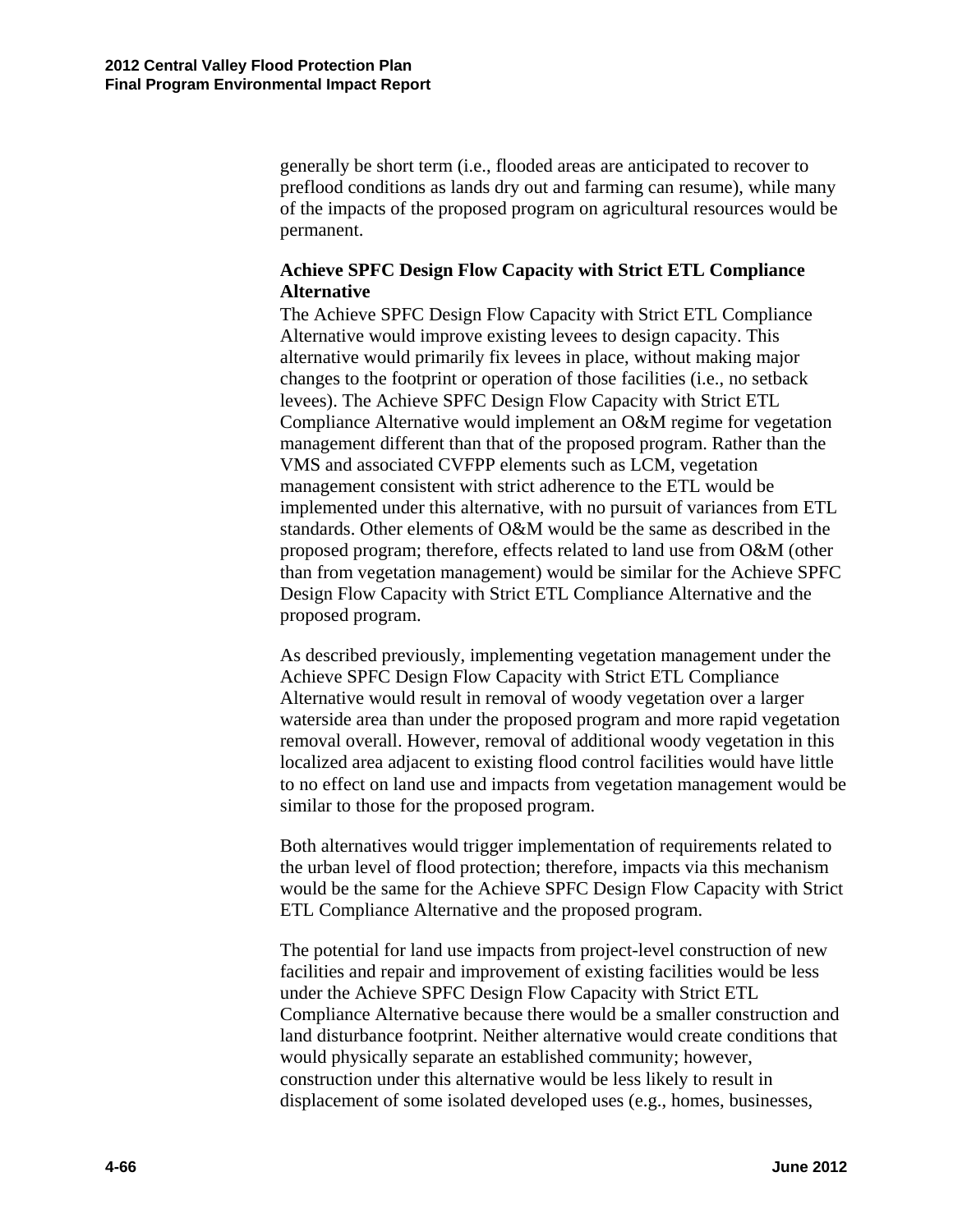generally be short term (i.e., flooded areas are anticipated to recover to preflood conditions as lands dry out and farming can resume), while many of the impacts of the proposed program on agricultural resources would be permanent.

#### **Achieve SPFC Design Flow Capacity with Strict ETL Compliance Alternative**

The Achieve SPFC Design Flow Capacity with Strict ETL Compliance Alternative would improve existing levees to design capacity. This alternative would primarily fix levees in place, without making major changes to the footprint or operation of those facilities (i.e., no setback levees). The Achieve SPFC Design Flow Capacity with Strict ETL Compliance Alternative would implement an O&M regime for vegetation management different than that of the proposed program. Rather than the VMS and associated CVFPP elements such as LCM, vegetation management consistent with strict adherence to the ETL would be implemented under this alternative, with no pursuit of variances from ETL standards. Other elements of O&M would be the same as described in the proposed program; therefore, effects related to land use from O&M (other than from vegetation management) would be similar for the Achieve SPFC Design Flow Capacity with Strict ETL Compliance Alternative and the proposed program.

similar to those for the proposed program. As described previously, implementing vegetation management under the Achieve SPFC Design Flow Capacity with Strict ETL Compliance Alternative would result in removal of woody vegetation over a larger waterside area than under the proposed program and more rapid vegetation removal overall. However, removal of additional woody vegetation in this localized area adjacent to existing flood control facilities would have little to no effect on land use and impacts from vegetation management would be

Both alternatives would trigger implementation of requirements related to the urban level of flood protection; therefore, impacts via this mechanism would be the same for the Achieve SPFC Design Flow Capacity with Strict ETL Compliance Alternative and the proposed program.

The potential for land use impacts from project-level construction of new facilities and repair and improvement of existing facilities would be less under the Achieve SPFC Design Flow Capacity with Strict ETL Compliance Alternative because there would be a smaller construction and land disturbance footprint. Neither alternative would create conditions that would physically separate an established community; however, construction under this alternative would be less likely to result in displacement of some isolated developed uses (e.g., homes, businesses,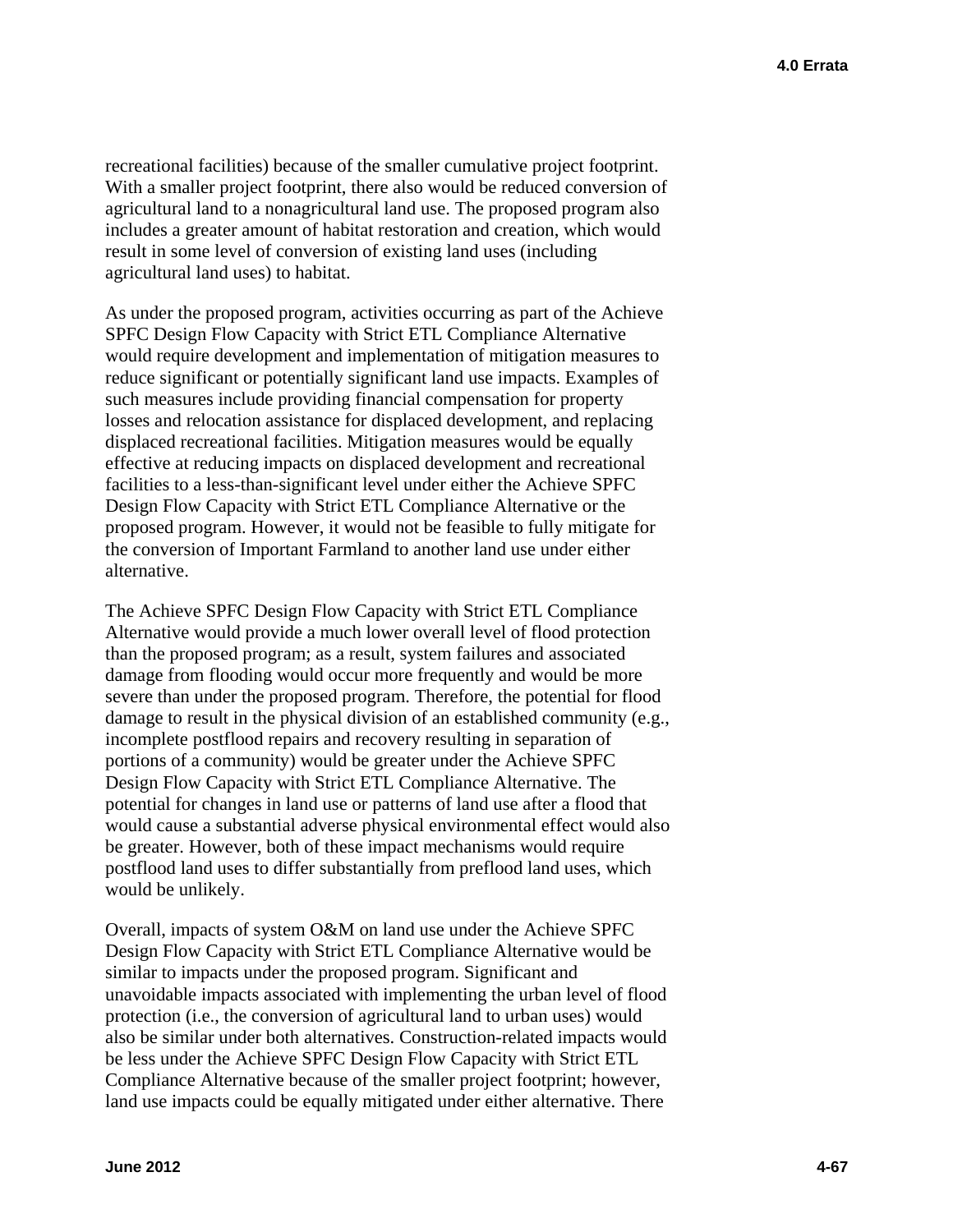recreational facilities) because of the smaller cumulative project footprint. With a smaller project footprint, there also would be reduced conversion of agricultural land to a nonagricultural land use. The proposed program also includes a greater amount of habitat restoration and creation, which would result in some level of conversion of existing land uses (including agricultural land uses) to habitat.

As under the proposed program, activities occurring as part of the Achieve SPFC Design Flow Capacity with Strict ETL Compliance Alternative would require development and implementation of mitigation measures to reduce significant or potentially significant land use impacts. Examples of such measures include providing financial compensation for property losses and relocation assistance for displaced development, and replacing displaced recreational facilities. Mitigation measures would be equally effective at reducing impacts on displaced development and recreational facilities to a less-than-significant level under either the Achieve SPFC Design Flow Capacity with Strict ETL Compliance Alternative or the proposed program. However, it would not be feasible to fully mitigate for the conversion of Important Farmland to another land use under either alternative.

The Achieve SPFC Design Flow Capacity with Strict ETL Compliance Alternative would provide a much lower overall level of flood protection than the proposed program; as a result, system failures and associated damage from flooding would occur more frequently and would be more severe than under the proposed program. Therefore, the potential for flood damage to result in the physical division of an established community (e.g., incomplete postflood repairs and recovery resulting in separation of portions of a community) would be greater under the Achieve SPFC Design Flow Capacity with Strict ETL Compliance Alternative. The potential for changes in land use or patterns of land use after a flood that would cause a substantial adverse physical environmental effect would also be greater. However, both of these impact mechanisms would require postflood land uses to differ substantially from preflood land uses, which would be unlikely.

Overall, impacts of system O&M on land use under the Achieve SPFC Design Flow Capacity with Strict ETL Compliance Alternative would be similar to impacts under the proposed program. Significant and unavoidable impacts associated with implementing the urban level of flood protection (i.e., the conversion of agricultural land to urban uses) would also be similar under both alternatives. Construction-related impacts would be less under the Achieve SPFC Design Flow Capacity with Strict ETL Compliance Alternative because of the smaller project footprint; however, land use impacts could be equally mitigated under either alternative. There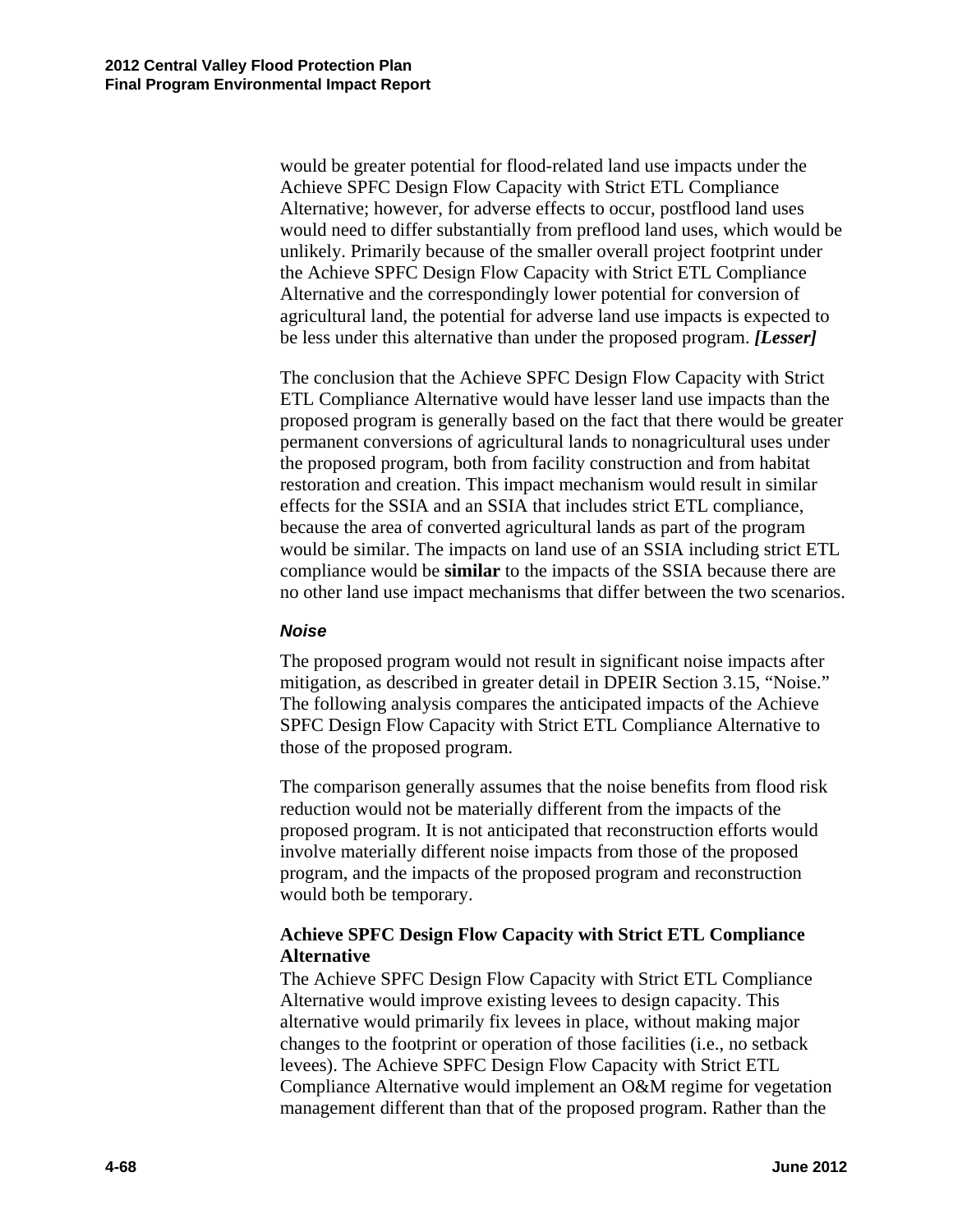would be greater potential for flood-related land use impacts under the Achieve SPFC Design Flow Capacity with Strict ETL Compliance Alternative; however, for adverse effects to occur, postflood land uses would need to differ substantially from preflood land uses, which would be unlikely. Primarily because of the smaller overall project footprint under the Achieve SPFC Design Flow Capacity with Strict ETL Compliance Alternative and the correspondingly lower potential for conversion of agricultural land, the potential for adverse land use impacts is expected to be less under this alternative than under the proposed program. *[Lesser]* 

The conclusion that the Achieve SPFC Design Flow Capacity with Strict ETL Compliance Alternative would have lesser land use impacts than the proposed program is generally based on the fact that there would be greater permanent conversions of agricultural lands to nonagricultural uses under the proposed program, both from facility construction and from habitat restoration and creation. This impact mechanism would result in similar effects for the SSIA and an SSIA that includes strict ETL compliance, because the area of converted agricultural lands as part of the program would be similar. The impacts on land use of an SSIA including strict ETL compliance would be **similar** to the impacts of the SSIA because there are no other land use impact mechanisms that differ between the two scenarios.

#### *Noise*

The proposed program would not result in significant noise impacts after mitigation, as described in greater detail in DPEIR Section 3.15, "Noise." The following analysis compares the anticipated impacts of the Achieve SPFC Design Flow Capacity with Strict ETL Compliance Alternative to those of the proposed program.

The comparison generally assumes that the noise benefits from flood risk reduction would not be materially different from the impacts of the proposed program. It is not anticipated that reconstruction efforts would involve materially different noise impacts from those of the proposed program, and the impacts of the proposed program and reconstruction would both be temporary.

### **Achieve SPFC Design Flow Capacity with Strict ETL Compliance Alternative**

The Achieve SPFC Design Flow Capacity with Strict ETL Compliance Alternative would improve existing levees to design capacity. This alternative would primarily fix levees in place, without making major changes to the footprint or operation of those facilities (i.e., no setback levees). The Achieve SPFC Design Flow Capacity with Strict ETL Compliance Alternative would implement an O&M regime for vegetation management different than that of the proposed program. Rather than the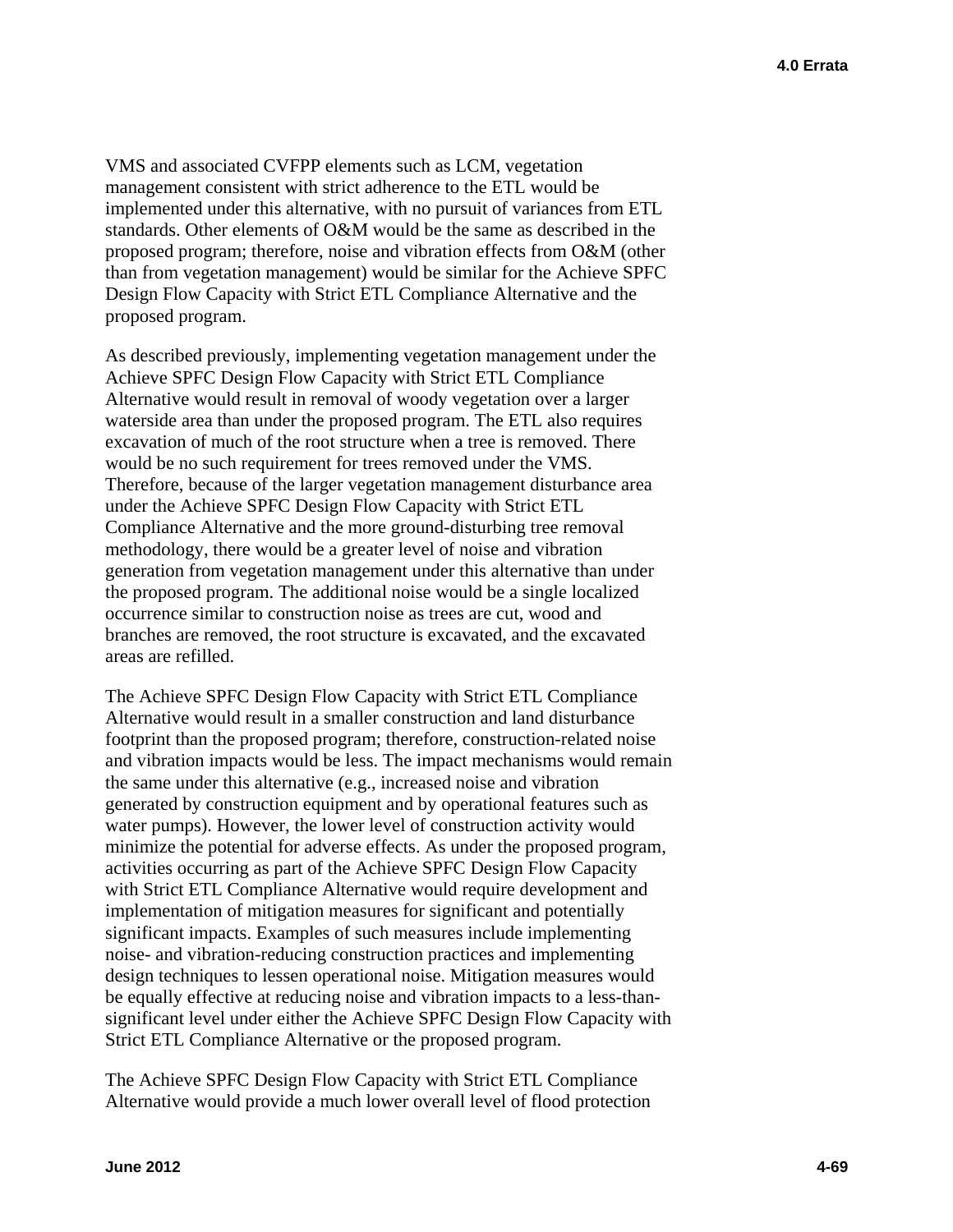VMS and associated CVFPP elements such as LCM, vegetation management consistent with strict adherence to the ETL would be implemented under this alternative, with no pursuit of variances from ETL standards. Other elements of O&M would be the same as described in the proposed program; therefore, noise and vibration effects from O&M (other than from vegetation management) would be similar for the Achieve SPFC Design Flow Capacity with Strict ETL Compliance Alternative and the proposed program.

As described previously, implementing vegetation management under the Achieve SPFC Design Flow Capacity with Strict ETL Compliance Alternative would result in removal of woody vegetation over a larger waterside area than under the proposed program. The ETL also requires excavation of much of the root structure when a tree is removed. There would be no such requirement for trees removed under the VMS. Therefore, because of the larger vegetation management disturbance area under the Achieve SPFC Design Flow Capacity with Strict ETL Compliance Alternative and the more ground-disturbing tree removal methodology, there would be a greater level of noise and vibration generation from vegetation management under this alternative than under the proposed program. The additional noise would be a single localized occurrence similar to construction noise as trees are cut, wood and branches are removed, the root structure is excavated, and the excavated areas are refilled.

The Achieve SPFC Design Flow Capacity with Strict ETL Compliance Alternative would result in a smaller construction and land disturbance footprint than the proposed program; therefore, construction-related noise and vibration impacts would be less. The impact mechanisms would remain the same under this alternative (e.g., increased noise and vibration generated by construction equipment and by operational features such as water pumps). However, the lower level of construction activity would minimize the potential for adverse effects. As under the proposed program, activities occurring as part of the Achieve SPFC Design Flow Capacity with Strict ETL Compliance Alternative would require development and implementation of mitigation measures for significant and potentially significant impacts. Examples of such measures include implementing noise- and vibration-reducing construction practices and implementing design techniques to lessen operational noise. Mitigation measures would be equally effective at reducing noise and vibration impacts to a less-thansignificant level under either the Achieve SPFC Design Flow Capacity with Strict ETL Compliance Alternative or the proposed program.

The Achieve SPFC Design Flow Capacity with Strict ETL Compliance Alternative would provide a much lower overall level of flood protection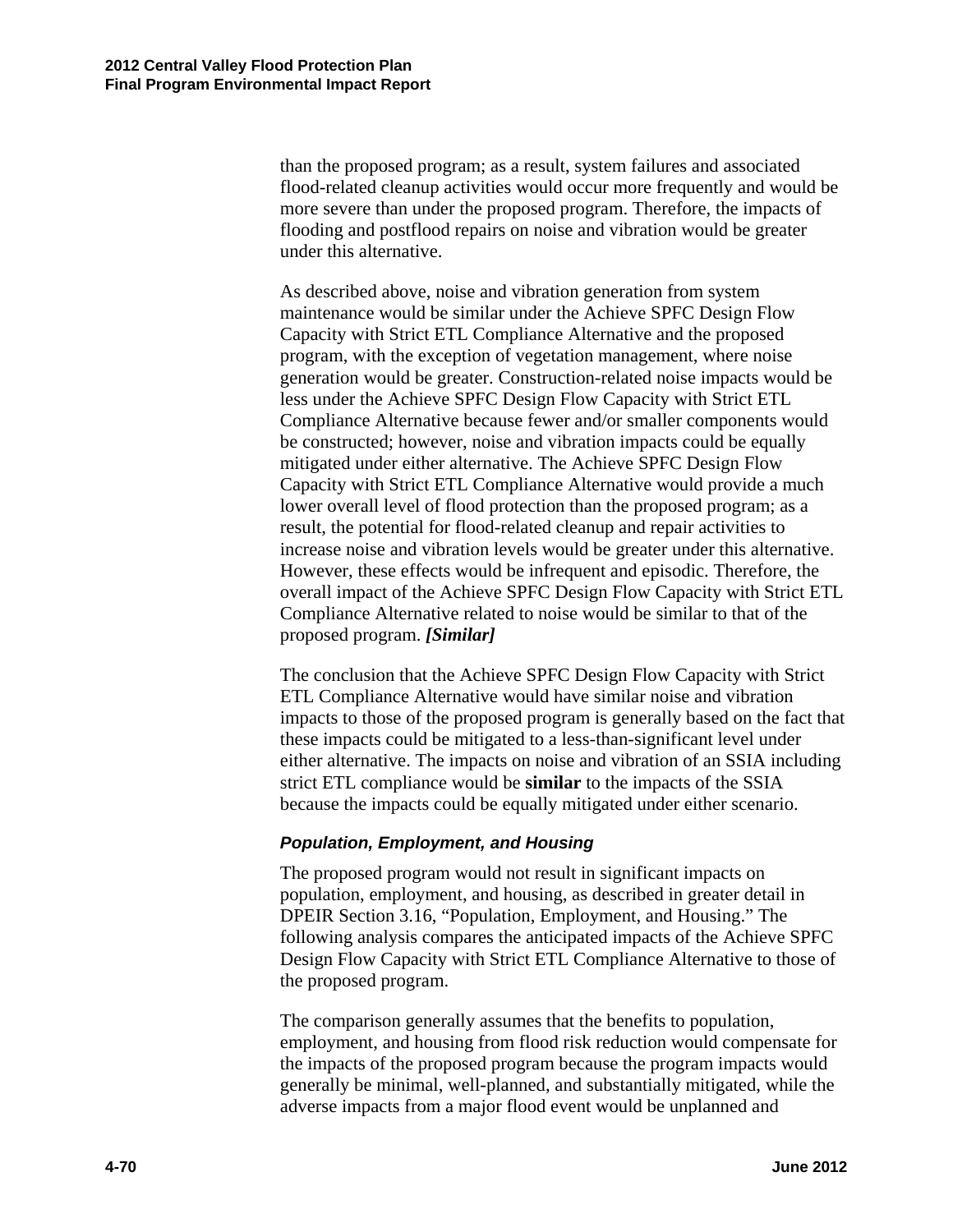than the proposed program; as a result, system failures and associated flood-related cleanup activities would occur more frequently and would be more severe than under the proposed program. Therefore, the impacts of flooding and postflood repairs on noise and vibration would be greater under this alternative.

 proposed program. *[Similar]* As described above, noise and vibration generation from system maintenance would be similar under the Achieve SPFC Design Flow Capacity with Strict ETL Compliance Alternative and the proposed program, with the exception of vegetation management, where noise generation would be greater. Construction-related noise impacts would be less under the Achieve SPFC Design Flow Capacity with Strict ETL Compliance Alternative because fewer and/or smaller components would be constructed; however, noise and vibration impacts could be equally mitigated under either alternative. The Achieve SPFC Design Flow Capacity with Strict ETL Compliance Alternative would provide a much lower overall level of flood protection than the proposed program; as a result, the potential for flood-related cleanup and repair activities to increase noise and vibration levels would be greater under this alternative. However, these effects would be infrequent and episodic. Therefore, the overall impact of the Achieve SPFC Design Flow Capacity with Strict ETL Compliance Alternative related to noise would be similar to that of the

The conclusion that the Achieve SPFC Design Flow Capacity with Strict ETL Compliance Alternative would have similar noise and vibration impacts to those of the proposed program is generally based on the fact that these impacts could be mitigated to a less-than-significant level under either alternative. The impacts on noise and vibration of an SSIA including strict ETL compliance would be **similar** to the impacts of the SSIA because the impacts could be equally mitigated under either scenario.

# *Population, Employment, and Housing*

The proposed program would not result in significant impacts on population, employment, and housing, as described in greater detail in DPEIR Section 3.16, "Population, Employment, and Housing." The following analysis compares the anticipated impacts of the Achieve SPFC Design Flow Capacity with Strict ETL Compliance Alternative to those of the proposed program.

The comparison generally assumes that the benefits to population, employment, and housing from flood risk reduction would compensate for the impacts of the proposed program because the program impacts would generally be minimal, well-planned, and substantially mitigated, while the adverse impacts from a major flood event would be unplanned and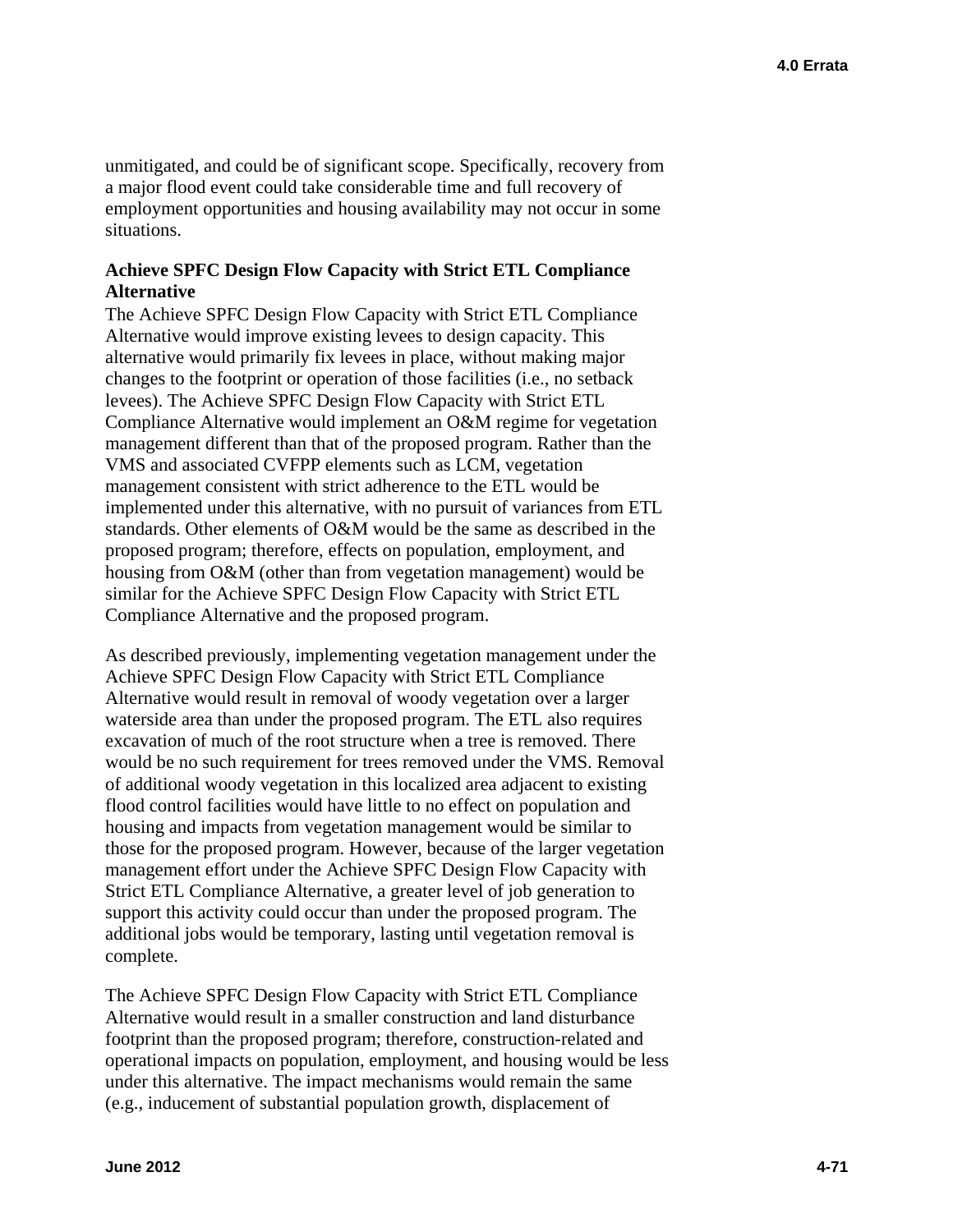unmitigated, and could be of significant scope. Specifically, recovery from a major flood event could take considerable time and full recovery of employment opportunities and housing availability may not occur in some situations.

### **Achieve SPFC Design Flow Capacity with Strict ETL Compliance Alternative**

The Achieve SPFC Design Flow Capacity with Strict ETL Compliance Alternative would improve existing levees to design capacity. This alternative would primarily fix levees in place, without making major changes to the footprint or operation of those facilities (i.e., no setback levees). The Achieve SPFC Design Flow Capacity with Strict ETL Compliance Alternative would implement an O&M regime for vegetation management different than that of the proposed program. Rather than the VMS and associated CVFPP elements such as LCM, vegetation management consistent with strict adherence to the ETL would be implemented under this alternative, with no pursuit of variances from ETL standards. Other elements of O&M would be the same as described in the proposed program; therefore, effects on population, employment, and housing from O&M (other than from vegetation management) would be similar for the Achieve SPFC Design Flow Capacity with Strict ETL Compliance Alternative and the proposed program.

As described previously, implementing vegetation management under the Achieve SPFC Design Flow Capacity with Strict ETL Compliance Alternative would result in removal of woody vegetation over a larger waterside area than under the proposed program. The ETL also requires excavation of much of the root structure when a tree is removed. There would be no such requirement for trees removed under the VMS. Removal of additional woody vegetation in this localized area adjacent to existing flood control facilities would have little to no effect on population and housing and impacts from vegetation management would be similar to those for the proposed program. However, because of the larger vegetation management effort under the Achieve SPFC Design Flow Capacity with Strict ETL Compliance Alternative, a greater level of job generation to support this activity could occur than under the proposed program. The additional jobs would be temporary, lasting until vegetation removal is complete.

The Achieve SPFC Design Flow Capacity with Strict ETL Compliance Alternative would result in a smaller construction and land disturbance footprint than the proposed program; therefore, construction-related and operational impacts on population, employment, and housing would be less under this alternative. The impact mechanisms would remain the same (e.g., inducement of substantial population growth, displacement of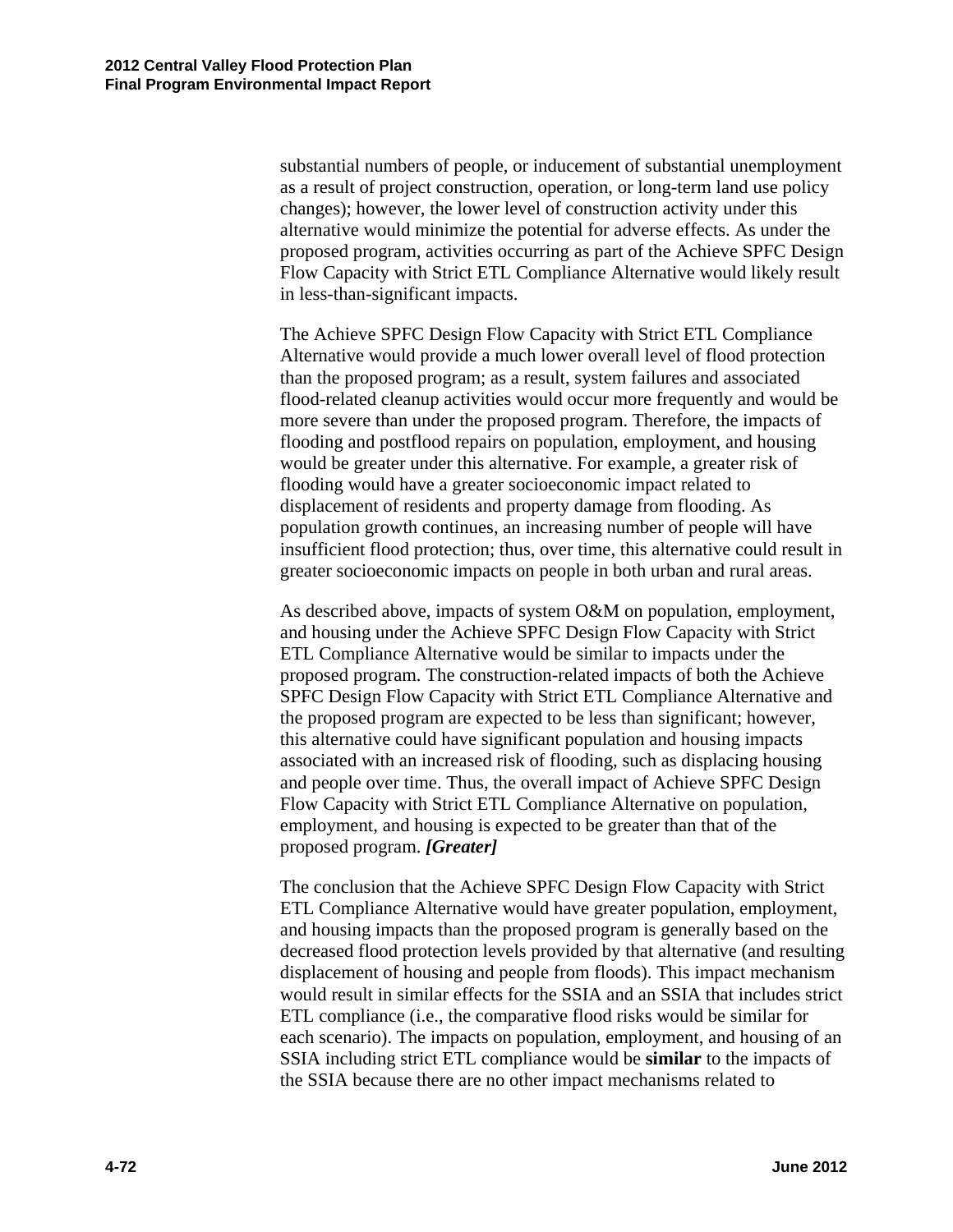substantial numbers of people, or inducement of substantial unemployment as a result of project construction, operation, or long-term land use policy changes); however, the lower level of construction activity under this alternative would minimize the potential for adverse effects. As under the proposed program, activities occurring as part of the Achieve SPFC Design Flow Capacity with Strict ETL Compliance Alternative would likely result in less-than-significant impacts.

The Achieve SPFC Design Flow Capacity with Strict ETL Compliance Alternative would provide a much lower overall level of flood protection than the proposed program; as a result, system failures and associated flood-related cleanup activities would occur more frequently and would be more severe than under the proposed program. Therefore, the impacts of flooding and postflood repairs on population, employment, and housing would be greater under this alternative. For example, a greater risk of flooding would have a greater socioeconomic impact related to displacement of residents and property damage from flooding. As population growth continues, an increasing number of people will have insufficient flood protection; thus, over time, this alternative could result in greater socioeconomic impacts on people in both urban and rural areas.

As described above, impacts of system O&M on population, employment, and housing under the Achieve SPFC Design Flow Capacity with Strict ETL Compliance Alternative would be similar to impacts under the proposed program. The construction-related impacts of both the Achieve SPFC Design Flow Capacity with Strict ETL Compliance Alternative and the proposed program are expected to be less than significant; however, this alternative could have significant population and housing impacts associated with an increased risk of flooding, such as displacing housing and people over time. Thus, the overall impact of Achieve SPFC Design Flow Capacity with Strict ETL Compliance Alternative on population, employment, and housing is expected to be greater than that of the proposed program. *[Greater]* 

The conclusion that the Achieve SPFC Design Flow Capacity with Strict ETL Compliance Alternative would have greater population, employment, and housing impacts than the proposed program is generally based on the decreased flood protection levels provided by that alternative (and resulting displacement of housing and people from floods). This impact mechanism would result in similar effects for the SSIA and an SSIA that includes strict ETL compliance (i.e., the comparative flood risks would be similar for each scenario). The impacts on population, employment, and housing of an SSIA including strict ETL compliance would be **similar** to the impacts of the SSIA because there are no other impact mechanisms related to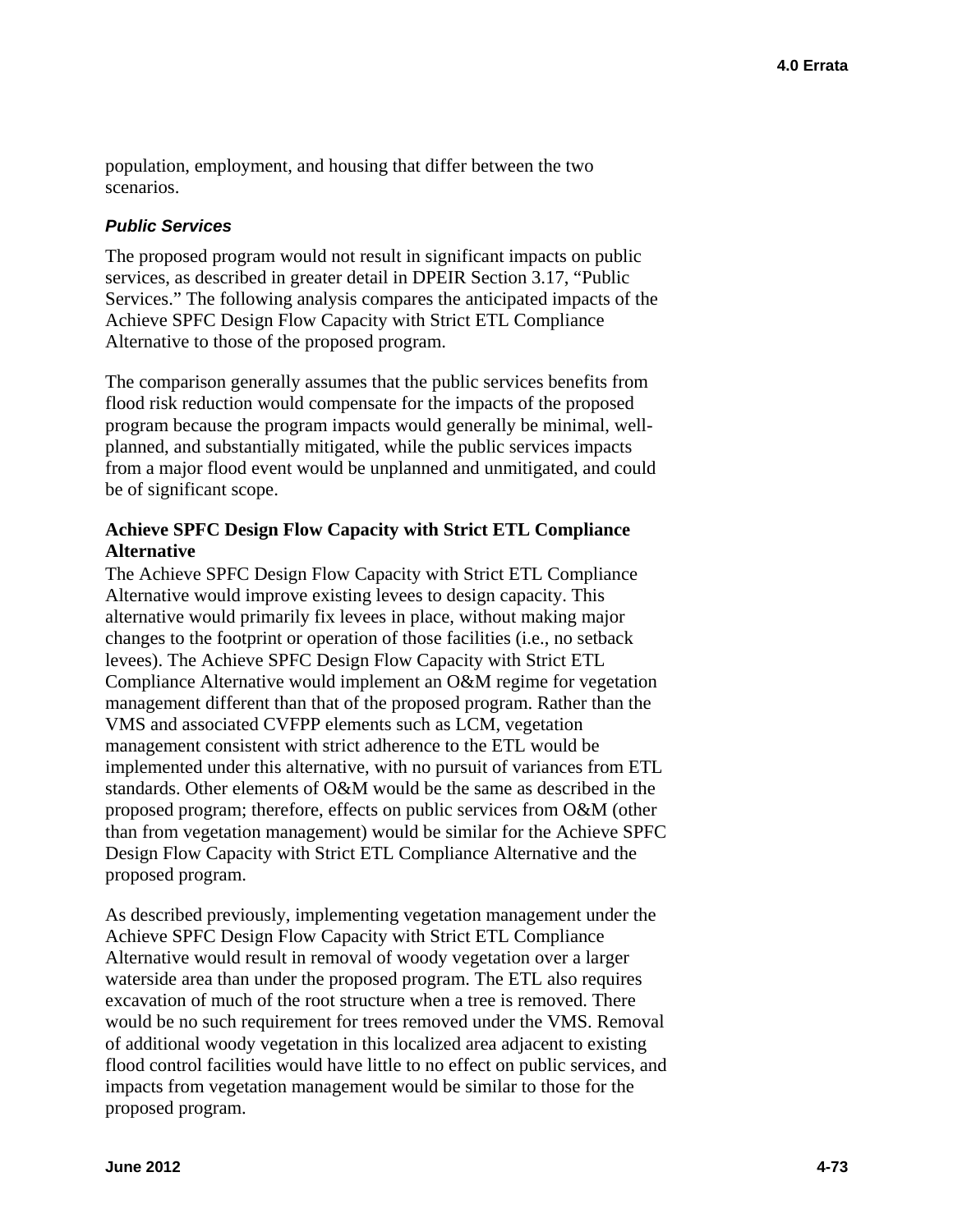population, employment, and housing that differ between the two scenarios.

#### *Public Services*

The proposed program would not result in significant impacts on public services, as described in greater detail in DPEIR Section 3.17, "Public Services." The following analysis compares the anticipated impacts of the Achieve SPFC Design Flow Capacity with Strict ETL Compliance Alternative to those of the proposed program.

The comparison generally assumes that the public services benefits from flood risk reduction would compensate for the impacts of the proposed program because the program impacts would generally be minimal, wellplanned, and substantially mitigated, while the public services impacts from a major flood event would be unplanned and unmitigated, and could be of significant scope.

## **Achieve SPFC Design Flow Capacity with Strict ETL Compliance Alternative**

The Achieve SPFC Design Flow Capacity with Strict ETL Compliance Alternative would improve existing levees to design capacity. This alternative would primarily fix levees in place, without making major changes to the footprint or operation of those facilities (i.e., no setback levees). The Achieve SPFC Design Flow Capacity with Strict ETL Compliance Alternative would implement an O&M regime for vegetation management different than that of the proposed program. Rather than the VMS and associated CVFPP elements such as LCM, vegetation management consistent with strict adherence to the ETL would be implemented under this alternative, with no pursuit of variances from ETL standards. Other elements of O&M would be the same as described in the proposed program; therefore, effects on public services from O&M (other than from vegetation management) would be similar for the Achieve SPFC Design Flow Capacity with Strict ETL Compliance Alternative and the proposed program.

As described previously, implementing vegetation management under the Achieve SPFC Design Flow Capacity with Strict ETL Compliance Alternative would result in removal of woody vegetation over a larger waterside area than under the proposed program. The ETL also requires excavation of much of the root structure when a tree is removed. There would be no such requirement for trees removed under the VMS. Removal of additional woody vegetation in this localized area adjacent to existing flood control facilities would have little to no effect on public services, and impacts from vegetation management would be similar to those for the proposed program.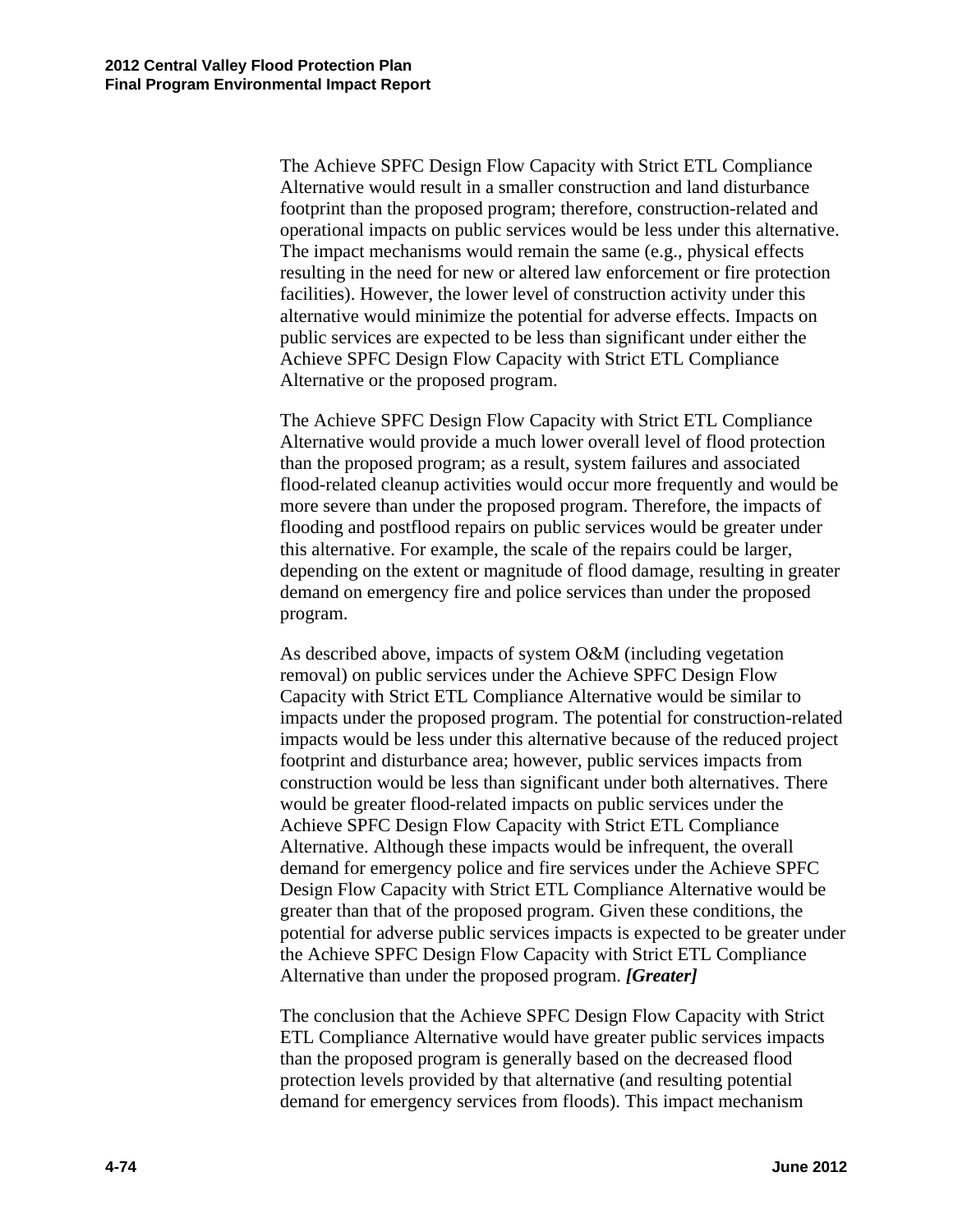The Achieve SPFC Design Flow Capacity with Strict ETL Compliance Alternative would result in a smaller construction and land disturbance footprint than the proposed program; therefore, construction-related and operational impacts on public services would be less under this alternative. The impact mechanisms would remain the same (e.g., physical effects resulting in the need for new or altered law enforcement or fire protection facilities). However, the lower level of construction activity under this alternative would minimize the potential for adverse effects. Impacts on public services are expected to be less than significant under either the Achieve SPFC Design Flow Capacity with Strict ETL Compliance Alternative or the proposed program.

The Achieve SPFC Design Flow Capacity with Strict ETL Compliance Alternative would provide a much lower overall level of flood protection than the proposed program; as a result, system failures and associated flood-related cleanup activities would occur more frequently and would be more severe than under the proposed program. Therefore, the impacts of flooding and postflood repairs on public services would be greater under this alternative. For example, the scale of the repairs could be larger, depending on the extent or magnitude of flood damage, resulting in greater demand on emergency fire and police services than under the proposed program.

As described above, impacts of system O&M (including vegetation removal) on public services under the Achieve SPFC Design Flow Capacity with Strict ETL Compliance Alternative would be similar to impacts under the proposed program. The potential for construction-related impacts would be less under this alternative because of the reduced project footprint and disturbance area; however, public services impacts from construction would be less than significant under both alternatives. There would be greater flood-related impacts on public services under the Achieve SPFC Design Flow Capacity with Strict ETL Compliance Alternative. Although these impacts would be infrequent, the overall demand for emergency police and fire services under the Achieve SPFC Design Flow Capacity with Strict ETL Compliance Alternative would be greater than that of the proposed program. Given these conditions, the potential for adverse public services impacts is expected to be greater under the Achieve SPFC Design Flow Capacity with Strict ETL Compliance Alternative than under the proposed program. *[Greater]* 

The conclusion that the Achieve SPFC Design Flow Capacity with Strict ETL Compliance Alternative would have greater public services impacts than the proposed program is generally based on the decreased flood protection levels provided by that alternative (and resulting potential demand for emergency services from floods). This impact mechanism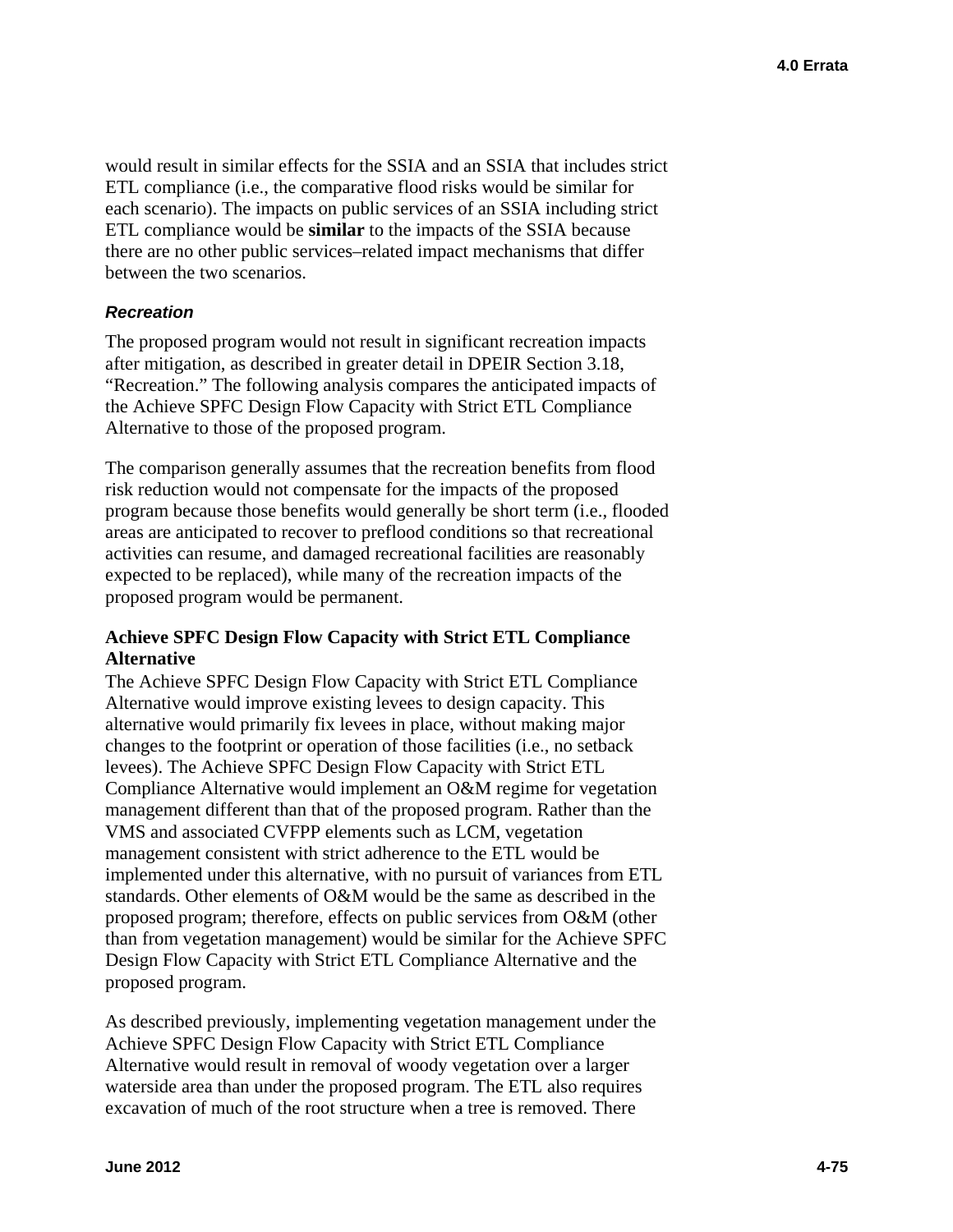would result in similar effects for the SSIA and an SSIA that includes strict ETL compliance (i.e., the comparative flood risks would be similar for each scenario). The impacts on public services of an SSIA including strict ETL compliance would be **similar** to the impacts of the SSIA because there are no other public services–related impact mechanisms that differ between the two scenarios.

## *Recreation*

The proposed program would not result in significant recreation impacts after mitigation, as described in greater detail in DPEIR Section 3.18, "Recreation." The following analysis compares the anticipated impacts of the Achieve SPFC Design Flow Capacity with Strict ETL Compliance Alternative to those of the proposed program.

The comparison generally assumes that the recreation benefits from flood risk reduction would not compensate for the impacts of the proposed program because those benefits would generally be short term (i.e., flooded areas are anticipated to recover to preflood conditions so that recreational activities can resume, and damaged recreational facilities are reasonably expected to be replaced), while many of the recreation impacts of the proposed program would be permanent.

## **Achieve SPFC Design Flow Capacity with Strict ETL Compliance Alternative**

The Achieve SPFC Design Flow Capacity with Strict ETL Compliance Alternative would improve existing levees to design capacity. This alternative would primarily fix levees in place, without making major changes to the footprint or operation of those facilities (i.e., no setback levees). The Achieve SPFC Design Flow Capacity with Strict ETL Compliance Alternative would implement an O&M regime for vegetation management different than that of the proposed program. Rather than the VMS and associated CVFPP elements such as LCM, vegetation management consistent with strict adherence to the ETL would be implemented under this alternative, with no pursuit of variances from ETL standards. Other elements of O&M would be the same as described in the proposed program; therefore, effects on public services from O&M (other than from vegetation management) would be similar for the Achieve SPFC Design Flow Capacity with Strict ETL Compliance Alternative and the proposed program.

As described previously, implementing vegetation management under the Achieve SPFC Design Flow Capacity with Strict ETL Compliance Alternative would result in removal of woody vegetation over a larger waterside area than under the proposed program. The ETL also requires excavation of much of the root structure when a tree is removed. There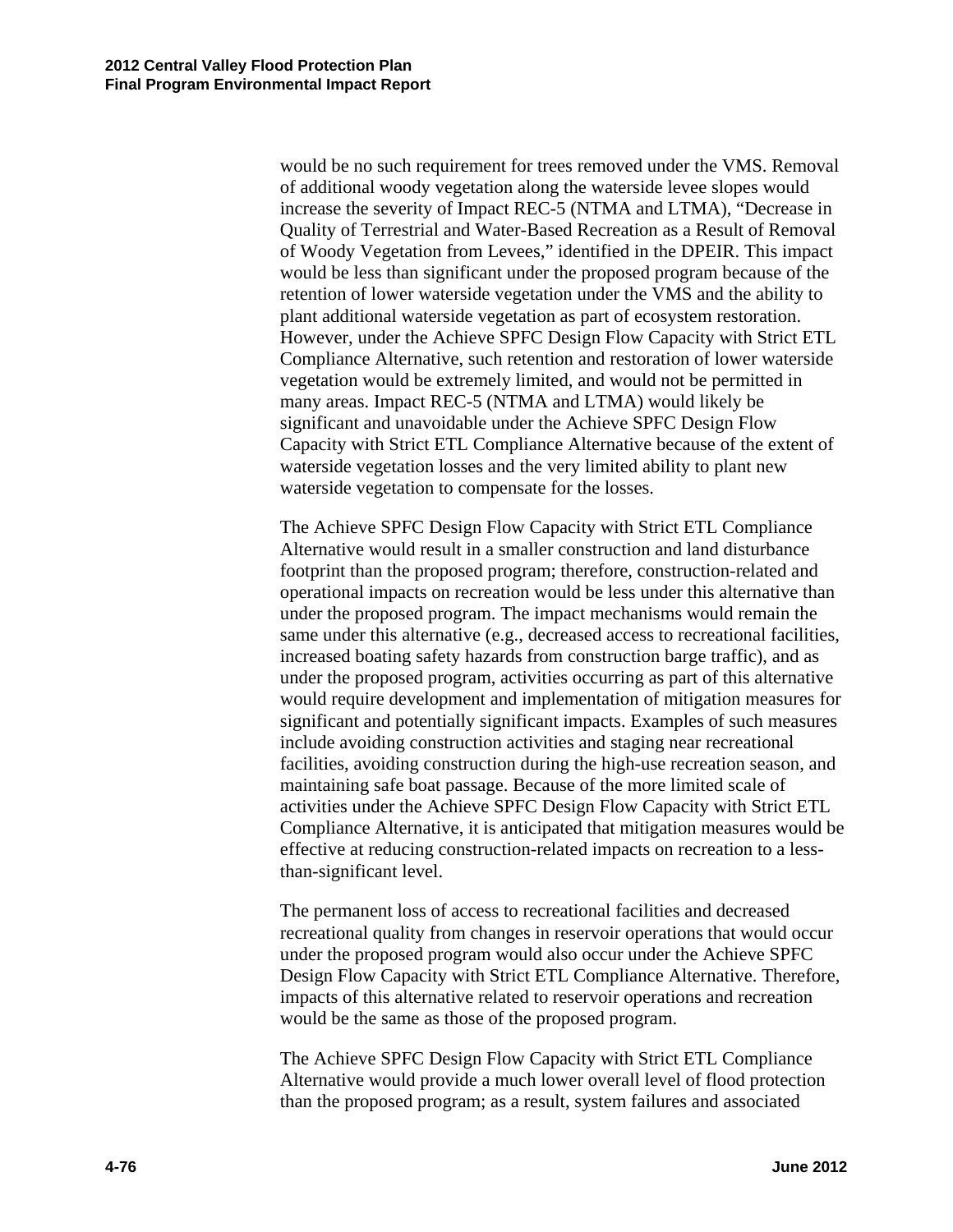would be no such requirement for trees removed under the VMS. Removal of additional woody vegetation along the waterside levee slopes would increase the severity of Impact REC-5 (NTMA and LTMA), "Decrease in Quality of Terrestrial and Water-Based Recreation as a Result of Removal of Woody Vegetation from Levees," identified in the DPEIR. This impact would be less than significant under the proposed program because of the retention of lower waterside vegetation under the VMS and the ability to plant additional waterside vegetation as part of ecosystem restoration. However, under the Achieve SPFC Design Flow Capacity with Strict ETL Compliance Alternative, such retention and restoration of lower waterside vegetation would be extremely limited, and would not be permitted in many areas. Impact REC-5 (NTMA and LTMA) would likely be significant and unavoidable under the Achieve SPFC Design Flow Capacity with Strict ETL Compliance Alternative because of the extent of waterside vegetation losses and the very limited ability to plant new waterside vegetation to compensate for the losses.

The Achieve SPFC Design Flow Capacity with Strict ETL Compliance Alternative would result in a smaller construction and land disturbance footprint than the proposed program; therefore, construction-related and operational impacts on recreation would be less under this alternative than under the proposed program. The impact mechanisms would remain the same under this alternative (e.g., decreased access to recreational facilities, increased boating safety hazards from construction barge traffic), and as under the proposed program, activities occurring as part of this alternative would require development and implementation of mitigation measures for significant and potentially significant impacts. Examples of such measures include avoiding construction activities and staging near recreational facilities, avoiding construction during the high-use recreation season, and maintaining safe boat passage. Because of the more limited scale of activities under the Achieve SPFC Design Flow Capacity with Strict ETL Compliance Alternative, it is anticipated that mitigation measures would be effective at reducing construction-related impacts on recreation to a lessthan-significant level.

The permanent loss of access to recreational facilities and decreased recreational quality from changes in reservoir operations that would occur under the proposed program would also occur under the Achieve SPFC Design Flow Capacity with Strict ETL Compliance Alternative. Therefore, impacts of this alternative related to reservoir operations and recreation would be the same as those of the proposed program.

The Achieve SPFC Design Flow Capacity with Strict ETL Compliance Alternative would provide a much lower overall level of flood protection than the proposed program; as a result, system failures and associated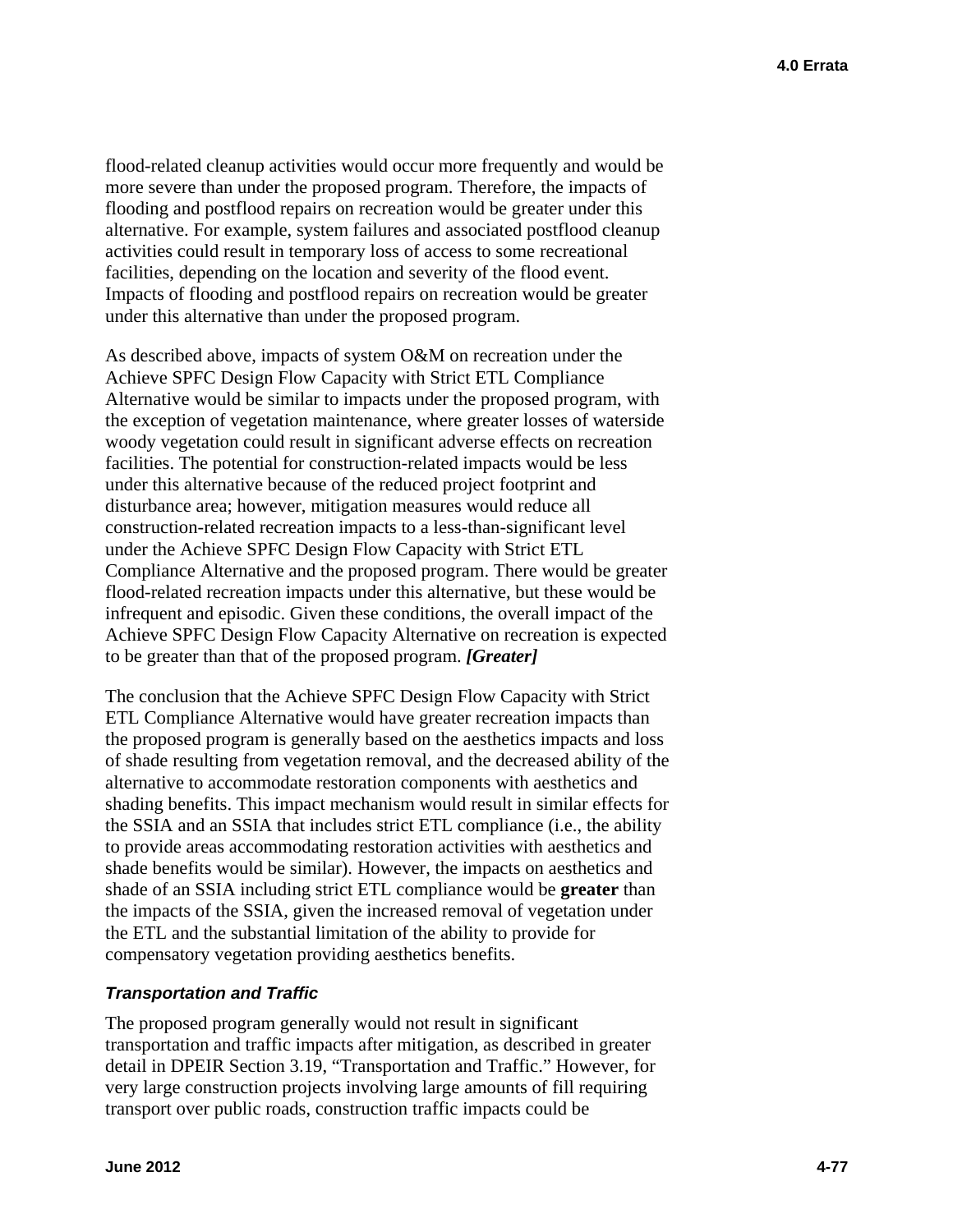flood-related cleanup activities would occur more frequently and would be more severe than under the proposed program. Therefore, the impacts of flooding and postflood repairs on recreation would be greater under this alternative. For example, system failures and associated postflood cleanup activities could result in temporary loss of access to some recreational facilities, depending on the location and severity of the flood event. Impacts of flooding and postflood repairs on recreation would be greater under this alternative than under the proposed program.

As described above, impacts of system O&M on recreation under the Achieve SPFC Design Flow Capacity with Strict ETL Compliance Alternative would be similar to impacts under the proposed program, with the exception of vegetation maintenance, where greater losses of waterside woody vegetation could result in significant adverse effects on recreation facilities. The potential for construction-related impacts would be less under this alternative because of the reduced project footprint and disturbance area; however, mitigation measures would reduce all construction-related recreation impacts to a less-than-significant level under the Achieve SPFC Design Flow Capacity with Strict ETL Compliance Alternative and the proposed program. There would be greater flood-related recreation impacts under this alternative, but these would be infrequent and episodic. Given these conditions, the overall impact of the Achieve SPFC Design Flow Capacity Alternative on recreation is expected to be greater than that of the proposed program. *[Greater]* 

The conclusion that the Achieve SPFC Design Flow Capacity with Strict ETL Compliance Alternative would have greater recreation impacts than the proposed program is generally based on the aesthetics impacts and loss of shade resulting from vegetation removal, and the decreased ability of the alternative to accommodate restoration components with aesthetics and shading benefits. This impact mechanism would result in similar effects for the SSIA and an SSIA that includes strict ETL compliance (i.e., the ability to provide areas accommodating restoration activities with aesthetics and shade benefits would be similar). However, the impacts on aesthetics and shade of an SSIA including strict ETL compliance would be **greater** than the impacts of the SSIA, given the increased removal of vegetation under the ETL and the substantial limitation of the ability to provide for compensatory vegetation providing aesthetics benefits.

## *Transportation and Traffic*

The proposed program generally would not result in significant transportation and traffic impacts after mitigation, as described in greater detail in DPEIR Section 3.19, "Transportation and Traffic." However, for very large construction projects involving large amounts of fill requiring transport over public roads, construction traffic impacts could be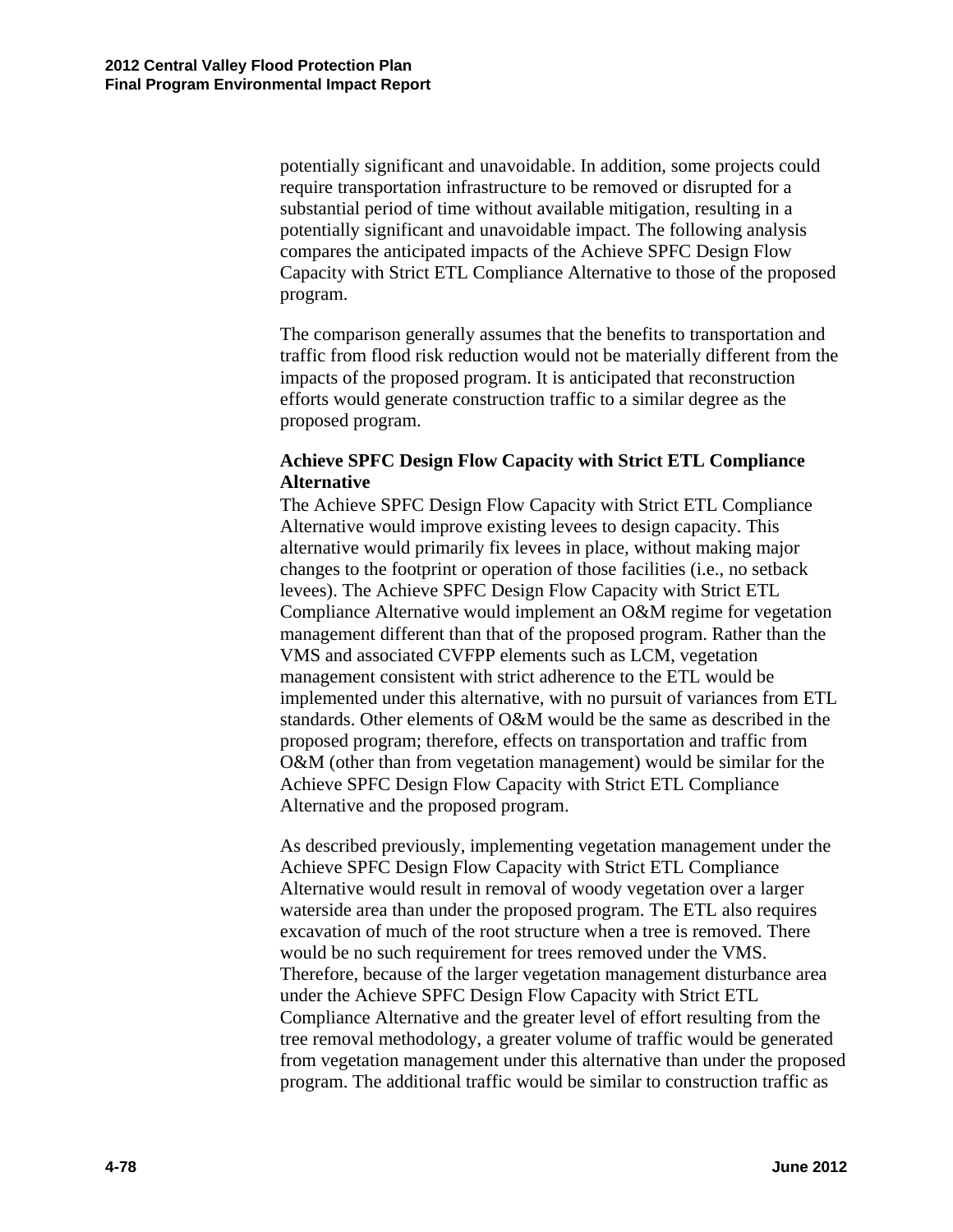potentially significant and unavoidable. In addition, some projects could require transportation infrastructure to be removed or disrupted for a substantial period of time without available mitigation, resulting in a potentially significant and unavoidable impact. The following analysis compares the anticipated impacts of the Achieve SPFC Design Flow Capacity with Strict ETL Compliance Alternative to those of the proposed program.

The comparison generally assumes that the benefits to transportation and traffic from flood risk reduction would not be materially different from the impacts of the proposed program. It is anticipated that reconstruction efforts would generate construction traffic to a similar degree as the proposed program.

## **Achieve SPFC Design Flow Capacity with Strict ETL Compliance Alternative**

The Achieve SPFC Design Flow Capacity with Strict ETL Compliance Alternative would improve existing levees to design capacity. This alternative would primarily fix levees in place, without making major changes to the footprint or operation of those facilities (i.e., no setback levees). The Achieve SPFC Design Flow Capacity with Strict ETL Compliance Alternative would implement an O&M regime for vegetation management different than that of the proposed program. Rather than the VMS and associated CVFPP elements such as LCM, vegetation management consistent with strict adherence to the ETL would be implemented under this alternative, with no pursuit of variances from ETL standards. Other elements of O&M would be the same as described in the proposed program; therefore, effects on transportation and traffic from O&M (other than from vegetation management) would be similar for the Achieve SPFC Design Flow Capacity with Strict ETL Compliance Alternative and the proposed program.

As described previously, implementing vegetation management under the Achieve SPFC Design Flow Capacity with Strict ETL Compliance Alternative would result in removal of woody vegetation over a larger waterside area than under the proposed program. The ETL also requires excavation of much of the root structure when a tree is removed. There would be no such requirement for trees removed under the VMS. Therefore, because of the larger vegetation management disturbance area under the Achieve SPFC Design Flow Capacity with Strict ETL Compliance Alternative and the greater level of effort resulting from the tree removal methodology, a greater volume of traffic would be generated from vegetation management under this alternative than under the proposed program. The additional traffic would be similar to construction traffic as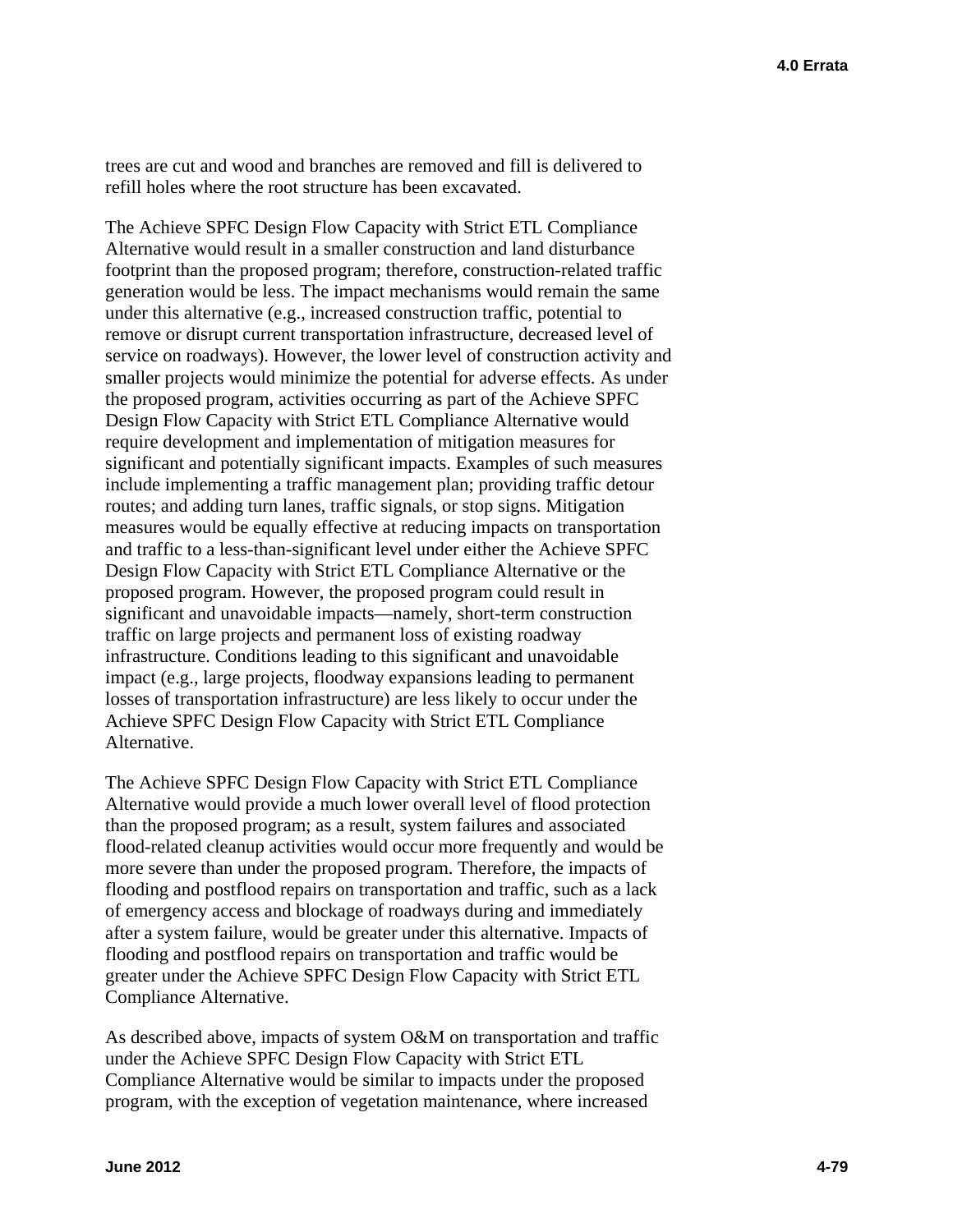trees are cut and wood and branches are removed and fill is delivered to refill holes where the root structure has been excavated.

The Achieve SPFC Design Flow Capacity with Strict ETL Compliance Alternative would result in a smaller construction and land disturbance footprint than the proposed program; therefore, construction-related traffic generation would be less. The impact mechanisms would remain the same under this alternative (e.g., increased construction traffic, potential to remove or disrupt current transportation infrastructure, decreased level of service on roadways). However, the lower level of construction activity and smaller projects would minimize the potential for adverse effects. As under the proposed program, activities occurring as part of the Achieve SPFC Design Flow Capacity with Strict ETL Compliance Alternative would require development and implementation of mitigation measures for significant and potentially significant impacts. Examples of such measures include implementing a traffic management plan; providing traffic detour routes; and adding turn lanes, traffic signals, or stop signs. Mitigation measures would be equally effective at reducing impacts on transportation and traffic to a less-than-significant level under either the Achieve SPFC Design Flow Capacity with Strict ETL Compliance Alternative or the proposed program. However, the proposed program could result in significant and unavoidable impacts—namely, short-term construction traffic on large projects and permanent loss of existing roadway infrastructure. Conditions leading to this significant and unavoidable impact (e.g., large projects, floodway expansions leading to permanent losses of transportation infrastructure) are less likely to occur under the Achieve SPFC Design Flow Capacity with Strict ETL Compliance Alternative.

The Achieve SPFC Design Flow Capacity with Strict ETL Compliance Alternative would provide a much lower overall level of flood protection than the proposed program; as a result, system failures and associated flood-related cleanup activities would occur more frequently and would be more severe than under the proposed program. Therefore, the impacts of flooding and postflood repairs on transportation and traffic, such as a lack of emergency access and blockage of roadways during and immediately after a system failure, would be greater under this alternative. Impacts of flooding and postflood repairs on transportation and traffic would be greater under the Achieve SPFC Design Flow Capacity with Strict ETL Compliance Alternative.

As described above, impacts of system O&M on transportation and traffic under the Achieve SPFC Design Flow Capacity with Strict ETL Compliance Alternative would be similar to impacts under the proposed program, with the exception of vegetation maintenance, where increased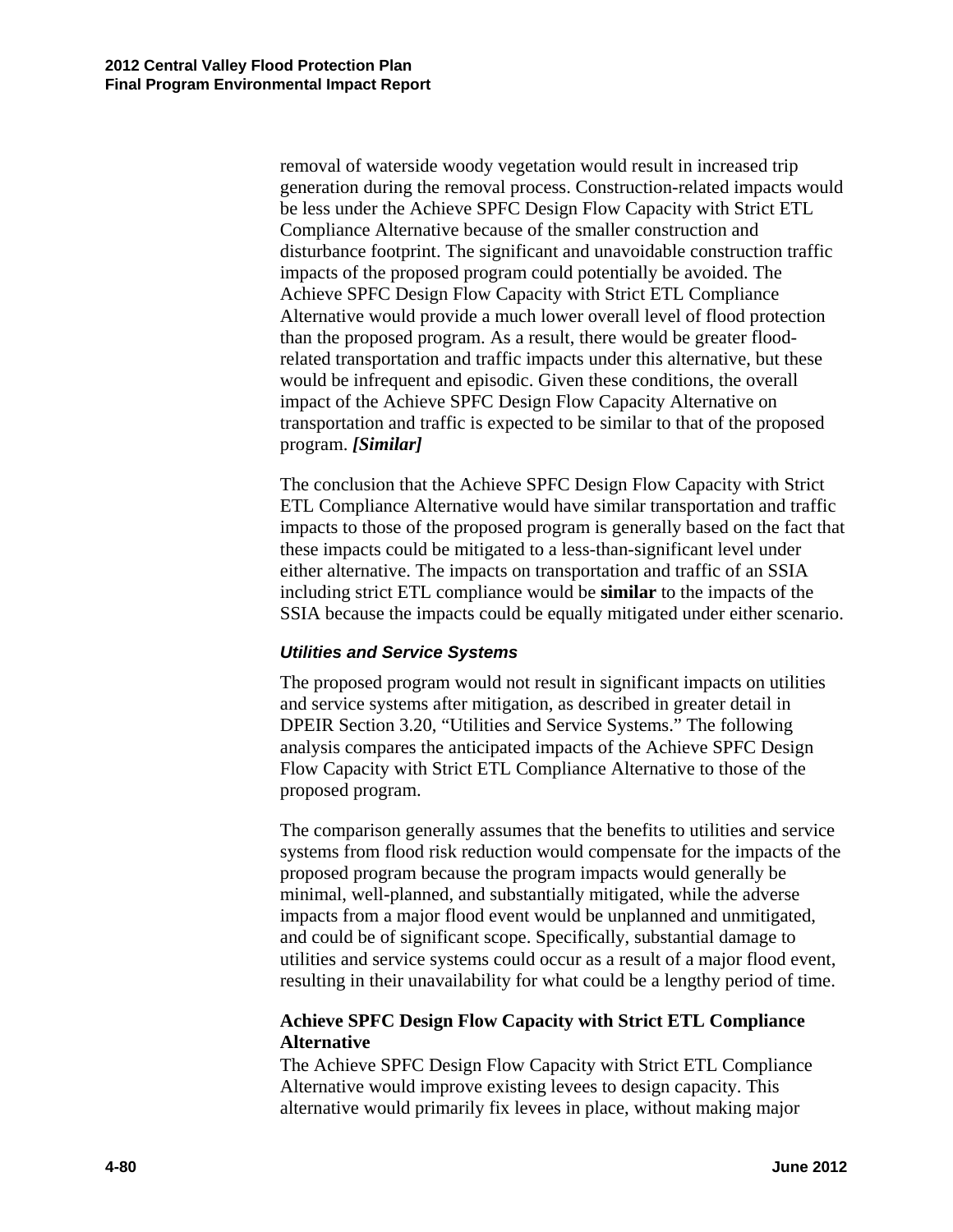removal of waterside woody vegetation would result in increased trip generation during the removal process. Construction-related impacts would be less under the Achieve SPFC Design Flow Capacity with Strict ETL Compliance Alternative because of the smaller construction and disturbance footprint. The significant and unavoidable construction traffic impacts of the proposed program could potentially be avoided. The Achieve SPFC Design Flow Capacity with Strict ETL Compliance Alternative would provide a much lower overall level of flood protection than the proposed program. As a result, there would be greater floodrelated transportation and traffic impacts under this alternative, but these would be infrequent and episodic. Given these conditions, the overall impact of the Achieve SPFC Design Flow Capacity Alternative on transportation and traffic is expected to be similar to that of the proposed program. *[Similar]* 

The conclusion that the Achieve SPFC Design Flow Capacity with Strict ETL Compliance Alternative would have similar transportation and traffic impacts to those of the proposed program is generally based on the fact that these impacts could be mitigated to a less-than-significant level under either alternative. The impacts on transportation and traffic of an SSIA including strict ETL compliance would be **similar** to the impacts of the SSIA because the impacts could be equally mitigated under either scenario.

## *Utilities and Service Systems*

The proposed program would not result in significant impacts on utilities and service systems after mitigation, as described in greater detail in DPEIR Section 3.20, "Utilities and Service Systems." The following analysis compares the anticipated impacts of the Achieve SPFC Design Flow Capacity with Strict ETL Compliance Alternative to those of the proposed program.

The comparison generally assumes that the benefits to utilities and service systems from flood risk reduction would compensate for the impacts of the proposed program because the program impacts would generally be minimal, well-planned, and substantially mitigated, while the adverse impacts from a major flood event would be unplanned and unmitigated, and could be of significant scope. Specifically, substantial damage to utilities and service systems could occur as a result of a major flood event, resulting in their unavailability for what could be a lengthy period of time.

# **Achieve SPFC Design Flow Capacity with Strict ETL Compliance Alternative**

The Achieve SPFC Design Flow Capacity with Strict ETL Compliance Alternative would improve existing levees to design capacity. This alternative would primarily fix levees in place, without making major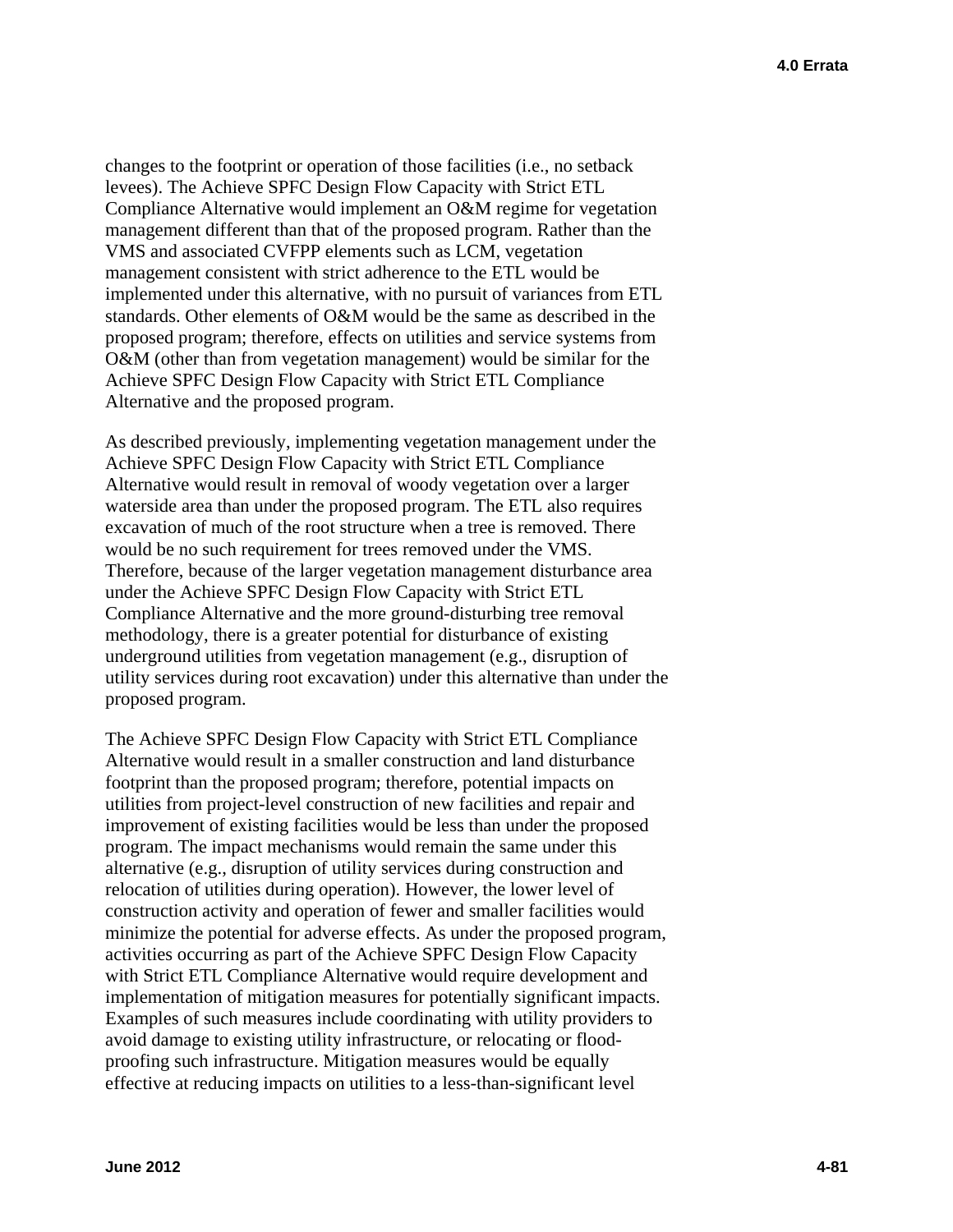changes to the footprint or operation of those facilities (i.e., no setback levees). The Achieve SPFC Design Flow Capacity with Strict ETL Compliance Alternative would implement an O&M regime for vegetation management different than that of the proposed program. Rather than the VMS and associated CVFPP elements such as LCM, vegetation management consistent with strict adherence to the ETL would be implemented under this alternative, with no pursuit of variances from ETL standards. Other elements of O&M would be the same as described in the proposed program; therefore, effects on utilities and service systems from O&M (other than from vegetation management) would be similar for the Achieve SPFC Design Flow Capacity with Strict ETL Compliance Alternative and the proposed program.

As described previously, implementing vegetation management under the Achieve SPFC Design Flow Capacity with Strict ETL Compliance Alternative would result in removal of woody vegetation over a larger waterside area than under the proposed program. The ETL also requires excavation of much of the root structure when a tree is removed. There would be no such requirement for trees removed under the VMS. Therefore, because of the larger vegetation management disturbance area under the Achieve SPFC Design Flow Capacity with Strict ETL Compliance Alternative and the more ground-disturbing tree removal methodology, there is a greater potential for disturbance of existing underground utilities from vegetation management (e.g., disruption of utility services during root excavation) under this alternative than under the proposed program.

The Achieve SPFC Design Flow Capacity with Strict ETL Compliance Alternative would result in a smaller construction and land disturbance footprint than the proposed program; therefore, potential impacts on utilities from project-level construction of new facilities and repair and improvement of existing facilities would be less than under the proposed program. The impact mechanisms would remain the same under this alternative (e.g., disruption of utility services during construction and relocation of utilities during operation). However, the lower level of construction activity and operation of fewer and smaller facilities would minimize the potential for adverse effects. As under the proposed program, activities occurring as part of the Achieve SPFC Design Flow Capacity with Strict ETL Compliance Alternative would require development and implementation of mitigation measures for potentially significant impacts. Examples of such measures include coordinating with utility providers to avoid damage to existing utility infrastructure, or relocating or floodproofing such infrastructure. Mitigation measures would be equally effective at reducing impacts on utilities to a less-than-significant level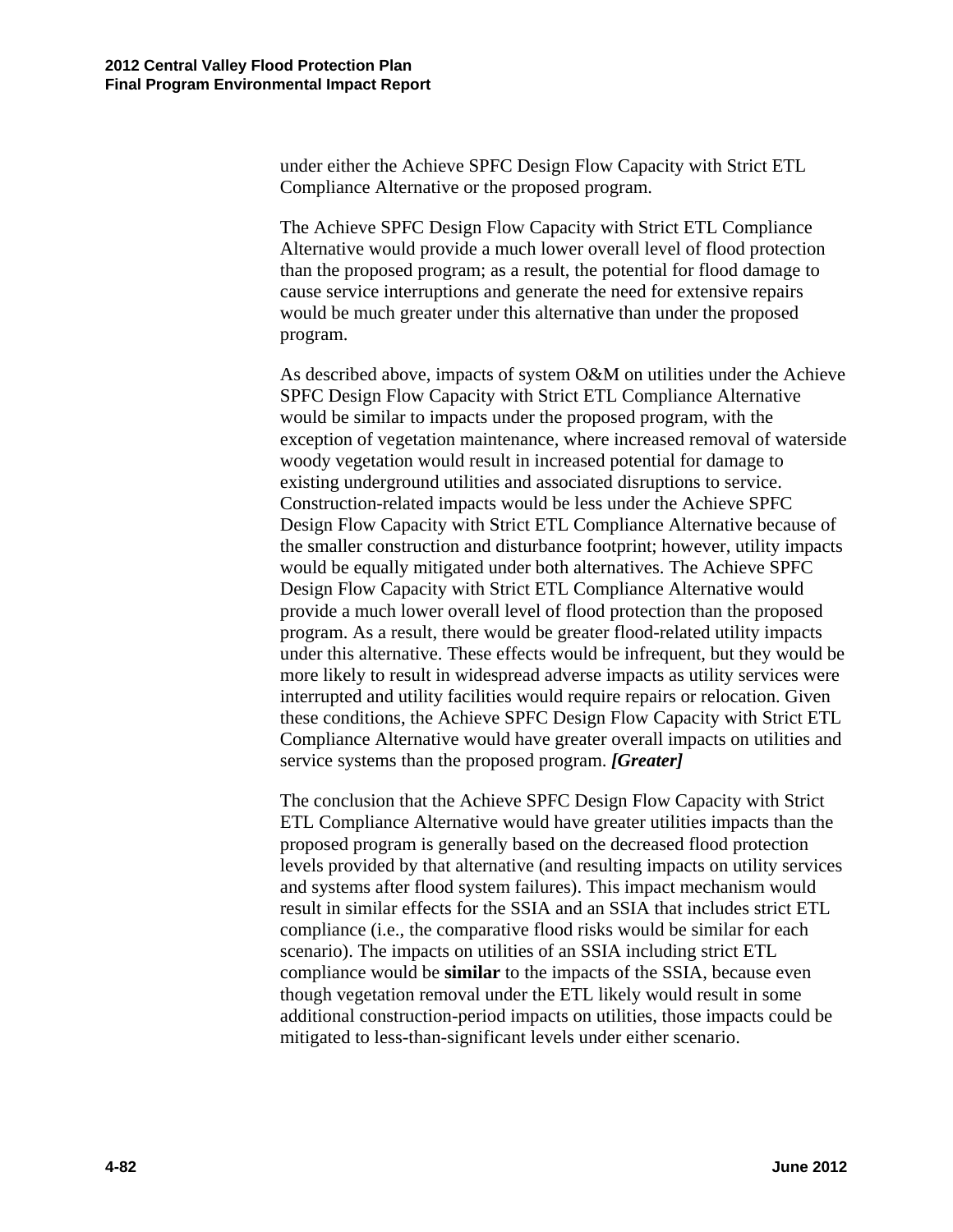under either the Achieve SPFC Design Flow Capacity with Strict ETL Compliance Alternative or the proposed program.

The Achieve SPFC Design Flow Capacity with Strict ETL Compliance Alternative would provide a much lower overall level of flood protection than the proposed program; as a result, the potential for flood damage to cause service interruptions and generate the need for extensive repairs would be much greater under this alternative than under the proposed program.

As described above, impacts of system O&M on utilities under the Achieve SPFC Design Flow Capacity with Strict ETL Compliance Alternative would be similar to impacts under the proposed program, with the exception of vegetation maintenance, where increased removal of waterside woody vegetation would result in increased potential for damage to existing underground utilities and associated disruptions to service. Construction-related impacts would be less under the Achieve SPFC Design Flow Capacity with Strict ETL Compliance Alternative because of the smaller construction and disturbance footprint; however, utility impacts would be equally mitigated under both alternatives. The Achieve SPFC Design Flow Capacity with Strict ETL Compliance Alternative would provide a much lower overall level of flood protection than the proposed program. As a result, there would be greater flood-related utility impacts under this alternative. These effects would be infrequent, but they would be more likely to result in widespread adverse impacts as utility services were interrupted and utility facilities would require repairs or relocation. Given these conditions, the Achieve SPFC Design Flow Capacity with Strict ETL Compliance Alternative would have greater overall impacts on utilities and service systems than the proposed program. *[Greater]* 

The conclusion that the Achieve SPFC Design Flow Capacity with Strict ETL Compliance Alternative would have greater utilities impacts than the proposed program is generally based on the decreased flood protection levels provided by that alternative (and resulting impacts on utility services and systems after flood system failures). This impact mechanism would result in similar effects for the SSIA and an SSIA that includes strict ETL compliance (i.e., the comparative flood risks would be similar for each scenario). The impacts on utilities of an SSIA including strict ETL compliance would be **similar** to the impacts of the SSIA, because even though vegetation removal under the ETL likely would result in some additional construction-period impacts on utilities, those impacts could be mitigated to less-than-significant levels under either scenario.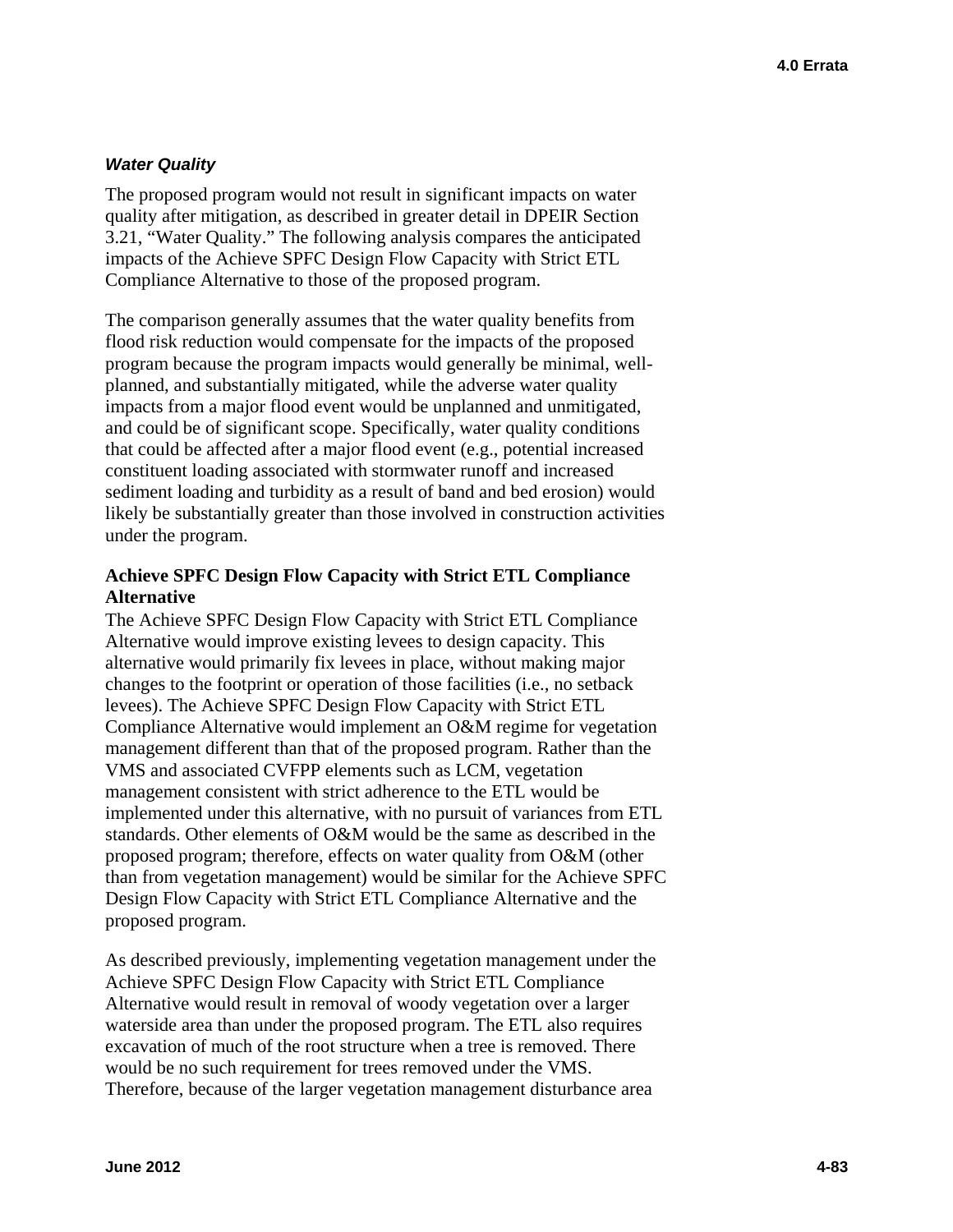### *Water Quality*

The proposed program would not result in significant impacts on water quality after mitigation, as described in greater detail in DPEIR Section 3.21, "Water Quality." The following analysis compares the anticipated impacts of the Achieve SPFC Design Flow Capacity with Strict ETL Compliance Alternative to those of the proposed program.

The comparison generally assumes that the water quality benefits from flood risk reduction would compensate for the impacts of the proposed program because the program impacts would generally be minimal, wellplanned, and substantially mitigated, while the adverse water quality impacts from a major flood event would be unplanned and unmitigated, and could be of significant scope. Specifically, water quality conditions that could be affected after a major flood event (e.g., potential increased constituent loading associated with stormwater runoff and increased sediment loading and turbidity as a result of band and bed erosion) would likely be substantially greater than those involved in construction activities under the program.

## **Achieve SPFC Design Flow Capacity with Strict ETL Compliance Alternative**

The Achieve SPFC Design Flow Capacity with Strict ETL Compliance Alternative would improve existing levees to design capacity. This alternative would primarily fix levees in place, without making major changes to the footprint or operation of those facilities (i.e., no setback levees). The Achieve SPFC Design Flow Capacity with Strict ETL Compliance Alternative would implement an O&M regime for vegetation management different than that of the proposed program. Rather than the VMS and associated CVFPP elements such as LCM, vegetation management consistent with strict adherence to the ETL would be implemented under this alternative, with no pursuit of variances from ETL standards. Other elements of O&M would be the same as described in the proposed program; therefore, effects on water quality from O&M (other than from vegetation management) would be similar for the Achieve SPFC Design Flow Capacity with Strict ETL Compliance Alternative and the proposed program.

As described previously, implementing vegetation management under the Achieve SPFC Design Flow Capacity with Strict ETL Compliance Alternative would result in removal of woody vegetation over a larger waterside area than under the proposed program. The ETL also requires excavation of much of the root structure when a tree is removed. There would be no such requirement for trees removed under the VMS. Therefore, because of the larger vegetation management disturbance area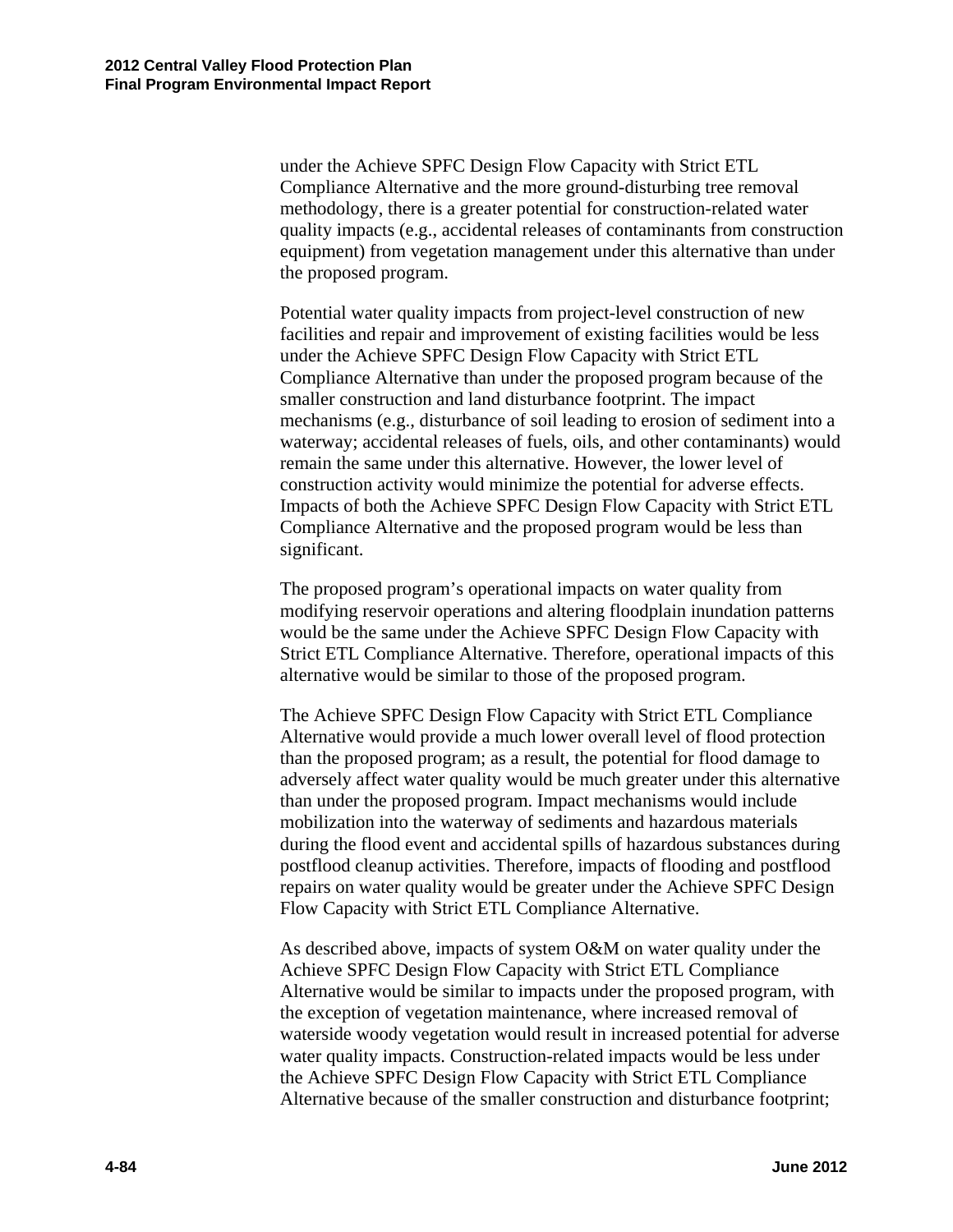under the Achieve SPFC Design Flow Capacity with Strict ETL Compliance Alternative and the more ground-disturbing tree removal methodology, there is a greater potential for construction-related water quality impacts (e.g., accidental releases of contaminants from construction equipment) from vegetation management under this alternative than under the proposed program.

Potential water quality impacts from project-level construction of new facilities and repair and improvement of existing facilities would be less under the Achieve SPFC Design Flow Capacity with Strict ETL Compliance Alternative than under the proposed program because of the smaller construction and land disturbance footprint. The impact mechanisms (e.g., disturbance of soil leading to erosion of sediment into a waterway; accidental releases of fuels, oils, and other contaminants) would remain the same under this alternative. However, the lower level of construction activity would minimize the potential for adverse effects. Impacts of both the Achieve SPFC Design Flow Capacity with Strict ETL Compliance Alternative and the proposed program would be less than significant.

The proposed program's operational impacts on water quality from modifying reservoir operations and altering floodplain inundation patterns would be the same under the Achieve SPFC Design Flow Capacity with Strict ETL Compliance Alternative. Therefore, operational impacts of this alternative would be similar to those of the proposed program.

The Achieve SPFC Design Flow Capacity with Strict ETL Compliance Alternative would provide a much lower overall level of flood protection than the proposed program; as a result, the potential for flood damage to adversely affect water quality would be much greater under this alternative than under the proposed program. Impact mechanisms would include mobilization into the waterway of sediments and hazardous materials during the flood event and accidental spills of hazardous substances during postflood cleanup activities. Therefore, impacts of flooding and postflood repairs on water quality would be greater under the Achieve SPFC Design Flow Capacity with Strict ETL Compliance Alternative.

As described above, impacts of system O&M on water quality under the Achieve SPFC Design Flow Capacity with Strict ETL Compliance Alternative would be similar to impacts under the proposed program, with the exception of vegetation maintenance, where increased removal of waterside woody vegetation would result in increased potential for adverse water quality impacts. Construction-related impacts would be less under the Achieve SPFC Design Flow Capacity with Strict ETL Compliance Alternative because of the smaller construction and disturbance footprint;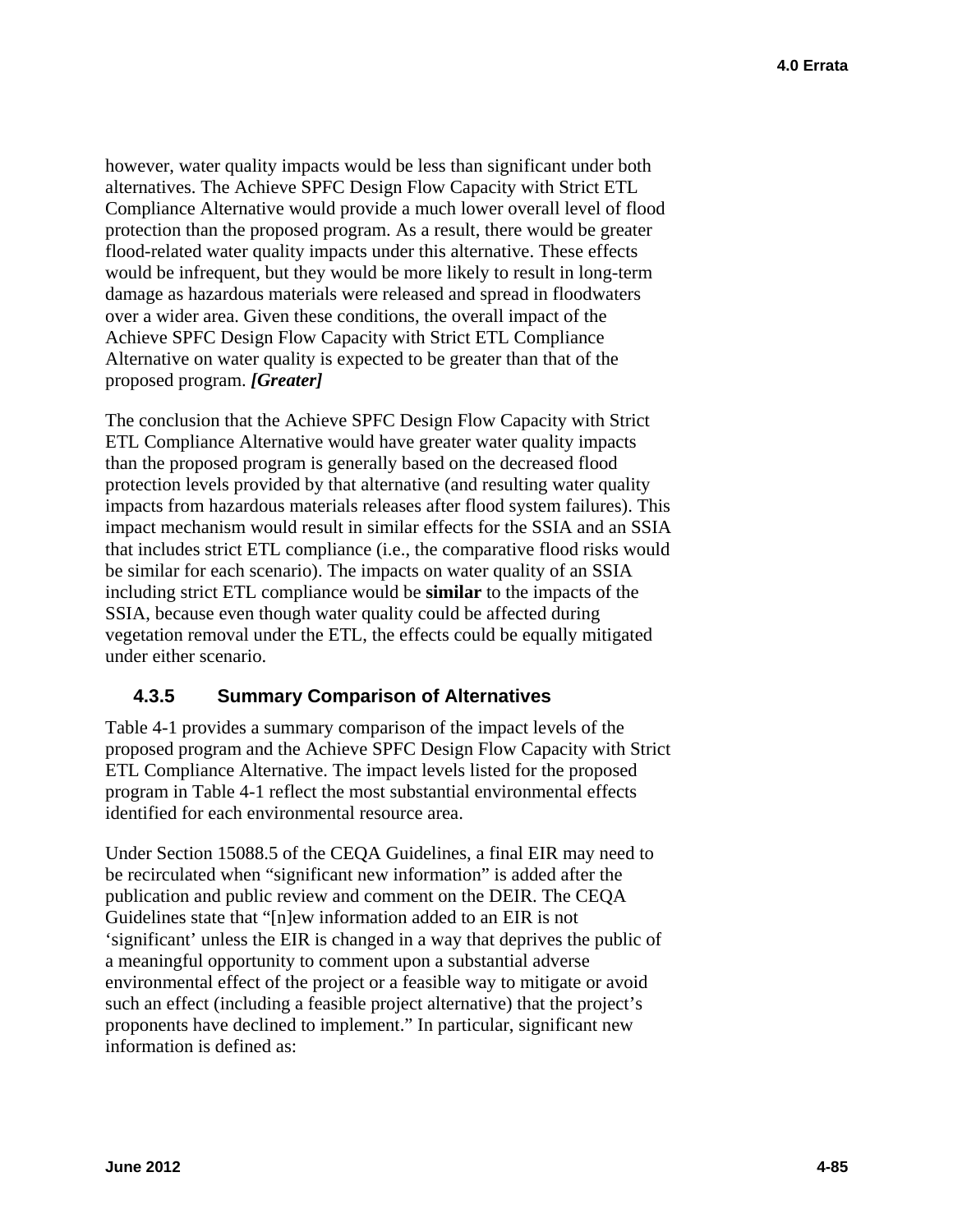however, water quality impacts would be less than significant under both alternatives. The Achieve SPFC Design Flow Capacity with Strict ETL Compliance Alternative would provide a much lower overall level of flood protection than the proposed program. As a result, there would be greater flood-related water quality impacts under this alternative. These effects would be infrequent, but they would be more likely to result in long-term damage as hazardous materials were released and spread in floodwaters over a wider area. Given these conditions, the overall impact of the Achieve SPFC Design Flow Capacity with Strict ETL Compliance Alternative on water quality is expected to be greater than that of the proposed program. *[Greater]* 

The conclusion that the Achieve SPFC Design Flow Capacity with Strict ETL Compliance Alternative would have greater water quality impacts than the proposed program is generally based on the decreased flood protection levels provided by that alternative (and resulting water quality impacts from hazardous materials releases after flood system failures). This impact mechanism would result in similar effects for the SSIA and an SSIA that includes strict ETL compliance (i.e., the comparative flood risks would be similar for each scenario). The impacts on water quality of an SSIA including strict ETL compliance would be **similar** to the impacts of the SSIA, because even though water quality could be affected during vegetation removal under the ETL, the effects could be equally mitigated under either scenario.

# **4.3.5 Summary Comparison of Alternatives**

Table 4-1 provides a summary comparison of the impact levels of the proposed program and the Achieve SPFC Design Flow Capacity with Strict ETL Compliance Alternative. The impact levels listed for the proposed program in Table 4-1 reflect the most substantial environmental effects identified for each environmental resource area.

Under Section 15088.5 of the CEQA Guidelines, a final EIR may need to be recirculated when "significant new information" is added after the publication and public review and comment on the DEIR. The CEQA Guidelines state that "[n]ew information added to an EIR is not 'significant' unless the EIR is changed in a way that deprives the public of a meaningful opportunity to comment upon a substantial adverse environmental effect of the project or a feasible way to mitigate or avoid such an effect (including a feasible project alternative) that the project's proponents have declined to implement." In particular, significant new information is defined as: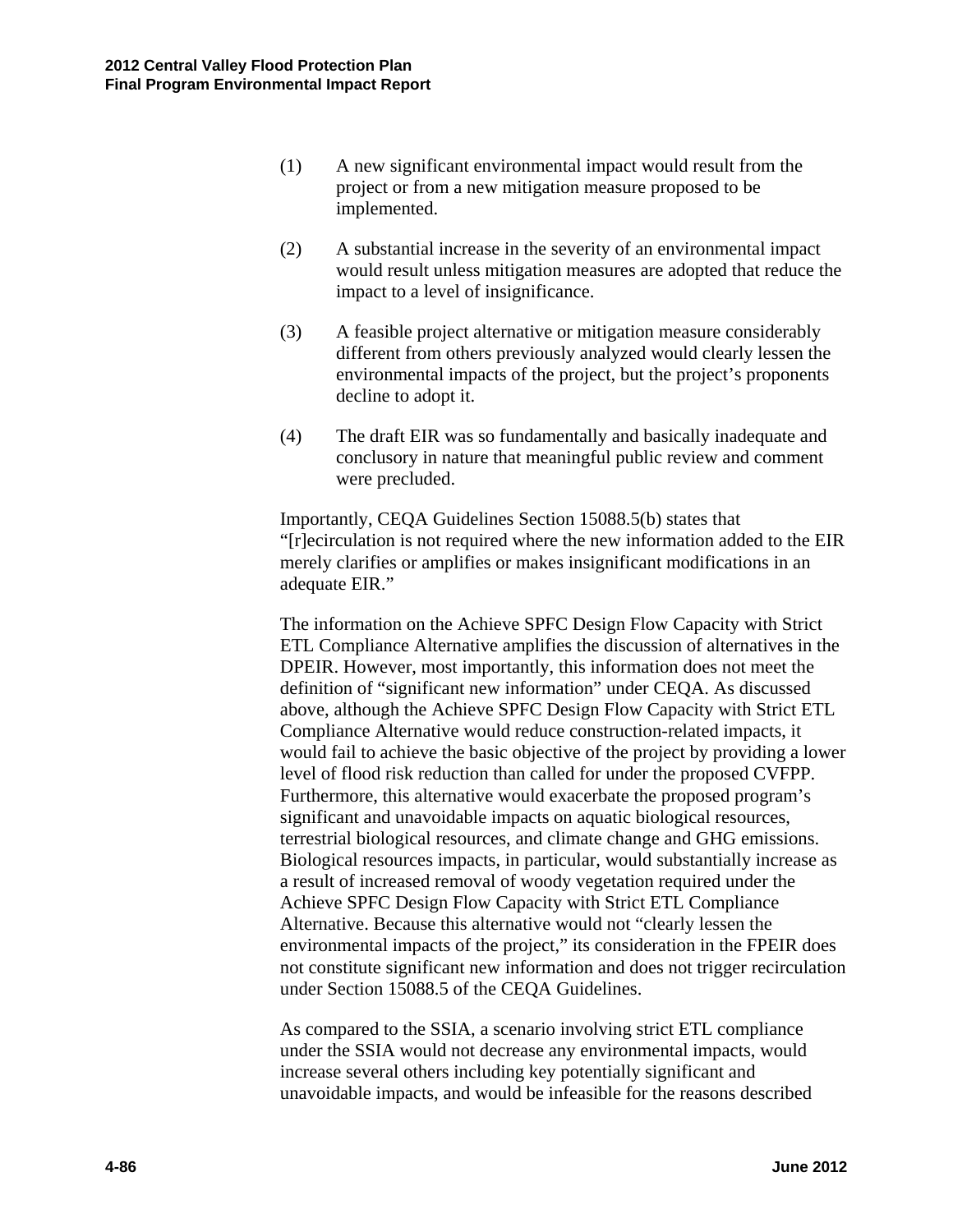- (1) A new significant environmental impact would result from the project or from a new mitigation measure proposed to be implemented.
- (2) A substantial increase in the severity of an environmental impact would result unless mitigation measures are adopted that reduce the impact to a level of insignificance.
- (3) A feasible project alternative or mitigation measure considerably different from others previously analyzed would clearly lessen the environmental impacts of the project, but the project's proponents decline to adopt it.
- (4) The draft EIR was so fundamentally and basically inadequate and conclusory in nature that meaningful public review and comment were precluded.

Importantly, CEQA Guidelines Section 15088.5(b) states that "[r]ecirculation is not required where the new information added to the EIR merely clarifies or amplifies or makes insignificant modifications in an adequate EIR."

The information on the Achieve SPFC Design Flow Capacity with Strict ETL Compliance Alternative amplifies the discussion of alternatives in the DPEIR. However, most importantly, this information does not meet the definition of "significant new information" under CEQA. As discussed above, although the Achieve SPFC Design Flow Capacity with Strict ETL Compliance Alternative would reduce construction-related impacts, it would fail to achieve the basic objective of the project by providing a lower level of flood risk reduction than called for under the proposed CVFPP. Furthermore, this alternative would exacerbate the proposed program's significant and unavoidable impacts on aquatic biological resources, terrestrial biological resources, and climate change and GHG emissions. Biological resources impacts, in particular, would substantially increase as a result of increased removal of woody vegetation required under the Achieve SPFC Design Flow Capacity with Strict ETL Compliance Alternative. Because this alternative would not "clearly lessen the environmental impacts of the project," its consideration in the FPEIR does not constitute significant new information and does not trigger recirculation under Section 15088.5 of the CEQA Guidelines.

As compared to the SSIA, a scenario involving strict ETL compliance under the SSIA would not decrease any environmental impacts, would increase several others including key potentially significant and unavoidable impacts, and would be infeasible for the reasons described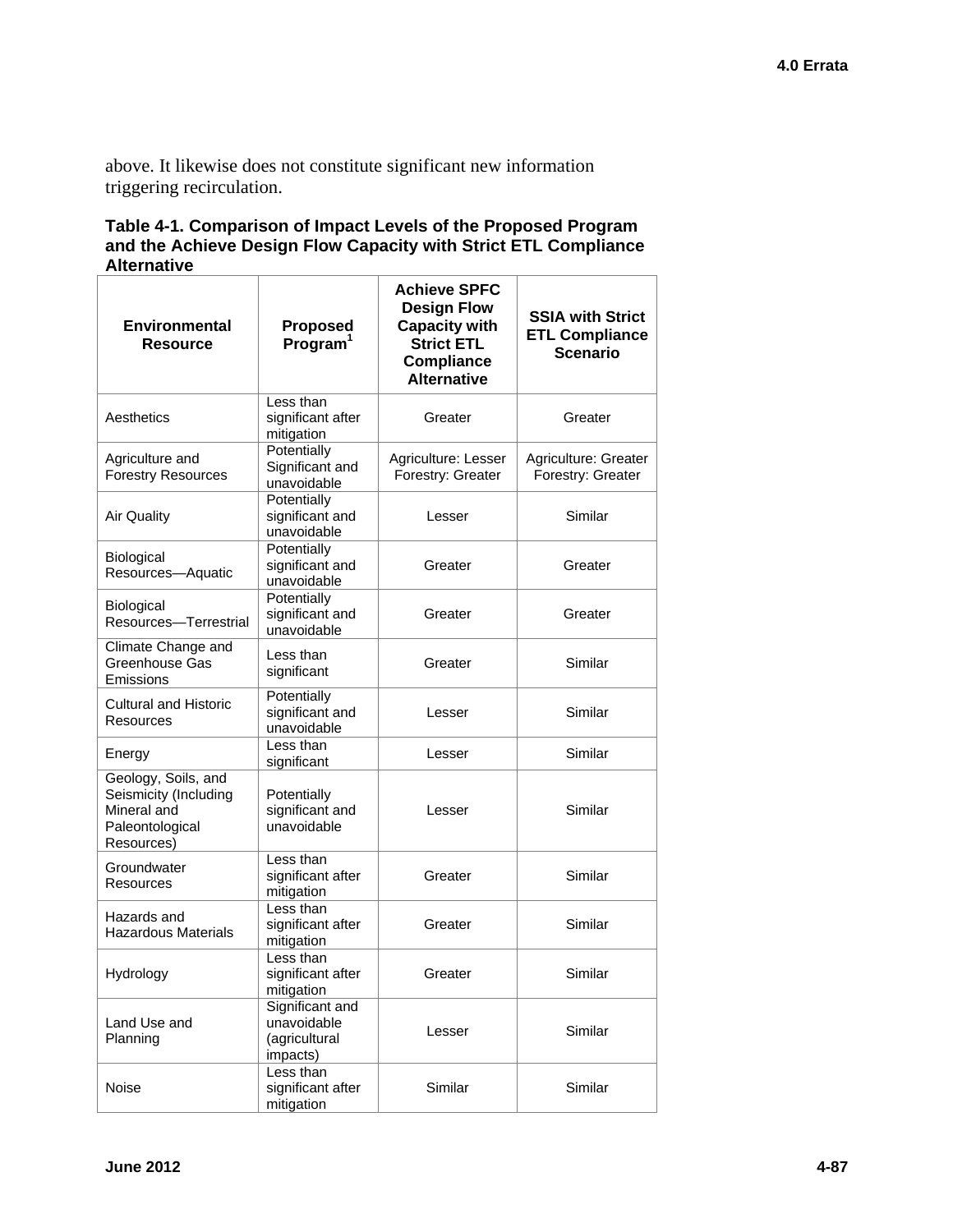above. It likewise does not constitute significant new information triggering recirculation.

### **Table 4-1. Comparison of Impact Levels of the Proposed Program and the Achieve Design Flow Capacity with Strict ETL Compliance Alternative**

| <b>Environmental</b><br><b>Resource</b>                                                      | <b>Proposed</b><br>Program <sup>1</sup>                     | <b>Achieve SPFC</b><br><b>Design Flow</b><br><b>Capacity with</b><br><b>Strict ETL</b><br><b>Compliance</b><br><b>Alternative</b> | <b>SSIA with Strict</b><br><b>ETL Compliance</b><br><b>Scenario</b> |
|----------------------------------------------------------------------------------------------|-------------------------------------------------------------|-----------------------------------------------------------------------------------------------------------------------------------|---------------------------------------------------------------------|
| Aesthetics                                                                                   | Less than<br>significant after<br>mitigation                | Greater                                                                                                                           | Greater                                                             |
| Agriculture and<br><b>Forestry Resources</b>                                                 | Potentially<br>Significant and<br>unavoidable               | Agriculture: Lesser<br>Forestry: Greater                                                                                          | Agriculture: Greater<br>Forestry: Greater                           |
| <b>Air Quality</b>                                                                           | Potentially<br>significant and<br>unavoidable               | Lesser                                                                                                                            | Similar                                                             |
| <b>Biological</b><br>Resources-Aquatic                                                       | Potentially<br>significant and<br>unavoidable               | Greater                                                                                                                           | Greater                                                             |
| Biological<br>Resources-Terrestrial                                                          | Potentially<br>significant and<br>unavoidable               | Greater                                                                                                                           | Greater                                                             |
| Climate Change and<br>Greenhouse Gas<br>Emissions                                            | Less than<br>significant                                    | Greater                                                                                                                           | Similar                                                             |
| <b>Cultural and Historic</b><br><b>Resources</b>                                             | Potentially<br>significant and<br>unavoidable               | Lesser                                                                                                                            | Similar                                                             |
| Energy                                                                                       | Less than<br>significant                                    | Lesser                                                                                                                            | Similar                                                             |
| Geology, Soils, and<br>Seismicity (Including<br>Mineral and<br>Paleontological<br>Resources) | Potentially<br>significant and<br>unavoidable               | Lesser                                                                                                                            | Similar                                                             |
| Groundwater<br><b>Resources</b>                                                              | Less than<br>significant after<br>mitigation                | Greater                                                                                                                           | Similar                                                             |
| Hazards and<br><b>Hazardous Materials</b>                                                    | Less than<br>significant after<br>mitigation                | Greater                                                                                                                           | Similar                                                             |
| Hydrology                                                                                    | Less than<br>significant after<br>mitigation                | Greater                                                                                                                           | Similar                                                             |
| Land Use and<br>Planning                                                                     | Significant and<br>unavoidable<br>(agricultural<br>impacts) | Lesser                                                                                                                            | Similar                                                             |
| Noise                                                                                        | Less than<br>significant after<br>mitigation                | Similar                                                                                                                           | Similar                                                             |